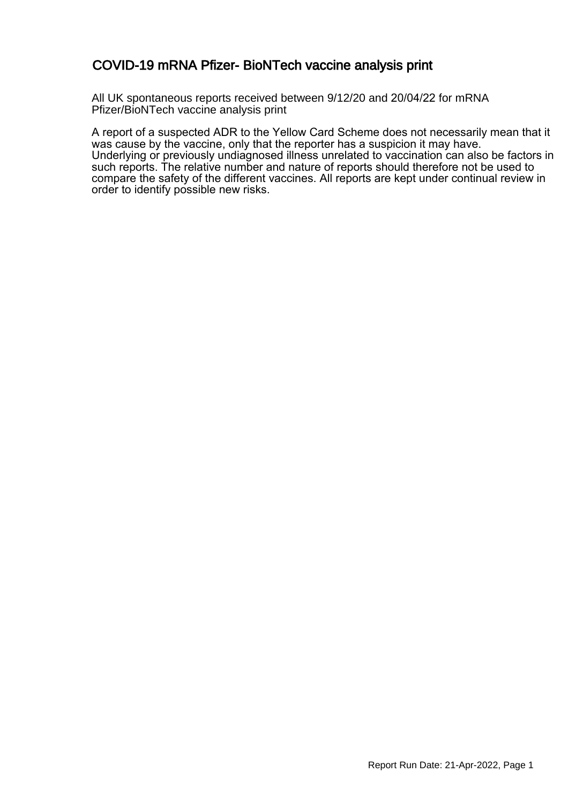### COVID-19 mRNA Pfizer- BioNTech vaccine analysis print

All UK spontaneous reports received between 9/12/20 and 20/04/22 for mRNA Pfizer/BioNTech vaccine analysis print

A report of a suspected ADR to the Yellow Card Scheme does not necessarily mean that it was cause by the vaccine, only that the reporter has a suspicion it may have. Underlying or previously undiagnosed illness unrelated to vaccination can also be factors in such reports. The relative number and nature of reports should therefore not be used to compare the safety of the different vaccines. All reports are kept under continual review in order to identify possible new risks.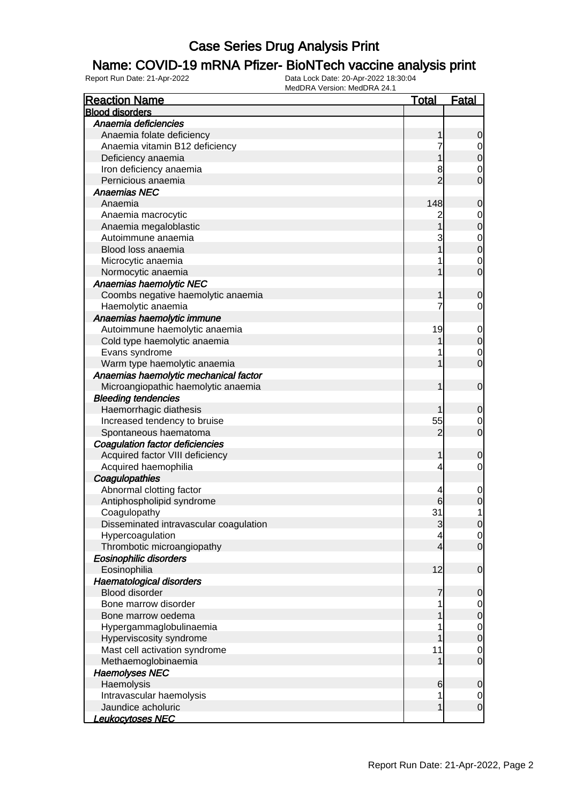### Name: COVID-19 mRNA Pfizer- BioNTech vaccine analysis print

| <b>Reaction Name</b>                           | <b>Total</b>   | <b>Fatal</b>     |
|------------------------------------------------|----------------|------------------|
| <b>Blood disorders</b>                         |                |                  |
| Anaemia deficiencies                           |                |                  |
| Anaemia folate deficiency                      | 1              | $\mathbf 0$      |
| Anaemia vitamin B12 deficiency                 |                | $\overline{0}$   |
| Deficiency anaemia                             |                | $\boldsymbol{0}$ |
| Iron deficiency anaemia                        | 8              | 0                |
| Pernicious anaemia                             | $\overline{2}$ | 0                |
| <b>Anaemias NEC</b>                            |                |                  |
| Anaemia                                        | 148            | $\mathbf 0$      |
| Anaemia macrocytic                             | $\mathbf{z}$   | 0                |
| Anaemia megaloblastic                          |                | $\mathbf 0$      |
| Autoimmune anaemia                             | 3              | $\mathbf 0$      |
| Blood loss anaemia                             |                | $\mathbf 0$      |
| Microcytic anaemia                             |                | $\mathbf 0$      |
| Normocytic anaemia                             |                | $\overline{0}$   |
| Anaemias haemolytic NEC                        |                |                  |
| Coombs negative haemolytic anaemia             |                | $\mathbf 0$      |
| Haemolytic anaemia                             |                | 0                |
| Anaemias haemolytic immune                     |                |                  |
| Autoimmune haemolytic anaemia                  | 19             | $\mathbf 0$      |
| Cold type haemolytic anaemia                   |                | $\mathbf 0$      |
| Evans syndrome                                 |                | $\mathbf 0$      |
| Warm type haemolytic anaemia                   |                | $\mathbf 0$      |
| Anaemias haemolytic mechanical factor          |                |                  |
| Microangiopathic haemolytic anaemia            | 1              | $\mathbf 0$      |
| <b>Bleeding tendencies</b>                     |                |                  |
| Haemorrhagic diathesis                         |                | 0                |
| Increased tendency to bruise                   | 55             | 0                |
| Spontaneous haematoma                          | 2              | $\mathbf 0$      |
| Coagulation factor deficiencies                |                |                  |
| Acquired factor VIII deficiency                | 1              | $\mathbf 0$      |
| Acquired haemophilia                           | 4              | $\mathbf 0$      |
| Coagulopathies                                 |                |                  |
| Abnormal clotting factor                       |                | $\mathbf 0$      |
| Antiphospholipid syndrome                      | 6              | $\mathbf 0$      |
| Coagulopathy                                   | 31             | 1                |
| Disseminated intravascular coagulation         | 3              | $\overline{0}$   |
| Hypercoagulation                               | 4              | $\overline{0}$   |
| Thrombotic microangiopathy                     | 4              | $\overline{0}$   |
| <b>Eosinophilic disorders</b>                  |                |                  |
| Eosinophilia                                   | 12             | $\mathbf 0$      |
| Haematological disorders                       |                |                  |
| <b>Blood disorder</b>                          | 7              | $\mathbf 0$      |
| Bone marrow disorder                           |                | $\overline{0}$   |
| Bone marrow oedema                             |                | $\mathbf 0$      |
| Hypergammaglobulinaemia                        |                | $\mathbf 0$      |
| Hyperviscosity syndrome                        |                | $\mathbf 0$      |
| Mast cell activation syndrome                  | 11             | 0                |
| Methaemoglobinaemia                            |                | $\mathbf 0$      |
| <b>Haemolyses NEC</b>                          |                |                  |
| Haemolysis                                     | 6              | $\mathbf 0$      |
| Intravascular haemolysis                       | 1              | 0                |
| Jaundice acholuric<br><u> Leukocytoses NEC</u> |                | $\mathbf 0$      |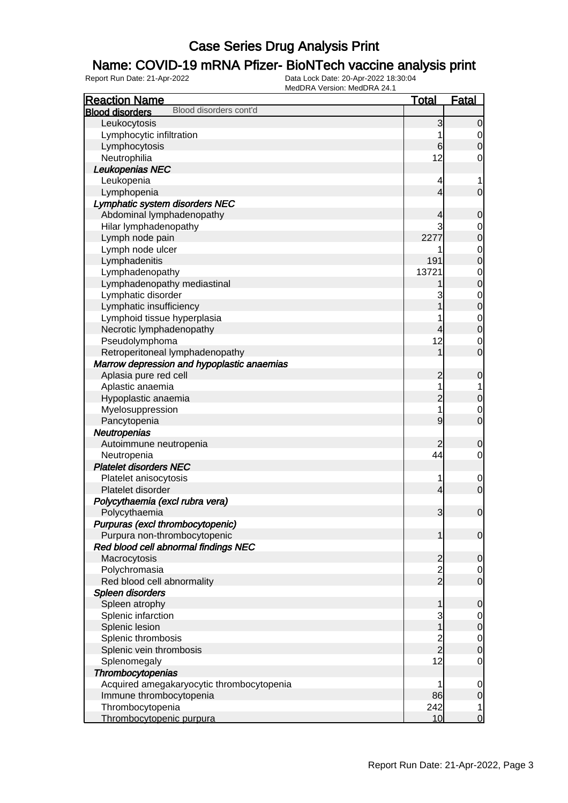### Name: COVID-19 mRNA Pfizer- BioNTech vaccine analysis print

| <b>Reaction Name</b>                             | <b>Total</b>                               | <b>Fatal</b>     |
|--------------------------------------------------|--------------------------------------------|------------------|
| Blood disorders cont'd<br><b>Blood disorders</b> |                                            |                  |
| Leukocytosis                                     | 3                                          | $\overline{0}$   |
| Lymphocytic infiltration                         | 1                                          | $\overline{0}$   |
| Lymphocytosis                                    | 6                                          | $\mathbf 0$      |
| Neutrophilia                                     | 12                                         | $\mathbf 0$      |
| Leukopenias NEC                                  |                                            |                  |
| Leukopenia                                       | 4                                          | 1                |
| Lymphopenia                                      | $\overline{4}$                             | $\mathbf 0$      |
| Lymphatic system disorders NEC                   |                                            |                  |
| Abdominal lymphadenopathy                        | 4                                          | $\mathbf 0$      |
| Hilar lymphadenopathy                            | 3                                          | $\mathbf 0$      |
| Lymph node pain                                  | 2277                                       | $\mathbf 0$      |
| Lymph node ulcer                                 |                                            | $\mathbf 0$      |
| Lymphadenitis                                    | 191                                        | $\mathbf 0$      |
| Lymphadenopathy                                  | 13721                                      | $\mathbf 0$      |
| Lymphadenopathy mediastinal                      |                                            | $\overline{0}$   |
| Lymphatic disorder                               | 3                                          | $\mathbf 0$      |
| Lymphatic insufficiency                          |                                            | $\mathbf 0$      |
| Lymphoid tissue hyperplasia                      |                                            | $\mathbf 0$      |
| Necrotic lymphadenopathy                         | 4                                          | $\mathbf 0$      |
| Pseudolymphoma                                   | 12                                         | $\mathbf 0$      |
| Retroperitoneal lymphadenopathy                  | 1                                          | $\overline{0}$   |
| Marrow depression and hypoplastic anaemias       |                                            |                  |
| Aplasia pure red cell                            | $\overline{c}$                             | $\mathbf 0$      |
| Aplastic anaemia                                 | 1                                          | 1                |
| Hypoplastic anaemia                              | $\overline{c}$                             | $\mathbf 0$      |
| Myelosuppression                                 | 1                                          | $\mathbf 0$      |
| Pancytopenia                                     | 9                                          | $\mathbf 0$      |
| Neutropenias                                     |                                            |                  |
| Autoimmune neutropenia                           | $\overline{c}$                             | $\mathbf 0$      |
| Neutropenia                                      | 44                                         | $\mathbf 0$      |
| <b>Platelet disorders NEC</b>                    |                                            |                  |
| Platelet anisocytosis                            | 1                                          | $\mathbf 0$      |
| Platelet disorder                                | $\overline{4}$                             | $\mathbf 0$      |
| Polycythaemia (excl rubra vera)                  |                                            |                  |
| Polycythaemia                                    | 3                                          | $\boldsymbol{0}$ |
| Purpuras (excl thrombocytopenic)                 |                                            |                  |
| Purpura non-thrombocytopenic                     | 1                                          | $\mathbf 0$      |
| Red blood cell abnormal findings NEC             |                                            |                  |
| Macrocytosis                                     |                                            | $\mathbf 0$      |
| Polychromasia                                    | $\begin{array}{c} 2 \\ 2 \\ 2 \end{array}$ | $\overline{0}$   |
| Red blood cell abnormality                       |                                            | $\mathbf 0$      |
| Spleen disorders                                 |                                            |                  |
| Spleen atrophy                                   | 1                                          | $\mathbf 0$      |
| Splenic infarction                               | 3<br>1                                     | $\overline{0}$   |
| Splenic lesion                                   |                                            | $\mathbf 0$      |
| Splenic thrombosis                               | $\frac{2}{2}$                              | $\overline{0}$   |
| Splenic vein thrombosis                          |                                            | $\mathbf 0$      |
| Splenomegaly                                     | 12                                         | $\mathbf 0$      |
| Thrombocytopenias                                |                                            |                  |
| Acquired amegakaryocytic thrombocytopenia        | 1                                          | $\mathbf 0$      |
| Immune thrombocytopenia                          | 86                                         | $\boldsymbol{0}$ |
| Thrombocytopenia                                 | 242                                        | 1                |
| Thrombocytopenic purpura                         | 10                                         | $\overline{0}$   |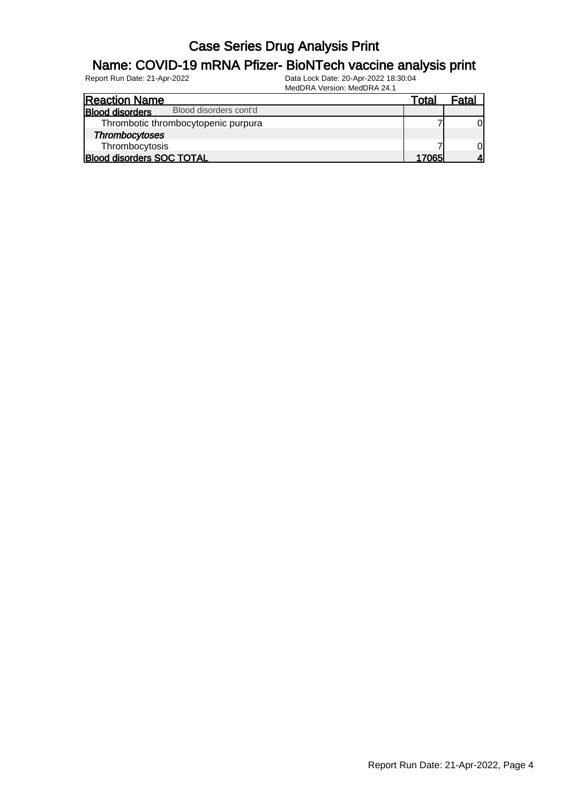#### Name: COVID-19 mRNA Pfizer- BioNTech vaccine analysis print

| <b>Reaction Name</b>                |                        | Total | Fatal                  |
|-------------------------------------|------------------------|-------|------------------------|
| <b>Blood disorders</b>              | Blood disorders cont'd |       |                        |
| Thrombotic thrombocytopenic purpura |                        |       | 01                     |
| <b>Thrombocytoses</b>               |                        |       |                        |
| Thrombocytosis                      |                        |       | <sub>0</sub>           |
| <b>Blood disorders SOC TOTAL</b>    |                        | 17065 | $\boldsymbol{\Lambda}$ |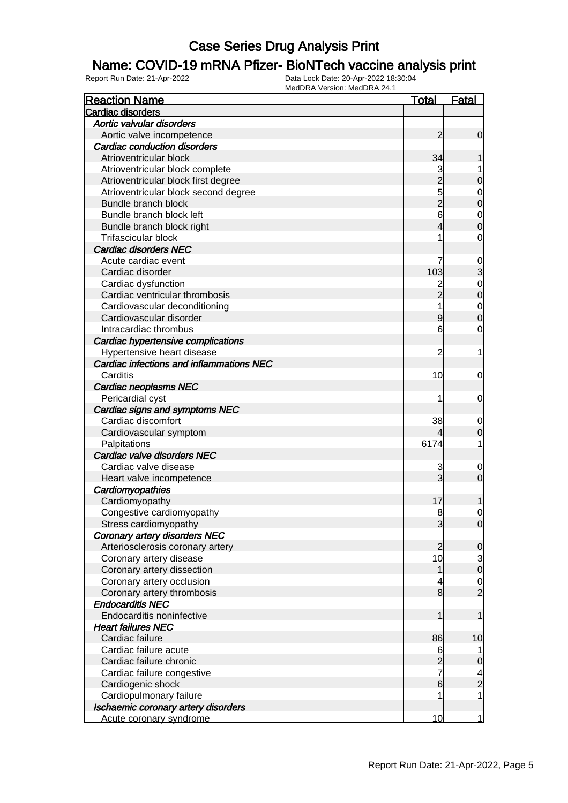### Name: COVID-19 mRNA Pfizer- BioNTech vaccine analysis print

| <b>Reaction Name</b>                     | <u>Total</u>   | <b>Fatal</b>   |
|------------------------------------------|----------------|----------------|
| Cardiac disorders                        |                |                |
| Aortic valvular disorders                |                |                |
| Aortic valve incompetence                | $\overline{2}$ | $\mathbf 0$    |
| Cardiac conduction disorders             |                |                |
| Atrioventricular block                   | 34             |                |
| Atrioventricular block complete          |                |                |
| Atrioventricular block first degree      | $\frac{3}{2}$  | 0              |
| Atrioventricular block second degree     |                | $\mathbf 0$    |
| Bundle branch block                      | $\frac{5}{2}$  | $\mathbf 0$    |
| Bundle branch block left                 | 6              | $\mathbf 0$    |
| Bundle branch block right                | 4              | 0              |
| Trifascicular block                      |                | 0              |
| <b>Cardiac disorders NEC</b>             |                |                |
| Acute cardiac event                      | 7              | $\mathbf 0$    |
| Cardiac disorder                         | 103            | 3              |
| Cardiac dysfunction                      |                | $\mathbf 0$    |
| Cardiac ventricular thrombosis           | 2<br>2         | $\mathbf 0$    |
| Cardiovascular deconditioning            | 1              | $\mathbf 0$    |
| Cardiovascular disorder                  | 9              | $\mathbf 0$    |
| Intracardiac thrombus                    | 6              | 0              |
| Cardiac hypertensive complications       |                |                |
| Hypertensive heart disease               | $\overline{c}$ | 1              |
| Cardiac infections and inflammations NEC |                |                |
| Carditis                                 | 10             | 0              |
| <b>Cardiac neoplasms NEC</b>             |                |                |
| Pericardial cyst                         | 1              | $\mathbf 0$    |
| Cardiac signs and symptoms NEC           |                |                |
| Cardiac discomfort                       | 38             | $\mathbf 0$    |
| Cardiovascular symptom                   | 4              | 0              |
| Palpitations                             | 6174           | 1              |
| Cardiac valve disorders NEC              |                |                |
| Cardiac valve disease                    | 3              | $\mathbf 0$    |
| Heart valve incompetence                 | 3              | $\mathbf 0$    |
| Cardiomyopathies                         |                |                |
| Cardiomyopathy                           | 17             | 1              |
| Congestive cardiomyopathy                | 8              | 0              |
| Stress cardiomyopathy                    | $\overline{3}$ | $\overline{0}$ |
| <b>Coronary artery disorders NEC</b>     |                |                |
| Arteriosclerosis coronary artery         | $\overline{2}$ | 0              |
| Coronary artery disease                  | 10             | $\mathbf{3}$   |
| Coronary artery dissection               | 1              | $\overline{0}$ |
| Coronary artery occlusion                | 4              | $\mathbf 0$    |
| Coronary artery thrombosis               | 8              | $\overline{2}$ |
| <b>Endocarditis NEC</b>                  |                |                |
| Endocarditis noninfective                | 1              | 1              |
| <b>Heart failures NEC</b>                |                |                |
| Cardiac failure                          | 86             | 10             |
| Cardiac failure acute                    | 6              |                |
| Cardiac failure chronic                  | $\overline{c}$ | $\mathbf 0$    |
| Cardiac failure congestive               | $\overline{7}$ | 4              |
| Cardiogenic shock                        | $6\phantom{.}$ | $\overline{c}$ |
| Cardiopulmonary failure                  |                | $\mathbf{1}$   |
| Ischaemic coronary artery disorders      |                |                |
| Acute coronary syndrome                  | 10             | 1              |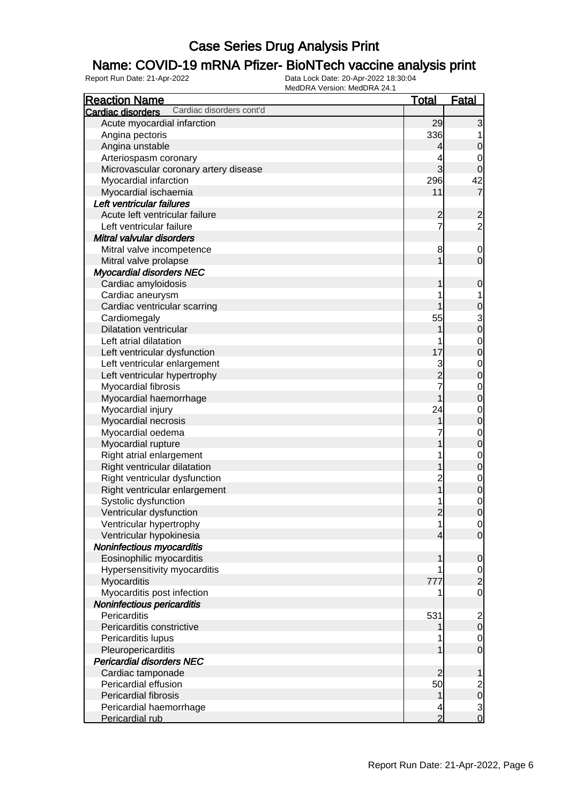### Name: COVID-19 mRNA Pfizer- BioNTech vaccine analysis print

| <b>Reaction Name</b>                          | <b>Total</b>   | <b>Fatal</b>            |
|-----------------------------------------------|----------------|-------------------------|
| Cardiac disorders cont'd<br>Cardiac disorders |                |                         |
| Acute myocardial infarction                   | 29             | 3                       |
| Angina pectoris                               | 336            |                         |
| Angina unstable                               | 4              | $\mathbf 0$             |
| Arteriospasm coronary                         |                | 0                       |
| Microvascular coronary artery disease         | 3              | $\mathbf 0$             |
| Myocardial infarction                         | 296            | 42                      |
| Myocardial ischaemia                          | 11             | $\overline{7}$          |
| Left ventricular failures                     |                |                         |
| Acute left ventricular failure                | $\overline{c}$ | $\overline{2}$          |
| Left ventricular failure                      | 7              | $\overline{2}$          |
| Mitral valvular disorders                     |                |                         |
| Mitral valve incompetence                     | 8              | $\mathbf 0$             |
| Mitral valve prolapse                         |                | $\mathbf 0$             |
| <b>Myocardial disorders NEC</b>               |                |                         |
| Cardiac amyloidosis                           |                | $\mathbf 0$             |
| Cardiac aneurysm                              |                |                         |
| Cardiac ventricular scarring                  |                | $\mathbf 0$             |
| Cardiomegaly                                  | 55             | 3                       |
| <b>Dilatation ventricular</b>                 |                | $\overline{0}$          |
| Left atrial dilatation                        |                | $\mathbf 0$             |
| Left ventricular dysfunction                  | 17             | $\mathbf 0$             |
| Left ventricular enlargement                  | 3              | $\mathbf 0$             |
| Left ventricular hypertrophy                  | $\overline{2}$ | $\boldsymbol{0}$        |
| Myocardial fibrosis                           | 7              | $\mathbf 0$             |
| Myocardial haemorrhage                        | 1              | $\boldsymbol{0}$        |
| Myocardial injury                             | 24             | $\mathbf 0$             |
| Myocardial necrosis                           |                | $\boldsymbol{0}$        |
| Myocardial oedema                             |                | $\mathbf 0$             |
| Myocardial rupture                            |                | $\boldsymbol{0}$        |
| Right atrial enlargement                      |                | $\mathbf 0$             |
| Right ventricular dilatation                  |                | $\boldsymbol{0}$        |
| Right ventricular dysfunction                 | $\overline{c}$ | $\mathbf 0$             |
| Right ventricular enlargement                 | $\overline{1}$ | $\mathbf 0$             |
| Systolic dysfunction                          |                | $\mathbf 0$             |
| Ventricular dysfunction                       | $\overline{2}$ | $\mathbf 0$             |
| Ventricular hypertrophy                       | 1              | $\overline{0}$          |
| Ventricular hypokinesia                       | 4              | $\overline{0}$          |
| Noninfectious myocarditis                     |                |                         |
| Eosinophilic myocarditis                      | 1              | $\mathbf 0$             |
| Hypersensitivity myocarditis                  |                | $\overline{0}$          |
| Myocarditis                                   | 777            | $\overline{c}$          |
| Myocarditis post infection                    |                | $\mathbf 0$             |
| Noninfectious pericarditis                    |                |                         |
| Pericarditis                                  | 531            | $\overline{\mathbf{c}}$ |
| Pericarditis constrictive                     |                | $\boldsymbol{0}$        |
| Pericarditis lupus                            |                | $\overline{0}$          |
| Pleuropericarditis                            |                | $\mathbf 0$             |
| <b>Pericardial disorders NEC</b>              |                |                         |
| Cardiac tamponade                             | 2              | 1                       |
| Pericardial effusion                          | 50             | $\overline{\mathbf{c}}$ |
| Pericardial fibrosis                          | 1              | $\mathbf 0$             |
| Pericardial haemorrhage                       | 4              | $\mathbf{3}$            |
| Pericardial rub                               | $\overline{2}$ | $\overline{0}$          |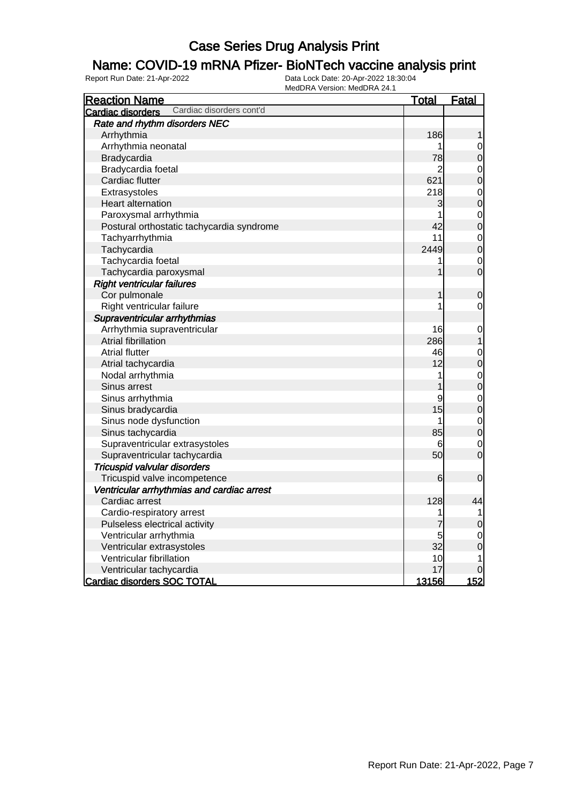### Name: COVID-19 mRNA Pfizer- BioNTech vaccine analysis print

| <b>Reaction Name</b>                          | <u>Total</u>    | <b>Fatal</b>     |
|-----------------------------------------------|-----------------|------------------|
| Cardiac disorders cont'd<br>Cardiac disorders |                 |                  |
| Rate and rhythm disorders NEC                 |                 |                  |
| Arrhythmia                                    | 186             | 1                |
| Arrhythmia neonatal                           | 1               | 0                |
| Bradycardia                                   | 78              | $\mathbf 0$      |
| Bradycardia foetal                            | 2               | $\mathbf 0$      |
| Cardiac flutter                               | 621             | $\overline{0}$   |
| Extrasystoles                                 | 218             | $\mathbf 0$      |
| <b>Heart alternation</b>                      | 3               | $\overline{0}$   |
| Paroxysmal arrhythmia                         | 1               | $\mathbf{0}$     |
| Postural orthostatic tachycardia syndrome     | 42              | $\overline{0}$   |
| Tachyarrhythmia                               | 11              | $\mathbf 0$      |
| Tachycardia                                   | 2449            | $\overline{0}$   |
| Tachycardia foetal                            | 1               | $\mathbf 0$      |
| Tachycardia paroxysmal                        | 1               | $\overline{0}$   |
| <b>Right ventricular failures</b>             |                 |                  |
| Cor pulmonale                                 | 1               | $\boldsymbol{0}$ |
| Right ventricular failure                     | 1               | $\mathbf 0$      |
| Supraventricular arrhythmias                  |                 |                  |
| Arrhythmia supraventricular                   | 16              | $\mathbf 0$      |
| <b>Atrial fibrillation</b>                    | 286             | 1                |
| <b>Atrial flutter</b>                         | 46              | $\mathbf 0$      |
| Atrial tachycardia                            | 12              | $\overline{0}$   |
| Nodal arrhythmia                              | 1               | $\mathbf 0$      |
| Sinus arrest                                  |                 | $\overline{0}$   |
| Sinus arrhythmia                              | 9               | $\mathbf 0$      |
| Sinus bradycardia                             | 15              | $\overline{0}$   |
| Sinus node dysfunction                        | 1               | $\overline{0}$   |
| Sinus tachycardia                             | 85              | $\mathbf 0$      |
| Supraventricular extrasystoles                | 6               | $\mathbf 0$      |
| Supraventricular tachycardia                  | 50              | $\overline{0}$   |
| Tricuspid valvular disorders                  |                 |                  |
| Tricuspid valve incompetence                  | $6 \overline{}$ | $\mathbf 0$      |
| Ventricular arrhythmias and cardiac arrest    |                 |                  |
| Cardiac arrest                                | 128             | 44               |
| Cardio-respiratory arrest                     | 1               | 1                |
| Pulseless electrical activity                 | 7               | 0                |
| Ventricular arrhythmia                        | 5               | $\mathbf 0$      |
| Ventricular extrasystoles                     | 32              | $\overline{0}$   |
| Ventricular fibrillation                      | 10              | 1                |
| Ventricular tachycardia                       | 17              | 0                |
| <b>Cardiac disorders SOC TOTAL</b>            | 13156           | 152              |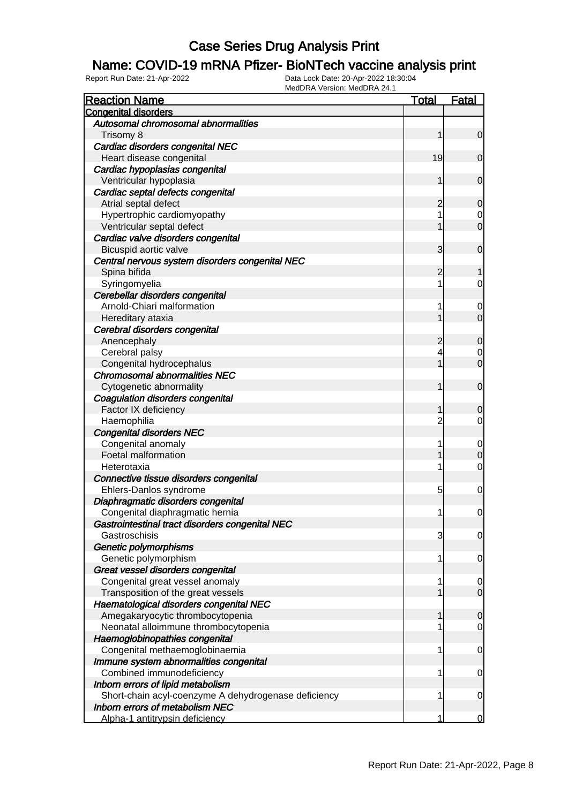#### Name: COVID-19 mRNA Pfizer- BioNTech vaccine analysis print

| <b>Reaction Name</b>                                 | <b>Total</b>   | <b>Fatal</b>     |
|------------------------------------------------------|----------------|------------------|
| <b>Congenital disorders</b>                          |                |                  |
| Autosomal chromosomal abnormalities                  |                |                  |
| Trisomy 8                                            | 1              | $\mathbf 0$      |
| Cardiac disorders congenital NEC                     |                |                  |
| Heart disease congenital                             | 19             | $\mathbf 0$      |
| Cardiac hypoplasias congenital                       |                |                  |
| Ventricular hypoplasia                               | 1              | $\mathbf 0$      |
| Cardiac septal defects congenital                    |                |                  |
| Atrial septal defect                                 | $\overline{c}$ | 0                |
| Hypertrophic cardiomyopathy                          |                | 0                |
| Ventricular septal defect                            | 1              | $\overline{0}$   |
| Cardiac valve disorders congenital                   |                |                  |
| Bicuspid aortic valve                                | 3              | $\mathbf 0$      |
| Central nervous system disorders congenital NEC      |                |                  |
| Spina bifida                                         | $\overline{c}$ |                  |
| Syringomyelia                                        | 1              | 0                |
| Cerebellar disorders congenital                      |                |                  |
| Arnold-Chiari malformation                           | 1              | 0                |
| Hereditary ataxia                                    |                | $\overline{0}$   |
| Cerebral disorders congenital                        |                |                  |
| Anencephaly                                          | $\overline{c}$ | 0                |
| Cerebral palsy                                       | 4              | 0                |
| Congenital hydrocephalus                             | 1              | $\overline{0}$   |
| <b>Chromosomal abnormalities NEC</b>                 |                |                  |
| Cytogenetic abnormality                              | 1              | $\mathbf 0$      |
| Coagulation disorders congenital                     |                |                  |
| Factor IX deficiency                                 | 1              | $\mathbf 0$      |
| Haemophilia                                          | $\overline{c}$ | $\overline{0}$   |
| <b>Congenital disorders NEC</b>                      |                |                  |
| Congenital anomaly                                   | 1              | 0                |
| Foetal malformation                                  |                | $\boldsymbol{0}$ |
| Heterotaxia                                          | 1              | $\mathbf 0$      |
| Connective tissue disorders congenital               |                |                  |
| Ehlers-Danlos syndrome                               | 5              | 0                |
| Diaphragmatic disorders congenital                   |                |                  |
| Congenital diaphragmatic hernia                      | 1              | $\overline{0}$   |
| Gastrointestinal tract disorders congenital NEC      |                |                  |
| Gastroschisis                                        | 3              | $\overline{0}$   |
| Genetic polymorphisms                                |                |                  |
| Genetic polymorphism                                 | 1              | 0                |
| Great vessel disorders congenital                    |                |                  |
| Congenital great vessel anomaly                      | 1              | 0                |
| Transposition of the great vessels                   |                | $\overline{0}$   |
| Haematological disorders congenital NEC              |                |                  |
| Amegakaryocytic thrombocytopenia                     | 1              | $\mathbf 0$      |
| Neonatal alloimmune thrombocytopenia                 |                | 0                |
| Haemoglobinopathies congenital                       |                |                  |
| Congenital methaemoglobinaemia                       | 1              | $\mathbf 0$      |
| Immune system abnormalities congenital               |                |                  |
| Combined immunodeficiency                            | 1              | 0                |
| Inborn errors of lipid metabolism                    |                |                  |
| Short-chain acyl-coenzyme A dehydrogenase deficiency | 1              | 0                |
| Inborn errors of metabolism NEC                      |                |                  |
| Alpha-1 antitrypsin deficiency                       | 1              | $\overline{0}$   |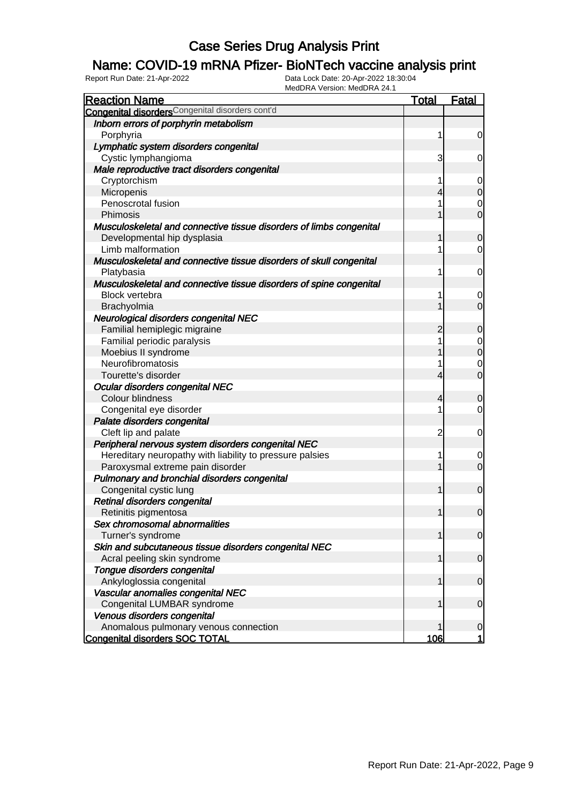### Name: COVID-19 mRNA Pfizer- BioNTech vaccine analysis print

| <b>Reaction Name</b>                                                | <b>Total</b>   | <b>Fatal</b>     |
|---------------------------------------------------------------------|----------------|------------------|
| <b>Congenital disorders</b> Congenital disorders cont'd             |                |                  |
| Inborn errors of porphyrin metabolism                               |                |                  |
| Porphyria                                                           | 1              | $\overline{0}$   |
| Lymphatic system disorders congenital                               |                |                  |
| Cystic lymphangioma                                                 | 3              | $\overline{0}$   |
| Male reproductive tract disorders congenital                        |                |                  |
| Cryptorchism                                                        | 1              | $\overline{0}$   |
| Micropenis                                                          | 4              | $\overline{O}$   |
| Penoscrotal fusion                                                  | 1              | $\overline{0}$   |
| Phimosis                                                            |                | $\overline{O}$   |
| Musculoskeletal and connective tissue disorders of limbs congenital |                |                  |
| Developmental hip dysplasia                                         | 1              | $\boldsymbol{0}$ |
| Limb malformation                                                   | 1              | $\overline{0}$   |
| Musculoskeletal and connective tissue disorders of skull congenital |                |                  |
| Platybasia                                                          | 1              | $\overline{0}$   |
| Musculoskeletal and connective tissue disorders of spine congenital |                |                  |
| <b>Block vertebra</b>                                               | 1              | $\overline{0}$   |
| Brachyolmia                                                         | 1              | $\overline{0}$   |
| Neurological disorders congenital NEC                               |                |                  |
| Familial hemiplegic migraine                                        | $\overline{c}$ | $\mathbf 0$      |
| Familial periodic paralysis                                         | 1              | $\overline{0}$   |
| Moebius II syndrome                                                 | 1              | $\overline{0}$   |
| Neurofibromatosis                                                   | 1              | $\mathbf 0$      |
| Tourette's disorder                                                 | 4              | $\overline{O}$   |
| Ocular disorders congenital NEC                                     |                |                  |
| Colour blindness                                                    | 4              | $\mathbf 0$      |
| Congenital eye disorder                                             | 1              | $\overline{0}$   |
| Palate disorders congenital                                         |                |                  |
| Cleft lip and palate                                                | $\overline{c}$ | $\mathbf 0$      |
| Peripheral nervous system disorders congenital NEC                  |                |                  |
| Hereditary neuropathy with liability to pressure palsies            | 1              | $\overline{0}$   |
| Paroxysmal extreme pain disorder                                    | 1              | $\overline{0}$   |
| Pulmonary and bronchial disorders congenital                        |                |                  |
| Congenital cystic lung                                              | 1              | $\overline{0}$   |
| Retinal disorders congenital                                        |                |                  |
| Retinitis pigmentosa                                                | 1              | $\overline{0}$   |
| Sex chromosomal abnormalities                                       |                |                  |
| Turner's syndrome                                                   | 1              | $\overline{0}$   |
| Skin and subcutaneous tissue disorders congenital NEC               |                |                  |
| Acral peeling skin syndrome                                         | 1              | $\mathbf 0$      |
| Tongue disorders congenital                                         |                |                  |
| Ankyloglossia congenital                                            | 1              | $\mathbf 0$      |
| Vascular anomalies congenital NEC                                   |                |                  |
| Congenital LUMBAR syndrome                                          | 1              | $\mathbf 0$      |
| Venous disorders congenital                                         |                |                  |
| Anomalous pulmonary venous connection                               | 1              | 0                |
| <b>Congenital disorders SOC TOTAL</b>                               | 106            |                  |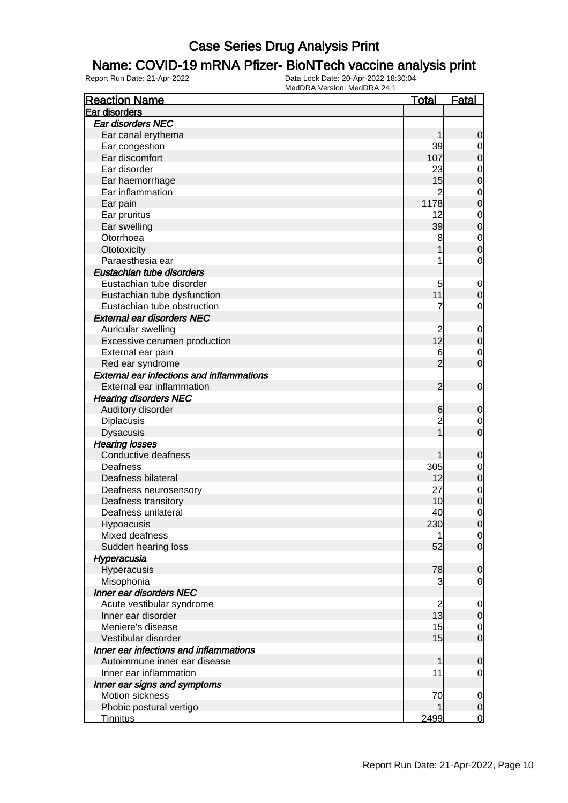### Name: COVID-19 mRNA Pfizer- BioNTech vaccine analysis print

| <b>Reaction Name</b>                                             | <b>Total</b>   | <b>Fatal</b>     |
|------------------------------------------------------------------|----------------|------------------|
| Ear disorders                                                    |                |                  |
| Ear disorders NEC                                                |                |                  |
| Ear canal erythema                                               | 1              | 0                |
| Ear congestion                                                   | 39             | $\overline{0}$   |
| Ear discomfort                                                   | 107            | 0                |
| Ear disorder                                                     | 23             | $\mathbf 0$      |
| Ear haemorrhage                                                  | 15             | $\mathbf 0$      |
| Ear inflammation                                                 | $\overline{2}$ | $\mathbf 0$      |
| Ear pain                                                         | 1178           | $\mathbf 0$      |
| Ear pruritus                                                     | 12             | $\mathbf{0}$     |
| Ear swelling                                                     | 39             | $\mathbf 0$      |
| Otorrhoea                                                        | 8              | $\mathbf{0}$     |
| Ototoxicity                                                      |                | $\mathbf 0$      |
| Paraesthesia ear                                                 |                | $\mathbf 0$      |
| Eustachian tube disorders                                        |                |                  |
| Eustachian tube disorder                                         | 5              |                  |
|                                                                  | 11             | $\mathbf 0$      |
| Eustachian tube dysfunction                                      |                | 0                |
| Eustachian tube obstruction<br><b>External ear disorders NEC</b> | 7              | $\mathbf 0$      |
|                                                                  |                |                  |
| Auricular swelling                                               | 2              | $\mathbf 0$      |
| Excessive cerumen production                                     | 12             | $\boldsymbol{0}$ |
| External ear pain                                                | 6              | $\mathbf 0$      |
| Red ear syndrome                                                 | $\overline{2}$ | $\overline{0}$   |
| <b>External ear infections and inflammations</b>                 |                |                  |
| External ear inflammation                                        | $\overline{2}$ | $\mathbf 0$      |
| <b>Hearing disorders NEC</b>                                     |                |                  |
| Auditory disorder                                                | 6              | 0                |
| Diplacusis                                                       | $\overline{2}$ | $\mathbf 0$      |
| <b>Dysacusis</b>                                                 | $\overline{1}$ | $\overline{0}$   |
| <b>Hearing losses</b>                                            |                |                  |
| Conductive deafness                                              |                | $\mathbf 0$      |
| Deafness                                                         | 305            | $\mathbf{0}$     |
| Deafness bilateral                                               | 12             | $\mathbf 0$      |
| Deafness neurosensory                                            | 27             | $\mathbf 0$      |
| Deafness transitory                                              | 10             | $\mathbf 0$      |
| Deafness unilateral                                              | 40             | 0                |
| Hypoacusis                                                       | 230            | $\overline{0}$   |
| Mixed deafness                                                   |                | $\overline{0}$   |
| Sudden hearing loss                                              | 52             | $\overline{0}$   |
| Hyperacusia                                                      |                |                  |
| Hyperacusis                                                      | 78             | 0                |
| Misophonia                                                       | 3              | $\mathbf 0$      |
| <b>Inner ear disorders NEC</b>                                   |                |                  |
| Acute vestibular syndrome                                        | $\overline{2}$ | $\mathbf 0$      |
| Inner ear disorder                                               | 13             | $\mathbf 0$      |
| Meniere's disease                                                | 15             | 0                |
| Vestibular disorder                                              | 15             | $\boldsymbol{0}$ |
| Inner ear infections and inflammations                           |                |                  |
| Autoimmune inner ear disease                                     | 1              | $\mathbf 0$      |
| Inner ear inflammation                                           | 11             | $\overline{0}$   |
| Inner ear signs and symptoms                                     |                |                  |
| Motion sickness                                                  | 70             | $\overline{0}$   |
| Phobic postural vertigo                                          | 1              | $\mathbf 0$      |
| <b>Tinnitus</b>                                                  | 2499           | $\overline{0}$   |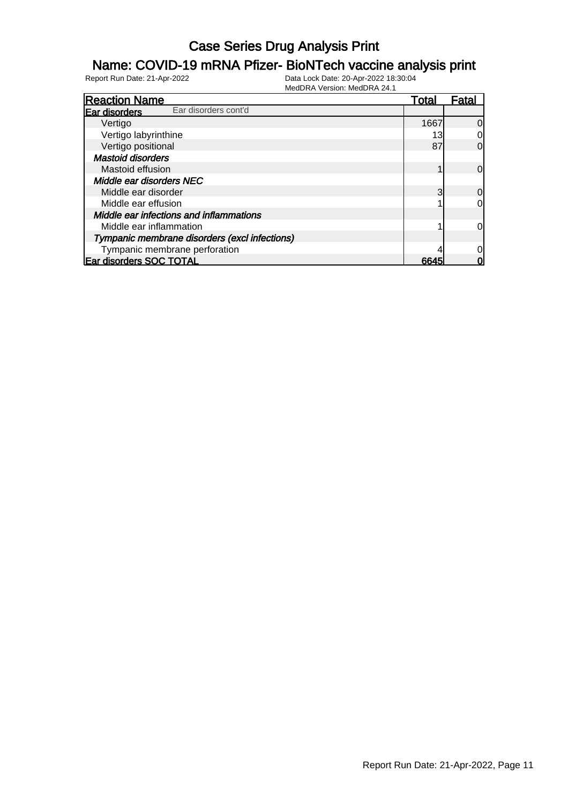#### Name: COVID-19 mRNA Pfizer- BioNTech vaccine analysis print

| <b>Reaction Name</b>                          | <u>Total</u> | Fatal          |
|-----------------------------------------------|--------------|----------------|
| Ear disorders cont'd<br>Ear disorders         |              |                |
| Vertigo                                       | 1667         | $\Omega$       |
| Vertigo labyrinthine                          | 13           | 0              |
| Vertigo positional                            | 87           | $\Omega$       |
| <b>Mastoid disorders</b>                      |              |                |
| Mastoid effusion                              |              | $\Omega$       |
| Middle ear disorders NEC                      |              |                |
| Middle ear disorder                           |              | $\overline{0}$ |
| Middle ear effusion                           |              | 0              |
| Middle ear infections and inflammations       |              |                |
| Middle ear inflammation                       |              | $\overline{0}$ |
| Tympanic membrane disorders (excl infections) |              |                |
| Tympanic membrane perforation                 |              | $\overline{0}$ |
| <b>Ear disorders SOC TOTAL</b>                | 6645         | 01             |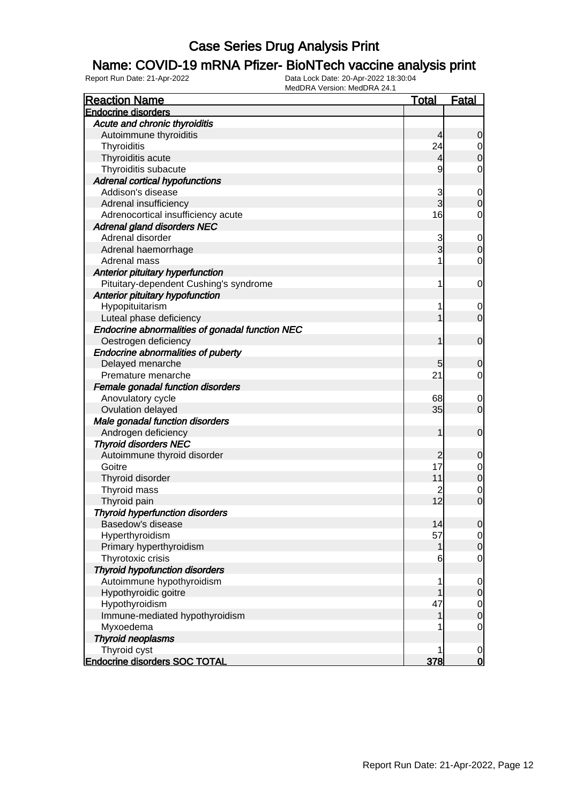#### Name: COVID-19 mRNA Pfizer- BioNTech vaccine analysis print

| <b>Reaction Name</b>                            | <b>Total</b>   | <b>Fatal</b>            |
|-------------------------------------------------|----------------|-------------------------|
| <b>Endocrine disorders</b>                      |                |                         |
| Acute and chronic thyroiditis                   |                |                         |
| Autoimmune thyroiditis                          | 4              | $\mathbf 0$             |
| Thyroiditis                                     | 24             | $\overline{0}$          |
| Thyroiditis acute                               | $\overline{4}$ | $\mathbf 0$             |
| Thyroiditis subacute                            | 9              | $\mathbf 0$             |
| <b>Adrenal cortical hypofunctions</b>           |                |                         |
| Addison's disease                               | 3              | $\mathbf 0$             |
| Adrenal insufficiency                           | 3              | $\mathbf 0$             |
| Adrenocortical insufficiency acute              | 16             | 0                       |
| <b>Adrenal gland disorders NEC</b>              |                |                         |
| Adrenal disorder                                | 3              | $\mathbf 0$             |
| Adrenal haemorrhage                             | $\overline{3}$ | $\boldsymbol{0}$        |
| Adrenal mass                                    | 1              | $\mathbf 0$             |
| Anterior pituitary hyperfunction                |                |                         |
| Pituitary-dependent Cushing's syndrome          | 1              | $\mathbf 0$             |
| Anterior pituitary hypofunction                 |                |                         |
| Hypopituitarism                                 | 1              | 0                       |
| Luteal phase deficiency                         |                | $\mathbf 0$             |
| Endocrine abnormalities of gonadal function NEC |                |                         |
| Oestrogen deficiency                            | 1              | $\mathbf 0$             |
| <b>Endocrine abnormalities of puberty</b>       |                |                         |
| Delayed menarche                                | 5              | $\mathbf 0$             |
| Premature menarche                              | 21             | $\overline{0}$          |
| Female gonadal function disorders               |                |                         |
| Anovulatory cycle                               | 68             | 0                       |
| Ovulation delayed                               | 35             | $\mathbf 0$             |
| Male gonadal function disorders                 |                |                         |
| Androgen deficiency                             | 1              | $\mathbf 0$             |
| <b>Thyroid disorders NEC</b>                    |                |                         |
| Autoimmune thyroid disorder                     | $\overline{c}$ | $\mathbf 0$             |
| Goitre                                          | 17             | $\mathbf 0$             |
| Thyroid disorder                                | 11             | $\mathbf 0$             |
| Thyroid mass                                    |                | $\mathbf 0$             |
| Thyroid pain                                    | 12             | $\mathbf 0$             |
| <b>Thyroid hyperfunction disorders</b>          |                |                         |
| Basedow's disease                               | 14             | $\overline{0}$          |
| Hyperthyroidism                                 | 57             | $\overline{0}$          |
| Primary hyperthyroidism                         | 1              | $\mathbf 0$             |
| Thyrotoxic crisis                               | 6              | $\mathbf 0$             |
| <b>Thyroid hypofunction disorders</b>           |                |                         |
| Autoimmune hypothyroidism                       | 1              | $\mathbf 0$             |
| Hypothyroidic goitre                            |                | $\mathbf 0$             |
| Hypothyroidism                                  | 47             | $\overline{0}$          |
| Immune-mediated hypothyroidism                  | 1              | $\mathbf 0$             |
| Myxoedema                                       |                | $\mathbf 0$             |
| <b>Thyroid neoplasms</b>                        |                |                         |
| Thyroid cyst                                    | 1              | $\mathbf 0$             |
| <b>Endocrine disorders SOC TOTAL</b>            | 378            | $\overline{\mathbf{0}}$ |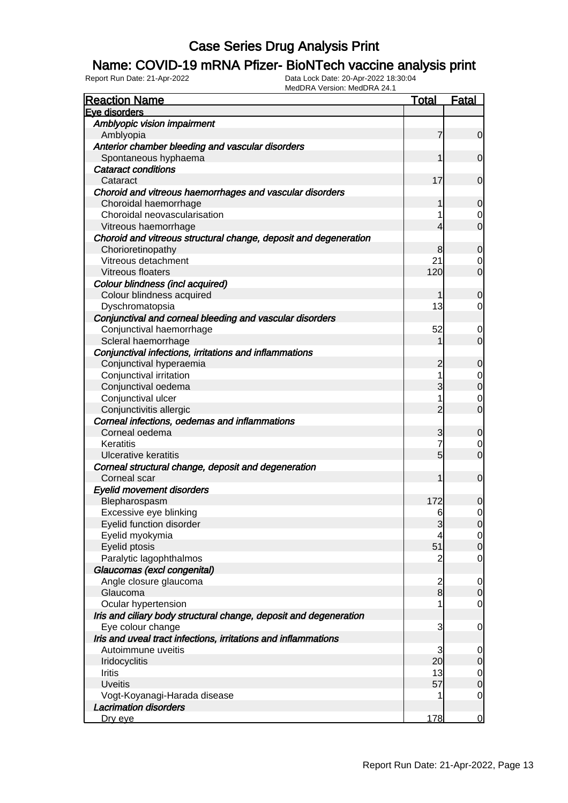### Name: COVID-19 mRNA Pfizer- BioNTech vaccine analysis print

| <b>Reaction Name</b>                                              | <b>Total</b>    | <b>Fatal</b>     |
|-------------------------------------------------------------------|-----------------|------------------|
| Eve disorders                                                     |                 |                  |
| Amblyopic vision impairment                                       |                 |                  |
| Amblyopia                                                         | 7               | $\overline{0}$   |
| Anterior chamber bleeding and vascular disorders                  |                 |                  |
| Spontaneous hyphaema                                              |                 | $\overline{0}$   |
| <b>Cataract conditions</b>                                        |                 |                  |
| Cataract                                                          | 17              | $\mathbf 0$      |
| Choroid and vitreous haemorrhages and vascular disorders          |                 |                  |
| Choroidal haemorrhage                                             | 1               | $\mathbf 0$      |
| Choroidal neovascularisation                                      |                 | 0                |
| Vitreous haemorrhage                                              | 4               | $\overline{O}$   |
| Choroid and vitreous structural change, deposit and degeneration  |                 |                  |
| Chorioretinopathy                                                 | 8               | $\mathbf 0$      |
| Vitreous detachment                                               | 21              | 0                |
| Vitreous floaters                                                 | 120             | $\overline{0}$   |
| Colour blindness (incl acquired)                                  |                 |                  |
| Colour blindness acquired                                         | 1               | $\boldsymbol{0}$ |
| Dyschromatopsia                                                   | 13              | $\overline{0}$   |
| Conjunctival and corneal bleeding and vascular disorders          |                 |                  |
| Conjunctival haemorrhage                                          | 52              | 0                |
| Scleral haemorrhage                                               |                 | $\overline{0}$   |
| Conjunctival infections, irritations and inflammations            |                 |                  |
| Conjunctival hyperaemia                                           | $\overline{c}$  | $\boldsymbol{0}$ |
| Conjunctival irritation                                           | 1               | $\mathbf 0$      |
| Conjunctival oedema                                               | 3               | $\mathbf 0$      |
| Conjunctival ulcer                                                |                 | $\mathbf 0$      |
| Conjunctivitis allergic                                           | $\overline{2}$  | $\overline{O}$   |
| Corneal infections, oedemas and inflammations                     |                 |                  |
| Corneal oedema                                                    | 3               | $\mathbf 0$      |
| Keratitis                                                         | 7               | 0                |
| <b>Ulcerative keratitis</b>                                       | $\overline{5}$  | $\overline{0}$   |
| Corneal structural change, deposit and degeneration               |                 |                  |
| Corneal scar                                                      | 1               | $\mathbf 0$      |
| <b>Eyelid movement disorders</b>                                  |                 |                  |
| Blepharospasm                                                     | 172             | $\mathbf 0$      |
| Excessive eye blinking                                            | 6               | $\overline{0}$   |
| Eyelid function disorder                                          | 3               | $\overline{0}$   |
| Eyelid myokymia                                                   | 4               | $\overline{0}$   |
| Eyelid ptosis                                                     | 51              | $\overline{0}$   |
| Paralytic lagophthalmos                                           | 2               | $\overline{0}$   |
| Glaucomas (excl congenital)                                       |                 |                  |
| Angle closure glaucoma                                            | $\overline{c}$  | $\overline{0}$   |
| Glaucoma                                                          | $\bf{8}$        | $\overline{O}$   |
| Ocular hypertension                                               |                 | $\overline{0}$   |
| Iris and ciliary body structural change, deposit and degeneration |                 |                  |
| Eye colour change                                                 | 3               | $\overline{0}$   |
| Iris and uveal tract infections, irritations and inflammations    |                 |                  |
| Autoimmune uveitis                                                | 3               | $\overline{0}$   |
| Iridocyclitis                                                     | 20 <sup>1</sup> | $\overline{O}$   |
| Iritis                                                            | 13              | $\overline{0}$   |
| <b>Uveitis</b>                                                    | 57              | $\overline{0}$   |
| Vogt-Koyanagi-Harada disease                                      |                 | $\overline{0}$   |
| <b>Lacrimation disorders</b>                                      |                 |                  |
|                                                                   | 178             | $\overline{0}$   |
| <u>Dry eye</u>                                                    |                 |                  |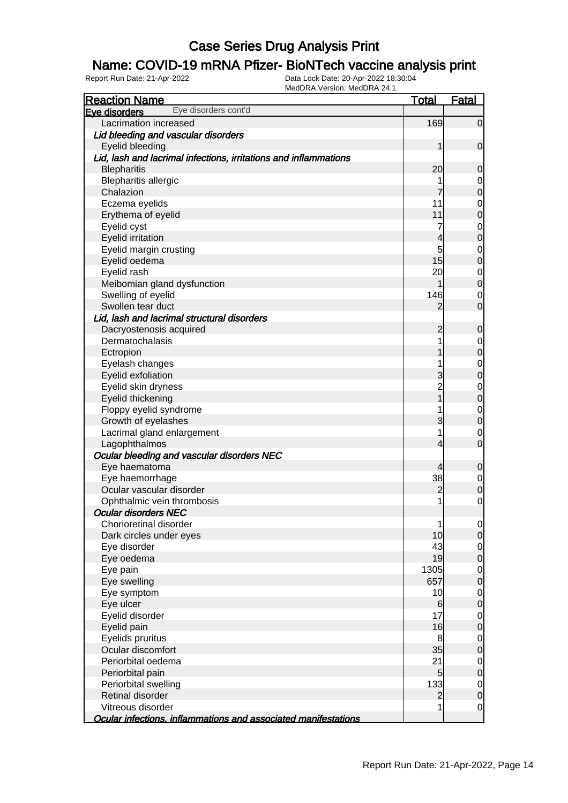### Name: COVID-19 mRNA Pfizer- BioNTech vaccine analysis print

| <b>Reaction Name</b>                                             | <b>Total</b>   | <b>Fatal</b>   |
|------------------------------------------------------------------|----------------|----------------|
| Eye disorders cont'd<br>Eye disorders                            |                |                |
| Lacrimation increased                                            | 169            | $\overline{0}$ |
| Lid bleeding and vascular disorders                              |                |                |
| Eyelid bleeding                                                  | 1              | $\mathbf 0$    |
| Lid, lash and lacrimal infections, irritations and inflammations |                |                |
| <b>Blepharitis</b>                                               | 20             | $\mathbf 0$    |
| <b>Blepharitis allergic</b>                                      |                | $\overline{0}$ |
| Chalazion                                                        |                | $\mathbf 0$    |
| Eczema eyelids                                                   | 11             | $\mathbf 0$    |
| Erythema of eyelid                                               | 11             | $\overline{0}$ |
| Eyelid cyst                                                      | 7              | $\mathbf 0$    |
| <b>Eyelid irritation</b>                                         | 4              | $\mathbf 0$    |
| Eyelid margin crusting                                           | 5              | $\mathbf 0$    |
| Eyelid oedema                                                    | 15             | $\mathbf 0$    |
| Eyelid rash                                                      | 20             | $\overline{0}$ |
| Meibomian gland dysfunction                                      | 1              | $\mathbf 0$    |
| Swelling of eyelid                                               | 146            | 0              |
| Swollen tear duct                                                | 2              | $\mathbf 0$    |
| Lid, lash and lacrimal structural disorders                      |                |                |
| Dacryostenosis acquired                                          | $\overline{c}$ | $\mathbf 0$    |
| Dermatochalasis                                                  |                | $\mathbf 0$    |
| Ectropion                                                        |                | $\mathbf 0$    |
| Eyelash changes                                                  |                | $\mathbf 0$    |
| <b>Eyelid exfoliation</b>                                        | 3              | $\mathbf 0$    |
| Eyelid skin dryness                                              | $\overline{2}$ | $\mathbf 0$    |
| Eyelid thickening                                                | 1              | $\mathbf 0$    |
| Floppy eyelid syndrome                                           |                | $\mathbf 0$    |
| Growth of eyelashes                                              | 3              | $\mathbf 0$    |
| Lacrimal gland enlargement                                       |                | $\mathbf 0$    |
| Lagophthalmos                                                    | 4              | $\mathbf 0$    |
| Ocular bleeding and vascular disorders NEC                       |                |                |
| Eye haematoma                                                    | 4              | $\mathbf 0$    |
| Eye haemorrhage                                                  | 38             | $\overline{0}$ |
| Ocular vascular disorder                                         | $\overline{c}$ | $\pmb{0}$      |
| Ophthalmic vein thrombosis                                       | 1              | $\mathbf 0$    |
| <b>Ocular disorders NEC</b>                                      |                |                |
| Chorioretinal disorder                                           | 1              | $\overline{0}$ |
| Dark circles under eyes                                          | 10             | 0              |
| Eye disorder                                                     | 43             | $\overline{O}$ |
| Eye oedema                                                       | 19             | $\overline{0}$ |
| Eye pain                                                         | 1305           | $\overline{0}$ |
| Eye swelling                                                     | 657            | $\mathbf 0$    |
| Eye symptom                                                      | 10             | $\overline{O}$ |
| Eye ulcer                                                        | 6              | $\mathbf 0$    |
| Eyelid disorder                                                  | 17             | $\overline{O}$ |
| Eyelid pain                                                      | 16             | $\mathbf 0$    |
| Eyelids pruritus                                                 | 8              | $\overline{O}$ |
| Ocular discomfort                                                | 35             | $\mathbf 0$    |
| Periorbital oedema                                               | 21             | $\overline{0}$ |
| Periorbital pain                                                 | 5              | $\overline{O}$ |
| Periorbital swelling                                             | 133            | $\overline{0}$ |
| Retinal disorder                                                 | $\overline{2}$ | $\overline{O}$ |
| Vitreous disorder                                                | 1              | $\overline{0}$ |
| Ocular infections, inflammations and associated manifestations   |                |                |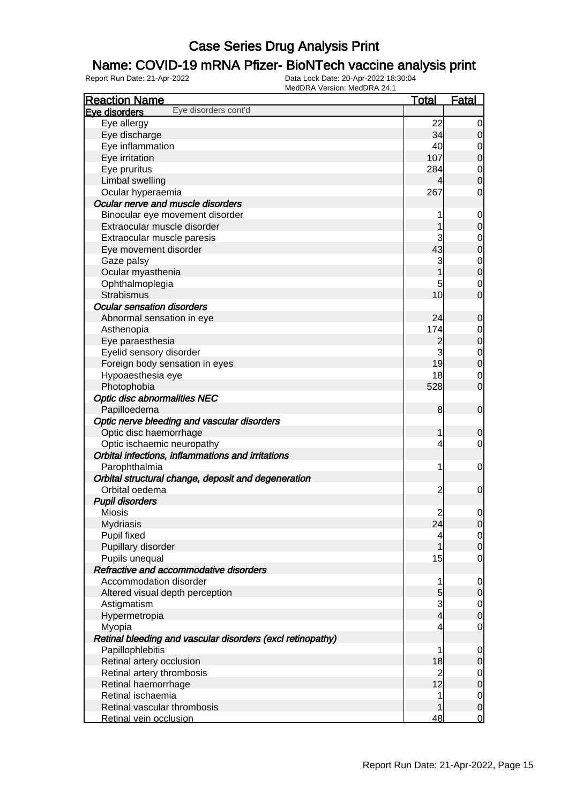### Name: COVID-19 mRNA Pfizer- BioNTech vaccine analysis print

| <b>Reaction Name</b>                                       | <u>Total</u>   | <b>Fatal</b>     |
|------------------------------------------------------------|----------------|------------------|
| Eye disorders cont'd<br>Eye disorders                      |                |                  |
| Eye allergy                                                | 22             | 0                |
| Eye discharge                                              | 34             | 0                |
| Eye inflammation                                           | 40             | 0                |
| Eye irritation                                             | 107            | 0                |
| Eye pruritus                                               | 284            | $\mathbf 0$      |
| Limbal swelling                                            |                | 0                |
| Ocular hyperaemia                                          | 267            | 0                |
| Ocular nerve and muscle disorders                          |                |                  |
| Binocular eye movement disorder                            | 1              | $\mathbf 0$      |
| Extraocular muscle disorder                                |                | 0                |
| Extraocular muscle paresis                                 | 3              | $\mathbf 0$      |
| Eye movement disorder                                      | 43             | $\mathbf 0$      |
| Gaze palsy                                                 | 3              | $\mathbf 0$      |
| Ocular myasthenia                                          |                | $\overline{0}$   |
| Ophthalmoplegia                                            | 5              | 0                |
| Strabismus                                                 | 10             | 0                |
| <b>Ocular sensation disorders</b>                          |                |                  |
| Abnormal sensation in eye                                  | 24             | 0                |
| Asthenopia                                                 | 174            | $\mathbf 0$      |
| Eye paraesthesia                                           | $\overline{c}$ | $\mathbf 0$      |
| Eyelid sensory disorder                                    | 3              | $\mathbf 0$      |
| Foreign body sensation in eyes                             | 19             | $\overline{0}$   |
| Hypoaesthesia eye                                          | 18             | $\mathbf 0$      |
| Photophobia                                                | 528            | 0                |
| <b>Optic disc abnormalities NEC</b>                        |                |                  |
| Papilloedema                                               | 8              | $\mathbf 0$      |
| Optic nerve bleeding and vascular disorders                |                |                  |
| Optic disc haemorrhage                                     | 1              | 0                |
| Optic ischaemic neuropathy                                 | 4              | 0                |
| Orbital infections, inflammations and irritations          |                |                  |
| Parophthalmia                                              | 1              | $\mathbf 0$      |
| Orbital structural change, deposit and degeneration        |                |                  |
| Orbital oedema                                             | $\overline{c}$ | 0                |
| <b>Pupil disorders</b>                                     |                |                  |
| <b>Miosis</b>                                              | $\overline{c}$ | 0                |
| <b>Mydriasis</b>                                           | 24             | $\overline{0}$   |
| Pupil fixed                                                | 4              | $\mathbf 0$      |
| Pupillary disorder                                         |                | $\boldsymbol{0}$ |
| Pupils unequal                                             | 15             | $\mathbf 0$      |
| Refractive and accommodative disorders                     |                |                  |
| Accommodation disorder                                     | 1              | 0                |
| Altered visual depth perception                            | 5              | $\boldsymbol{0}$ |
| Astigmatism                                                | 3              | $\mathbf 0$      |
| Hypermetropia                                              | $\overline{4}$ | $\mathbf 0$      |
| Myopia                                                     | 4              | $\mathbf 0$      |
| Retinal bleeding and vascular disorders (excl retinopathy) |                |                  |
| Papillophlebitis                                           | 1              | 0                |
| Retinal artery occlusion                                   | 18             | $\mathbf 0$      |
| Retinal artery thrombosis                                  | $\overline{c}$ | $\mathbf 0$      |
| Retinal haemorrhage                                        | 12             | $\mathbf 0$      |
| Retinal ischaemia                                          | 1              | $\mathbf 0$      |
| Retinal vascular thrombosis                                |                | $\boldsymbol{0}$ |
| Retinal vein occlusion                                     | 48             | $\overline{0}$   |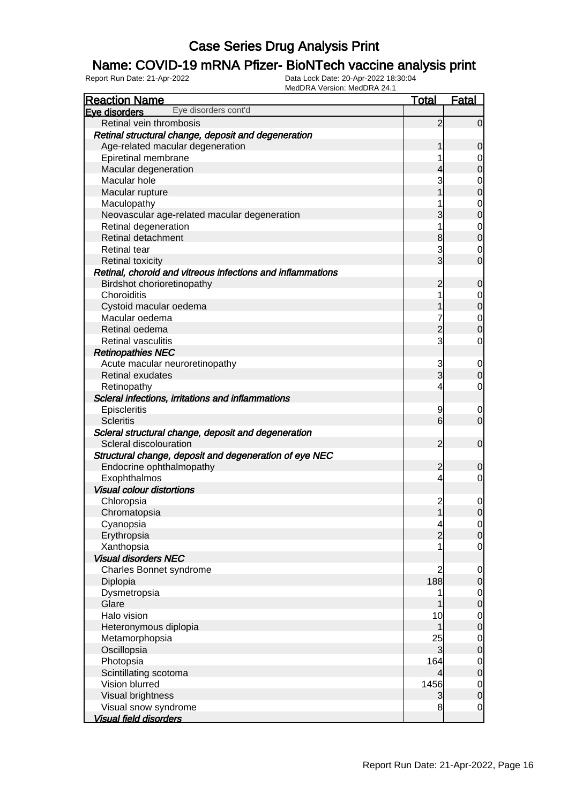### Name: COVID-19 mRNA Pfizer- BioNTech vaccine analysis print

| <b>Reaction Name</b>                                       | <b>Total</b>   | <b>Fatal</b>   |
|------------------------------------------------------------|----------------|----------------|
| Eye disorders cont'd<br>Eye disorders                      |                |                |
| Retinal vein thrombosis                                    | $\overline{2}$ | $\overline{0}$ |
| Retinal structural change, deposit and degeneration        |                |                |
| Age-related macular degeneration                           | 1              | $\mathbf 0$    |
| Epiretinal membrane                                        |                | 0              |
| Macular degeneration                                       | 4              | $\mathbf 0$    |
| Macular hole                                               | 3              | $\mathbf 0$    |
| Macular rupture                                            |                | $\overline{0}$ |
| Maculopathy                                                |                | $\mathbf 0$    |
| Neovascular age-related macular degeneration               | 3              | $\overline{0}$ |
| Retinal degeneration                                       | 1              | $\mathbf 0$    |
| Retinal detachment                                         | 8              | $\overline{0}$ |
| <b>Retinal tear</b>                                        | 3              | $\mathbf 0$    |
| <b>Retinal toxicity</b>                                    | 3              | $\mathbf 0$    |
| Retinal, choroid and vitreous infections and inflammations |                |                |
| Birdshot chorioretinopathy                                 | $\overline{c}$ | $\mathbf 0$    |
| Choroiditis                                                | 1              | $\overline{0}$ |
| Cystoid macular oedema                                     |                | $\overline{0}$ |
| Macular oedema                                             | 7              | $\overline{0}$ |
| Retinal oedema                                             | $\overline{c}$ | $\overline{0}$ |
| <b>Retinal vasculitis</b>                                  | 3              | $\mathbf 0$    |
| <b>Retinopathies NEC</b>                                   |                |                |
| Acute macular neuroretinopathy                             | 3              | $\overline{0}$ |
| Retinal exudates                                           | 3              | $\mathbf 0$    |
| Retinopathy                                                | 4              | $\mathbf 0$    |
| Scleral infections, irritations and inflammations          |                |                |
| Episcleritis                                               | 9              | $\mathbf 0$    |
| <b>Scleritis</b>                                           | 6              | $\overline{0}$ |
| Scleral structural change, deposit and degeneration        |                |                |
| Scleral discolouration                                     | $\overline{2}$ | $\mathbf 0$    |
| Structural change, deposit and degeneration of eye NEC     |                |                |
| Endocrine ophthalmopathy                                   | $\overline{c}$ | $\mathbf 0$    |
| Exophthalmos                                               | 4              | $\overline{0}$ |
| <b>Visual colour distortions</b>                           |                |                |
| Chloropsia                                                 | $\overline{c}$ | $\mathbf 0$    |
| Chromatopsia                                               | 1              | $\overline{0}$ |
| Cyanopsia                                                  | 4              | $\overline{0}$ |
| Erythropsia                                                | $\overline{2}$ | 0              |
| Xanthopsia                                                 |                | $\mathbf 0$    |
| <b>Visual disorders NEC</b>                                |                |                |
| Charles Bonnet syndrome                                    | $\overline{2}$ | $\mathbf 0$    |
| Diplopia                                                   | 188            | $\mathbf 0$    |
| Dysmetropsia                                               |                | $\overline{0}$ |
| Glare                                                      |                | $\overline{0}$ |
| Halo vision                                                | 10             | $\overline{0}$ |
| Heteronymous diplopia                                      | 1              | $\mathbf 0$    |
| Metamorphopsia                                             | 25             | $\overline{0}$ |
| Oscillopsia                                                | 3              | $\mathbf 0$    |
| Photopsia                                                  | 164            | $\overline{0}$ |
| Scintillating scotoma                                      | 4              | $\pmb{0}$      |
| Vision blurred                                             | 1456           | $\overline{0}$ |
| Visual brightness                                          | 3              | $\overline{0}$ |
| Visual snow syndrome                                       | 8              | $\overline{0}$ |
| <b>Visual field disorders</b>                              |                |                |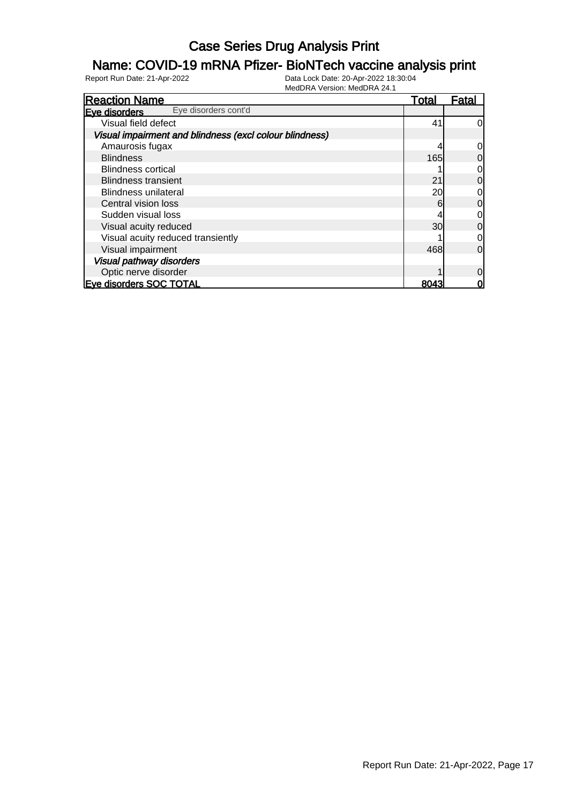### Name: COVID-19 mRNA Pfizer- BioNTech vaccine analysis print

| <b>Reaction Name</b>                                    | Total | Fatal          |
|---------------------------------------------------------|-------|----------------|
| Eye disorders cont'd<br>Eve disorders                   |       |                |
| Visual field defect                                     | 41    | $\overline{0}$ |
| Visual impairment and blindness (excl colour blindness) |       |                |
| Amaurosis fugax                                         |       | $\overline{0}$ |
| <b>Blindness</b>                                        | 165   | $\overline{0}$ |
| <b>Blindness cortical</b>                               |       | $\overline{0}$ |
| <b>Blindness transient</b>                              | 21    | $\overline{0}$ |
| <b>Blindness unilateral</b>                             | 20    | $\overline{0}$ |
| Central vision loss                                     | 6     | $\overline{0}$ |
| Sudden visual loss                                      |       | $\overline{0}$ |
| Visual acuity reduced                                   | 30    | $\overline{0}$ |
| Visual acuity reduced transiently                       |       | $\overline{0}$ |
| Visual impairment                                       | 468   | $\overline{0}$ |
| <b>Visual pathway disorders</b>                         |       |                |
| Optic nerve disorder                                    |       | $\overline{0}$ |
| <b>Eve disorders SOC TOTAL</b>                          | 8043  | 0              |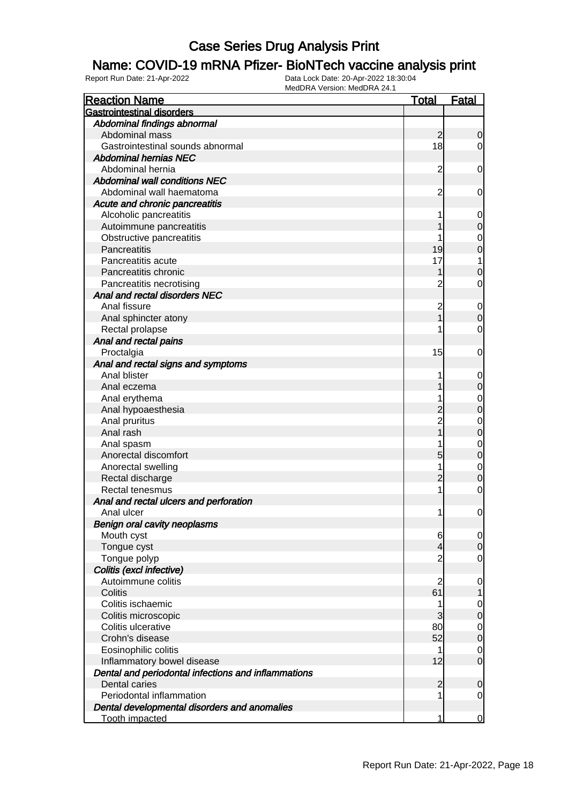### Name: COVID-19 mRNA Pfizer- BioNTech vaccine analysis print

| <b>Reaction Name</b>                                | <b>Total</b>   | <b>Fatal</b>     |
|-----------------------------------------------------|----------------|------------------|
| <b>Gastrointestinal disorders</b>                   |                |                  |
| Abdominal findings abnormal                         |                |                  |
| Abdominal mass                                      | $\overline{2}$ | $\mathbf 0$      |
| Gastrointestinal sounds abnormal                    | 18             | $\overline{0}$   |
| <b>Abdominal hernias NEC</b>                        |                |                  |
| Abdominal hernia                                    | $\overline{c}$ | 0                |
| <b>Abdominal wall conditions NEC</b>                |                |                  |
| Abdominal wall haematoma                            | $\overline{c}$ | 0                |
| Acute and chronic pancreatitis                      |                |                  |
| Alcoholic pancreatitis                              |                | 0                |
| Autoimmune pancreatitis                             |                | $\mathbf 0$      |
| Obstructive pancreatitis                            |                | 0                |
| Pancreatitis                                        | 19             | $\mathbf 0$      |
| Pancreatitis acute                                  | 17             | 1                |
| Pancreatitis chronic                                |                | $\mathbf 0$      |
| Pancreatitis necrotising                            | 2              | 0                |
| Anal and rectal disorders NEC                       |                |                  |
| Anal fissure                                        | $\overline{c}$ | $\mathbf 0$      |
| Anal sphincter atony                                |                | $\boldsymbol{0}$ |
| Rectal prolapse                                     |                | 0                |
| Anal and rectal pains                               |                |                  |
| Proctalgia                                          | 15             | 0                |
| Anal and rectal signs and symptoms                  |                |                  |
| Anal blister                                        |                | 0                |
| Anal eczema                                         |                | $\mathbf 0$      |
| Anal erythema                                       |                | 0                |
| Anal hypoaesthesia                                  | $\overline{c}$ | $\mathbf 0$      |
| Anal pruritus                                       | $\overline{c}$ | $\mathbf 0$      |
| Anal rash                                           |                | $\mathbf 0$      |
| Anal spasm                                          |                | 0                |
| Anorectal discomfort                                | 5              | $\mathbf 0$      |
| Anorectal swelling                                  |                | $\mathbf 0$      |
| Rectal discharge                                    | $\overline{2}$ | $\mathbf 0$      |
| Rectal tenesmus                                     | 1              | 0                |
| Anal and rectal ulcers and perforation              |                |                  |
| Anal ulcer                                          | 1              | 0                |
| <b>Benign oral cavity neoplasms</b>                 |                |                  |
| Mouth cyst                                          | 6              | $\overline{0}$   |
| Tongue cyst                                         | 4              | $\mathbf 0$      |
| Tongue polyp                                        | $\overline{c}$ | $\overline{0}$   |
| Colitis (excl infective)                            |                |                  |
| Autoimmune colitis                                  | $\overline{c}$ | $\mathbf 0$      |
| Colitis                                             | 61             |                  |
| Colitis ischaemic                                   | 1              | 0                |
| Colitis microscopic                                 | 3              | $\mathbf 0$      |
| Colitis ulcerative                                  | 80             | $\overline{0}$   |
| Crohn's disease                                     | 52             | $\boldsymbol{0}$ |
| Eosinophilic colitis                                | 1              | $\mathbf 0$      |
| Inflammatory bowel disease                          | 12             | $\mathbf 0$      |
| Dental and periodontal infections and inflammations |                |                  |
| Dental caries                                       | $\overline{2}$ | $\mathbf 0$      |
| Periodontal inflammation                            |                | 0                |
| Dental developmental disorders and anomalies        |                |                  |
| <b>Tooth impacted</b>                               | 1              | 0                |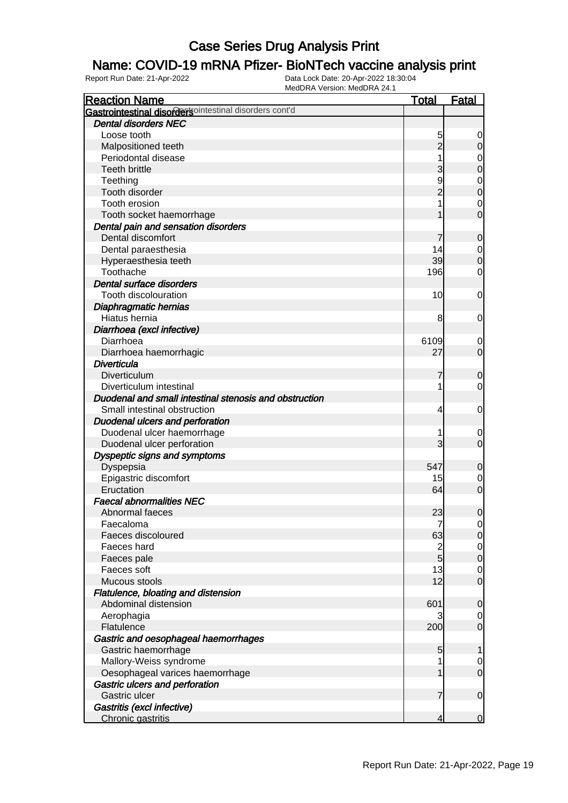### Name: COVID-19 mRNA Pfizer- BioNTech vaccine analysis print

| <b>Reaction Name</b>                                   | <b>Total</b>   | <b>Fatal</b>     |
|--------------------------------------------------------|----------------|------------------|
| Gastrointestinal disordersointestinal disorders cont'd |                |                  |
| <b>Dental disorders NEC</b>                            |                |                  |
| Loose tooth                                            | 5              | 0                |
| Malpositioned teeth                                    | $\overline{2}$ | $\mathbf 0$      |
| Periodontal disease                                    |                | 0                |
| <b>Teeth brittle</b>                                   | 3              | $\mathbf 0$      |
| Teething                                               | 9              | 0                |
| Tooth disorder                                         | $\overline{2}$ | $\boldsymbol{0}$ |
| Tooth erosion                                          |                | 0                |
| Tooth socket haemorrhage                               |                | $\overline{0}$   |
| Dental pain and sensation disorders                    |                |                  |
| Dental discomfort                                      | 7              | 0                |
| Dental paraesthesia                                    | 14             | 0                |
| Hyperaesthesia teeth                                   | 39             | $\boldsymbol{0}$ |
| Toothache                                              | 196            | 0                |
| Dental surface disorders                               |                |                  |
| Tooth discolouration                                   | 10             | 0                |
| Diaphragmatic hernias                                  |                |                  |
| Hiatus hernia                                          | 8              | 0                |
| Diarrhoea (excl infective)                             |                |                  |
| Diarrhoea                                              | 6109           | 0                |
| Diarrhoea haemorrhagic                                 | 27             | $\overline{0}$   |
| <b>Diverticula</b>                                     |                |                  |
| Diverticulum                                           | 7              | $\mathbf 0$      |
| Diverticulum intestinal                                |                | 0                |
| Duodenal and small intestinal stenosis and obstruction |                |                  |
| Small intestinal obstruction                           | 4              | 0                |
| <b>Duodenal ulcers and perforation</b>                 |                |                  |
| Duodenal ulcer haemorrhage                             |                | 0                |
| Duodenal ulcer perforation                             | 3              | $\overline{0}$   |
| Dyspeptic signs and symptoms                           |                |                  |
| Dyspepsia                                              | 547            | 0                |
| Epigastric discomfort                                  | 15             | 0                |
| Eructation                                             | 64             | $\mathbf 0$      |
| <b>Faecal abnormalities NEC</b>                        |                |                  |
| Abnormal faeces                                        | 23             | $\mathbf 0$      |
| Faecaloma                                              | 7              | $\overline{0}$   |
| Faeces discoloured                                     | 63             | $\mathbf 0$      |
| Faeces hard                                            |                | $\overline{0}$   |
| Faeces pale                                            | $\frac{2}{5}$  | $\mathbf 0$      |
| Faeces soft                                            | 13             | $\mathbf 0$      |
| Mucous stools                                          | 12             | $\mathbf 0$      |
| Flatulence, bloating and distension                    |                |                  |
| Abdominal distension                                   | 601            | $\mathbf 0$      |
| Aerophagia                                             |                | 0                |
| Flatulence                                             | 200            | $\mathbf 0$      |
| Gastric and oesophageal haemorrhages                   |                |                  |
| Gastric haemorrhage                                    | 5              | 1                |
| Mallory-Weiss syndrome                                 |                | 0                |
| Oesophageal varices haemorrhage                        |                | $\mathbf 0$      |
| Gastric ulcers and perforation                         |                |                  |
| Gastric ulcer                                          | 7              | $\mathbf 0$      |
| Gastritis (excl infective)                             |                |                  |
| Chronic gastritis                                      | 4              | $\overline{0}$   |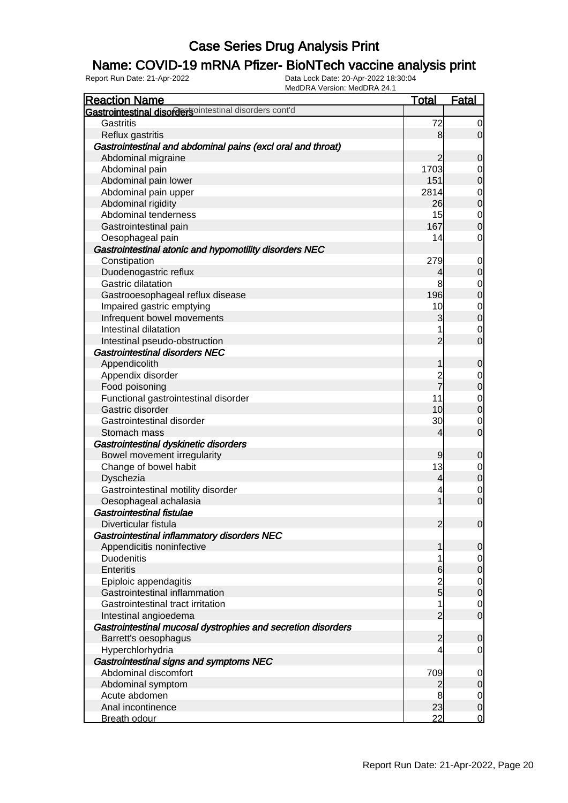### Name: COVID-19 mRNA Pfizer- BioNTech vaccine analysis print

| <b>Reaction Name</b>                                         | <b>Total</b>   | <b>Fatal</b>                         |
|--------------------------------------------------------------|----------------|--------------------------------------|
| Gastrointestinal disordersointestinal disorders cont'd       |                |                                      |
| Gastritis                                                    | 72             | $\overline{0}$                       |
| Reflux gastritis                                             | $\bf{8}$       | $\overline{0}$                       |
| Gastrointestinal and abdominal pains (excl oral and throat)  |                |                                      |
| Abdominal migraine                                           | 2              | $\mathbf 0$                          |
| Abdominal pain                                               | 1703           |                                      |
| Abdominal pain lower                                         | 151            | $\begin{matrix} 0 \\ 0 \end{matrix}$ |
| Abdominal pain upper                                         | 2814           |                                      |
| Abdominal rigidity                                           | 26             | $\begin{matrix} 0 \\ 0 \end{matrix}$ |
| Abdominal tenderness                                         | 15             |                                      |
| Gastrointestinal pain                                        | 167            | $\begin{matrix} 0 \\ 0 \end{matrix}$ |
| Oesophageal pain                                             | 14             | $\mathbf 0$                          |
| Gastrointestinal atonic and hypomotility disorders NEC       |                |                                      |
| Constipation                                                 | 279            | $\overline{0}$                       |
| Duodenogastric reflux                                        | 4              | $\pmb{0}$                            |
| Gastric dilatation                                           | 8              |                                      |
| Gastrooesophageal reflux disease                             | 196            | $\begin{matrix} 0 \\ 0 \end{matrix}$ |
| Impaired gastric emptying                                    | 10             |                                      |
| Infrequent bowel movements                                   | 3              | $\begin{matrix} 0 \\ 0 \end{matrix}$ |
| Intestinal dilatation                                        | 1              |                                      |
| Intestinal pseudo-obstruction                                | $\overline{2}$ | $\begin{matrix} 0 \\ 0 \end{matrix}$ |
| <b>Gastrointestinal disorders NEC</b>                        |                |                                      |
| Appendicolith                                                | 1              | $\mathbf 0$                          |
| Appendix disorder                                            | $\overline{c}$ |                                      |
| Food poisoning                                               |                | $\begin{matrix} 0 \\ 0 \end{matrix}$ |
| Functional gastrointestinal disorder                         | 11             |                                      |
| Gastric disorder                                             | 10             | $\begin{matrix} 0 \\ 0 \end{matrix}$ |
| Gastrointestinal disorder                                    | 30             | $\overline{0}$                       |
| Stomach mass                                                 | $\overline{4}$ | $\mathbf 0$                          |
| Gastrointestinal dyskinetic disorders                        |                |                                      |
| Bowel movement irregularity                                  | 9              | $\mathbf 0$                          |
| Change of bowel habit                                        | 13             |                                      |
| Dyschezia                                                    | $\overline{4}$ | $\begin{matrix} 0 \\ 0 \end{matrix}$ |
| Gastrointestinal motility disorder                           | 4              |                                      |
| Oesophageal achalasia                                        | $\overline{1}$ | $\begin{matrix} 0 \\ 0 \end{matrix}$ |
| Gastrointestinal fistulae                                    |                |                                      |
| Diverticular fistula                                         | $\overline{2}$ | 0                                    |
| Gastrointestinal inflammatory disorders NEC                  |                |                                      |
| Appendicitis noninfective                                    | 1              | $\mathbf 0$                          |
| <b>Duodenitis</b>                                            | 1              | $\overline{0}$                       |
| <b>Enteritis</b>                                             | 6              | $\overline{0}$                       |
| Epiploic appendagitis                                        | $\overline{2}$ | $\overline{0}$                       |
| Gastrointestinal inflammation                                | $\overline{5}$ | $\mathbf 0$                          |
| Gastrointestinal tract irritation                            | 1              | $\overline{0}$                       |
| Intestinal angioedema                                        | $\overline{2}$ | $\mathbf 0$                          |
| Gastrointestinal mucosal dystrophies and secretion disorders |                |                                      |
| Barrett's oesophagus                                         | $\mathbf{2}$   | 0                                    |
| Hyperchlorhydria                                             | 4              | $\overline{0}$                       |
| Gastrointestinal signs and symptoms NEC                      |                |                                      |
| Abdominal discomfort                                         | 709            | 0                                    |
| Abdominal symptom                                            | $\mathbf{2}$   | $\overline{0}$                       |
| Acute abdomen                                                | 8              | $\overline{0}$                       |
| Anal incontinence                                            | 23             | $\mathbf 0$                          |
| <b>Breath odour</b>                                          | 22             | $\overline{0}$                       |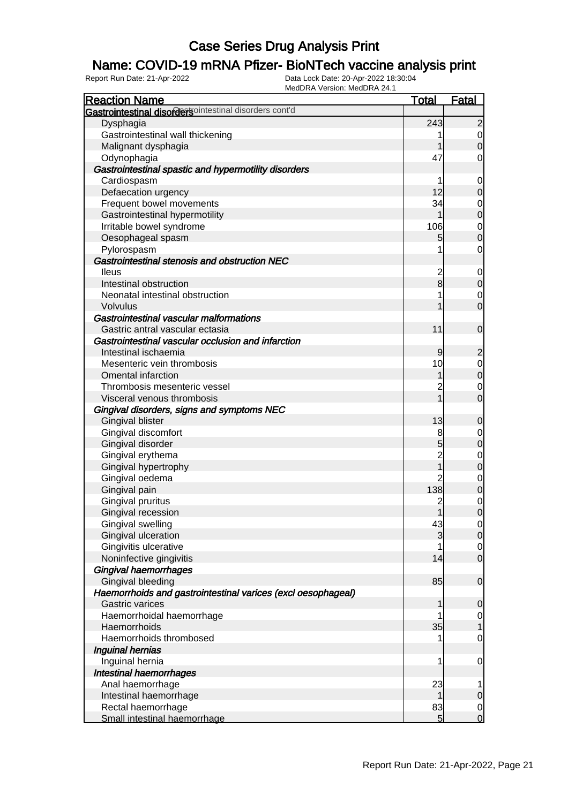### Name: COVID-19 mRNA Pfizer- BioNTech vaccine analysis print

| <b>Reaction Name</b>                                         | <b>Total</b>                 | <b>Fatal</b>                     |
|--------------------------------------------------------------|------------------------------|----------------------------------|
| Gastrointestinal disordersointestinal disorders cont'd       |                              |                                  |
| Dysphagia                                                    | 243                          | $\overline{2}$                   |
| Gastrointestinal wall thickening                             |                              | $\overline{0}$                   |
| Malignant dysphagia                                          |                              | $\mathbf 0$                      |
| Odynophagia                                                  | 47                           | 0                                |
| Gastrointestinal spastic and hypermotility disorders         |                              |                                  |
| Cardiospasm                                                  |                              | $\mathbf 0$                      |
| Defaecation urgency                                          | 12                           | $\mathbf 0$                      |
| Frequent bowel movements                                     | 34                           | $\mathbf 0$                      |
| Gastrointestinal hypermotility                               |                              | $\overline{0}$                   |
| Irritable bowel syndrome                                     | 106                          | $\mathbf 0$                      |
| Oesophageal spasm                                            | 5                            | $\overline{0}$                   |
| Pylorospasm                                                  |                              | $\mathbf 0$                      |
| Gastrointestinal stenosis and obstruction NEC                |                              |                                  |
| <b>Ileus</b>                                                 |                              |                                  |
| Intestinal obstruction                                       | $\overline{\mathbf{c}}$<br>8 | $\overline{0}$<br>$\overline{0}$ |
|                                                              |                              |                                  |
| Neonatal intestinal obstruction                              |                              | $\mathbf 0$<br>$\mathbf 0$       |
| Volvulus                                                     |                              |                                  |
| <b>Gastrointestinal vascular malformations</b>               |                              |                                  |
| Gastric antral vascular ectasia                              | 11                           | $\mathbf 0$                      |
| Gastrointestinal vascular occlusion and infarction           |                              |                                  |
| Intestinal ischaemia                                         | $\overline{9}$               | $\overline{c}$                   |
| Mesenteric vein thrombosis                                   | 10                           | $\mathbf 0$                      |
| <b>Omental infarction</b>                                    |                              | $\overline{0}$                   |
| Thrombosis mesenteric vessel                                 | 2                            | $\mathbf 0$                      |
| Visceral venous thrombosis                                   |                              | $\mathbf 0$                      |
| Gingival disorders, signs and symptoms NEC                   |                              |                                  |
| Gingival blister                                             | 13                           | $\mathbf 0$                      |
| Gingival discomfort                                          | 8                            | $\mathbf 0$                      |
| Gingival disorder                                            | $\overline{5}$               | $\mathbf 0$                      |
| Gingival erythema                                            | $\overline{c}$               | $\mathbf 0$                      |
| Gingival hypertrophy                                         | $\overline{1}$               | $\overline{0}$                   |
| Gingival oedema                                              |                              | $\mathbf 0$                      |
| Gingival pain                                                | 138                          | $\overline{0}$                   |
| Gingival pruritus                                            | $\overline{c}$               | $\mathbf 0$                      |
| Gingival recession                                           | 1                            | $\overline{0}$                   |
| Gingival swelling                                            | 43                           | $\overline{0}$                   |
| Gingival ulceration                                          | 3                            | 0                                |
| Gingivitis ulcerative                                        |                              | $\overline{0}$                   |
| Noninfective gingivitis                                      | 14                           | $\overline{0}$                   |
| Gingival haemorrhages                                        |                              |                                  |
| Gingival bleeding                                            | 85                           | $\mathbf 0$                      |
| Haemorrhoids and gastrointestinal varices (excl oesophageal) |                              |                                  |
| <b>Gastric varices</b>                                       | 1                            | $\boldsymbol{0}$                 |
| Haemorrhoidal haemorrhage                                    |                              | $\overline{0}$                   |
| Haemorrhoids                                                 | 35                           | $\mathbf{1}$                     |
| Haemorrhoids thrombosed                                      |                              | $\mathbf 0$                      |
| Inguinal hernias                                             |                              |                                  |
| Inguinal hernia                                              | 1                            | $\mathbf 0$                      |
| <b>Intestinal haemorrhages</b>                               |                              |                                  |
| Anal haemorrhage                                             | 23                           | 1                                |
| Intestinal haemorrhage                                       |                              | $\mathbf 0$                      |
| Rectal haemorrhage                                           | 83                           | $\overline{0}$                   |
| Small intestinal haemorrhage                                 | 5                            | $\mathbf 0$                      |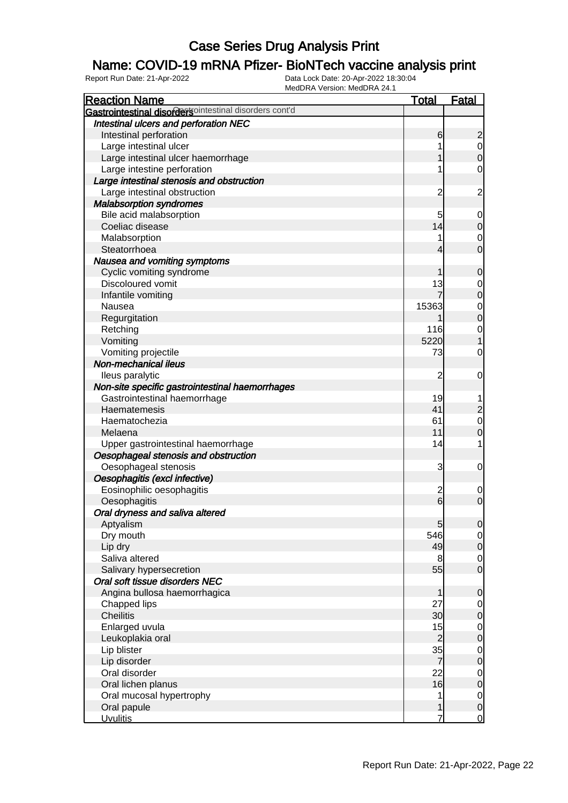### Name: COVID-19 mRNA Pfizer- BioNTech vaccine analysis print

| <b>Reaction Name</b>                                   | <b>Total</b>    | <b>Fatal</b>                     |
|--------------------------------------------------------|-----------------|----------------------------------|
| Gastrointestinal disordersointestinal disorders cont'd |                 |                                  |
| Intestinal ulcers and perforation NEC                  |                 |                                  |
| Intestinal perforation                                 | 6               | $\mathbf{2}$                     |
| Large intestinal ulcer                                 |                 | $\overline{0}$                   |
| Large intestinal ulcer haemorrhage                     |                 | $\overline{0}$                   |
| Large intestine perforation                            |                 | $\mathbf 0$                      |
| Large intestinal stenosis and obstruction              |                 |                                  |
| Large intestinal obstruction                           | $\overline{c}$  | $\overline{2}$                   |
| <b>Malabsorption syndromes</b>                         |                 |                                  |
| Bile acid malabsorption                                | 5               | $\mathbf 0$                      |
| Coeliac disease                                        | 14              | $\pmb{0}$                        |
| Malabsorption                                          |                 | $\mathbf 0$                      |
| Steatorrhoea                                           | 4               | $\overline{0}$                   |
| Nausea and vomiting symptoms                           |                 |                                  |
| Cyclic vomiting syndrome                               |                 | $\mathbf 0$                      |
| Discoloured vomit                                      | 13              | $\mathbf 0$                      |
| Infantile vomiting                                     |                 | $\overline{0}$                   |
| Nausea                                                 | 15363           |                                  |
| Regurgitation                                          |                 | $\begin{matrix}0\\0\end{matrix}$ |
| Retching                                               | 116             | $\mathbf 0$                      |
| Vomiting                                               | 5220            | $\overline{1}$                   |
| Vomiting projectile                                    | 73              | $\mathbf 0$                      |
| <b>Non-mechanical ileus</b>                            |                 |                                  |
| lleus paralytic                                        | $\overline{c}$  | 0                                |
| Non-site specific gastrointestinal haemorrhages        |                 |                                  |
| Gastrointestinal haemorrhage                           | 19              |                                  |
| Haematemesis                                           | 41              | $\overline{c}$                   |
| Haematochezia                                          | 61              | $\mathbf 0$                      |
| Melaena                                                | 11              | $\overline{0}$                   |
| Upper gastrointestinal haemorrhage                     | 14              | 1                                |
| Oesophageal stenosis and obstruction                   |                 |                                  |
| Oesophageal stenosis                                   | 3               | $\mathbf 0$                      |
| Oesophagitis (excl infective)                          |                 |                                  |
| Eosinophilic oesophagitis                              | $\overline{c}$  | $\mathbf 0$                      |
| Oesophagitis                                           | $6\overline{6}$ | $\overline{0}$                   |
| Oral dryness and saliva altered                        |                 |                                  |
| Aptyalism                                              | $\overline{5}$  | 0                                |
| Dry mouth                                              | 546             | $\overline{0}$                   |
| Lip dry                                                | 49              | $\overline{O}$                   |
| Saliva altered                                         | 8               | $\overline{0}$                   |
| Salivary hypersecretion                                | 55              | $\overline{O}$                   |
| Oral soft tissue disorders NEC                         |                 |                                  |
| Angina bullosa haemorrhagica                           | 1               | $\mathbf 0$                      |
| Chapped lips                                           | 27              | $\overline{0}$                   |
| <b>Cheilitis</b>                                       | 30              | $\mathsf{O}$                     |
| Enlarged uvula                                         | 15              | $\overline{0}$                   |
| Leukoplakia oral                                       | $\overline{c}$  | $\pmb{0}$                        |
| Lip blister                                            | 35              | $\overline{0}$                   |
| Lip disorder                                           | $\overline{7}$  | $\mathbf 0$                      |
| Oral disorder                                          | 22              | $\overline{0}$                   |
| Oral lichen planus                                     | 16              | $\pmb{0}$                        |
| Oral mucosal hypertrophy                               | 1               | $\overline{0}$                   |
| Oral papule                                            | 1               | $\mathbf 0$                      |
| <b>Uvulitis</b>                                        | 7               | $\overline{0}$                   |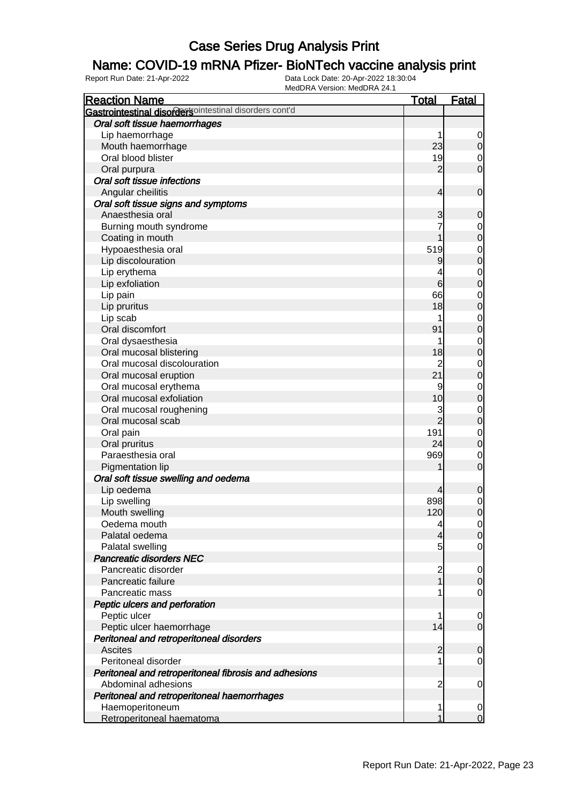### Name: COVID-19 mRNA Pfizer- BioNTech vaccine analysis print

| <b>Reaction Name</b>                                   | <u>Total</u>             | <u>Fatal</u>                         |
|--------------------------------------------------------|--------------------------|--------------------------------------|
| Gastrointestinal disordersointestinal disorders cont'd |                          |                                      |
| Oral soft tissue haemorrhages                          |                          |                                      |
| Lip haemorrhage                                        | 1                        | $\overline{0}$                       |
| Mouth haemorrhage                                      | 23                       | $\overline{0}$                       |
| Oral blood blister                                     | 19                       | $\overline{0}$                       |
| Oral purpura                                           | $\overline{2}$           | $\overline{0}$                       |
| Oral soft tissue infections                            |                          |                                      |
| Angular cheilitis                                      | $\overline{\mathcal{A}}$ | $\mathbf 0$                          |
| Oral soft tissue signs and symptoms                    |                          |                                      |
| Anaesthesia oral                                       | 3                        | 0                                    |
| Burning mouth syndrome                                 | 7                        | $0\atop 0$                           |
| Coating in mouth                                       |                          |                                      |
| Hypoaesthesia oral                                     | 519                      | $\begin{matrix} 0 \\ 0 \end{matrix}$ |
| Lip discolouration                                     | 9                        |                                      |
| Lip erythema                                           | 4                        | $\begin{matrix}0\\0\end{matrix}$     |
| Lip exfoliation                                        | 6                        |                                      |
| Lip pain                                               | 66                       | $\begin{matrix}0\\0\end{matrix}$     |
| Lip pruritus                                           | 18                       |                                      |
| Lip scab                                               |                          | $\begin{matrix}0\\0\end{matrix}$     |
| Oral discomfort                                        | 91                       |                                      |
| Oral dysaesthesia                                      | 1                        | $\begin{matrix}0\\0\end{matrix}$     |
| Oral mucosal blistering                                | 18                       |                                      |
| Oral mucosal discolouration                            | $\overline{2}$           | $\begin{matrix}0\\0\end{matrix}$     |
| Oral mucosal eruption                                  | 21                       |                                      |
| Oral mucosal erythema                                  | 9                        | $\begin{matrix}0\\0\end{matrix}$     |
| Oral mucosal exfoliation                               | 10                       |                                      |
| Oral mucosal roughening                                | 3                        | $\begin{matrix}0\\0\end{matrix}$     |
| Oral mucosal scab                                      | $\overline{2}$           |                                      |
| Oral pain                                              | 191                      | $\begin{matrix}0\\0\end{matrix}$     |
| Oral pruritus                                          | 24                       |                                      |
| Paraesthesia oral                                      | 969                      | $\mathbf{0}$                         |
| Pigmentation lip                                       |                          | $\overline{0}$                       |
| Oral soft tissue swelling and oedema                   |                          |                                      |
| Lip oedema                                             | 4                        | 0                                    |
| Lip swelling                                           | 898                      | $\begin{matrix} 0 \\ 0 \end{matrix}$ |
| Mouth swelling                                         | 120                      |                                      |
| Oedema mouth                                           | 4                        | $\overline{0}$                       |
| Palatal oedema                                         | 4                        | $\overline{0}$                       |
| Palatal swelling                                       | 5                        | $\overline{0}$                       |
| <b>Pancreatic disorders NEC</b>                        |                          |                                      |
| Pancreatic disorder                                    | $\overline{c}$           | $\overline{0}$                       |
| Pancreatic failure                                     | 1                        | $\mathbf 0$                          |
| Pancreatic mass                                        | 1                        | $\mathbf 0$                          |
| Peptic ulcers and perforation                          |                          |                                      |
| Peptic ulcer                                           | 1                        | $\mathbf 0$                          |
| Peptic ulcer haemorrhage                               | 14                       | $\overline{0}$                       |
| Peritoneal and retroperitoneal disorders               |                          |                                      |
| <b>Ascites</b>                                         | 2                        | 0                                    |
| Peritoneal disorder                                    | 1                        | $\mathbf 0$                          |
| Peritoneal and retroperitoneal fibrosis and adhesions  |                          |                                      |
| Abdominal adhesions                                    | $\overline{2}$           | 0                                    |
| Peritoneal and retroperitoneal haemorrhages            |                          |                                      |
| Haemoperitoneum                                        | 1                        | $\overline{0}$                       |
| Retroperitoneal haematoma                              |                          | $\overline{0}$                       |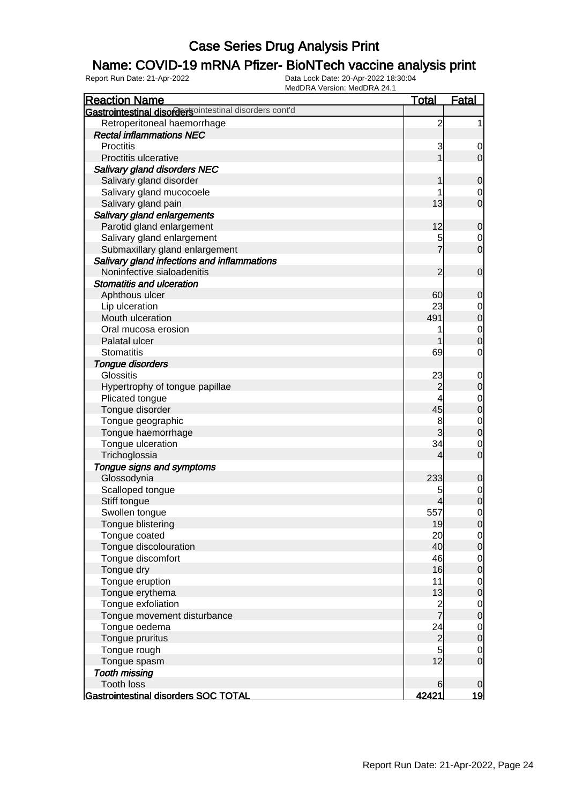### Name: COVID-19 mRNA Pfizer- BioNTech vaccine analysis print

| <b>Reaction Name</b>                                   | <u>Total</u>   | <u>Fatal</u>     |
|--------------------------------------------------------|----------------|------------------|
| Gastrointestinal disordersointestinal disorders cont'd |                |                  |
| Retroperitoneal haemorrhage                            | $\overline{c}$ | 1                |
| <b>Rectal inflammations NEC</b>                        |                |                  |
| <b>Proctitis</b>                                       | 3              | 0                |
| Proctitis ulcerative                                   |                | $\mathbf 0$      |
| Salivary gland disorders NEC                           |                |                  |
| Salivary gland disorder                                |                | 0                |
| Salivary gland mucocoele                               | 1              | 0                |
| Salivary gland pain                                    | 13             | $\overline{0}$   |
| Salivary gland enlargements                            |                |                  |
| Parotid gland enlargement                              | 12             | 0                |
| Salivary gland enlargement                             | 5              | 0                |
| Submaxillary gland enlargement                         | $\overline{7}$ | $\overline{0}$   |
| Salivary gland infections and inflammations            |                |                  |
| Noninfective sialoadenitis                             | 2              | $\mathbf 0$      |
| Stomatitis and ulceration                              |                |                  |
| Aphthous ulcer                                         | 60             | 0                |
| Lip ulceration                                         | 23             | 0                |
| Mouth ulceration                                       | 491            | $\pmb{0}$        |
| Oral mucosa erosion                                    | 1              | $\mathbf 0$      |
| Palatal ulcer                                          |                | 0                |
| <b>Stomatitis</b>                                      | 69             | 0                |
| <b>Tongue disorders</b>                                |                |                  |
| <b>Glossitis</b>                                       | 23             | $\mathbf 0$      |
| Hypertrophy of tongue papillae                         | $\overline{c}$ | $\mathbf 0$      |
| Plicated tongue                                        | 4              | 0                |
| Tongue disorder                                        | 45             | $\boldsymbol{0}$ |
| Tongue geographic                                      | 8              | $\mathbf 0$      |
| Tongue haemorrhage                                     | 3              | $\mathbf 0$      |
| Tongue ulceration                                      | 34             | 0                |
| Trichoglossia                                          | 4              | $\mathbf 0$      |
| Tongue signs and symptoms                              |                |                  |
| Glossodynia                                            | 233            | 0                |
| Scalloped tongue                                       | 5              | $\mathbf 0$      |
| Stiff tongue                                           |                | $\mathbf 0$      |
| Swollen tongue                                         | 557            | 0                |
| Tongue blistering                                      | 19             | $\overline{0}$   |
| Tongue coated                                          | 20             | $\overline{0}$   |
| Tongue discolouration                                  | 40             | $\mathbf 0$      |
| Tongue discomfort                                      | 46             | $\overline{0}$   |
| Tongue dry                                             | 16             | $\pmb{0}$        |
| Tongue eruption                                        | 11             | $\overline{0}$   |
| Tongue erythema                                        | 13             | 0                |
| Tongue exfoliation                                     | $\frac{2}{7}$  | $\overline{0}$   |
| Tongue movement disturbance                            |                | 0                |
| Tongue oedema                                          | 24             | $\overline{0}$   |
| Tongue pruritus                                        | $\overline{c}$ | $\pmb{0}$        |
| Tongue rough                                           | $\overline{5}$ | $\overline{0}$   |
| Tongue spasm                                           | 12             | $\boldsymbol{0}$ |
| <b>Tooth missing</b>                                   |                |                  |
| <b>Tooth loss</b>                                      | 6              | 0                |
| <b>Gastrointestinal disorders SOC TOTAL</b>            | 42421          | <u> 19</u>       |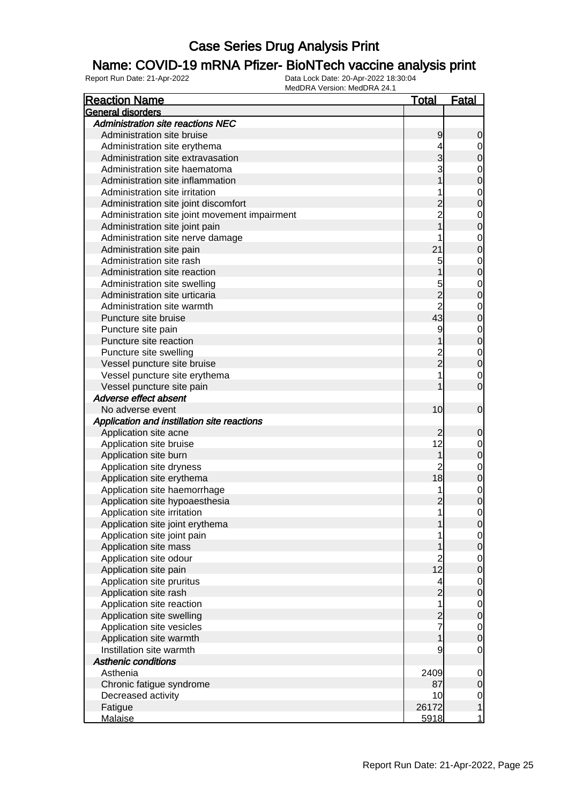### Name: COVID-19 mRNA Pfizer- BioNTech vaccine analysis print

| <b>Reaction Name</b>                          | <u>Total</u>   | <u>Fatal</u>                         |
|-----------------------------------------------|----------------|--------------------------------------|
| General disorders                             |                |                                      |
| <b>Administration site reactions NEC</b>      |                |                                      |
| Administration site bruise                    | 9              | 0                                    |
| Administration site erythema                  |                | $\mathbf{0}$                         |
| Administration site extravasation             | 3              | $\mathbf 0$                          |
| Administration site haematoma                 | 3              |                                      |
| Administration site inflammation              |                | $\begin{matrix}0\\0\end{matrix}$     |
| Administration site irritation                |                |                                      |
| Administration site joint discomfort          |                | $\begin{matrix}0\\0\end{matrix}$     |
| Administration site joint movement impairment | $\overline{2}$ |                                      |
| Administration site joint pain                |                | $\begin{matrix}0\\0\end{matrix}$     |
| Administration site nerve damage              |                |                                      |
| Administration site pain                      | 21             | $\begin{matrix}0\\0\end{matrix}$     |
| Administration site rash                      | 5              |                                      |
| Administration site reaction                  |                | $\begin{matrix}0\\0\end{matrix}$     |
| Administration site swelling                  | 5              |                                      |
| Administration site urticaria                 | $\overline{c}$ | $\begin{matrix}0\\0\end{matrix}$     |
| Administration site warmth                    | $\overline{2}$ |                                      |
| Puncture site bruise                          | 43             | $\begin{matrix}0\\0\end{matrix}$     |
| Puncture site pain                            | 9              |                                      |
| Puncture site reaction                        |                | $\begin{matrix}0\\0\end{matrix}$     |
| Puncture site swelling                        |                |                                      |
| Vessel puncture site bruise                   | 2<br>2         | $\begin{matrix}0\\0\end{matrix}$     |
| Vessel puncture site erythema                 |                |                                      |
| Vessel puncture site pain                     |                | $\begin{matrix}0\\0\end{matrix}$     |
| Adverse effect absent                         |                |                                      |
| No adverse event                              | 10             | $\mathbf 0$                          |
| Application and instillation site reactions   |                |                                      |
| Application site acne                         | 2              | 0                                    |
| Application site bruise                       | 12             |                                      |
| Application site burn                         | 1              | $\begin{matrix} 0 \\ 0 \end{matrix}$ |
| Application site dryness                      | $\overline{2}$ |                                      |
| Application site erythema                     | 18             | $\begin{matrix}0\\0\end{matrix}$     |
| Application site haemorrhage                  | 1              |                                      |
| Application site hypoaesthesia                | 2              | $\begin{matrix}0\\0\end{matrix}$     |
| Application site irritation                   | 1              | $\mathbf 0$                          |
| Application site joint erythema               |                | $\overline{0}$                       |
| Application site joint pain                   |                | $\overline{0}$                       |
| Application site mass                         |                | $\mathbf 0$                          |
| Application site odour                        | $\overline{c}$ | $\mathbf 0$                          |
| Application site pain                         | 12             | $\mathbf 0$                          |
| Application site pruritus                     | 4              | $\mathbf 0$                          |
| Application site rash                         | $\overline{c}$ | $\mathbf 0$                          |
| Application site reaction                     | 1              | $\mathbf 0$                          |
| Application site swelling                     | $\overline{c}$ | $\mathbf 0$                          |
| Application site vesicles                     | $\overline{7}$ | $\mathbf 0$                          |
| Application site warmth                       | 1              | $\mathbf 0$                          |
| Instillation site warmth                      | 9              | $\mathbf 0$                          |
| <b>Asthenic conditions</b>                    |                |                                      |
| Asthenia                                      | 2409           | $\overline{0}$                       |
| Chronic fatigue syndrome                      | 87             | $\mathbf 0$                          |
| Decreased activity                            | 10             | $\overline{0}$                       |
| Fatigue                                       | 26172          | $\mathbf{1}$                         |
| <b>Malaise</b>                                | 5918           | $\mathbf{1}$                         |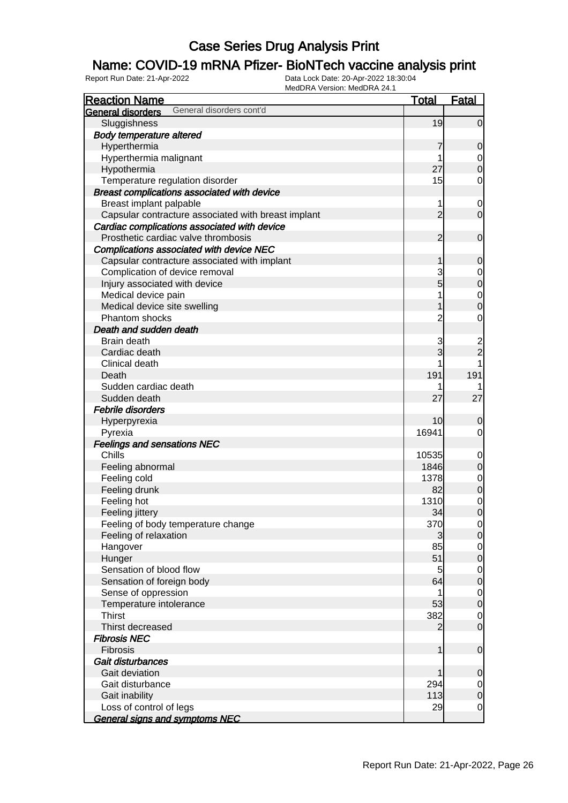### Name: COVID-19 mRNA Pfizer- BioNTech vaccine analysis print

| <b>Reaction Name</b>                                 | <b>Total</b>   | <b>Fatal</b>            |
|------------------------------------------------------|----------------|-------------------------|
| General disorders cont'd<br><b>General disorders</b> |                |                         |
| Sluggishness                                         | 19             | $\overline{0}$          |
| <b>Body temperature altered</b>                      |                |                         |
| Hyperthermia                                         | 7              | $\mathbf 0$             |
| Hyperthermia malignant                               |                | $\overline{0}$          |
| Hypothermia                                          | 27             | $\mathbf 0$             |
| Temperature regulation disorder                      | 15             | 0                       |
| Breast complications associated with device          |                |                         |
| Breast implant palpable                              | 1              | 0                       |
| Capsular contracture associated with breast implant  | $\overline{2}$ | $\overline{0}$          |
| Cardiac complications associated with device         |                |                         |
| Prosthetic cardiac valve thrombosis                  | $\overline{2}$ | $\mathbf 0$             |
| Complications associated with device NEC             |                |                         |
| Capsular contracture associated with implant         | 1              | $\mathbf 0$             |
| Complication of device removal                       | 3              | $\overline{0}$          |
| Injury associated with device                        | 5              | $\pmb{0}$               |
| Medical device pain                                  |                | $\mathbf 0$             |
| Medical device site swelling                         |                | $\mathbf 0$             |
| Phantom shocks                                       | $\overline{c}$ | 0                       |
| Death and sudden death                               |                |                         |
| Brain death                                          | 3              | $\overline{\mathbf{c}}$ |
| Cardiac death                                        | 3              | $\overline{2}$          |
| Clinical death                                       |                |                         |
| Death                                                | 191            | 191                     |
| Sudden cardiac death                                 |                |                         |
| Sudden death                                         | 27             | 27                      |
| Febrile disorders                                    |                |                         |
| Hyperpyrexia                                         | 10             | $\boldsymbol{0}$        |
| Pyrexia                                              | 16941          | $\overline{0}$          |
| <b>Feelings and sensations NEC</b>                   |                |                         |
| Chills                                               | 10535          | $\mathbf 0$             |
| Feeling abnormal                                     | 1846           | $\mathbf 0$             |
| Feeling cold                                         | 1378           | 0                       |
| Feeling drunk                                        | 82             | $\pmb{0}$               |
| Feeling hot                                          | 1310           | $\mathbf 0$             |
| Feeling jittery                                      | 34             | $\mathbf 0$             |
| Feeling of body temperature change                   | 370            | $\overline{0}$          |
| Feeling of relaxation                                | 3              | $\overline{0}$          |
| Hangover                                             | 85             | $\overline{0}$          |
| Hunger                                               | 51             | $\mathbf 0$             |
| Sensation of blood flow                              | 5              | $\overline{0}$          |
| Sensation of foreign body                            | 64             | $\mathbf 0$             |
| Sense of oppression                                  | 1              | $\overline{0}$          |
| Temperature intolerance                              | 53             | $\mathbf 0$             |
| <b>Thirst</b>                                        | 382            | $\overline{0}$          |
| Thirst decreased                                     | 2              | $\mathbf 0$             |
| <b>Fibrosis NEC</b>                                  |                |                         |
| Fibrosis                                             | 1              | $\mathbf 0$             |
| Gait disturbances                                    |                |                         |
| Gait deviation                                       | 1              | $\mathbf 0$             |
| Gait disturbance                                     | 294            | 0                       |
| Gait inability                                       | 113            | $\mathbf 0$             |
| Loss of control of legs                              | 29             | $\mathbf 0$             |
| <b>General signs and symptoms NEC</b>                |                |                         |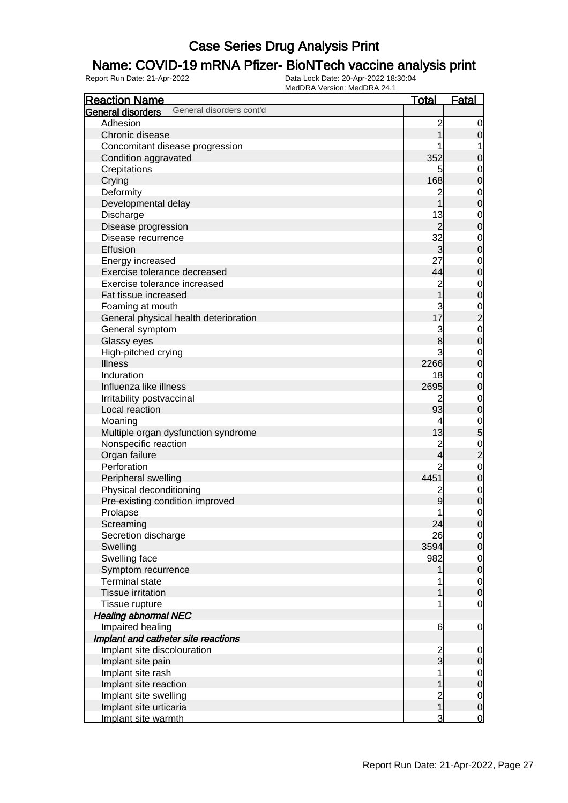### Name: COVID-19 mRNA Pfizer- BioNTech vaccine analysis print

| <b>Reaction Name</b>                                       | <u>Total</u>        | <b>Fatal</b>                   |
|------------------------------------------------------------|---------------------|--------------------------------|
| General disorders cont'd<br>General disorders              |                     |                                |
| Adhesion                                                   | $\overline{c}$      | 0                              |
| Chronic disease                                            |                     | $\mathbf 0$                    |
| Concomitant disease progression                            |                     |                                |
| Condition aggravated                                       | 352                 | $\mathbf 0$                    |
| Crepitations                                               | 5                   | $\mathbf 0$                    |
| Crying                                                     | 168                 | $\mathbf 0$                    |
| Deformity                                                  | 2                   | $\mathbf 0$                    |
| Developmental delay                                        | 1                   | $\mathbf 0$                    |
| Discharge                                                  | 13                  | $\mathbf 0$                    |
| Disease progression                                        | $\overline{2}$      | $\mathbf 0$                    |
| Disease recurrence                                         | 32                  | $\mathbf 0$                    |
| Effusion                                                   | 3                   | $\mathbf 0$                    |
| Energy increased                                           | 27                  | $\mathbf 0$                    |
| Exercise tolerance decreased                               | 44                  | $\mathbf 0$                    |
| Exercise tolerance increased                               | $\overline{c}$      | $\mathbf 0$                    |
| Fat tissue increased                                       |                     | $\mathbf 0$                    |
| Foaming at mouth                                           | 3                   |                                |
| General physical health deterioration                      | 17                  | $\frac{0}{2}$                  |
| General symptom                                            | 3                   | $\overline{0}$                 |
| Glassy eyes                                                | 8                   | $\mathbf 0$                    |
| High-pitched crying                                        | 3                   | $\mathbf 0$                    |
| <b>Illness</b>                                             | 2266                | $\mathbf 0$                    |
| Induration                                                 | 18                  | $\mathbf 0$                    |
| Influenza like illness                                     | 2695                | $\mathbf 0$                    |
| Irritability postvaccinal                                  | 2                   |                                |
| Local reaction                                             | 93                  | $\mathbf 0$                    |
|                                                            | 4                   | $\pmb{0}$                      |
| Moaning                                                    | 13                  | $\mathbf 0$                    |
| Multiple organ dysfunction syndrome                        |                     | 5                              |
| Nonspecific reaction<br>Organ failure                      | $\overline{c}$      | $\mathbf{0}$<br>$\overline{a}$ |
| Perforation                                                | 4<br>$\overline{2}$ |                                |
|                                                            | 4451                | $\mathbf 0$                    |
| Peripheral swelling                                        |                     | $\mathbf 0$                    |
| Physical deconditioning<br>Pre-existing condition improved | 2                   | $\mathbf 0$                    |
|                                                            | 9                   | $\mathbf 0$                    |
| Prolapse                                                   | 1<br>24             | $\mathbf 0$                    |
| Screaming                                                  | 26                  | $\mathbf 0$                    |
| Secretion discharge                                        |                     | $\overline{0}$                 |
| Swelling                                                   | 3594                | $\mathbf 0$                    |
| Swelling face                                              | 982                 | $\overline{0}$                 |
| Symptom recurrence<br><b>Terminal state</b>                |                     | $\pmb{0}$                      |
|                                                            |                     | $\overline{0}$                 |
| <b>Tissue irritation</b>                                   |                     | $\boldsymbol{0}$               |
| Tissue rupture                                             |                     | $\mathbf 0$                    |
| <b>Healing abnormal NEC</b>                                |                     |                                |
| Impaired healing                                           | 6                   | $\mathbf 0$                    |
| Implant and catheter site reactions                        |                     |                                |
| Implant site discolouration                                | $\overline{c}$      | $\mathbf 0$                    |
| Implant site pain                                          | $\overline{3}$      | $\mathbf 0$                    |
| Implant site rash                                          |                     | $\overline{0}$                 |
| Implant site reaction                                      |                     | $\mathbf 0$                    |
| Implant site swelling                                      | 2<br>1              | $\overline{0}$                 |
| Implant site urticaria                                     |                     | $\boldsymbol{0}$               |
| Implant site warmth                                        | 3                   | $\overline{0}$                 |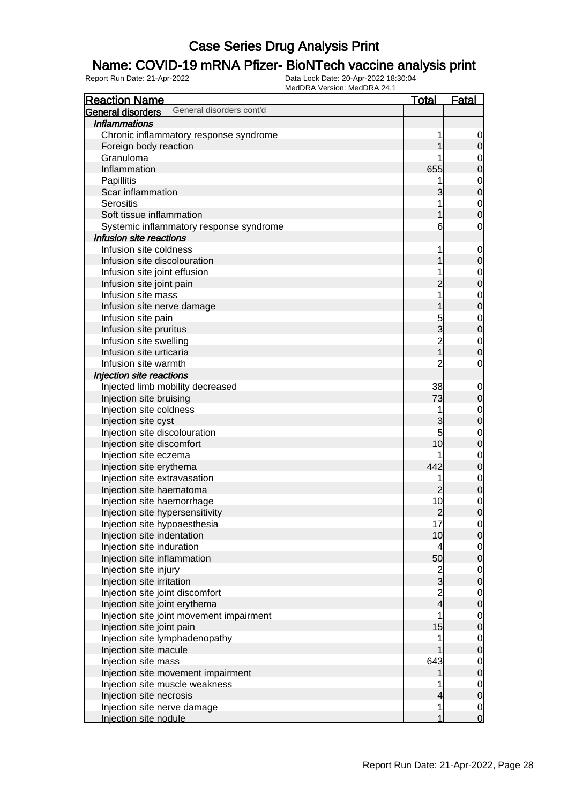### Name: COVID-19 mRNA Pfizer- BioNTech vaccine analysis print

| <b>Reaction Name</b>                                 | <u>Total</u>   | <u>Fatal</u>                         |
|------------------------------------------------------|----------------|--------------------------------------|
| General disorders cont'd<br><b>General disorders</b> |                |                                      |
| <b>Inflammations</b>                                 |                |                                      |
| Chronic inflammatory response syndrome               | 1              | $\overline{0}$                       |
| Foreign body reaction                                |                | $\overline{0}$                       |
| Granuloma                                            |                |                                      |
| Inflammation                                         | 655            | 0<br>0                               |
| Papillitis                                           | 1              |                                      |
| Scar inflammation                                    | 3              | $0\atop 0$                           |
| <b>Serositis</b>                                     | 1              |                                      |
| Soft tissue inflammation                             | 1              | $\begin{matrix} 0 \\ 0 \end{matrix}$ |
| Systemic inflammatory response syndrome              | 6              | $\overline{O}$                       |
| Infusion site reactions                              |                |                                      |
| Infusion site coldness                               | 1              | $\overline{0}$                       |
| Infusion site discolouration                         |                | $\mathbf 0$                          |
| Infusion site joint effusion                         |                |                                      |
| Infusion site joint pain                             | 2              | $\begin{matrix}0\\0\end{matrix}$     |
| Infusion site mass                                   | 1              |                                      |
| Infusion site nerve damage                           |                | $0$<br>0                             |
| Infusion site pain                                   | 5              |                                      |
| Infusion site pruritus                               | 3              | $\begin{matrix}0\\0\end{matrix}$     |
| Infusion site swelling                               | $\overline{2}$ |                                      |
| Infusion site urticaria                              | $\overline{1}$ | $\begin{matrix} 0 \\ 0 \end{matrix}$ |
| Infusion site warmth                                 | $\overline{2}$ | $\mathbf 0$                          |
| Injection site reactions                             |                |                                      |
| Injected limb mobility decreased                     | 38             | $\mathbf{0}$                         |
| Injection site bruising                              | 73             | $\mathbf 0$                          |
| Injection site coldness                              | 1              |                                      |
| Injection site cyst                                  | 3              | $0\atop 0$                           |
| Injection site discolouration                        | 5              |                                      |
| Injection site discomfort                            | 10             | $0\atop 0$                           |
| Injection site eczema                                |                |                                      |
| Injection site erythema                              | 442            | $\begin{matrix}0\\0\end{matrix}$     |
| Injection site extravasation                         | 1              |                                      |
| Injection site haematoma                             | 2              | $\begin{matrix}0\\0\end{matrix}$     |
| Injection site haemorrhage                           | 10             |                                      |
| Injection site hypersensitivity                      | $\overline{2}$ | $\begin{matrix} 0 \\ 0 \end{matrix}$ |
| Injection site hypoaesthesia                         | 17             | 0                                    |
| Injection site indentation                           | 10             | 0                                    |
| Injection site induration                            | 4              | $\overline{0}$                       |
| Injection site inflammation                          | 50             | $\overline{O}$                       |
| Injection site injury                                |                | $\overline{0}$                       |
| Injection site irritation                            | $\frac{2}{3}$  | $\mathbf 0$                          |
| Injection site joint discomfort                      |                | $\overline{0}$                       |
| Injection site joint erythema                        | $\frac{2}{4}$  | $\mathbf 0$                          |
| Injection site joint movement impairment             |                | $\overline{0}$                       |
| Injection site joint pain                            | 15             | $\mathbf 0$                          |
| Injection site lymphadenopathy                       | 1              | $\overline{0}$                       |
| Injection site macule                                |                | $\overline{O}$                       |
| Injection site mass                                  | 643            | $\overline{0}$                       |
| Injection site movement impairment                   |                | $\mathbf 0$                          |
| Injection site muscle weakness                       |                | $\overline{0}$                       |
| Injection site necrosis                              | 4              | $\overline{O}$                       |
| Injection site nerve damage                          | 1              | $\overline{0}$                       |
| Injection site nodule                                | 1              | $\overline{0}$                       |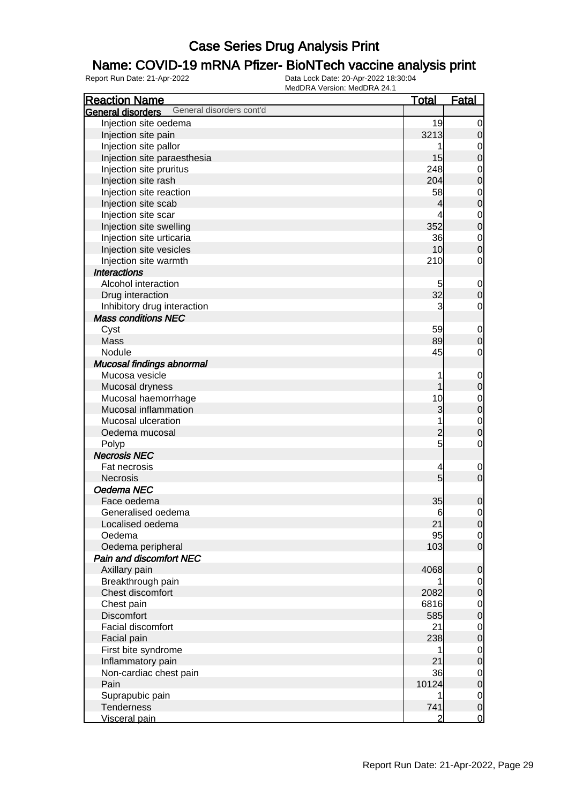### Name: COVID-19 mRNA Pfizer- BioNTech vaccine analysis print

| <b>Reaction Name</b>                          | <u>Total</u>   | <b>Fatal</b>                    |
|-----------------------------------------------|----------------|---------------------------------|
| General disorders cont'd<br>General disorders |                |                                 |
| Injection site oedema                         | 19             | $\mathbf 0$                     |
| Injection site pain                           | 3213           | $\mathbf 0$                     |
| Injection site pallor                         |                | $\mathbf 0$                     |
| Injection site paraesthesia                   | 15             | $\mathbf 0$                     |
| Injection site pruritus                       | 248            | $\mathbf 0$                     |
| Injection site rash                           | 204            | $\overline{0}$                  |
| Injection site reaction                       | 58             | $\mathbf 0$                     |
| Injection site scab                           | 4              | $\overline{0}$                  |
| Injection site scar                           |                | $\mathbf{0}$                    |
| Injection site swelling                       | 352            | $\overline{0}$                  |
| Injection site urticaria                      | 36             | $\mathbf{0}$                    |
| Injection site vesicles                       | 10             | $\mathbf 0$                     |
| Injection site warmth                         | 210            | $\mathbf 0$                     |
| <b>Interactions</b>                           |                |                                 |
| Alcohol interaction                           | 5              | $\mathbf 0$                     |
| Drug interaction                              | 32             | $\boldsymbol{0}$                |
| Inhibitory drug interaction                   | 3              | $\mathbf 0$                     |
| <b>Mass conditions NEC</b>                    |                |                                 |
|                                               | 59             |                                 |
| Cyst<br>Mass                                  | 89             | $\mathbf 0$<br>$\boldsymbol{0}$ |
| Nodule                                        | 45             | $\mathbf 0$                     |
| Mucosal findings abnormal                     |                |                                 |
| Mucosa vesicle                                | 1              |                                 |
|                                               |                | $\mathbf 0$                     |
| Mucosal dryness                               | 1              | $\mathbf 0$                     |
| Mucosal haemorrhage<br>Mucosal inflammation   | 10             | $\mathbf{0}$                    |
| Mucosal ulceration                            | 3              | $\overline{0}$                  |
|                                               | 1              | $\mathbf{0}$                    |
| Oedema mucosal                                | $\overline{c}$ | $\overline{0}$                  |
| Polyp                                         | 5              | $\mathbf 0$                     |
| <b>Necrosis NEC</b>                           |                |                                 |
| Fat necrosis                                  | 4<br>5         | $\mathbf 0$                     |
| Necrosis                                      |                | $\mathbf 0$                     |
| Oedema NEC                                    |                |                                 |
| Face oedema                                   | 35             | $\mathbf 0$                     |
| Generalised oedema                            | 6              | $\mathbf 0$                     |
| Localised oedema                              | 21             | $\overline{0}$                  |
| Oedema                                        | 95             | $\overline{0}$                  |
| Oedema peripheral                             | 103            | $\overline{0}$                  |
| Pain and discomfort NEC                       |                |                                 |
| Axillary pain                                 | 4068           | $\mathbf 0$                     |
| Breakthrough pain                             |                | $\mathbf 0$                     |
| Chest discomfort                              | 2082           | $\boldsymbol{0}$                |
| Chest pain                                    | 6816           | $\mathbf 0$                     |
| Discomfort                                    | 585            | $\boldsymbol{0}$                |
| Facial discomfort                             | 21             | $\mathbf 0$                     |
| Facial pain                                   | 238            | $\mathbf 0$                     |
| First bite syndrome                           |                | $\mathbf 0$                     |
| Inflammatory pain                             | 21             | $\boldsymbol{0}$                |
| Non-cardiac chest pain                        | 36             | $\mathbf 0$                     |
| Pain                                          | 10124          | $\boldsymbol{0}$                |
| Suprapubic pain                               |                | $\mathbf 0$                     |
| <b>Tenderness</b>                             | 741            | $\boldsymbol{0}$                |
| Visceral pain                                 | 2              | <u>0</u>                        |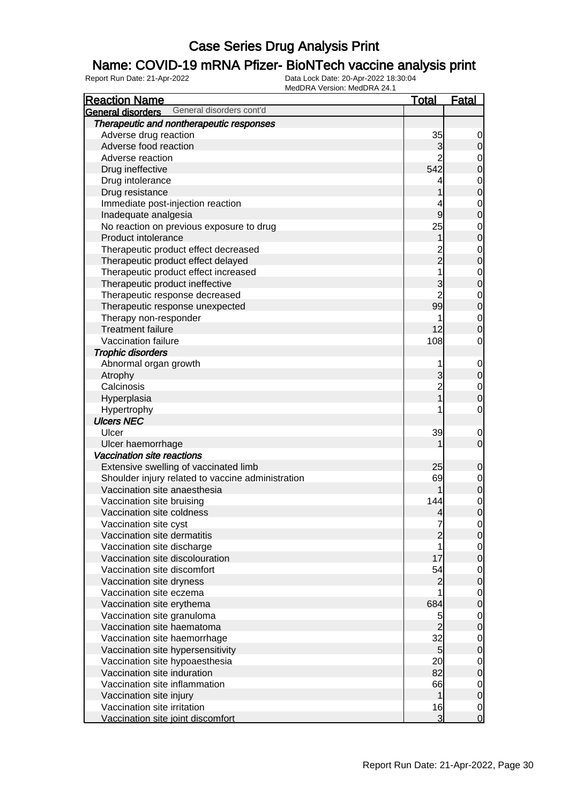### Name: COVID-19 mRNA Pfizer- BioNTech vaccine analysis print

| <b>Reaction Name</b>                                             | <u>Total</u>   | <u>Fatal</u>                         |
|------------------------------------------------------------------|----------------|--------------------------------------|
| General disorders cont'd<br>General disorders                    |                |                                      |
| Therapeutic and nontherapeutic responses                         |                |                                      |
| Adverse drug reaction                                            | 35             | $\overline{0}$                       |
| Adverse food reaction                                            | 3              | $\mathsf{O}$                         |
| Adverse reaction                                                 |                |                                      |
| Drug ineffective                                                 | 542            | $0\atop 0$                           |
| Drug intolerance                                                 | 4              |                                      |
| Drug resistance                                                  | 1              | $\begin{matrix} 0 \\ 0 \end{matrix}$ |
| Immediate post-injection reaction                                | 4              |                                      |
| Inadequate analgesia                                             | 9              | $\begin{matrix}0\\0\end{matrix}$     |
| No reaction on previous exposure to drug                         | 25             |                                      |
| Product intolerance                                              | 1              | $\begin{matrix} 0 \\ 0 \end{matrix}$ |
| Therapeutic product effect decreased                             | $\overline{c}$ |                                      |
| Therapeutic product effect delayed                               | $\overline{2}$ | $\begin{matrix}0\\0\end{matrix}$     |
| Therapeutic product effect increased                             | 1              |                                      |
| Therapeutic product ineffective                                  | 3              | $\begin{matrix}0\\0\end{matrix}$     |
|                                                                  | $\overline{2}$ |                                      |
| Therapeutic response decreased                                   | 99             | $\begin{matrix}0\\0\end{matrix}$     |
| Therapeutic response unexpected                                  |                |                                      |
| Therapy non-responder                                            |                | $\begin{matrix} 0 \\ 0 \end{matrix}$ |
| <b>Treatment failure</b>                                         | 12             |                                      |
| Vaccination failure                                              | 108            | $\mathbf 0$                          |
| <b>Trophic disorders</b>                                         |                |                                      |
| Abnormal organ growth                                            | 1              | $0\atop 0$                           |
| Atrophy                                                          | 3              |                                      |
| Calcinosis                                                       | $\overline{2}$ | $\begin{matrix} 0 \\ 0 \end{matrix}$ |
| Hyperplasia                                                      | $\overline{1}$ |                                      |
| Hypertrophy                                                      |                | $\mathbf 0$                          |
| <b>Ulcers NEC</b>                                                |                |                                      |
| Ulcer                                                            | 39             | $\mathbf{0}$                         |
| Ulcer haemorrhage                                                |                | $\overline{O}$                       |
| Vaccination site reactions                                       |                |                                      |
| Extensive swelling of vaccinated limb                            | 25             | $\mathbf 0$                          |
| Shoulder injury related to vaccine administration                | 69             |                                      |
| Vaccination site anaesthesia                                     |                | $0\atop 0$                           |
| Vaccination site bruising                                        | 144            |                                      |
| Vaccination site coldness                                        | 4              | $\begin{matrix} 0 \\ 0 \end{matrix}$ |
| Vaccination site cyst                                            | 7              | $\overline{0}$                       |
| Vaccination site dermatitis                                      | $\overline{2}$ | 0                                    |
| Vaccination site discharge                                       |                | $\Omega$                             |
| Vaccination site discolouration                                  | 17             | $\mathbf 0$                          |
| Vaccination site discomfort                                      | 54             | $\overline{0}$                       |
| Vaccination site dryness                                         | $\overline{c}$ | $\boldsymbol{0}$                     |
| Vaccination site eczema                                          |                | $\overline{0}$                       |
| Vaccination site erythema                                        | 684            | $\boldsymbol{0}$                     |
| Vaccination site granuloma                                       | 5              | $\overline{0}$                       |
| Vaccination site haematoma                                       | $\overline{2}$ | $\mathbf 0$                          |
| Vaccination site haemorrhage                                     | 32             | $\overline{0}$                       |
| Vaccination site hypersensitivity                                | $\overline{5}$ | $\mathbf 0$                          |
| Vaccination site hypoaesthesia                                   | 20             |                                      |
| Vaccination site induration                                      | 82             | $\overline{0}$<br>$\mathbf 0$        |
| Vaccination site inflammation                                    | 66             |                                      |
|                                                                  |                | $\overline{0}$                       |
| Vaccination site injury                                          | 1              | $\mathbf 0$                          |
|                                                                  |                |                                      |
| Vaccination site irritation<br>Vaccination site joint discomfort | 16<br>3        | $\overline{0}$<br>$\overline{O}$     |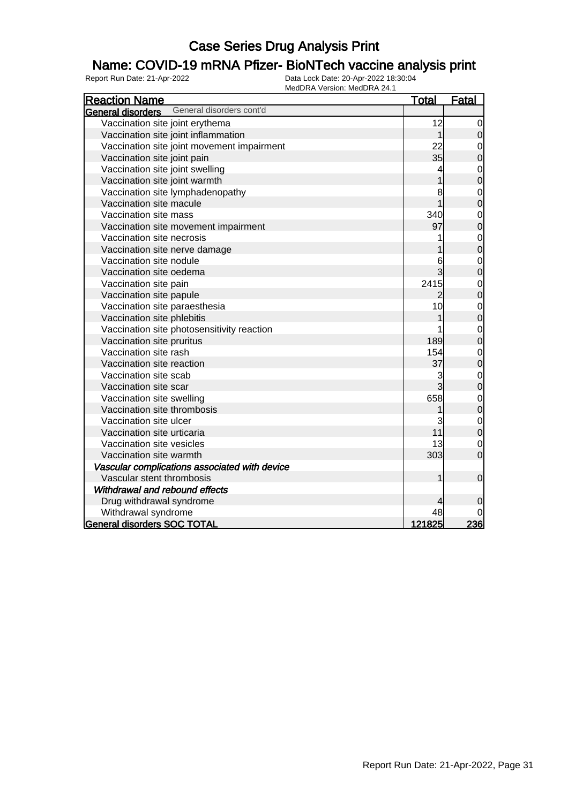### Name: COVID-19 mRNA Pfizer- BioNTech vaccine analysis print

| <b>Reaction Name</b>                          | <b>IVICULITA VEISIUII. IVICULITA 24.</b> I<br><u>Total</u> | <b>Fatal</b>                     |
|-----------------------------------------------|------------------------------------------------------------|----------------------------------|
| General disorders cont'd<br>General disorders |                                                            |                                  |
| Vaccination site joint erythema               | 12                                                         | $\mathbf 0$                      |
| Vaccination site joint inflammation           | 1                                                          | $\mathbf 0$                      |
| Vaccination site joint movement impairment    | 22                                                         | $\mathbf 0$                      |
| Vaccination site joint pain                   | 35                                                         | $\mathbf 0$                      |
| Vaccination site joint swelling               | 4                                                          | $\begin{matrix}0\\0\end{matrix}$ |
| Vaccination site joint warmth                 |                                                            |                                  |
| Vaccination site lymphadenopathy              | 8                                                          | $\mathbf{0}$                     |
| Vaccination site macule                       |                                                            | $\overline{0}$                   |
| Vaccination site mass                         | 340                                                        | $0\atop 0$                       |
| Vaccination site movement impairment          | 97                                                         |                                  |
| Vaccination site necrosis                     |                                                            | $\begin{matrix}0\\0\end{matrix}$ |
| Vaccination site nerve damage                 |                                                            |                                  |
| Vaccination site nodule                       | 6                                                          | $\begin{matrix}0\\0\end{matrix}$ |
| Vaccination site oedema                       | 3                                                          |                                  |
| Vaccination site pain                         | 2415                                                       | $\mathbf{O}$                     |
| Vaccination site papule                       | 2                                                          | $\overline{0}$                   |
| Vaccination site paraesthesia                 | 10                                                         | $\begin{matrix}0\\0\end{matrix}$ |
| Vaccination site phlebitis                    |                                                            |                                  |
| Vaccination site photosensitivity reaction    |                                                            | $\mathbf{O}$                     |
| Vaccination site pruritus                     | 189                                                        | $\overline{0}$                   |
| Vaccination site rash                         | 154                                                        | $\mathbf{0}$                     |
| Vaccination site reaction                     | 37                                                         | $\overline{0}$                   |
| Vaccination site scab                         | 3                                                          | $\mathbf{O}$                     |
| Vaccination site scar                         | 3                                                          | $\overline{0}$                   |
| Vaccination site swelling                     | 658                                                        | $0$<br>0                         |
| Vaccination site thrombosis                   |                                                            |                                  |
| Vaccination site ulcer                        | 3                                                          | $\begin{matrix}0\\0\end{matrix}$ |
| Vaccination site urticaria                    | 11                                                         |                                  |
| Vaccination site vesicles                     | 13                                                         | $\mathbf 0$                      |
| Vaccination site warmth                       | 303                                                        | $\overline{0}$                   |
| Vascular complications associated with device |                                                            |                                  |
| Vascular stent thrombosis                     | 1                                                          | $\mathbf 0$                      |
| Withdrawal and rebound effects                |                                                            |                                  |
| Drug withdrawal syndrome                      | 4                                                          | 0                                |
| Withdrawal syndrome                           | 48                                                         |                                  |
| <b>General disorders SOC TOTAL</b>            | <u>121825  </u>                                            | 236                              |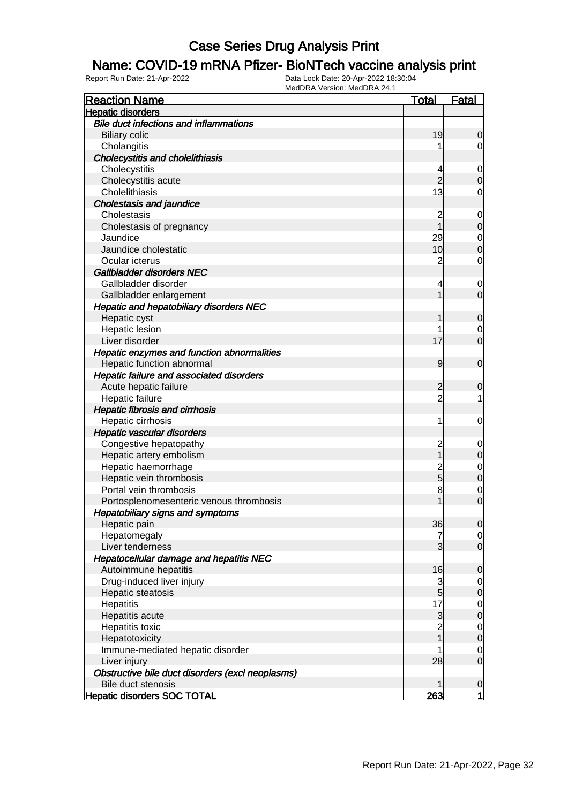### Name: COVID-19 mRNA Pfizer- BioNTech vaccine analysis print

| <b>Reaction Name</b>                             | <u>Total</u>   | <b>Fatal</b>   |
|--------------------------------------------------|----------------|----------------|
| <b>Hepatic disorders</b>                         |                |                |
| <b>Bile duct infections and inflammations</b>    |                |                |
| <b>Biliary colic</b>                             | 19             | 0              |
| Cholangitis                                      |                | 0              |
| <b>Cholecystitis and cholelithiasis</b>          |                |                |
| Cholecystitis                                    | 4              | $\mathbf 0$    |
| Cholecystitis acute                              | $\overline{2}$ | 0              |
| Cholelithiasis                                   | 13             | 0              |
| <b>Cholestasis and jaundice</b>                  |                |                |
| Cholestasis                                      | $\overline{c}$ | $\mathbf 0$    |
| Cholestasis of pregnancy                         |                | 0              |
| Jaundice                                         | 29             | $\mathbf 0$    |
| Jaundice cholestatic                             | 10             | 0              |
| Ocular icterus                                   | $\overline{c}$ | 0              |
| Gallbladder disorders NEC                        |                |                |
| Gallbladder disorder                             | 4              | $\mathbf 0$    |
| Gallbladder enlargement                          | 1              | $\mathbf 0$    |
| Hepatic and hepatobiliary disorders NEC          |                |                |
| Hepatic cyst                                     |                | 0              |
| <b>Hepatic lesion</b>                            | 1              | $\mathbf 0$    |
| Liver disorder                                   | 17             | $\overline{0}$ |
| Hepatic enzymes and function abnormalities       |                |                |
| Hepatic function abnormal                        | $\overline{9}$ | $\mathbf 0$    |
| Hepatic failure and associated disorders         |                |                |
| Acute hepatic failure                            | 2              | 0              |
| Hepatic failure                                  | $\overline{2}$ | 1              |
| <b>Hepatic fibrosis and cirrhosis</b>            |                |                |
| Hepatic cirrhosis                                | 1              | 0              |
| Hepatic vascular disorders                       |                |                |
| Congestive hepatopathy                           | $\overline{c}$ | 0              |
| Hepatic artery embolism                          |                | 0              |
| Hepatic haemorrhage                              | $\overline{c}$ | $\mathbf 0$    |
| Hepatic vein thrombosis                          | 5              | 0              |
| Portal vein thrombosis                           | 8              | 0              |
| Portosplenomesenteric venous thrombosis          | 1              | $\mathbf 0$    |
| <b>Hepatobiliary signs and symptoms</b>          |                |                |
| Hepatic pain                                     | 36             | $\overline{0}$ |
| Hepatomegaly                                     | 7              | $\overline{0}$ |
| Liver tenderness                                 | 3              | $\mathbf 0$    |
| Hepatocellular damage and hepatitis NEC          |                |                |
| Autoimmune hepatitis                             | 16             | $\overline{0}$ |
| Drug-induced liver injury                        | 3              | $\mathbf 0$    |
| Hepatic steatosis                                | $\overline{5}$ | 0              |
| Hepatitis                                        | 17             | $\mathbf 0$    |
| Hepatitis acute                                  | 3              | $\mathbf 0$    |
| Hepatitis toxic                                  | $\overline{c}$ | $\mathbf 0$    |
| Hepatotoxicity                                   |                | $\mathbf 0$    |
| Immune-mediated hepatic disorder                 |                | $\mathbf 0$    |
| Liver injury                                     | 28             | $\mathbf 0$    |
| Obstructive bile duct disorders (excl neoplasms) |                |                |
| <b>Bile duct stenosis</b>                        |                | $\mathbf 0$    |
| <b>Hepatic disorders SOC TOTAL</b>               | 263            | 1              |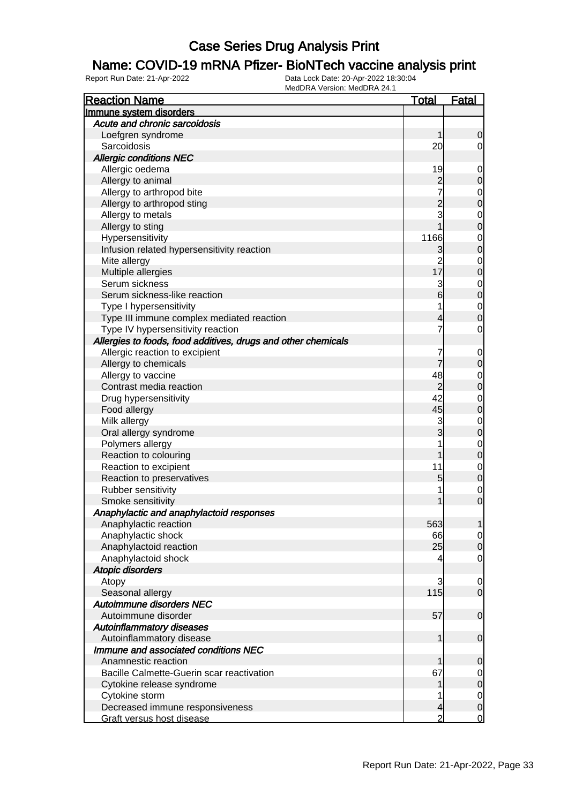### Name: COVID-19 mRNA Pfizer- BioNTech vaccine analysis print

| <b>Reaction Name</b>                                          | <b>Total</b>   | <b>Fatal</b>     |
|---------------------------------------------------------------|----------------|------------------|
| Immune system disorders                                       |                |                  |
| Acute and chronic sarcoidosis                                 |                |                  |
| Loefgren syndrome                                             | 1              | 0                |
| Sarcoidosis                                                   | 20             | $\overline{0}$   |
| <b>Allergic conditions NEC</b>                                |                |                  |
| Allergic oedema                                               | 19             | 0                |
| Allergy to animal                                             | $\overline{c}$ | $\mathbf 0$      |
| Allergy to arthropod bite                                     |                | $\mathbf 0$      |
| Allergy to arthropod sting                                    | $\overline{2}$ | $\mathbf 0$      |
| Allergy to metals                                             | 3              | 0                |
| Allergy to sting                                              |                | $\mathbf 0$      |
| Hypersensitivity                                              | 1166           | 0                |
| Infusion related hypersensitivity reaction                    | 3              | $\mathbf 0$      |
| Mite allergy                                                  | $\overline{2}$ | 0                |
| Multiple allergies                                            | 17             | $\mathbf 0$      |
| Serum sickness                                                | 3              | $\mathbf 0$      |
| Serum sickness-like reaction                                  | 6              | $\mathbf 0$      |
| Type I hypersensitivity                                       |                | $\mathbf 0$      |
| Type III immune complex mediated reaction                     | 4              | $\overline{0}$   |
| Type IV hypersensitivity reaction                             | 7              | $\mathbf 0$      |
| Allergies to foods, food additives, drugs and other chemicals |                |                  |
| Allergic reaction to excipient                                |                | 0                |
| Allergy to chemicals                                          |                | $\mathbf 0$      |
| Allergy to vaccine                                            | 48             | 0                |
| Contrast media reaction                                       | $\overline{c}$ | $\mathbf 0$      |
| Drug hypersensitivity                                         | 42             | $\mathbf 0$      |
| Food allergy                                                  | 45             | $\mathbf 0$      |
| Milk allergy                                                  | 3              | 0                |
| Oral allergy syndrome                                         | 3              | $\mathbf 0$      |
| Polymers allergy                                              |                | $\mathbf 0$      |
| Reaction to colouring                                         |                | $\mathbf 0$      |
| Reaction to excipient                                         | 11             | $\mathbf 0$      |
| Reaction to preservatives                                     | 5              | $\mathbf 0$      |
| Rubber sensitivity                                            |                | 0                |
| Smoke sensitivity                                             | 1              | $\overline{0}$   |
| Anaphylactic and anaphylactoid responses                      |                |                  |
| Anaphylactic reaction                                         | 563            | 1                |
| Anaphylactic shock                                            | 66             | $\overline{0}$   |
| Anaphylactoid reaction                                        | 25             | $\mathbf 0$      |
| Anaphylactoid shock                                           | 4              | $\mathbf 0$      |
| <b>Atopic disorders</b>                                       |                |                  |
| Atopy                                                         | 3              | $\mathbf 0$      |
| Seasonal allergy                                              | 115            | $\overline{0}$   |
| Autoimmune disorders NEC                                      |                |                  |
| Autoimmune disorder                                           | 57             | $\mathbf 0$      |
| <b>Autoinflammatory diseases</b>                              |                |                  |
| Autoinflammatory disease                                      | 1              | $\mathbf 0$      |
| Immune and associated conditions NEC                          |                |                  |
| Anamnestic reaction                                           |                | 0                |
| Bacille Calmette-Guerin scar reactivation                     | 67             | $\overline{0}$   |
| Cytokine release syndrome                                     |                | $\mathbf 0$      |
| Cytokine storm                                                |                | 0                |
| Decreased immune responsiveness                               | 4              | $\boldsymbol{0}$ |
| Graft versus host disease                                     | $\overline{2}$ | $\overline{0}$   |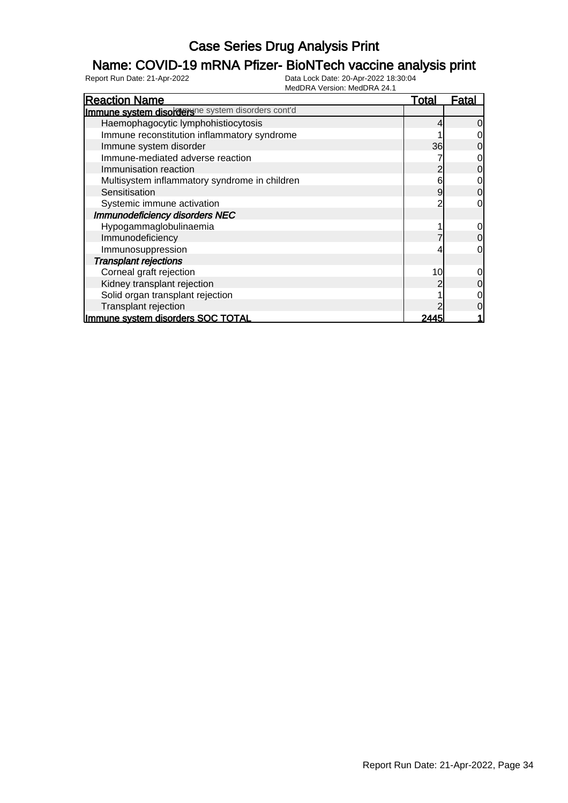### Name: COVID-19 mRNA Pfizer- BioNTech vaccine analysis print

| <b>Reaction Name</b>                              | Total | Fatal          |
|---------------------------------------------------|-------|----------------|
| Immune system disordershe system disorders cont'd |       |                |
| Haemophagocytic lymphohistiocytosis               |       | $\overline{0}$ |
| Immune reconstitution inflammatory syndrome       |       | $\overline{0}$ |
| Immune system disorder                            | 36    | $\overline{0}$ |
| Immune-mediated adverse reaction                  |       | $\overline{O}$ |
| Immunisation reaction                             |       | $\overline{0}$ |
| Multisystem inflammatory syndrome in children     | 6     | $\overline{0}$ |
| Sensitisation                                     | 9     | $\overline{0}$ |
| Systemic immune activation                        |       | $\overline{0}$ |
| <b>Immunodeficiency disorders NEC</b>             |       |                |
| Hypogammaglobulinaemia                            |       | $\overline{O}$ |
| Immunodeficiency                                  |       | $\overline{0}$ |
| Immunosuppression                                 |       | $\overline{0}$ |
| <b>Transplant rejections</b>                      |       |                |
| Corneal graft rejection                           | 10    | $\overline{O}$ |
| Kidney transplant rejection                       |       | $\overline{0}$ |
| Solid organ transplant rejection                  |       | $\overline{0}$ |
| Transplant rejection                              |       | $\overline{0}$ |
| Immune system disorders SOC TOTAL                 | 2445  |                |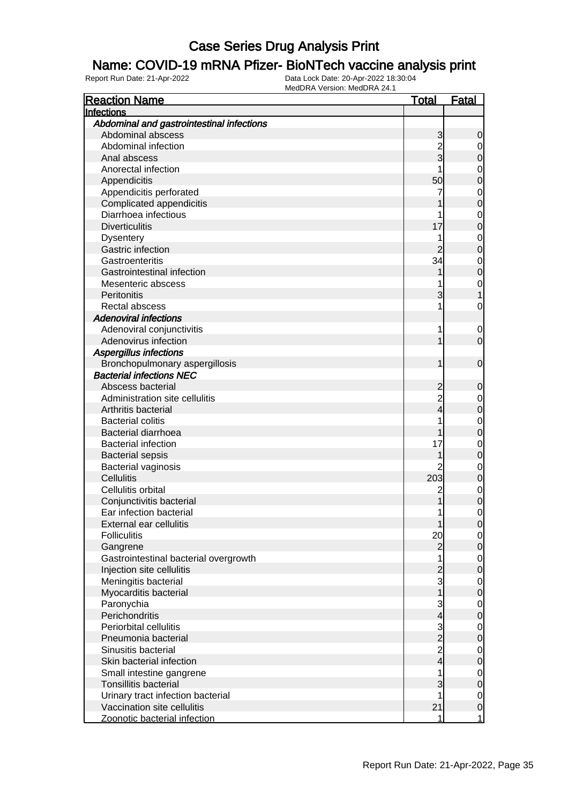#### Name: COVID-19 mRNA Pfizer- BioNTech vaccine analysis print

| <b>Infections</b><br>Abdominal and gastrointestinal infections<br>Abdominal abscess<br>3<br>0<br>Abdominal infection<br>$\overline{c}$<br>0<br>3<br>Anal abscess<br>0<br>Anorectal infection<br>0<br>50<br>Appendicitis<br>0<br>Appendicitis perforated<br>7<br>0<br>Complicated appendicitis<br>0<br>Diarrhoea infectious<br>0<br><b>Diverticulitis</b><br>17<br>0<br><b>Dysentery</b><br>0<br>Gastric infection<br>0<br>Gastroenteritis<br>34<br>0<br>Gastrointestinal infection<br>0<br>Mesenteric abscess<br>0<br>Peritonitis<br>Rectal abscess<br>0<br><b>Adenoviral infections</b><br>Adenoviral conjunctivitis<br>1<br>$\mathbf 0$<br>Adenovirus infection<br>0<br>Aspergillus infections<br>Bronchopulmonary aspergillosis<br>$\mathbf 0$<br><b>Bacterial infections NEC</b><br>Abscess bacterial<br>0<br>Administration site cellulitis<br>$\overline{c}$<br>0<br>Arthritis bacterial<br>4<br>0<br><b>Bacterial colitis</b><br>0<br><b>Bacterial diarrhoea</b><br>0<br><b>Bacterial infection</b><br>17<br>0<br><b>Bacterial sepsis</b><br>0<br>Bacterial vaginosis<br>0<br>203<br>Cellulitis<br>0<br>Cellulitis orbital<br>2<br>0<br>Conjunctivitis bacterial<br>0<br>Ear infection bacterial<br>0<br>1<br><b>External ear cellulitis</b><br>$\overline{O}$<br>20<br><b>Folliculitis</b><br>$\overline{0}$<br>2<br>$\mathbf 0$<br>Gangrene<br>Gastrointestinal bacterial overgrowth<br>$\mathbf 0$<br>Injection site cellulitis<br>$\mathbf 0$<br>3<br>Meningitis bacterial<br>$\mathbf 0$<br>Myocarditis bacterial<br>0<br>Paronychia<br>3<br>$\mathbf 0$<br>Perichondritis<br>4<br>0<br>3<br>Periorbital cellulitis<br>$\mathbf 0$<br>$\overline{2}$<br>Pneumonia bacterial<br>0<br>$\overline{c}$<br>Sinusitis bacterial<br>$\mathbf 0$<br>4<br>Skin bacterial infection<br>0<br>Small intestine gangrene<br>1<br>$\mathbf 0$<br><b>Tonsillitis bacterial</b><br>$\mathbf 0$<br>Urinary tract infection bacterial<br>$\mathbf 0$<br>21<br>Vaccination site cellulitis<br>$\mathbf 0$ | <b>Reaction Name</b>         | <u>Total</u> | <b>Fatal</b> |
|---------------------------------------------------------------------------------------------------------------------------------------------------------------------------------------------------------------------------------------------------------------------------------------------------------------------------------------------------------------------------------------------------------------------------------------------------------------------------------------------------------------------------------------------------------------------------------------------------------------------------------------------------------------------------------------------------------------------------------------------------------------------------------------------------------------------------------------------------------------------------------------------------------------------------------------------------------------------------------------------------------------------------------------------------------------------------------------------------------------------------------------------------------------------------------------------------------------------------------------------------------------------------------------------------------------------------------------------------------------------------------------------------------------------------------------------------------------------------------------------------------------------------------------------------------------------------------------------------------------------------------------------------------------------------------------------------------------------------------------------------------------------------------------------------------------------------------------------------------------------------------------------------------------------------------------------------------------------------------------------------|------------------------------|--------------|--------------|
|                                                                                                                                                                                                                                                                                                                                                                                                                                                                                                                                                                                                                                                                                                                                                                                                                                                                                                                                                                                                                                                                                                                                                                                                                                                                                                                                                                                                                                                                                                                                                                                                                                                                                                                                                                                                                                                                                                                                                                                                   |                              |              |              |
|                                                                                                                                                                                                                                                                                                                                                                                                                                                                                                                                                                                                                                                                                                                                                                                                                                                                                                                                                                                                                                                                                                                                                                                                                                                                                                                                                                                                                                                                                                                                                                                                                                                                                                                                                                                                                                                                                                                                                                                                   |                              |              |              |
|                                                                                                                                                                                                                                                                                                                                                                                                                                                                                                                                                                                                                                                                                                                                                                                                                                                                                                                                                                                                                                                                                                                                                                                                                                                                                                                                                                                                                                                                                                                                                                                                                                                                                                                                                                                                                                                                                                                                                                                                   |                              |              |              |
|                                                                                                                                                                                                                                                                                                                                                                                                                                                                                                                                                                                                                                                                                                                                                                                                                                                                                                                                                                                                                                                                                                                                                                                                                                                                                                                                                                                                                                                                                                                                                                                                                                                                                                                                                                                                                                                                                                                                                                                                   |                              |              |              |
|                                                                                                                                                                                                                                                                                                                                                                                                                                                                                                                                                                                                                                                                                                                                                                                                                                                                                                                                                                                                                                                                                                                                                                                                                                                                                                                                                                                                                                                                                                                                                                                                                                                                                                                                                                                                                                                                                                                                                                                                   |                              |              |              |
|                                                                                                                                                                                                                                                                                                                                                                                                                                                                                                                                                                                                                                                                                                                                                                                                                                                                                                                                                                                                                                                                                                                                                                                                                                                                                                                                                                                                                                                                                                                                                                                                                                                                                                                                                                                                                                                                                                                                                                                                   |                              |              |              |
|                                                                                                                                                                                                                                                                                                                                                                                                                                                                                                                                                                                                                                                                                                                                                                                                                                                                                                                                                                                                                                                                                                                                                                                                                                                                                                                                                                                                                                                                                                                                                                                                                                                                                                                                                                                                                                                                                                                                                                                                   |                              |              |              |
|                                                                                                                                                                                                                                                                                                                                                                                                                                                                                                                                                                                                                                                                                                                                                                                                                                                                                                                                                                                                                                                                                                                                                                                                                                                                                                                                                                                                                                                                                                                                                                                                                                                                                                                                                                                                                                                                                                                                                                                                   |                              |              |              |
|                                                                                                                                                                                                                                                                                                                                                                                                                                                                                                                                                                                                                                                                                                                                                                                                                                                                                                                                                                                                                                                                                                                                                                                                                                                                                                                                                                                                                                                                                                                                                                                                                                                                                                                                                                                                                                                                                                                                                                                                   |                              |              |              |
|                                                                                                                                                                                                                                                                                                                                                                                                                                                                                                                                                                                                                                                                                                                                                                                                                                                                                                                                                                                                                                                                                                                                                                                                                                                                                                                                                                                                                                                                                                                                                                                                                                                                                                                                                                                                                                                                                                                                                                                                   |                              |              |              |
|                                                                                                                                                                                                                                                                                                                                                                                                                                                                                                                                                                                                                                                                                                                                                                                                                                                                                                                                                                                                                                                                                                                                                                                                                                                                                                                                                                                                                                                                                                                                                                                                                                                                                                                                                                                                                                                                                                                                                                                                   |                              |              |              |
|                                                                                                                                                                                                                                                                                                                                                                                                                                                                                                                                                                                                                                                                                                                                                                                                                                                                                                                                                                                                                                                                                                                                                                                                                                                                                                                                                                                                                                                                                                                                                                                                                                                                                                                                                                                                                                                                                                                                                                                                   |                              |              |              |
|                                                                                                                                                                                                                                                                                                                                                                                                                                                                                                                                                                                                                                                                                                                                                                                                                                                                                                                                                                                                                                                                                                                                                                                                                                                                                                                                                                                                                                                                                                                                                                                                                                                                                                                                                                                                                                                                                                                                                                                                   |                              |              |              |
|                                                                                                                                                                                                                                                                                                                                                                                                                                                                                                                                                                                                                                                                                                                                                                                                                                                                                                                                                                                                                                                                                                                                                                                                                                                                                                                                                                                                                                                                                                                                                                                                                                                                                                                                                                                                                                                                                                                                                                                                   |                              |              |              |
|                                                                                                                                                                                                                                                                                                                                                                                                                                                                                                                                                                                                                                                                                                                                                                                                                                                                                                                                                                                                                                                                                                                                                                                                                                                                                                                                                                                                                                                                                                                                                                                                                                                                                                                                                                                                                                                                                                                                                                                                   |                              |              |              |
|                                                                                                                                                                                                                                                                                                                                                                                                                                                                                                                                                                                                                                                                                                                                                                                                                                                                                                                                                                                                                                                                                                                                                                                                                                                                                                                                                                                                                                                                                                                                                                                                                                                                                                                                                                                                                                                                                                                                                                                                   |                              |              |              |
|                                                                                                                                                                                                                                                                                                                                                                                                                                                                                                                                                                                                                                                                                                                                                                                                                                                                                                                                                                                                                                                                                                                                                                                                                                                                                                                                                                                                                                                                                                                                                                                                                                                                                                                                                                                                                                                                                                                                                                                                   |                              |              |              |
|                                                                                                                                                                                                                                                                                                                                                                                                                                                                                                                                                                                                                                                                                                                                                                                                                                                                                                                                                                                                                                                                                                                                                                                                                                                                                                                                                                                                                                                                                                                                                                                                                                                                                                                                                                                                                                                                                                                                                                                                   |                              |              |              |
|                                                                                                                                                                                                                                                                                                                                                                                                                                                                                                                                                                                                                                                                                                                                                                                                                                                                                                                                                                                                                                                                                                                                                                                                                                                                                                                                                                                                                                                                                                                                                                                                                                                                                                                                                                                                                                                                                                                                                                                                   |                              |              |              |
|                                                                                                                                                                                                                                                                                                                                                                                                                                                                                                                                                                                                                                                                                                                                                                                                                                                                                                                                                                                                                                                                                                                                                                                                                                                                                                                                                                                                                                                                                                                                                                                                                                                                                                                                                                                                                                                                                                                                                                                                   |                              |              |              |
|                                                                                                                                                                                                                                                                                                                                                                                                                                                                                                                                                                                                                                                                                                                                                                                                                                                                                                                                                                                                                                                                                                                                                                                                                                                                                                                                                                                                                                                                                                                                                                                                                                                                                                                                                                                                                                                                                                                                                                                                   |                              |              |              |
|                                                                                                                                                                                                                                                                                                                                                                                                                                                                                                                                                                                                                                                                                                                                                                                                                                                                                                                                                                                                                                                                                                                                                                                                                                                                                                                                                                                                                                                                                                                                                                                                                                                                                                                                                                                                                                                                                                                                                                                                   |                              |              |              |
|                                                                                                                                                                                                                                                                                                                                                                                                                                                                                                                                                                                                                                                                                                                                                                                                                                                                                                                                                                                                                                                                                                                                                                                                                                                                                                                                                                                                                                                                                                                                                                                                                                                                                                                                                                                                                                                                                                                                                                                                   |                              |              |              |
|                                                                                                                                                                                                                                                                                                                                                                                                                                                                                                                                                                                                                                                                                                                                                                                                                                                                                                                                                                                                                                                                                                                                                                                                                                                                                                                                                                                                                                                                                                                                                                                                                                                                                                                                                                                                                                                                                                                                                                                                   |                              |              |              |
|                                                                                                                                                                                                                                                                                                                                                                                                                                                                                                                                                                                                                                                                                                                                                                                                                                                                                                                                                                                                                                                                                                                                                                                                                                                                                                                                                                                                                                                                                                                                                                                                                                                                                                                                                                                                                                                                                                                                                                                                   |                              |              |              |
|                                                                                                                                                                                                                                                                                                                                                                                                                                                                                                                                                                                                                                                                                                                                                                                                                                                                                                                                                                                                                                                                                                                                                                                                                                                                                                                                                                                                                                                                                                                                                                                                                                                                                                                                                                                                                                                                                                                                                                                                   |                              |              |              |
|                                                                                                                                                                                                                                                                                                                                                                                                                                                                                                                                                                                                                                                                                                                                                                                                                                                                                                                                                                                                                                                                                                                                                                                                                                                                                                                                                                                                                                                                                                                                                                                                                                                                                                                                                                                                                                                                                                                                                                                                   |                              |              |              |
|                                                                                                                                                                                                                                                                                                                                                                                                                                                                                                                                                                                                                                                                                                                                                                                                                                                                                                                                                                                                                                                                                                                                                                                                                                                                                                                                                                                                                                                                                                                                                                                                                                                                                                                                                                                                                                                                                                                                                                                                   |                              |              |              |
|                                                                                                                                                                                                                                                                                                                                                                                                                                                                                                                                                                                                                                                                                                                                                                                                                                                                                                                                                                                                                                                                                                                                                                                                                                                                                                                                                                                                                                                                                                                                                                                                                                                                                                                                                                                                                                                                                                                                                                                                   |                              |              |              |
|                                                                                                                                                                                                                                                                                                                                                                                                                                                                                                                                                                                                                                                                                                                                                                                                                                                                                                                                                                                                                                                                                                                                                                                                                                                                                                                                                                                                                                                                                                                                                                                                                                                                                                                                                                                                                                                                                                                                                                                                   |                              |              |              |
|                                                                                                                                                                                                                                                                                                                                                                                                                                                                                                                                                                                                                                                                                                                                                                                                                                                                                                                                                                                                                                                                                                                                                                                                                                                                                                                                                                                                                                                                                                                                                                                                                                                                                                                                                                                                                                                                                                                                                                                                   |                              |              |              |
|                                                                                                                                                                                                                                                                                                                                                                                                                                                                                                                                                                                                                                                                                                                                                                                                                                                                                                                                                                                                                                                                                                                                                                                                                                                                                                                                                                                                                                                                                                                                                                                                                                                                                                                                                                                                                                                                                                                                                                                                   |                              |              |              |
|                                                                                                                                                                                                                                                                                                                                                                                                                                                                                                                                                                                                                                                                                                                                                                                                                                                                                                                                                                                                                                                                                                                                                                                                                                                                                                                                                                                                                                                                                                                                                                                                                                                                                                                                                                                                                                                                                                                                                                                                   |                              |              |              |
|                                                                                                                                                                                                                                                                                                                                                                                                                                                                                                                                                                                                                                                                                                                                                                                                                                                                                                                                                                                                                                                                                                                                                                                                                                                                                                                                                                                                                                                                                                                                                                                                                                                                                                                                                                                                                                                                                                                                                                                                   |                              |              |              |
|                                                                                                                                                                                                                                                                                                                                                                                                                                                                                                                                                                                                                                                                                                                                                                                                                                                                                                                                                                                                                                                                                                                                                                                                                                                                                                                                                                                                                                                                                                                                                                                                                                                                                                                                                                                                                                                                                                                                                                                                   |                              |              |              |
|                                                                                                                                                                                                                                                                                                                                                                                                                                                                                                                                                                                                                                                                                                                                                                                                                                                                                                                                                                                                                                                                                                                                                                                                                                                                                                                                                                                                                                                                                                                                                                                                                                                                                                                                                                                                                                                                                                                                                                                                   |                              |              |              |
|                                                                                                                                                                                                                                                                                                                                                                                                                                                                                                                                                                                                                                                                                                                                                                                                                                                                                                                                                                                                                                                                                                                                                                                                                                                                                                                                                                                                                                                                                                                                                                                                                                                                                                                                                                                                                                                                                                                                                                                                   |                              |              |              |
|                                                                                                                                                                                                                                                                                                                                                                                                                                                                                                                                                                                                                                                                                                                                                                                                                                                                                                                                                                                                                                                                                                                                                                                                                                                                                                                                                                                                                                                                                                                                                                                                                                                                                                                                                                                                                                                                                                                                                                                                   |                              |              |              |
|                                                                                                                                                                                                                                                                                                                                                                                                                                                                                                                                                                                                                                                                                                                                                                                                                                                                                                                                                                                                                                                                                                                                                                                                                                                                                                                                                                                                                                                                                                                                                                                                                                                                                                                                                                                                                                                                                                                                                                                                   |                              |              |              |
|                                                                                                                                                                                                                                                                                                                                                                                                                                                                                                                                                                                                                                                                                                                                                                                                                                                                                                                                                                                                                                                                                                                                                                                                                                                                                                                                                                                                                                                                                                                                                                                                                                                                                                                                                                                                                                                                                                                                                                                                   |                              |              |              |
|                                                                                                                                                                                                                                                                                                                                                                                                                                                                                                                                                                                                                                                                                                                                                                                                                                                                                                                                                                                                                                                                                                                                                                                                                                                                                                                                                                                                                                                                                                                                                                                                                                                                                                                                                                                                                                                                                                                                                                                                   |                              |              |              |
|                                                                                                                                                                                                                                                                                                                                                                                                                                                                                                                                                                                                                                                                                                                                                                                                                                                                                                                                                                                                                                                                                                                                                                                                                                                                                                                                                                                                                                                                                                                                                                                                                                                                                                                                                                                                                                                                                                                                                                                                   |                              |              |              |
|                                                                                                                                                                                                                                                                                                                                                                                                                                                                                                                                                                                                                                                                                                                                                                                                                                                                                                                                                                                                                                                                                                                                                                                                                                                                                                                                                                                                                                                                                                                                                                                                                                                                                                                                                                                                                                                                                                                                                                                                   |                              |              |              |
|                                                                                                                                                                                                                                                                                                                                                                                                                                                                                                                                                                                                                                                                                                                                                                                                                                                                                                                                                                                                                                                                                                                                                                                                                                                                                                                                                                                                                                                                                                                                                                                                                                                                                                                                                                                                                                                                                                                                                                                                   |                              |              |              |
|                                                                                                                                                                                                                                                                                                                                                                                                                                                                                                                                                                                                                                                                                                                                                                                                                                                                                                                                                                                                                                                                                                                                                                                                                                                                                                                                                                                                                                                                                                                                                                                                                                                                                                                                                                                                                                                                                                                                                                                                   |                              |              |              |
|                                                                                                                                                                                                                                                                                                                                                                                                                                                                                                                                                                                                                                                                                                                                                                                                                                                                                                                                                                                                                                                                                                                                                                                                                                                                                                                                                                                                                                                                                                                                                                                                                                                                                                                                                                                                                                                                                                                                                                                                   |                              |              |              |
|                                                                                                                                                                                                                                                                                                                                                                                                                                                                                                                                                                                                                                                                                                                                                                                                                                                                                                                                                                                                                                                                                                                                                                                                                                                                                                                                                                                                                                                                                                                                                                                                                                                                                                                                                                                                                                                                                                                                                                                                   |                              |              |              |
|                                                                                                                                                                                                                                                                                                                                                                                                                                                                                                                                                                                                                                                                                                                                                                                                                                                                                                                                                                                                                                                                                                                                                                                                                                                                                                                                                                                                                                                                                                                                                                                                                                                                                                                                                                                                                                                                                                                                                                                                   |                              |              |              |
|                                                                                                                                                                                                                                                                                                                                                                                                                                                                                                                                                                                                                                                                                                                                                                                                                                                                                                                                                                                                                                                                                                                                                                                                                                                                                                                                                                                                                                                                                                                                                                                                                                                                                                                                                                                                                                                                                                                                                                                                   |                              |              |              |
|                                                                                                                                                                                                                                                                                                                                                                                                                                                                                                                                                                                                                                                                                                                                                                                                                                                                                                                                                                                                                                                                                                                                                                                                                                                                                                                                                                                                                                                                                                                                                                                                                                                                                                                                                                                                                                                                                                                                                                                                   |                              |              |              |
|                                                                                                                                                                                                                                                                                                                                                                                                                                                                                                                                                                                                                                                                                                                                                                                                                                                                                                                                                                                                                                                                                                                                                                                                                                                                                                                                                                                                                                                                                                                                                                                                                                                                                                                                                                                                                                                                                                                                                                                                   |                              |              |              |
|                                                                                                                                                                                                                                                                                                                                                                                                                                                                                                                                                                                                                                                                                                                                                                                                                                                                                                                                                                                                                                                                                                                                                                                                                                                                                                                                                                                                                                                                                                                                                                                                                                                                                                                                                                                                                                                                                                                                                                                                   |                              |              |              |
|                                                                                                                                                                                                                                                                                                                                                                                                                                                                                                                                                                                                                                                                                                                                                                                                                                                                                                                                                                                                                                                                                                                                                                                                                                                                                                                                                                                                                                                                                                                                                                                                                                                                                                                                                                                                                                                                                                                                                                                                   |                              |              |              |
|                                                                                                                                                                                                                                                                                                                                                                                                                                                                                                                                                                                                                                                                                                                                                                                                                                                                                                                                                                                                                                                                                                                                                                                                                                                                                                                                                                                                                                                                                                                                                                                                                                                                                                                                                                                                                                                                                                                                                                                                   | Zoonotic bacterial infection | 1            | 1            |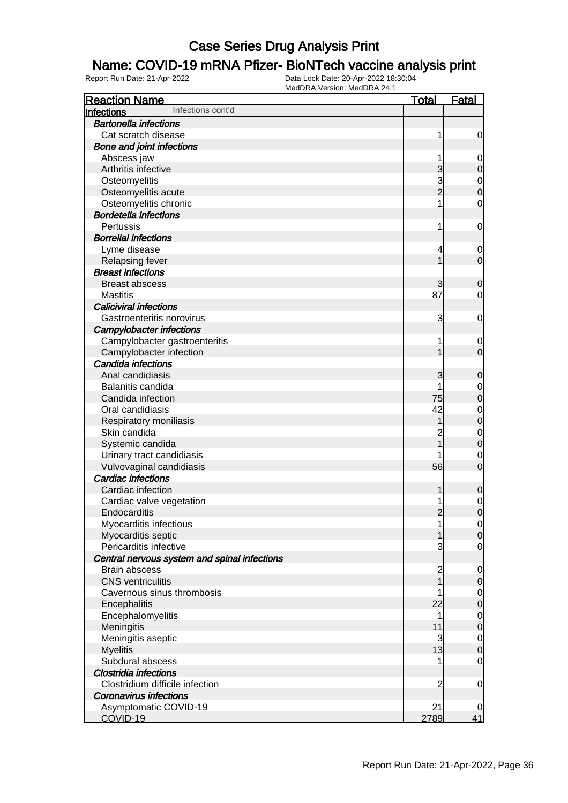#### Name: COVID-19 mRNA Pfizer- BioNTech vaccine analysis print

| <b>Reaction Name</b>                         | <u>Total</u>            | <b>Fatal</b>     |
|----------------------------------------------|-------------------------|------------------|
| Infections cont'd<br><b>Infections</b>       |                         |                  |
| <b>Bartonella infections</b>                 |                         |                  |
| Cat scratch disease                          | 1                       | $\mathbf 0$      |
| <b>Bone and joint infections</b>             |                         |                  |
| Abscess jaw                                  |                         | 0                |
| Arthritis infective                          | 3                       | $\mathbf 0$      |
| Osteomyelitis                                | 3                       | $\mathbf 0$      |
| Osteomyelitis acute                          | $\overline{2}$          | $\mathbf 0$      |
| Osteomyelitis chronic                        |                         | $\mathbf 0$      |
| <b>Bordetella infections</b>                 |                         |                  |
| Pertussis                                    | 1                       | 0                |
| <b>Borrelial infections</b>                  |                         |                  |
| Lyme disease                                 | 4                       | 0                |
| Relapsing fever                              |                         | $\mathbf 0$      |
| <b>Breast infections</b>                     |                         |                  |
| <b>Breast abscess</b>                        | 3                       | $\mathbf 0$      |
| <b>Mastitis</b>                              | 87                      | 0                |
| <b>Caliciviral infections</b>                |                         |                  |
| Gastroenteritis norovirus                    | 3                       | 0                |
| <b>Campylobacter infections</b>              |                         |                  |
| Campylobacter gastroenteritis                |                         | 0                |
| Campylobacter infection                      |                         | $\mathbf 0$      |
| Candida infections                           |                         |                  |
| Anal candidiasis                             | 3                       | $\mathbf 0$      |
| Balanitis candida                            |                         | $\mathbf 0$      |
| Candida infection                            | 75                      | $\mathbf 0$      |
| Oral candidiasis                             | 42                      | $\mathbf 0$      |
| Respiratory moniliasis                       |                         | $\mathbf 0$      |
| Skin candida                                 | $\overline{c}$          | $\mathbf 0$      |
| Systemic candida                             |                         | $\mathbf 0$      |
| Urinary tract candidiasis                    |                         | $\mathbf 0$      |
| Vulvovaginal candidiasis                     | 56                      | $\overline{0}$   |
| <b>Cardiac infections</b>                    |                         |                  |
| Cardiac infection                            | 1                       | $\mathbf 0$      |
| Cardiac valve vegetation                     |                         | $\mathbf 0$      |
| Endocarditis                                 | $\overline{2}$          | $\overline{0}$   |
| Myocarditis infectious                       | 1                       | $\overline{0}$   |
| Myocarditis septic                           | 1                       | $\overline{O}$   |
| Pericarditis infective                       | 3                       | $\mathbf 0$      |
| Central nervous system and spinal infections |                         |                  |
| <b>Brain abscess</b>                         | $\overline{\mathbf{c}}$ | $\mathbf 0$      |
| <b>CNS</b> ventriculitis                     |                         | $\boldsymbol{0}$ |
| Cavernous sinus thrombosis                   |                         | $\overline{0}$   |
| Encephalitis                                 | 22                      | $\mathbf 0$      |
| Encephalomyelitis                            | 1                       | $\mathbf 0$      |
| Meningitis                                   | 11                      | $\mathbf 0$      |
| Meningitis aseptic                           | 3                       | $\mathbf 0$      |
| <b>Myelitis</b>                              | 13                      | $\mathbf 0$      |
| Subdural abscess                             |                         | $\mathbf 0$      |
| <b>Clostridia infections</b>                 |                         |                  |
| Clostridium difficile infection              | $\overline{c}$          | $\mathbf 0$      |
| <b>Coronavirus infections</b>                |                         |                  |
| Asymptomatic COVID-19                        | 21                      | 0                |
| <b>COVID-19</b>                              | 2789                    | 41               |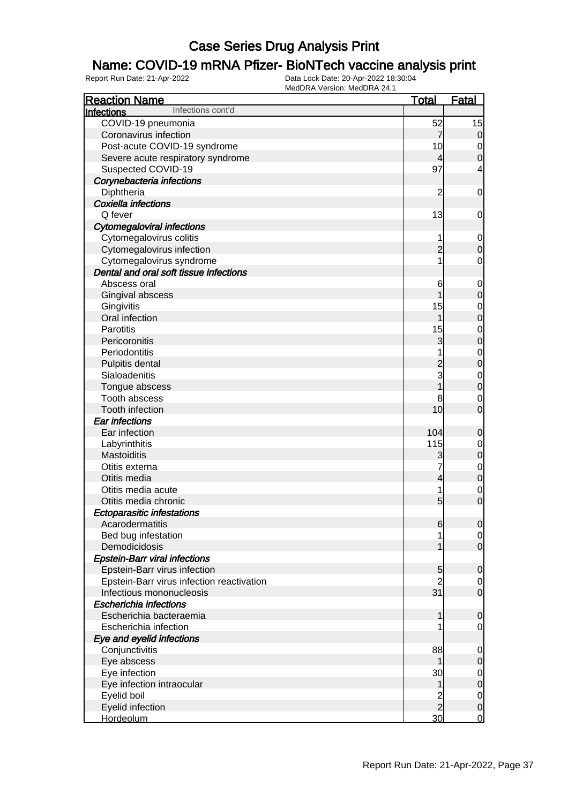### Name: COVID-19 mRNA Pfizer- BioNTech vaccine analysis print

| <b>Reaction Name</b>                                               | <b>Total</b>   | <b>Fatal</b>                  |
|--------------------------------------------------------------------|----------------|-------------------------------|
| Infections cont'd<br>Infections                                    |                |                               |
| COVID-19 pneumonia                                                 | 52             | 15                            |
| Coronavirus infection                                              | $\overline{7}$ | $\overline{0}$                |
| Post-acute COVID-19 syndrome                                       | 10             | $\mathbf 0$                   |
| Severe acute respiratory syndrome                                  | 4              | $\mathbf 0$                   |
| Suspected COVID-19                                                 | 97             | 4                             |
|                                                                    |                |                               |
| Corynebacteria infections<br>Diphtheria                            |                |                               |
| Coxiella infections                                                | $\overline{c}$ | $\mathbf 0$                   |
| Q fever                                                            | 13             |                               |
|                                                                    |                | $\mathbf 0$                   |
| <b>Cytomegaloviral infections</b>                                  |                |                               |
| Cytomegalovirus colitis                                            | $\overline{c}$ | $\overline{0}$<br>$\mathbf 0$ |
| Cytomegalovirus infection                                          |                |                               |
| Cytomegalovirus syndrome<br>Dental and oral soft tissue infections |                | $\mathbf 0$                   |
| Abscess oral                                                       |                |                               |
|                                                                    | 6              | $\mathbf 0$                   |
| Gingival abscess                                                   |                | $\mathbf 0$                   |
| Gingivitis                                                         | 15             | $\mathbf 0$                   |
| Oral infection                                                     |                | $\mathbf 0$                   |
| Parotitis                                                          | 15             | $\mathbf 0$                   |
| Pericoronitis                                                      | 3              | $\overline{0}$                |
| Periodontitis                                                      |                | $\mathbf 0$                   |
| Pulpitis dental                                                    |                | $\overline{0}$                |
| Sialoadenitis                                                      | 3              | $\mathbf 0$                   |
| Tongue abscess                                                     |                | $\overline{0}$                |
| Tooth abscess                                                      | 8              | $\mathbf 0$                   |
| Tooth infection                                                    | 10             | $\mathbf 0$                   |
| <b>Ear infections</b>                                              |                |                               |
| Ear infection                                                      | 104            | $\mathbf 0$                   |
| Labyrinthitis                                                      | 115            | $\mathbf 0$                   |
| Mastoiditis                                                        | 3              | $\mathbf 0$                   |
| Otitis externa                                                     |                | $\mathbf 0$                   |
| Otitis media                                                       | 4              | $\mathbf 0$                   |
| Otitis media acute                                                 |                | $\mathbf 0$                   |
| Otitis media chronic                                               | 5              | $\mathbf 0$                   |
| <b>Ectoparasitic infestations</b>                                  |                |                               |
| Acarodermatitis                                                    | 6              | 0                             |
| Bed bug infestation                                                |                | $\overline{0}$                |
| Demodicidosis                                                      |                | $\mathbf 0$                   |
| <b>Epstein-Barr viral infections</b>                               |                |                               |
| Epstein-Barr virus infection                                       | 5              | $\mathbf 0$                   |
| Epstein-Barr virus infection reactivation                          |                | $\overline{0}$                |
| Infectious mononucleosis                                           | 31             | $\overline{0}$                |
| Escherichia infections                                             |                |                               |
| Escherichia bacteraemia                                            | 1              | $\overline{0}$                |
| Escherichia infection                                              |                | 0                             |
| Eye and eyelid infections                                          |                |                               |
| Conjunctivitis                                                     | 88             | $\mathbf 0$                   |
| Eye abscess                                                        |                | $\mathbf 0$                   |
| Eye infection                                                      | 30             | $\overline{0}$                |
| Eye infection intraocular                                          |                | $\pmb{0}$                     |
| Eyelid boil                                                        |                | $\overline{0}$                |
| Eyelid infection                                                   | $\overline{2}$ | $\mathbf 0$                   |
| <b>Hordeolum</b>                                                   | 30             | $\overline{0}$                |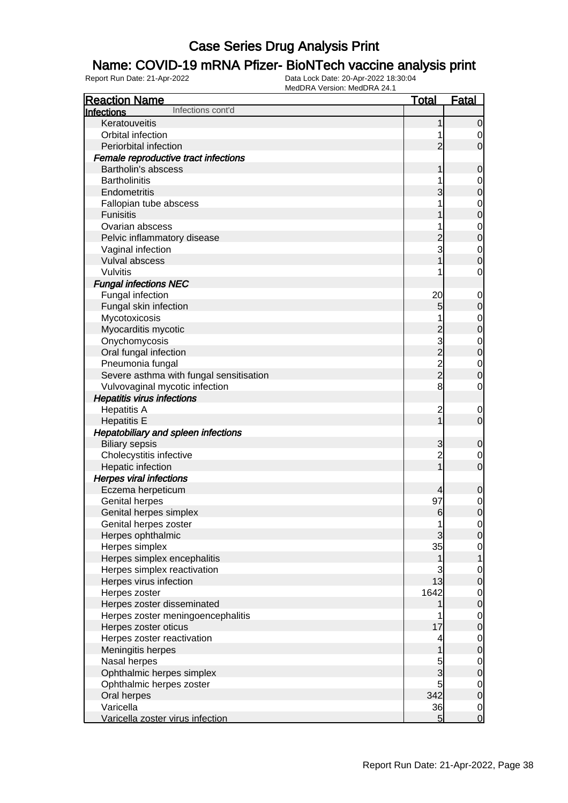### Name: COVID-19 mRNA Pfizer- BioNTech vaccine analysis print

| <b>Reaction Name</b>                                      | <b>Total</b>                     | <b>Fatal</b>                     |
|-----------------------------------------------------------|----------------------------------|----------------------------------|
| Infections cont'd<br><u>Infections</u>                    |                                  |                                  |
| Keratouveitis                                             |                                  | $\mathbf 0$                      |
| Orbital infection                                         |                                  | 0                                |
| Periorbital infection                                     | $\overline{2}$                   | $\mathbf 0$                      |
| Female reproductive tract infections                      |                                  |                                  |
| Bartholin's abscess                                       | 1                                | $\mathbf 0$                      |
| <b>Bartholinitis</b>                                      |                                  | 0                                |
| Endometritis                                              | $\overline{3}$                   | $\boldsymbol{0}$                 |
| Fallopian tube abscess                                    |                                  | 0                                |
| <b>Funisitis</b>                                          |                                  | $\boldsymbol{0}$                 |
| Ovarian abscess                                           |                                  | 0                                |
| Pelvic inflammatory disease                               | $\overline{c}$                   | $\boldsymbol{0}$                 |
| Vaginal infection                                         | 3                                | 0                                |
| Vulval abscess                                            |                                  | $\mathbf 0$                      |
| Vulvitis                                                  |                                  | 0                                |
| <b>Fungal infections NEC</b>                              |                                  |                                  |
| Fungal infection                                          | 20                               | 0                                |
| Fungal skin infection                                     | 5                                | $\boldsymbol{0}$                 |
| Mycotoxicosis                                             |                                  | 0                                |
| Myocarditis mycotic                                       | $\overline{c}$                   | $\boldsymbol{0}$                 |
| Onychomycosis                                             |                                  | 0                                |
| Oral fungal infection                                     | 3222                             | $\boldsymbol{0}$                 |
| Pneumonia fungal                                          |                                  | 0                                |
| Severe asthma with fungal sensitisation                   |                                  | $\mathbf 0$                      |
| Vulvovaginal mycotic infection                            | 8                                | 0                                |
| <b>Hepatitis virus infections</b>                         |                                  |                                  |
| <b>Hepatitis A</b>                                        |                                  |                                  |
| <b>Hepatitis E</b>                                        | $\overline{c}$<br>$\overline{1}$ | 0<br>$\overline{0}$              |
| <b>Hepatobiliary and spleen infections</b>                |                                  |                                  |
| <b>Biliary sepsis</b>                                     | 3                                | 0                                |
| Cholecystitis infective                                   | $\overline{c}$                   |                                  |
| Hepatic infection                                         | $\overline{1}$                   | 0<br>$\mathbf 0$                 |
| <b>Herpes viral infections</b>                            |                                  |                                  |
| Eczema herpeticum                                         |                                  |                                  |
| <b>Genital herpes</b>                                     | 4<br>97                          | $\mathbf 0$                      |
| Genital herpes simplex                                    | $6 \overline{}$                  | $\mathbf 0$<br>$\mathbf 0$       |
|                                                           |                                  |                                  |
| Genital herpes zoster<br>Herpes ophthalmic                | 1<br>3                           | $\overline{0}$<br>$\overline{0}$ |
| Herpes simplex                                            | 35                               |                                  |
| Herpes simplex encephalitis                               | 1                                | $\mathbf 0$                      |
| Herpes simplex reactivation                               | 3                                |                                  |
| Herpes virus infection                                    | 13                               | $\overline{0}$<br>$\mathbf 0$    |
| Herpes zoster                                             | 1642                             |                                  |
| Herpes zoster disseminated                                |                                  | $\overline{0}$                   |
|                                                           |                                  | $\mathbf 0$                      |
| Herpes zoster meningoencephalitis<br>Herpes zoster oticus | 17                               | $\overline{0}$                   |
|                                                           |                                  | $\mathbf 0$                      |
| Herpes zoster reactivation                                | 4                                | $\overline{0}$                   |
| Meningitis herpes                                         |                                  | $\mathbf 0$                      |
| Nasal herpes                                              | 5<br>3                           | $\overline{0}$                   |
| Ophthalmic herpes simplex                                 |                                  | $\mathbf 0$                      |
| Ophthalmic herpes zoster                                  | 5                                | $\overline{0}$                   |
| Oral herpes                                               | 342                              | $\pmb{0}$                        |
| Varicella                                                 | 36                               | $\overline{0}$                   |
| Varicella zoster virus infection                          | 5 <sup>5</sup>                   | $\overline{0}$                   |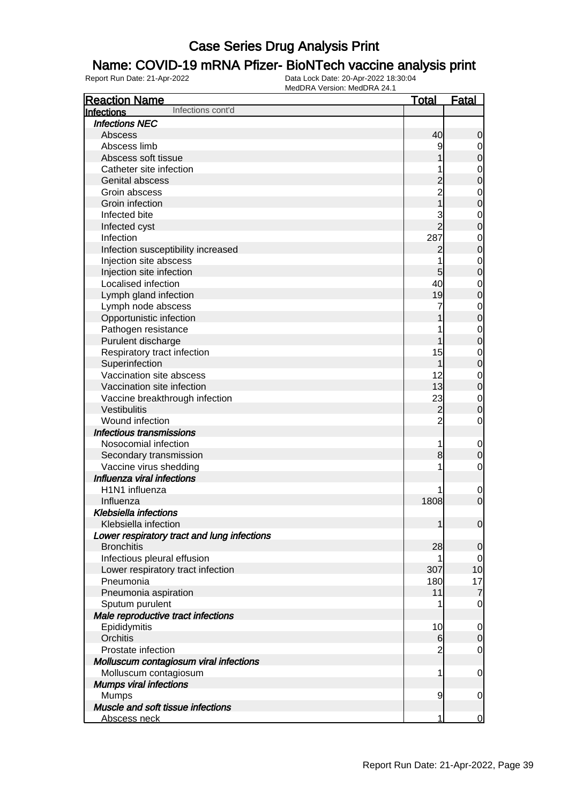### Name: COVID-19 mRNA Pfizer- BioNTech vaccine analysis print

| <b>Reaction Name</b>                        | <u>Total</u>   | <b>Fatal</b>   |
|---------------------------------------------|----------------|----------------|
| Infections cont'd<br><b>Infections</b>      |                |                |
| <b>Infections NEC</b>                       |                |                |
| Abscess                                     | 40             | 0              |
| Abscess limb                                | 9              | 0              |
| Abscess soft tissue                         |                | $\mathbf 0$    |
| Catheter site infection                     |                | $\mathbf 0$    |
| Genital abscess                             |                | 0              |
| Groin abscess                               | $\overline{2}$ | $\mathbf 0$    |
| Groin infection                             |                | $\mathbf 0$    |
| Infected bite                               | 3              | $\mathbf 0$    |
| Infected cyst                               | $\overline{2}$ | 0              |
| Infection                                   | 287            | $\mathbf 0$    |
| Infection susceptibility increased          | 2              | $\mathbf 0$    |
| Injection site abscess                      |                | $\mathbf 0$    |
| Injection site infection                    | 5              | 0              |
| Localised infection                         | 40             | $\mathbf 0$    |
| Lymph gland infection                       | 19             | $\mathbf 0$    |
| Lymph node abscess                          |                | $\mathbf 0$    |
| Opportunistic infection                     |                | $\mathbf 0$    |
| Pathogen resistance                         |                | $\mathbf 0$    |
| Purulent discharge                          |                | $\mathbf 0$    |
| Respiratory tract infection                 | 15             | $\mathbf 0$    |
| Superinfection                              |                | $\mathbf 0$    |
| Vaccination site abscess                    | 12             | $\mathbf 0$    |
| Vaccination site infection                  | 13             | $\mathbf 0$    |
| Vaccine breakthrough infection              | 23             | $\mathbf 0$    |
| Vestibulitis                                | $\overline{c}$ | 0              |
| Wound infection                             | $\overline{2}$ | $\mathbf 0$    |
| Infectious transmissions                    |                |                |
| Nosocomial infection                        | 1              | $\mathbf 0$    |
| Secondary transmission                      | 8              | $\mathbf 0$    |
| Vaccine virus shedding                      | 1              | $\mathbf 0$    |
| Influenza viral infections                  |                |                |
| H1N1 influenza                              |                | $\mathbf 0$    |
| Influenza                                   | 1808           | $\mathbf 0$    |
| <b>Klebsiella infections</b>                |                |                |
| Klebsiella infection                        | 1              | $\overline{0}$ |
| Lower respiratory tract and lung infections |                |                |
| <b>Bronchitis</b>                           | 28             | 0              |
| Infectious pleural effusion                 |                | 0              |
| Lower respiratory tract infection           | 307            | 10             |
| Pneumonia                                   | 180            | 17             |
| Pneumonia aspiration                        | 11             | 7              |
| Sputum purulent                             |                | $\overline{0}$ |
| Male reproductive tract infections          |                |                |
| Epididymitis                                | 10             | 0              |
| Orchitis                                    | $6 \,$         | 0              |
| Prostate infection                          | 2              | $\overline{0}$ |
| Molluscum contagiosum viral infections      |                |                |
| Molluscum contagiosum                       | 1              | $\mathbf 0$    |
| <b>Mumps viral infections</b>               |                |                |
| <b>Mumps</b>                                | 9              | $\mathbf 0$    |
| Muscle and soft tissue infections           |                |                |
| Abscess neck                                | 1              | $\mathbf 0$    |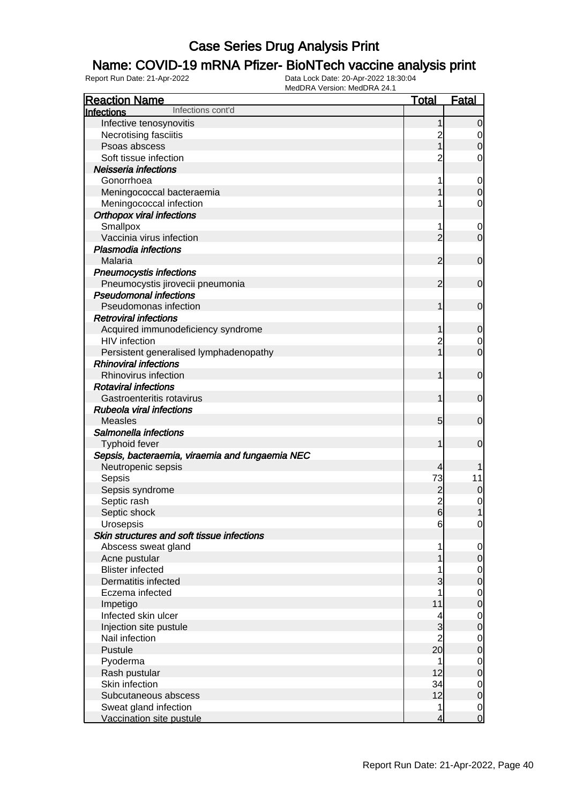### Name: COVID-19 mRNA Pfizer- BioNTech vaccine analysis print

| <b>Reaction Name</b>                            | <b>Total</b>    | <b>Fatal</b>     |
|-------------------------------------------------|-----------------|------------------|
| Infections cont'd<br><b>Infections</b>          |                 |                  |
| Infective tenosynovitis                         | 1               | $\mathbf 0$      |
| Necrotising fasciitis                           | $\overline{c}$  | 0                |
| Psoas abscess                                   | 1               | $\mathbf 0$      |
| Soft tissue infection                           | $\overline{c}$  | 0                |
| Neisseria infections                            |                 |                  |
| Gonorrhoea                                      |                 | $\mathbf 0$      |
| Meningococcal bacteraemia                       |                 | $\mathbf 0$      |
| Meningococcal infection                         |                 | $\mathbf 0$      |
| <b>Orthopox viral infections</b>                |                 |                  |
| Smallpox                                        |                 | 0                |
| Vaccinia virus infection                        | $\overline{2}$  | $\mathbf 0$      |
| <b>Plasmodia infections</b>                     |                 |                  |
| Malaria                                         | $\overline{2}$  | $\mathbf 0$      |
| <b>Pneumocystis infections</b>                  |                 |                  |
| Pneumocystis jirovecii pneumonia                | $\overline{2}$  | $\mathbf 0$      |
| <b>Pseudomonal infections</b>                   |                 |                  |
| Pseudomonas infection                           | 1               | $\mathbf 0$      |
| <b>Retroviral infections</b>                    |                 |                  |
| Acquired immunodeficiency syndrome              | 1               | 0                |
| <b>HIV</b> infection                            | $\overline{c}$  | $\mathbf 0$      |
| Persistent generalised lymphadenopathy          | 1               | $\mathbf 0$      |
| <b>Rhinoviral infections</b>                    |                 |                  |
| Rhinovirus infection                            | 1               | $\mathbf 0$      |
| <b>Rotaviral infections</b>                     |                 |                  |
| Gastroenteritis rotavirus                       | 1               | $\mathbf 0$      |
| <b>Rubeola viral infections</b>                 |                 |                  |
| <b>Measles</b>                                  | $5\overline{)}$ | $\mathbf 0$      |
| Salmonella infections                           |                 |                  |
| <b>Typhoid fever</b>                            | 1               | 0                |
| Sepsis, bacteraemia, viraemia and fungaemia NEC |                 |                  |
| Neutropenic sepsis                              | $\overline{4}$  |                  |
| Sepsis                                          | 73              | 11               |
| Sepsis syndrome                                 | $\overline{c}$  | $\mathbf 0$      |
| Septic rash                                     |                 | 0                |
| Septic shock                                    | $\frac{2}{6}$   | $\mathbf{1}$     |
| Urosepsis                                       | 6               | $\overline{0}$   |
| Skin structures and soft tissue infections      |                 |                  |
| Abscess sweat gland                             |                 | 0                |
| Acne pustular                                   |                 | $\mathbf 0$      |
| <b>Blister infected</b>                         |                 | $\overline{0}$   |
| Dermatitis infected                             | 3               | $\boldsymbol{0}$ |
| Eczema infected                                 |                 | $\mathbf 0$      |
| Impetigo                                        | 11              | $\boldsymbol{0}$ |
| Infected skin ulcer                             | 4               | $\mathbf 0$      |
| Injection site pustule                          | 3               | $\mathbf 0$      |
| Nail infection                                  | $\overline{c}$  | $\mathbf 0$      |
| Pustule                                         | 20              | $\mathbf 0$      |
| Pyoderma                                        |                 | $\mathbf 0$      |
| Rash pustular                                   | 12              | $\boldsymbol{0}$ |
| Skin infection                                  | 34              | $\mathbf 0$      |
| Subcutaneous abscess                            | 12              | $\boldsymbol{0}$ |
| Sweat gland infection                           | 1               | $\mathbf 0$      |
| Vaccination site pustule                        | $\overline{4}$  | $\overline{0}$   |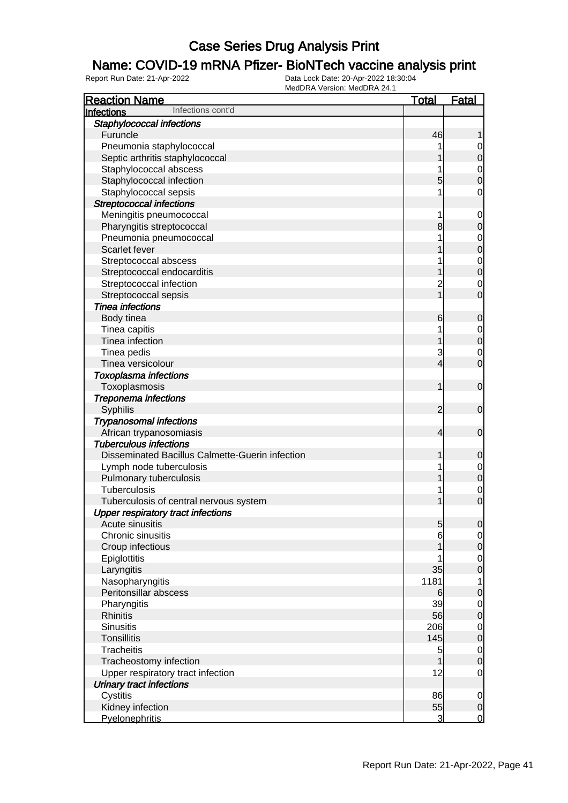### Name: COVID-19 mRNA Pfizer- BioNTech vaccine analysis print

| <b>Reaction Name</b>                            | <u>Total</u>   | <b>Fatal</b>                    |
|-------------------------------------------------|----------------|---------------------------------|
| Infections cont'd<br><b>Infections</b>          |                |                                 |
| Staphylococcal infections                       |                |                                 |
| Furuncle                                        | 46             |                                 |
| Pneumonia staphylococcal                        |                | 0                               |
| Septic arthritis staphylococcal                 |                | $\mathbf 0$                     |
| Staphylococcal abscess                          |                | $\mathbf 0$                     |
| Staphylococcal infection                        | 5              | 0                               |
| Staphylococcal sepsis                           |                | 0                               |
| <b>Streptococcal infections</b>                 |                |                                 |
| Meningitis pneumococcal                         | 1              | 0                               |
| Pharyngitis streptococcal                       | 8              | $\mathbf 0$                     |
| Pneumonia pneumococcal                          |                | 0                               |
| Scarlet fever                                   |                | $\mathbf 0$                     |
| Streptococcal abscess                           |                | $\mathbf 0$                     |
| Streptococcal endocarditis                      |                | $\mathbf 0$                     |
| Streptococcal infection                         | $\overline{c}$ | 0                               |
| Streptococcal sepsis                            |                | 0                               |
| <b>Tinea infections</b>                         |                |                                 |
| Body tinea                                      | 6              | $\mathbf 0$                     |
| Tinea capitis                                   |                | 0                               |
| Tinea infection                                 |                | $\boldsymbol{0}$                |
| Tinea pedis                                     | 3              | 0                               |
| Tinea versicolour                               | 4              | $\mathbf 0$                     |
| <b>Toxoplasma infections</b>                    |                |                                 |
| Toxoplasmosis                                   | 1              | $\mathbf 0$                     |
| Treponema infections                            |                |                                 |
| Syphilis                                        | $\overline{2}$ | $\mathbf 0$                     |
| <b>Trypanosomal infections</b>                  |                |                                 |
| African trypanosomiasis                         | 4              | $\mathbf 0$                     |
| <b>Tuberculous infections</b>                   |                |                                 |
| Disseminated Bacillus Calmette-Guerin infection | 1              | 0                               |
| Lymph node tuberculosis                         |                | 0                               |
| Pulmonary tuberculosis                          |                | $\boldsymbol{0}$                |
| Tuberculosis                                    |                | $\mathbf 0$                     |
| Tuberculosis of central nervous system          |                | $\overline{0}$                  |
| <b>Upper respiratory tract infections</b>       |                |                                 |
| Acute sinusitis                                 | $\overline{5}$ | $\overline{0}$                  |
| Chronic sinusitis                               | 6              | $\overline{0}$                  |
| Croup infectious                                |                | $\mathbf 0$                     |
| Epiglottitis                                    |                | $\mathbf 0$                     |
| Laryngitis                                      | 35             | $\mathbf 0$                     |
| Nasopharyngitis                                 | 1181           | 1                               |
| Peritonsillar abscess                           | 6              | 0                               |
| Pharyngitis                                     | 39             | $\mathbf 0$                     |
| <b>Rhinitis</b>                                 | 56             | $\boldsymbol{0}$                |
| <b>Sinusitis</b>                                | 206            |                                 |
| <b>Tonsillitis</b>                              | 145            | $\mathbf 0$<br>$\boldsymbol{0}$ |
| <b>Tracheitis</b>                               | 5              |                                 |
|                                                 |                | $\mathbf 0$                     |
| Tracheostomy infection                          | 12             | $\boldsymbol{0}$                |
| Upper respiratory tract infection               |                | $\mathbf 0$                     |
| <b>Urinary tract infections</b>                 |                |                                 |
| Cystitis                                        | 86             | $\mathbf 0$                     |
| Kidney infection<br><b>Pyelonephritis</b>       | 55<br>3        | $\mathbf 0$<br>$\overline{0}$   |
|                                                 |                |                                 |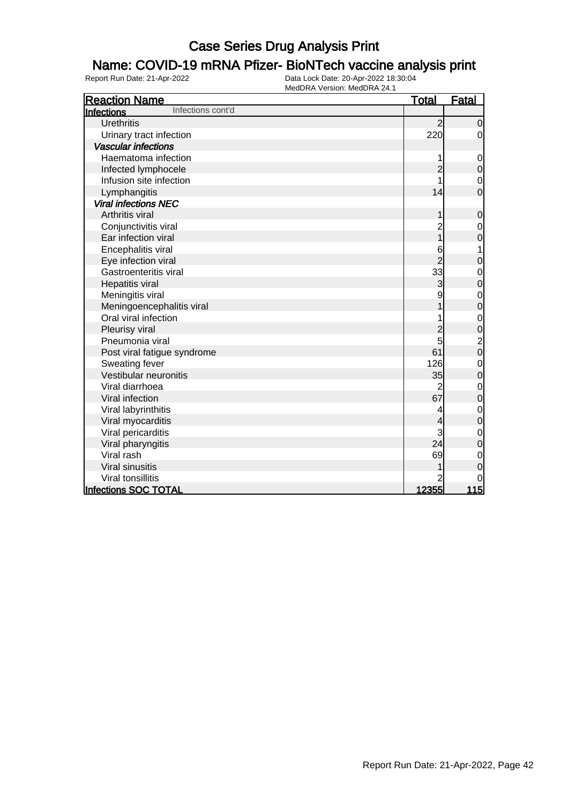### Name: COVID-19 mRNA Pfizer- BioNTech vaccine analysis print

| <b>Reaction Name</b>            | <b>Total</b>   | <b>Fatal</b>                               |
|---------------------------------|----------------|--------------------------------------------|
| Infections cont'd<br>Infections |                |                                            |
| <b>Urethritis</b>               | $\overline{2}$ | $\mathbf 0$                                |
| Urinary tract infection         | 220            | $\overline{0}$                             |
| <b>Vascular infections</b>      |                |                                            |
| Haematoma infection             |                | $\mathbf 0$                                |
| Infected lymphocele             | $\overline{c}$ | $\mathbf 0$                                |
| Infusion site infection         |                | $\mathbf 0$                                |
| Lymphangitis                    | 14             | $\overline{0}$                             |
| <b>Viral infections NEC</b>     |                |                                            |
| Arthritis viral                 | 1              | $\mathbf 0$                                |
| Conjunctivitis viral            | 2<br>1         | $\mathbf 0$                                |
| Ear infection viral             |                | $\mathbf 0$                                |
| Encephalitis viral              | 6              | 1                                          |
| Eye infection viral             | $\overline{2}$ | $\mathbf 0$                                |
| Gastroenteritis viral           | 33             | $\mathbf 0$                                |
| Hepatitis viral                 | 3              | $\overline{0}$                             |
| Meningitis viral                | 9              | $\mathbf 0$                                |
| Meningoencephalitis viral       |                | $\overline{0}$                             |
| Oral viral infection            |                | $\mathbf{0}$                               |
| Pleurisy viral                  | $\overline{c}$ | $\begin{array}{c} 0 \\ 2 \\ 0 \end{array}$ |
| Pneumonia viral                 | 5              |                                            |
| Post viral fatigue syndrome     | 61             |                                            |
| Sweating fever                  | 126            | $\mathbf 0$                                |
| Vestibular neuronitis           | 35             | $\overline{0}$                             |
| Viral diarrhoea                 | $\overline{c}$ | $\mathbf 0$                                |
| Viral infection                 | 67             | $\overline{0}$                             |
| Viral labyrinthitis             | 4              | $\mathbf{0}$                               |
| Viral myocarditis               | 4              | $\mathbf 0$                                |
| Viral pericarditis              | 3              | $\mathbf 0$                                |
| Viral pharyngitis               | 24             | $\overline{0}$                             |
| Viral rash                      | 69             | $\mathbf 0$                                |
| Viral sinusitis                 |                | $\mathbf 0$                                |
| Viral tonsillitis               |                | $\mathbf 0$                                |
| Infections SOC TOTAL            | <u>12355 </u>  | <u>115</u>                                 |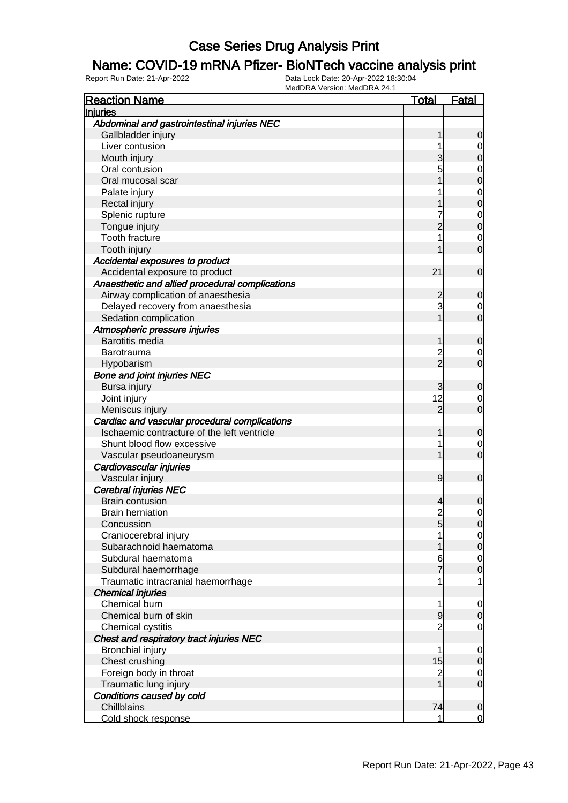#### Name: COVID-19 mRNA Pfizer- BioNTech vaccine analysis print

| <b>Reaction Name</b>                            | <b>Total</b>   | <b>Fatal</b>                         |
|-------------------------------------------------|----------------|--------------------------------------|
| <b>Injuries</b>                                 |                |                                      |
| Abdominal and gastrointestinal injuries NEC     |                |                                      |
| Gallbladder injury                              | 1              | $\mathbf 0$                          |
| Liver contusion                                 |                |                                      |
| Mouth injury                                    | 3              | $\begin{matrix} 0 \\ 0 \end{matrix}$ |
| Oral contusion                                  | 5              |                                      |
| Oral mucosal scar                               |                | $0\atop 0$                           |
| Palate injury                                   |                |                                      |
| Rectal injury                                   |                | $\begin{matrix}0\\0\end{matrix}$     |
| Splenic rupture                                 |                |                                      |
| Tongue injury                                   | $\overline{2}$ | $\begin{matrix} 0 \\ 0 \end{matrix}$ |
| Tooth fracture                                  |                |                                      |
| Tooth injury                                    |                | $\begin{matrix} 0 \\ 0 \end{matrix}$ |
| Accidental exposures to product                 |                |                                      |
| Accidental exposure to product                  | 21             | $\mathbf 0$                          |
| Anaesthetic and allied procedural complications |                |                                      |
| Airway complication of anaesthesia              | 2              | 0                                    |
| Delayed recovery from anaesthesia               | 3              |                                      |
| Sedation complication                           |                | $\begin{matrix} 0 \\ 0 \end{matrix}$ |
| Atmospheric pressure injuries                   |                |                                      |
| <b>Barotitis media</b>                          | 1              | $\mathbf 0$                          |
| Barotrauma                                      | $\overline{c}$ |                                      |
| Hypobarism                                      | $\overline{2}$ | $\begin{matrix} 0 \\ 0 \end{matrix}$ |
| <b>Bone and joint injuries NEC</b>              |                |                                      |
| Bursa injury                                    | 3              | 0                                    |
| Joint injury                                    | 12             | $\overline{0}$                       |
| Meniscus injury                                 | $\overline{2}$ | $\overline{0}$                       |
| Cardiac and vascular procedural complications   |                |                                      |
| Ischaemic contracture of the left ventricle     | 1              | $\mathbf 0$                          |
| Shunt blood flow excessive                      | 1              |                                      |
| Vascular pseudoaneurysm                         | 1              | $\begin{matrix} 0 \\ 0 \end{matrix}$ |
| Cardiovascular injuries                         |                |                                      |
| Vascular injury                                 | 9              | $\boldsymbol{0}$                     |
| <b>Cerebral injuries NEC</b>                    |                |                                      |
| <b>Brain contusion</b>                          | 4              | 0                                    |
| <b>Brain herniation</b>                         | $\overline{2}$ | $\overline{0}$                       |
| Concussion                                      | 5              | 0                                    |
| Craniocerebral injury                           |                | $\overline{0}$                       |
| Subarachnoid haematoma                          |                | $\overline{0}$                       |
| Subdural haematoma                              | 6              | $\overline{0}$                       |
| Subdural haemorrhage                            |                | $\mathbf 0$                          |
| Traumatic intracranial haemorrhage              |                | $\mathbf 1$                          |
| <b>Chemical injuries</b>                        |                |                                      |
| Chemical burn                                   | 1              | $\overline{0}$                       |
| Chemical burn of skin                           | 9              | $\mathbf 0$                          |
| Chemical cystitis                               | $\overline{2}$ | $\overline{0}$                       |
| Chest and respiratory tract injuries NEC        |                |                                      |
| Bronchial injury                                | 1              | $\overline{0}$                       |
| Chest crushing                                  | 15             | $\mathbf 0$                          |
| Foreign body in throat                          | $\overline{c}$ | $\overline{0}$                       |
| Traumatic lung injury                           | 1              | $\overline{O}$                       |
| Conditions caused by cold                       |                |                                      |
| Chillblains                                     | 74             | $\mathbf 0$                          |
| Cold shock response                             | 1              | $\overline{0}$                       |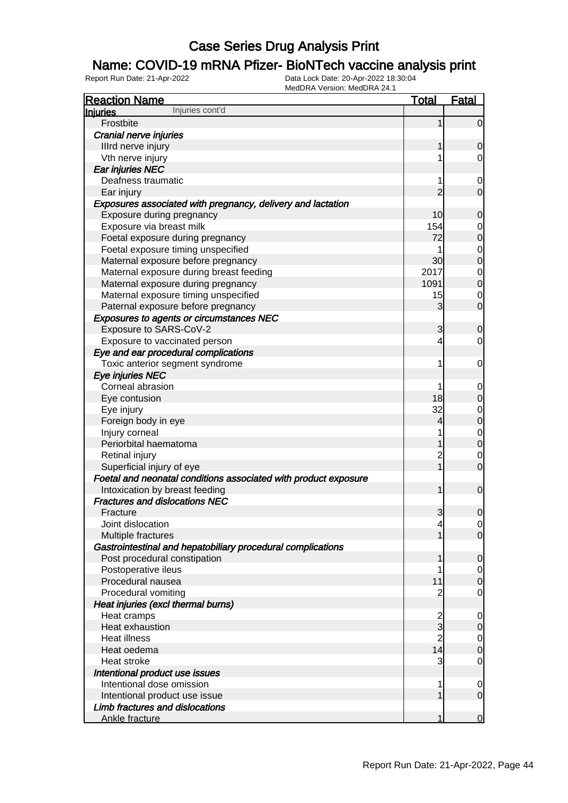### Name: COVID-19 mRNA Pfizer- BioNTech vaccine analysis print

| <b>Reaction Name</b>                                            | <b>Total</b>    | <b>Fatal</b>     |
|-----------------------------------------------------------------|-----------------|------------------|
| Injuries cont'd<br><b>Injuries</b>                              |                 |                  |
| Frostbite                                                       | 1               | $\overline{0}$   |
| Cranial nerve injuries                                          |                 |                  |
| Illrd nerve injury                                              | 1               | 0                |
| Vth nerve injury                                                |                 | 0                |
| Ear injuries NEC                                                |                 |                  |
| Deafness traumatic                                              |                 | 0                |
| Ear injury                                                      | $\overline{2}$  | $\mathbf 0$      |
| Exposures associated with pregnancy, delivery and lactation     |                 |                  |
| Exposure during pregnancy                                       | 10              | $\mathbf 0$      |
| Exposure via breast milk                                        | 154             | 0                |
| Foetal exposure during pregnancy                                | 72              | $\mathbf 0$      |
| Foetal exposure timing unspecified                              |                 | $\mathbf 0$      |
| Maternal exposure before pregnancy                              | 30 <sub>l</sub> | $\mathbf 0$      |
| Maternal exposure during breast feeding                         | 2017            | $\mathbf 0$      |
| Maternal exposure during pregnancy                              | 1091            | $\mathbf 0$      |
| Maternal exposure timing unspecified                            | 15              | 0                |
| Paternal exposure before pregnancy                              | 3               | $\mathbf 0$      |
| <b>Exposures to agents or circumstances NEC</b>                 |                 |                  |
| Exposure to SARS-CoV-2                                          | 3               | 0                |
| Exposure to vaccinated person                                   | 4               | 0                |
| Eye and ear procedural complications                            |                 |                  |
| Toxic anterior segment syndrome                                 | 1               | 0                |
| Eye injuries NEC                                                |                 |                  |
| Corneal abrasion                                                |                 | 0                |
| Eye contusion                                                   | 18              | $\mathbf 0$      |
| Eye injury                                                      | 32              | $\mathbf 0$      |
| Foreign body in eye                                             | 4               | $\pmb{0}$        |
| Injury corneal                                                  |                 | $\mathbf 0$      |
| Periorbital haematoma                                           |                 | $\boldsymbol{0}$ |
| Retinal injury                                                  | $\overline{c}$  | 0                |
| Superficial injury of eye                                       | $\overline{1}$  | $\mathbf 0$      |
| Foetal and neonatal conditions associated with product exposure |                 |                  |
| Intoxication by breast feeding                                  | 1               | $\mathbf 0$      |
| <b>Fractures and dislocations NEC</b>                           |                 |                  |
| Fracture                                                        | 3               | $\mathbf 0$      |
| Joint dislocation                                               | 4               | $\overline{0}$   |
| Multiple fractures                                              |                 | $\overline{0}$   |
| Gastrointestinal and hepatobiliary procedural complications     |                 |                  |
| Post procedural constipation                                    | 1               | $\mathbf 0$      |
| Postoperative ileus                                             |                 | $\overline{0}$   |
| Procedural nausea                                               | 11              | $\mathbf 0$      |
| Procedural vomiting                                             | $\overline{c}$  | $\mathbf 0$      |
| Heat injuries (excl thermal burns)                              |                 |                  |
| Heat cramps                                                     | $\overline{c}$  | $\mathbf 0$      |
| Heat exhaustion                                                 | $\overline{3}$  | $\mathbf 0$      |
| <b>Heat illness</b>                                             | $\overline{c}$  | $\overline{0}$   |
| Heat oedema                                                     | 14              | $\mathbf 0$      |
| Heat stroke                                                     | 3               | $\mathbf 0$      |
| Intentional product use issues                                  |                 |                  |
| Intentional dose omission                                       | 1               | $\mathbf 0$      |
| Intentional product use issue                                   | 1               | $\mathbf 0$      |
| Limb fractures and dislocations                                 |                 |                  |
| Ankle fracture                                                  | 1               | $\overline{0}$   |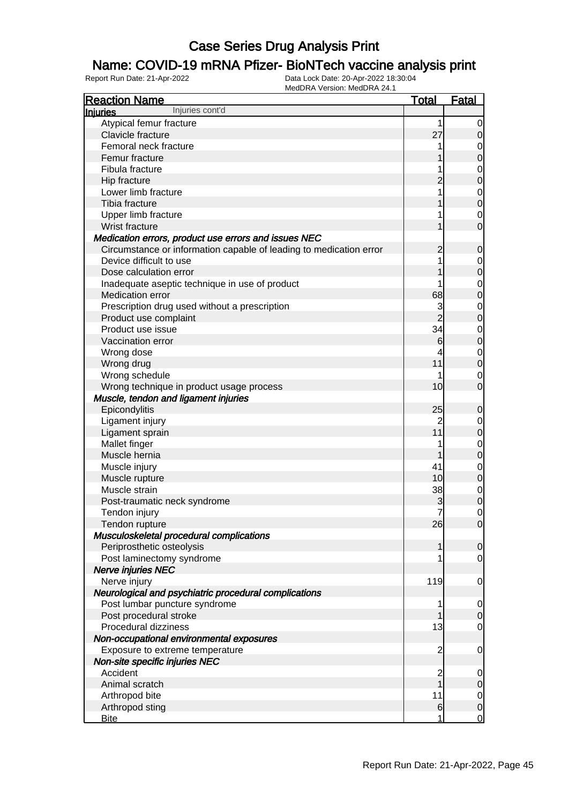### Name: COVID-19 mRNA Pfizer- BioNTech vaccine analysis print

| <b>Reaction Name</b>                                                  | <b>Total</b>   | <b>Fatal</b>               |
|-----------------------------------------------------------------------|----------------|----------------------------|
| Injuries cont'd<br><b>Injuries</b>                                    |                |                            |
| Atypical femur fracture                                               | 1              | 0                          |
| Clavicle fracture                                                     | 27             | 0                          |
| Femoral neck fracture                                                 |                | 0                          |
| Femur fracture                                                        |                | $\mathbf 0$                |
| Fibula fracture                                                       |                | $\mathbf 0$                |
| Hip fracture                                                          |                | $\mathbf 0$                |
| Lower limb fracture                                                   |                | $\mathbf 0$                |
| Tibia fracture                                                        |                | $\mathbf 0$                |
| Upper limb fracture                                                   |                | $\mathbf 0$                |
| Wrist fracture                                                        |                | 0                          |
| Medication errors, product use errors and issues NEC                  |                |                            |
| Circumstance or information capable of leading to medication error    | 2              | 0                          |
| Device difficult to use                                               |                | 0                          |
| Dose calculation error                                                |                | $\mathbf 0$                |
| Inadequate aseptic technique in use of product                        |                | $\mathbf 0$                |
| Medication error                                                      | 68             | $\mathbf 0$                |
| Prescription drug used without a prescription                         | 3              | $\mathbf 0$                |
| Product use complaint                                                 | $\overline{2}$ | $\mathbf 0$                |
| Product use issue                                                     | 34             | $\mathbf 0$                |
| Vaccination error                                                     | 6              | $\mathbf 0$                |
| Wrong dose                                                            |                | $\mathbf 0$                |
| Wrong drug                                                            | 11             | $\mathbf 0$                |
| Wrong schedule                                                        |                | 0                          |
| Wrong technique in product usage process                              | 10             | $\overline{0}$             |
| Muscle, tendon and ligament injuries                                  |                |                            |
| Epicondylitis                                                         | 25             | 0                          |
| Ligament injury                                                       | 2              | 0                          |
| Ligament sprain                                                       | 11             | $\mathbf 0$                |
| Mallet finger                                                         |                | $\mathbf 0$                |
| Muscle hernia                                                         |                | $\mathbf 0$                |
| Muscle injury                                                         | 41             | $\mathbf 0$                |
| Muscle rupture                                                        | 10             | $\mathbf 0$                |
| Muscle strain                                                         | 38             |                            |
| Post-traumatic neck syndrome                                          | 3              | $\mathbf 0$<br>$\mathbf 0$ |
|                                                                       | 7              | $\mathbf 0$                |
| Tendon injury<br>Tendon rupture                                       | 26             |                            |
|                                                                       |                | $\overline{0}$             |
| Musculoskeletal procedural complications<br>Periprosthetic osteolysis | 1              |                            |
|                                                                       |                | 0                          |
| Post laminectomy syndrome                                             |                | $\overline{0}$             |
| <b>Nerve injuries NEC</b>                                             | 119            |                            |
| Nerve injury                                                          |                | 0                          |
| Neurological and psychiatric procedural complications                 |                |                            |
| Post lumbar puncture syndrome                                         | 1              | $\overline{0}$             |
| Post procedural stroke                                                |                | 0                          |
| Procedural dizziness                                                  | 13             | $\overline{0}$             |
| Non-occupational environmental exposures                              |                |                            |
| Exposure to extreme temperature                                       | 2              | 0                          |
| Non-site specific injuries NEC                                        |                |                            |
| Accident                                                              | 2              | 0                          |
| Animal scratch                                                        |                | 0                          |
| Arthropod bite                                                        | 11             | 0                          |
| Arthropod sting                                                       | 6              | $\mathbf 0$                |
| <b>Bite</b>                                                           | 1              | 0                          |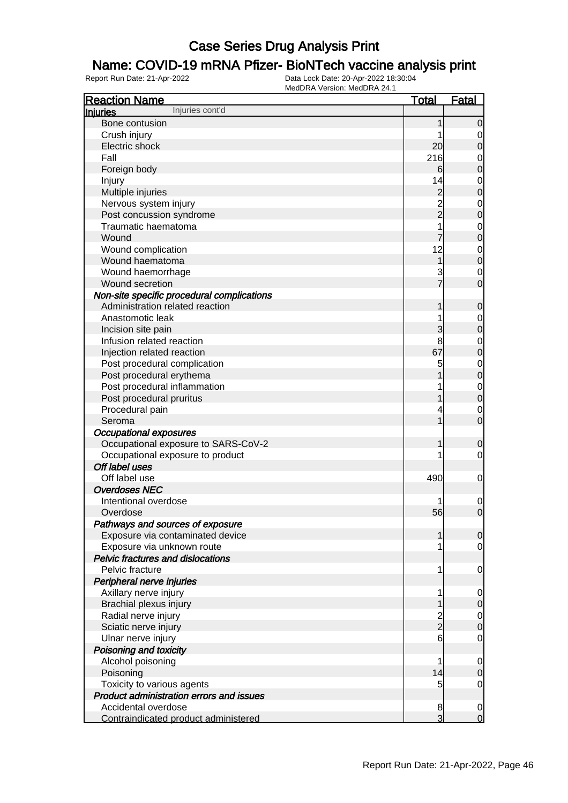### Name: COVID-19 mRNA Pfizer- BioNTech vaccine analysis print

| <b>Reaction Name</b>                            | <u>Total</u>   | <b>Fatal</b>     |
|-------------------------------------------------|----------------|------------------|
| Injuries cont'd<br>Injuries                     |                |                  |
| Bone contusion                                  |                | 0                |
| Crush injury                                    |                | 0                |
| Electric shock                                  | 20             | 0                |
| Fall                                            | 216            | $\mathbf 0$      |
| Foreign body                                    | 6              | 0                |
| Injury                                          | 14             | $\mathbf 0$      |
| Multiple injuries                               | $\overline{c}$ | $\mathbf 0$      |
| Nervous system injury                           | $\overline{c}$ | $\mathbf 0$      |
| Post concussion syndrome                        | $\overline{2}$ | $\mathbf 0$      |
| Traumatic haematoma                             | 1              | $\mathbf 0$      |
| Wound                                           |                | $\mathbf 0$      |
| Wound complication                              | 12             | $\mathbf 0$      |
| Wound haematoma                                 |                | $\mathbf 0$      |
| Wound haemorrhage                               | 3              | $\mathbf 0$      |
| Wound secretion                                 |                | $\mathbf 0$      |
| Non-site specific procedural complications      |                |                  |
| Administration related reaction                 |                | $\mathbf 0$      |
| Anastomotic leak                                |                | $\mathbf 0$      |
| Incision site pain                              | 3              | $\mathbf 0$      |
| Infusion related reaction                       | 8              | $\mathbf 0$      |
| Injection related reaction                      | 67             |                  |
|                                                 |                | $\mathbf 0$      |
| Post procedural complication                    | 5              | $\mathbf 0$      |
| Post procedural erythema                        |                | $\mathbf 0$      |
| Post procedural inflammation                    |                | $\mathbf 0$      |
| Post procedural pruritus                        |                | $\mathbf 0$      |
| Procedural pain                                 | 4              | $\mathbf 0$      |
| Seroma                                          |                | $\mathbf{0}$     |
| <b>Occupational exposures</b>                   |                |                  |
| Occupational exposure to SARS-CoV-2             |                | 0                |
| Occupational exposure to product                |                | 0                |
| Off label uses                                  |                |                  |
| Off label use                                   | 490            | 0                |
| <b>Overdoses NEC</b>                            |                |                  |
| Intentional overdose                            |                | $\mathbf 0$      |
| Overdose                                        | 56             | $\mathbf 0$      |
| Pathways and sources of exposure                |                |                  |
| Exposure via contaminated device                | 1              | $\overline{0}$   |
| Exposure via unknown route                      | 1              | $\overline{0}$   |
| <b>Pelvic fractures and dislocations</b>        |                |                  |
| Pelvic fracture                                 | 1              | 0                |
| Peripheral nerve injuries                       |                |                  |
| Axillary nerve injury                           | 1              | $\mathbf 0$      |
| Brachial plexus injury                          |                | 0                |
| Radial nerve injury                             | $\frac{2}{2}$  | $\mathbf 0$      |
| Sciatic nerve injury                            |                | $\boldsymbol{0}$ |
| Ulnar nerve injury                              | 6              | $\mathbf 0$      |
| Poisoning and toxicity                          |                |                  |
| Alcohol poisoning                               | 1              | $\mathbf 0$      |
| Poisoning                                       | 14             | 0                |
| Toxicity to various agents                      | 5              | $\mathbf 0$      |
| <b>Product administration errors and issues</b> |                |                  |
| Accidental overdose                             | 8              | $\mathbf 0$      |
| Contraindicated product administered            | $\overline{3}$ | $\mathbf 0$      |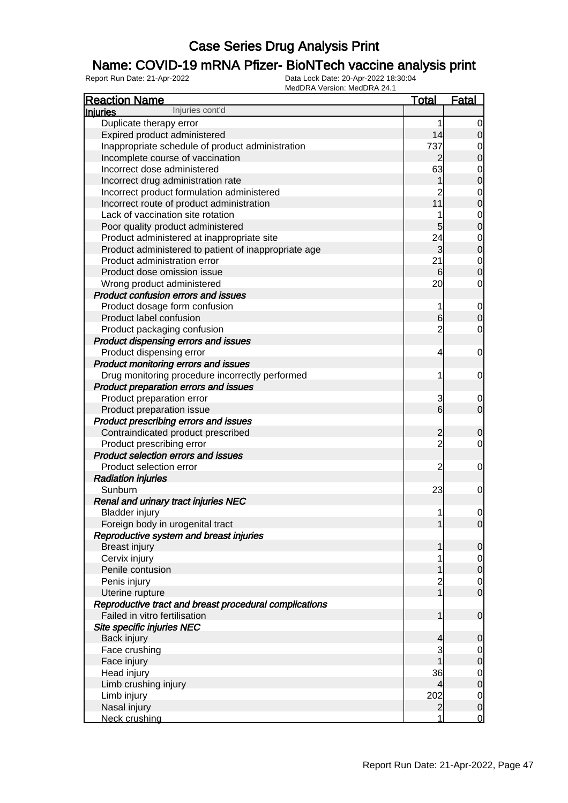### Name: COVID-19 mRNA Pfizer- BioNTech vaccine analysis print

| Injuries cont'd<br><b>Injuries</b><br>Duplicate therapy error<br>1<br>$\overline{0}$<br>14<br>Expired product administered<br>$\mathbf 0$<br>737<br>Inappropriate schedule of product administration<br>0<br>Incomplete course of vaccination<br>$\overline{2}$<br>$\mathbf 0$<br>63<br>Incorrect dose administered<br>$\mathbf 0$<br>$\mathbf 0$<br>Incorrect drug administration rate<br>Incorrect product formulation administered<br>2<br>$\mathbf 0$<br>11<br>Incorrect route of product administration<br>$\mathbf 0$<br>Lack of vaccination site rotation<br>$\mathbf 0$<br>$\mathbf 0$<br>Poor quality product administered<br>5<br>Product administered at inappropriate site<br>24<br>$\mathbf 0$<br>3<br>$\mathbf 0$<br>Product administered to patient of inappropriate age<br>Product administration error<br>21<br>$\mathbf 0$<br>Product dose omission issue<br>6<br>$\mathbf 0$<br>20<br>Wrong product administered<br>$\mathbf 0$<br><b>Product confusion errors and issues</b><br>Product dosage form confusion<br>1<br>$\mathbf 0$<br>Product label confusion<br>6<br>$\boldsymbol{0}$<br>$\overline{2}$<br>Product packaging confusion<br>$\mathbf 0$<br>Product dispensing errors and issues<br>Product dispensing error<br>4<br>$\mathbf 0$<br>Product monitoring errors and issues<br>Drug monitoring procedure incorrectly performed<br>1<br>$\mathbf 0$<br>Product preparation errors and issues<br>Product preparation error<br>3<br>0<br>$6\overline{6}$<br>Product preparation issue<br>$\mathbf 0$<br>Product prescribing errors and issues<br>Contraindicated product prescribed<br>$\overline{c}$<br>$\mathbf 0$<br>$\overline{2}$<br>Product prescribing error<br>$\overline{0}$<br>Product selection errors and issues<br>Product selection error<br>$\overline{2}$<br>0<br><b>Radiation injuries</b><br>Sunburn<br>23<br>0<br>Renal and urinary tract injuries NEC<br><b>Bladder injury</b><br>1<br>$\mathbf 0$<br>Foreign body in urogenital tract<br>1<br>$\overline{0}$<br>Reproductive system and breast injuries<br><b>Breast injury</b><br>1<br>$\mathbf 0$<br>Cervix injury<br>$\overline{0}$<br>Penile contusion<br>$\mathbf 0$<br>Penis injury<br>$\overline{c}$<br>$\overline{0}$<br>$\overline{1}$<br>$\mathbf 0$<br>Uterine rupture<br>Reproductive tract and breast procedural complications<br>Failed in vitro fertilisation<br>1<br>$\mathbf 0$<br>Site specific injuries NEC<br>Back injury<br>4<br>$\mathbf 0$<br>Face crushing<br>3<br>$\overline{0}$<br>Face injury<br>$\mathbf 0$<br>36<br>Head injury<br>$\overline{0}$<br>Limb crushing injury<br>$\pmb{0}$<br>4<br>202<br>Limb injury<br>$\overline{0}$<br>Nasal injury<br>$\mathbf 0$<br>$\overline{2}$ | <b>Reaction Name</b> | <b>Total</b> | <b>Fatal</b> |
|-------------------------------------------------------------------------------------------------------------------------------------------------------------------------------------------------------------------------------------------------------------------------------------------------------------------------------------------------------------------------------------------------------------------------------------------------------------------------------------------------------------------------------------------------------------------------------------------------------------------------------------------------------------------------------------------------------------------------------------------------------------------------------------------------------------------------------------------------------------------------------------------------------------------------------------------------------------------------------------------------------------------------------------------------------------------------------------------------------------------------------------------------------------------------------------------------------------------------------------------------------------------------------------------------------------------------------------------------------------------------------------------------------------------------------------------------------------------------------------------------------------------------------------------------------------------------------------------------------------------------------------------------------------------------------------------------------------------------------------------------------------------------------------------------------------------------------------------------------------------------------------------------------------------------------------------------------------------------------------------------------------------------------------------------------------------------------------------------------------------------------------------------------------------------------------------------------------------------------------------------------------------------------------------------------------------------------------------------------------------------------------------------------------------------------------------------------------------------------------------------------------------------------------------------------------------------------------------------------------------------------------------------------------------------------------------------------------------|----------------------|--------------|--------------|
|                                                                                                                                                                                                                                                                                                                                                                                                                                                                                                                                                                                                                                                                                                                                                                                                                                                                                                                                                                                                                                                                                                                                                                                                                                                                                                                                                                                                                                                                                                                                                                                                                                                                                                                                                                                                                                                                                                                                                                                                                                                                                                                                                                                                                                                                                                                                                                                                                                                                                                                                                                                                                                                                                                                   |                      |              |              |
|                                                                                                                                                                                                                                                                                                                                                                                                                                                                                                                                                                                                                                                                                                                                                                                                                                                                                                                                                                                                                                                                                                                                                                                                                                                                                                                                                                                                                                                                                                                                                                                                                                                                                                                                                                                                                                                                                                                                                                                                                                                                                                                                                                                                                                                                                                                                                                                                                                                                                                                                                                                                                                                                                                                   |                      |              |              |
|                                                                                                                                                                                                                                                                                                                                                                                                                                                                                                                                                                                                                                                                                                                                                                                                                                                                                                                                                                                                                                                                                                                                                                                                                                                                                                                                                                                                                                                                                                                                                                                                                                                                                                                                                                                                                                                                                                                                                                                                                                                                                                                                                                                                                                                                                                                                                                                                                                                                                                                                                                                                                                                                                                                   |                      |              |              |
|                                                                                                                                                                                                                                                                                                                                                                                                                                                                                                                                                                                                                                                                                                                                                                                                                                                                                                                                                                                                                                                                                                                                                                                                                                                                                                                                                                                                                                                                                                                                                                                                                                                                                                                                                                                                                                                                                                                                                                                                                                                                                                                                                                                                                                                                                                                                                                                                                                                                                                                                                                                                                                                                                                                   |                      |              |              |
|                                                                                                                                                                                                                                                                                                                                                                                                                                                                                                                                                                                                                                                                                                                                                                                                                                                                                                                                                                                                                                                                                                                                                                                                                                                                                                                                                                                                                                                                                                                                                                                                                                                                                                                                                                                                                                                                                                                                                                                                                                                                                                                                                                                                                                                                                                                                                                                                                                                                                                                                                                                                                                                                                                                   |                      |              |              |
|                                                                                                                                                                                                                                                                                                                                                                                                                                                                                                                                                                                                                                                                                                                                                                                                                                                                                                                                                                                                                                                                                                                                                                                                                                                                                                                                                                                                                                                                                                                                                                                                                                                                                                                                                                                                                                                                                                                                                                                                                                                                                                                                                                                                                                                                                                                                                                                                                                                                                                                                                                                                                                                                                                                   |                      |              |              |
|                                                                                                                                                                                                                                                                                                                                                                                                                                                                                                                                                                                                                                                                                                                                                                                                                                                                                                                                                                                                                                                                                                                                                                                                                                                                                                                                                                                                                                                                                                                                                                                                                                                                                                                                                                                                                                                                                                                                                                                                                                                                                                                                                                                                                                                                                                                                                                                                                                                                                                                                                                                                                                                                                                                   |                      |              |              |
|                                                                                                                                                                                                                                                                                                                                                                                                                                                                                                                                                                                                                                                                                                                                                                                                                                                                                                                                                                                                                                                                                                                                                                                                                                                                                                                                                                                                                                                                                                                                                                                                                                                                                                                                                                                                                                                                                                                                                                                                                                                                                                                                                                                                                                                                                                                                                                                                                                                                                                                                                                                                                                                                                                                   |                      |              |              |
|                                                                                                                                                                                                                                                                                                                                                                                                                                                                                                                                                                                                                                                                                                                                                                                                                                                                                                                                                                                                                                                                                                                                                                                                                                                                                                                                                                                                                                                                                                                                                                                                                                                                                                                                                                                                                                                                                                                                                                                                                                                                                                                                                                                                                                                                                                                                                                                                                                                                                                                                                                                                                                                                                                                   |                      |              |              |
|                                                                                                                                                                                                                                                                                                                                                                                                                                                                                                                                                                                                                                                                                                                                                                                                                                                                                                                                                                                                                                                                                                                                                                                                                                                                                                                                                                                                                                                                                                                                                                                                                                                                                                                                                                                                                                                                                                                                                                                                                                                                                                                                                                                                                                                                                                                                                                                                                                                                                                                                                                                                                                                                                                                   |                      |              |              |
|                                                                                                                                                                                                                                                                                                                                                                                                                                                                                                                                                                                                                                                                                                                                                                                                                                                                                                                                                                                                                                                                                                                                                                                                                                                                                                                                                                                                                                                                                                                                                                                                                                                                                                                                                                                                                                                                                                                                                                                                                                                                                                                                                                                                                                                                                                                                                                                                                                                                                                                                                                                                                                                                                                                   |                      |              |              |
|                                                                                                                                                                                                                                                                                                                                                                                                                                                                                                                                                                                                                                                                                                                                                                                                                                                                                                                                                                                                                                                                                                                                                                                                                                                                                                                                                                                                                                                                                                                                                                                                                                                                                                                                                                                                                                                                                                                                                                                                                                                                                                                                                                                                                                                                                                                                                                                                                                                                                                                                                                                                                                                                                                                   |                      |              |              |
|                                                                                                                                                                                                                                                                                                                                                                                                                                                                                                                                                                                                                                                                                                                                                                                                                                                                                                                                                                                                                                                                                                                                                                                                                                                                                                                                                                                                                                                                                                                                                                                                                                                                                                                                                                                                                                                                                                                                                                                                                                                                                                                                                                                                                                                                                                                                                                                                                                                                                                                                                                                                                                                                                                                   |                      |              |              |
|                                                                                                                                                                                                                                                                                                                                                                                                                                                                                                                                                                                                                                                                                                                                                                                                                                                                                                                                                                                                                                                                                                                                                                                                                                                                                                                                                                                                                                                                                                                                                                                                                                                                                                                                                                                                                                                                                                                                                                                                                                                                                                                                                                                                                                                                                                                                                                                                                                                                                                                                                                                                                                                                                                                   |                      |              |              |
|                                                                                                                                                                                                                                                                                                                                                                                                                                                                                                                                                                                                                                                                                                                                                                                                                                                                                                                                                                                                                                                                                                                                                                                                                                                                                                                                                                                                                                                                                                                                                                                                                                                                                                                                                                                                                                                                                                                                                                                                                                                                                                                                                                                                                                                                                                                                                                                                                                                                                                                                                                                                                                                                                                                   |                      |              |              |
|                                                                                                                                                                                                                                                                                                                                                                                                                                                                                                                                                                                                                                                                                                                                                                                                                                                                                                                                                                                                                                                                                                                                                                                                                                                                                                                                                                                                                                                                                                                                                                                                                                                                                                                                                                                                                                                                                                                                                                                                                                                                                                                                                                                                                                                                                                                                                                                                                                                                                                                                                                                                                                                                                                                   |                      |              |              |
|                                                                                                                                                                                                                                                                                                                                                                                                                                                                                                                                                                                                                                                                                                                                                                                                                                                                                                                                                                                                                                                                                                                                                                                                                                                                                                                                                                                                                                                                                                                                                                                                                                                                                                                                                                                                                                                                                                                                                                                                                                                                                                                                                                                                                                                                                                                                                                                                                                                                                                                                                                                                                                                                                                                   |                      |              |              |
|                                                                                                                                                                                                                                                                                                                                                                                                                                                                                                                                                                                                                                                                                                                                                                                                                                                                                                                                                                                                                                                                                                                                                                                                                                                                                                                                                                                                                                                                                                                                                                                                                                                                                                                                                                                                                                                                                                                                                                                                                                                                                                                                                                                                                                                                                                                                                                                                                                                                                                                                                                                                                                                                                                                   |                      |              |              |
|                                                                                                                                                                                                                                                                                                                                                                                                                                                                                                                                                                                                                                                                                                                                                                                                                                                                                                                                                                                                                                                                                                                                                                                                                                                                                                                                                                                                                                                                                                                                                                                                                                                                                                                                                                                                                                                                                                                                                                                                                                                                                                                                                                                                                                                                                                                                                                                                                                                                                                                                                                                                                                                                                                                   |                      |              |              |
|                                                                                                                                                                                                                                                                                                                                                                                                                                                                                                                                                                                                                                                                                                                                                                                                                                                                                                                                                                                                                                                                                                                                                                                                                                                                                                                                                                                                                                                                                                                                                                                                                                                                                                                                                                                                                                                                                                                                                                                                                                                                                                                                                                                                                                                                                                                                                                                                                                                                                                                                                                                                                                                                                                                   |                      |              |              |
|                                                                                                                                                                                                                                                                                                                                                                                                                                                                                                                                                                                                                                                                                                                                                                                                                                                                                                                                                                                                                                                                                                                                                                                                                                                                                                                                                                                                                                                                                                                                                                                                                                                                                                                                                                                                                                                                                                                                                                                                                                                                                                                                                                                                                                                                                                                                                                                                                                                                                                                                                                                                                                                                                                                   |                      |              |              |
|                                                                                                                                                                                                                                                                                                                                                                                                                                                                                                                                                                                                                                                                                                                                                                                                                                                                                                                                                                                                                                                                                                                                                                                                                                                                                                                                                                                                                                                                                                                                                                                                                                                                                                                                                                                                                                                                                                                                                                                                                                                                                                                                                                                                                                                                                                                                                                                                                                                                                                                                                                                                                                                                                                                   |                      |              |              |
|                                                                                                                                                                                                                                                                                                                                                                                                                                                                                                                                                                                                                                                                                                                                                                                                                                                                                                                                                                                                                                                                                                                                                                                                                                                                                                                                                                                                                                                                                                                                                                                                                                                                                                                                                                                                                                                                                                                                                                                                                                                                                                                                                                                                                                                                                                                                                                                                                                                                                                                                                                                                                                                                                                                   |                      |              |              |
|                                                                                                                                                                                                                                                                                                                                                                                                                                                                                                                                                                                                                                                                                                                                                                                                                                                                                                                                                                                                                                                                                                                                                                                                                                                                                                                                                                                                                                                                                                                                                                                                                                                                                                                                                                                                                                                                                                                                                                                                                                                                                                                                                                                                                                                                                                                                                                                                                                                                                                                                                                                                                                                                                                                   |                      |              |              |
|                                                                                                                                                                                                                                                                                                                                                                                                                                                                                                                                                                                                                                                                                                                                                                                                                                                                                                                                                                                                                                                                                                                                                                                                                                                                                                                                                                                                                                                                                                                                                                                                                                                                                                                                                                                                                                                                                                                                                                                                                                                                                                                                                                                                                                                                                                                                                                                                                                                                                                                                                                                                                                                                                                                   |                      |              |              |
|                                                                                                                                                                                                                                                                                                                                                                                                                                                                                                                                                                                                                                                                                                                                                                                                                                                                                                                                                                                                                                                                                                                                                                                                                                                                                                                                                                                                                                                                                                                                                                                                                                                                                                                                                                                                                                                                                                                                                                                                                                                                                                                                                                                                                                                                                                                                                                                                                                                                                                                                                                                                                                                                                                                   |                      |              |              |
|                                                                                                                                                                                                                                                                                                                                                                                                                                                                                                                                                                                                                                                                                                                                                                                                                                                                                                                                                                                                                                                                                                                                                                                                                                                                                                                                                                                                                                                                                                                                                                                                                                                                                                                                                                                                                                                                                                                                                                                                                                                                                                                                                                                                                                                                                                                                                                                                                                                                                                                                                                                                                                                                                                                   |                      |              |              |
|                                                                                                                                                                                                                                                                                                                                                                                                                                                                                                                                                                                                                                                                                                                                                                                                                                                                                                                                                                                                                                                                                                                                                                                                                                                                                                                                                                                                                                                                                                                                                                                                                                                                                                                                                                                                                                                                                                                                                                                                                                                                                                                                                                                                                                                                                                                                                                                                                                                                                                                                                                                                                                                                                                                   |                      |              |              |
|                                                                                                                                                                                                                                                                                                                                                                                                                                                                                                                                                                                                                                                                                                                                                                                                                                                                                                                                                                                                                                                                                                                                                                                                                                                                                                                                                                                                                                                                                                                                                                                                                                                                                                                                                                                                                                                                                                                                                                                                                                                                                                                                                                                                                                                                                                                                                                                                                                                                                                                                                                                                                                                                                                                   |                      |              |              |
|                                                                                                                                                                                                                                                                                                                                                                                                                                                                                                                                                                                                                                                                                                                                                                                                                                                                                                                                                                                                                                                                                                                                                                                                                                                                                                                                                                                                                                                                                                                                                                                                                                                                                                                                                                                                                                                                                                                                                                                                                                                                                                                                                                                                                                                                                                                                                                                                                                                                                                                                                                                                                                                                                                                   |                      |              |              |
|                                                                                                                                                                                                                                                                                                                                                                                                                                                                                                                                                                                                                                                                                                                                                                                                                                                                                                                                                                                                                                                                                                                                                                                                                                                                                                                                                                                                                                                                                                                                                                                                                                                                                                                                                                                                                                                                                                                                                                                                                                                                                                                                                                                                                                                                                                                                                                                                                                                                                                                                                                                                                                                                                                                   |                      |              |              |
|                                                                                                                                                                                                                                                                                                                                                                                                                                                                                                                                                                                                                                                                                                                                                                                                                                                                                                                                                                                                                                                                                                                                                                                                                                                                                                                                                                                                                                                                                                                                                                                                                                                                                                                                                                                                                                                                                                                                                                                                                                                                                                                                                                                                                                                                                                                                                                                                                                                                                                                                                                                                                                                                                                                   |                      |              |              |
|                                                                                                                                                                                                                                                                                                                                                                                                                                                                                                                                                                                                                                                                                                                                                                                                                                                                                                                                                                                                                                                                                                                                                                                                                                                                                                                                                                                                                                                                                                                                                                                                                                                                                                                                                                                                                                                                                                                                                                                                                                                                                                                                                                                                                                                                                                                                                                                                                                                                                                                                                                                                                                                                                                                   |                      |              |              |
|                                                                                                                                                                                                                                                                                                                                                                                                                                                                                                                                                                                                                                                                                                                                                                                                                                                                                                                                                                                                                                                                                                                                                                                                                                                                                                                                                                                                                                                                                                                                                                                                                                                                                                                                                                                                                                                                                                                                                                                                                                                                                                                                                                                                                                                                                                                                                                                                                                                                                                                                                                                                                                                                                                                   |                      |              |              |
|                                                                                                                                                                                                                                                                                                                                                                                                                                                                                                                                                                                                                                                                                                                                                                                                                                                                                                                                                                                                                                                                                                                                                                                                                                                                                                                                                                                                                                                                                                                                                                                                                                                                                                                                                                                                                                                                                                                                                                                                                                                                                                                                                                                                                                                                                                                                                                                                                                                                                                                                                                                                                                                                                                                   |                      |              |              |
|                                                                                                                                                                                                                                                                                                                                                                                                                                                                                                                                                                                                                                                                                                                                                                                                                                                                                                                                                                                                                                                                                                                                                                                                                                                                                                                                                                                                                                                                                                                                                                                                                                                                                                                                                                                                                                                                                                                                                                                                                                                                                                                                                                                                                                                                                                                                                                                                                                                                                                                                                                                                                                                                                                                   |                      |              |              |
|                                                                                                                                                                                                                                                                                                                                                                                                                                                                                                                                                                                                                                                                                                                                                                                                                                                                                                                                                                                                                                                                                                                                                                                                                                                                                                                                                                                                                                                                                                                                                                                                                                                                                                                                                                                                                                                                                                                                                                                                                                                                                                                                                                                                                                                                                                                                                                                                                                                                                                                                                                                                                                                                                                                   |                      |              |              |
|                                                                                                                                                                                                                                                                                                                                                                                                                                                                                                                                                                                                                                                                                                                                                                                                                                                                                                                                                                                                                                                                                                                                                                                                                                                                                                                                                                                                                                                                                                                                                                                                                                                                                                                                                                                                                                                                                                                                                                                                                                                                                                                                                                                                                                                                                                                                                                                                                                                                                                                                                                                                                                                                                                                   |                      |              |              |
|                                                                                                                                                                                                                                                                                                                                                                                                                                                                                                                                                                                                                                                                                                                                                                                                                                                                                                                                                                                                                                                                                                                                                                                                                                                                                                                                                                                                                                                                                                                                                                                                                                                                                                                                                                                                                                                                                                                                                                                                                                                                                                                                                                                                                                                                                                                                                                                                                                                                                                                                                                                                                                                                                                                   |                      |              |              |
|                                                                                                                                                                                                                                                                                                                                                                                                                                                                                                                                                                                                                                                                                                                                                                                                                                                                                                                                                                                                                                                                                                                                                                                                                                                                                                                                                                                                                                                                                                                                                                                                                                                                                                                                                                                                                                                                                                                                                                                                                                                                                                                                                                                                                                                                                                                                                                                                                                                                                                                                                                                                                                                                                                                   |                      |              |              |
|                                                                                                                                                                                                                                                                                                                                                                                                                                                                                                                                                                                                                                                                                                                                                                                                                                                                                                                                                                                                                                                                                                                                                                                                                                                                                                                                                                                                                                                                                                                                                                                                                                                                                                                                                                                                                                                                                                                                                                                                                                                                                                                                                                                                                                                                                                                                                                                                                                                                                                                                                                                                                                                                                                                   |                      |              |              |
|                                                                                                                                                                                                                                                                                                                                                                                                                                                                                                                                                                                                                                                                                                                                                                                                                                                                                                                                                                                                                                                                                                                                                                                                                                                                                                                                                                                                                                                                                                                                                                                                                                                                                                                                                                                                                                                                                                                                                                                                                                                                                                                                                                                                                                                                                                                                                                                                                                                                                                                                                                                                                                                                                                                   |                      |              |              |
|                                                                                                                                                                                                                                                                                                                                                                                                                                                                                                                                                                                                                                                                                                                                                                                                                                                                                                                                                                                                                                                                                                                                                                                                                                                                                                                                                                                                                                                                                                                                                                                                                                                                                                                                                                                                                                                                                                                                                                                                                                                                                                                                                                                                                                                                                                                                                                                                                                                                                                                                                                                                                                                                                                                   |                      |              |              |
|                                                                                                                                                                                                                                                                                                                                                                                                                                                                                                                                                                                                                                                                                                                                                                                                                                                                                                                                                                                                                                                                                                                                                                                                                                                                                                                                                                                                                                                                                                                                                                                                                                                                                                                                                                                                                                                                                                                                                                                                                                                                                                                                                                                                                                                                                                                                                                                                                                                                                                                                                                                                                                                                                                                   |                      |              |              |
|                                                                                                                                                                                                                                                                                                                                                                                                                                                                                                                                                                                                                                                                                                                                                                                                                                                                                                                                                                                                                                                                                                                                                                                                                                                                                                                                                                                                                                                                                                                                                                                                                                                                                                                                                                                                                                                                                                                                                                                                                                                                                                                                                                                                                                                                                                                                                                                                                                                                                                                                                                                                                                                                                                                   |                      |              |              |
|                                                                                                                                                                                                                                                                                                                                                                                                                                                                                                                                                                                                                                                                                                                                                                                                                                                                                                                                                                                                                                                                                                                                                                                                                                                                                                                                                                                                                                                                                                                                                                                                                                                                                                                                                                                                                                                                                                                                                                                                                                                                                                                                                                                                                                                                                                                                                                                                                                                                                                                                                                                                                                                                                                                   |                      |              |              |
|                                                                                                                                                                                                                                                                                                                                                                                                                                                                                                                                                                                                                                                                                                                                                                                                                                                                                                                                                                                                                                                                                                                                                                                                                                                                                                                                                                                                                                                                                                                                                                                                                                                                                                                                                                                                                                                                                                                                                                                                                                                                                                                                                                                                                                                                                                                                                                                                                                                                                                                                                                                                                                                                                                                   |                      |              |              |
|                                                                                                                                                                                                                                                                                                                                                                                                                                                                                                                                                                                                                                                                                                                                                                                                                                                                                                                                                                                                                                                                                                                                                                                                                                                                                                                                                                                                                                                                                                                                                                                                                                                                                                                                                                                                                                                                                                                                                                                                                                                                                                                                                                                                                                                                                                                                                                                                                                                                                                                                                                                                                                                                                                                   |                      |              |              |
|                                                                                                                                                                                                                                                                                                                                                                                                                                                                                                                                                                                                                                                                                                                                                                                                                                                                                                                                                                                                                                                                                                                                                                                                                                                                                                                                                                                                                                                                                                                                                                                                                                                                                                                                                                                                                                                                                                                                                                                                                                                                                                                                                                                                                                                                                                                                                                                                                                                                                                                                                                                                                                                                                                                   |                      |              |              |
|                                                                                                                                                                                                                                                                                                                                                                                                                                                                                                                                                                                                                                                                                                                                                                                                                                                                                                                                                                                                                                                                                                                                                                                                                                                                                                                                                                                                                                                                                                                                                                                                                                                                                                                                                                                                                                                                                                                                                                                                                                                                                                                                                                                                                                                                                                                                                                                                                                                                                                                                                                                                                                                                                                                   |                      |              |              |
|                                                                                                                                                                                                                                                                                                                                                                                                                                                                                                                                                                                                                                                                                                                                                                                                                                                                                                                                                                                                                                                                                                                                                                                                                                                                                                                                                                                                                                                                                                                                                                                                                                                                                                                                                                                                                                                                                                                                                                                                                                                                                                                                                                                                                                                                                                                                                                                                                                                                                                                                                                                                                                                                                                                   |                      |              |              |
|                                                                                                                                                                                                                                                                                                                                                                                                                                                                                                                                                                                                                                                                                                                                                                                                                                                                                                                                                                                                                                                                                                                                                                                                                                                                                                                                                                                                                                                                                                                                                                                                                                                                                                                                                                                                                                                                                                                                                                                                                                                                                                                                                                                                                                                                                                                                                                                                                                                                                                                                                                                                                                                                                                                   |                      |              |              |
| 1<br>Neck crushing<br>$\overline{0}$                                                                                                                                                                                                                                                                                                                                                                                                                                                                                                                                                                                                                                                                                                                                                                                                                                                                                                                                                                                                                                                                                                                                                                                                                                                                                                                                                                                                                                                                                                                                                                                                                                                                                                                                                                                                                                                                                                                                                                                                                                                                                                                                                                                                                                                                                                                                                                                                                                                                                                                                                                                                                                                                              |                      |              |              |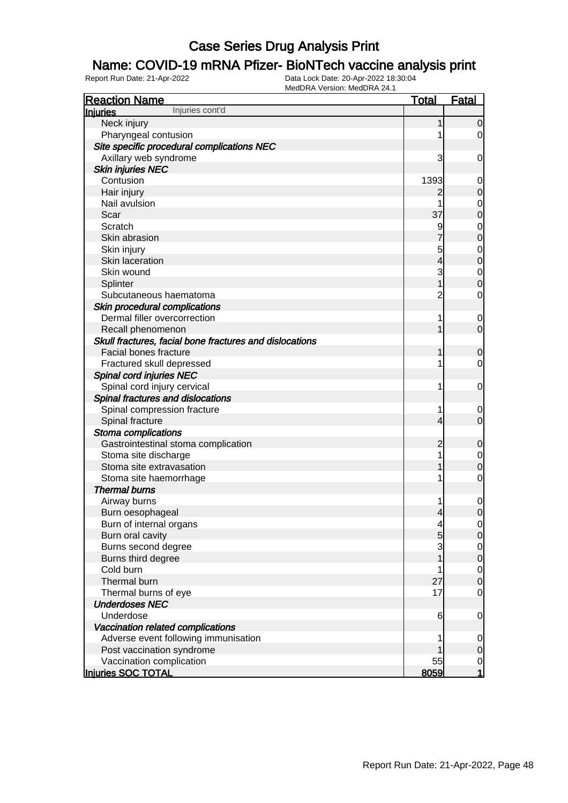### Name: COVID-19 mRNA Pfizer- BioNTech vaccine analysis print

| <b>Reaction Name</b>                                    | <b>Total</b>             | <b>Fatal</b>     |
|---------------------------------------------------------|--------------------------|------------------|
| Injuries cont'd<br><b>Injuries</b>                      |                          |                  |
| Neck injury                                             | 1                        | $\mathbf 0$      |
| Pharyngeal contusion                                    |                          | $\overline{0}$   |
| Site specific procedural complications NEC              |                          |                  |
| Axillary web syndrome                                   | 3                        | 0                |
| <b>Skin injuries NEC</b>                                |                          |                  |
| Contusion                                               | 1393                     | 0                |
| Hair injury                                             | 2                        | $\mathbf 0$      |
| Nail avulsion                                           |                          | 0                |
| Scar                                                    | 37                       | $\mathbf 0$      |
| Scratch                                                 |                          | 0                |
| Skin abrasion                                           |                          | $\mathbf 0$      |
| Skin injury                                             | 5                        | 0                |
| Skin laceration                                         | 4                        | $\boldsymbol{0}$ |
| Skin wound                                              | 3                        | 0                |
| Splinter                                                |                          | $\mathbf 0$      |
| Subcutaneous haematoma                                  | $\overline{c}$           | 0                |
| Skin procedural complications                           |                          |                  |
| Dermal filler overcorrection                            | 1                        | 0                |
| Recall phenomenon                                       |                          | $\mathbf 0$      |
| Skull fractures, facial bone fractures and dislocations |                          |                  |
| Facial bones fracture                                   | 1                        | $\mathbf 0$      |
| Fractured skull depressed                               |                          | 0                |
| Spinal cord injuries NEC                                |                          |                  |
| Spinal cord injury cervical                             | 1                        | 0                |
| Spinal fractures and dislocations                       |                          |                  |
| Spinal compression fracture                             | 1                        | 0                |
| Spinal fracture                                         | 4                        | $\overline{0}$   |
| Stoma complications                                     |                          |                  |
| Gastrointestinal stoma complication                     | $\overline{c}$           | $\mathbf 0$      |
| Stoma site discharge                                    |                          | 0                |
| Stoma site extravasation                                |                          | $\mathbf 0$      |
| Stoma site haemorrhage                                  |                          | 0                |
| <b>Thermal burns</b>                                    |                          |                  |
| Airway burns                                            |                          | $\mathbf 0$      |
| Burn oesophageal                                        | $\overline{\mathcal{A}}$ | $\mathbf 0$      |
| Burn of internal organs                                 | 4                        | $\overline{0}$   |
| Burn oral cavity                                        | 5                        | $\mathsf{O}$     |
| Burns second degree                                     | 3                        | $\overline{0}$   |
| Burns third degree                                      |                          | $\pmb{0}$        |
| Cold burn                                               | 1                        | $\overline{0}$   |
| Thermal burn                                            | 27                       | $\boldsymbol{0}$ |
| Thermal burns of eye                                    | 17                       | $\mathbf 0$      |
| <b>Underdoses NEC</b>                                   |                          |                  |
| Underdose                                               | 6                        | $\mathbf 0$      |
| Vaccination related complications                       |                          |                  |
| Adverse event following immunisation                    |                          | $\overline{0}$   |
| Post vaccination syndrome                               |                          | $\mathbf 0$      |
| Vaccination complication                                | 55                       | $\overline{0}$   |
| Injuries SOC TOTAL                                      | 8059                     | 1                |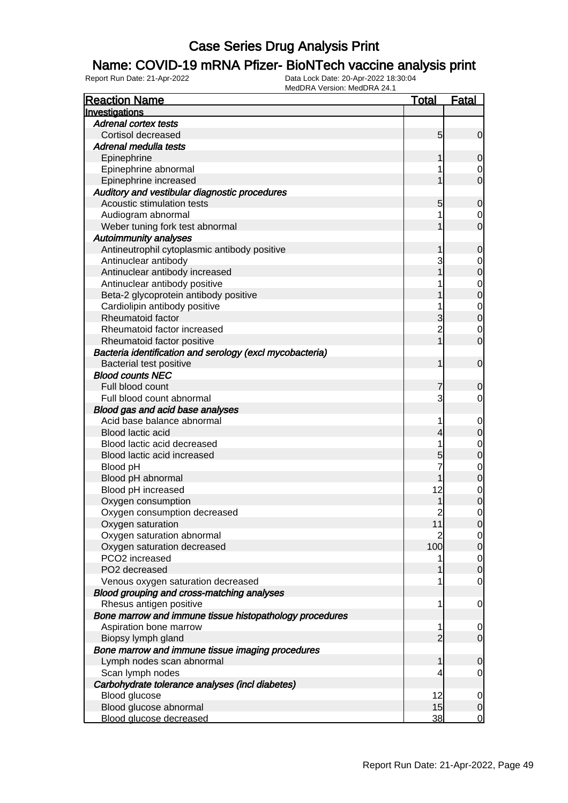### Name: COVID-19 mRNA Pfizer- BioNTech vaccine analysis print

| <b>Reaction Name</b>                                     | <b>Total</b>   | <b>Fatal</b>     |
|----------------------------------------------------------|----------------|------------------|
| Investigations                                           |                |                  |
| <b>Adrenal cortex tests</b>                              |                |                  |
| Cortisol decreased                                       | 5              | $\overline{0}$   |
| Adrenal medulla tests                                    |                |                  |
| Epinephrine                                              | 1              | 0                |
| Epinephrine abnormal                                     |                | 0                |
| Epinephrine increased                                    |                | $\overline{0}$   |
| Auditory and vestibular diagnostic procedures            |                |                  |
| Acoustic stimulation tests                               | 5              | $\mathbf 0$      |
| Audiogram abnormal                                       |                | 0                |
| Weber tuning fork test abnormal                          |                | $\overline{0}$   |
| <b>Autoimmunity analyses</b>                             |                |                  |
| Antineutrophil cytoplasmic antibody positive             |                | $\mathbf 0$      |
| Antinuclear antibody                                     | 3              | 0                |
| Antinuclear antibody increased                           |                | $\mathbf 0$      |
| Antinuclear antibody positive                            |                | 0                |
| Beta-2 glycoprotein antibody positive                    |                | $\boldsymbol{0}$ |
| Cardiolipin antibody positive                            |                | $\mathbf 0$      |
| Rheumatoid factor                                        | 3              | $\boldsymbol{0}$ |
| Rheumatoid factor increased                              | $\overline{c}$ | 0                |
| Rheumatoid factor positive                               |                | $\overline{0}$   |
| Bacteria identification and serology (excl mycobacteria) |                |                  |
| <b>Bacterial test positive</b>                           | 1              | $\mathbf 0$      |
| <b>Blood counts NEC</b>                                  |                |                  |
| Full blood count                                         | 7              | 0                |
| Full blood count abnormal                                | 3              | 0                |
| Blood gas and acid base analyses                         |                |                  |
| Acid base balance abnormal                               | 1              | 0                |
| Blood lactic acid                                        | 4              | $\mathbf 0$      |
| Blood lactic acid decreased                              |                | 0                |
| Blood lactic acid increased                              | 5              | $\mathbf 0$      |
| Blood pH                                                 |                | $\mathbf 0$      |
| Blood pH abnormal                                        |                | $\mathbf 0$      |
| Blood pH increased                                       | 12             | 0                |
| Oxygen consumption                                       |                | $\mathbf 0$      |
| Oxygen consumption decreased                             | $\overline{c}$ | 0                |
| Oxygen saturation                                        | 11             | $\overline{0}$   |
| Oxygen saturation abnormal                               | 2              | $\overline{0}$   |
| Oxygen saturation decreased                              | 100            | $\mathbf 0$      |
| PCO2 increased                                           |                | $\overline{0}$   |
| PO2 decreased                                            |                | $\mathbf 0$      |
| Venous oxygen saturation decreased                       |                | $\mathbf 0$      |
| Blood grouping and cross-matching analyses               |                |                  |
| Rhesus antigen positive                                  | 1              | $\mathbf 0$      |
| Bone marrow and immune tissue histopathology procedures  |                |                  |
| Aspiration bone marrow                                   | 1              | 0                |
| Biopsy lymph gland                                       | $\overline{2}$ | $\overline{0}$   |
| Bone marrow and immune tissue imaging procedures         |                |                  |
| Lymph nodes scan abnormal                                | 1              | $\mathbf 0$      |
| Scan lymph nodes                                         |                | $\mathbf 0$      |
| Carbohydrate tolerance analyses (incl diabetes)          |                |                  |
| Blood glucose                                            | 12             | 0                |
| Blood glucose abnormal                                   | 15             | $\mathbf 0$      |
| Blood glucose decreased                                  | 38             | $\overline{0}$   |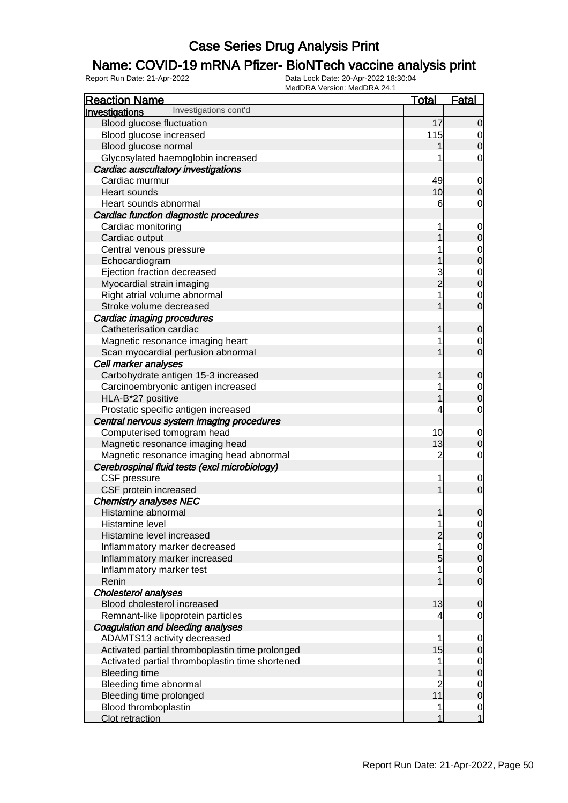### Name: COVID-19 mRNA Pfizer- BioNTech vaccine analysis print

| <b>Reaction Name</b>                            | <u>Total</u>   | <b>Fatal</b>     |
|-------------------------------------------------|----------------|------------------|
| Investigations cont'd<br>Investigations         |                |                  |
| Blood glucose fluctuation                       | 17             | $\mathbf 0$      |
| Blood glucose increased                         | 115            | 0                |
| Blood glucose normal                            |                | $\overline{0}$   |
| Glycosylated haemoglobin increased              |                | 0                |
| Cardiac auscultatory investigations             |                |                  |
| Cardiac murmur                                  | 49             | $\mathbf 0$      |
| Heart sounds                                    | 10             | $\overline{0}$   |
| Heart sounds abnormal                           | 6              | 0                |
| Cardiac function diagnostic procedures          |                |                  |
| Cardiac monitoring                              |                | 0                |
| Cardiac output                                  |                | $\mathbf 0$      |
| Central venous pressure                         |                | 0                |
| Echocardiogram                                  |                | $\mathbf 0$      |
| Ejection fraction decreased                     | 3              | $\mathbf 0$      |
| Myocardial strain imaging                       | $\overline{2}$ | $\mathbf 0$      |
| Right atrial volume abnormal                    |                | 0                |
| Stroke volume decreased                         |                | $\overline{0}$   |
| Cardiac imaging procedures                      |                |                  |
| Catheterisation cardiac                         |                | 0                |
| Magnetic resonance imaging heart                |                | 0                |
| Scan myocardial perfusion abnormal              |                | $\overline{0}$   |
| Cell marker analyses                            |                |                  |
| Carbohydrate antigen 15-3 increased             |                | 0                |
| Carcinoembryonic antigen increased              |                | 0                |
| HLA-B*27 positive                               |                | $\mathbf 0$      |
| Prostatic specific antigen increased            |                | 0                |
| Central nervous system imaging procedures       |                |                  |
| Computerised tomogram head                      | 10             | $\mathbf 0$      |
| Magnetic resonance imaging head                 | 13             | $\mathbf 0$      |
| Magnetic resonance imaging head abnormal        | $\overline{c}$ | 0                |
| Cerebrospinal fluid tests (excl microbiology)   |                |                  |
| CSF pressure                                    | 1              | $\mathbf 0$      |
| CSF protein increased                           |                | $\mathbf 0$      |
| <b>Chemistry analyses NEC</b>                   |                |                  |
| Histamine abnormal                              | 1              | $\mathbf 0$      |
| Histamine level                                 | 1              | $\overline{0}$   |
| Histamine level increased                       | $\overline{2}$ | $\mathbf 0$      |
| Inflammatory marker decreased                   |                | $\overline{0}$   |
| Inflammatory marker increased                   | 5              | $\mathbf 0$      |
| Inflammatory marker test                        |                | $\overline{0}$   |
| Renin                                           |                | $\overline{0}$   |
| <b>Cholesterol analyses</b>                     |                |                  |
| Blood cholesterol increased                     | 13             | $\mathbf 0$      |
| Remnant-like lipoprotein particles              |                | 0                |
| Coagulation and bleeding analyses               |                |                  |
| ADAMTS13 activity decreased                     | 1              | $\mathbf 0$      |
| Activated partial thromboplastin time prolonged | 15             | $\mathbf 0$      |
| Activated partial thromboplastin time shortened |                | $\mathbf 0$      |
| <b>Bleeding time</b>                            |                | $\mathbf 0$      |
| Bleeding time abnormal                          |                | $\mathbf 0$      |
| Bleeding time prolonged                         | 11             | $\boldsymbol{0}$ |
| Blood thromboplastin                            |                | $\mathbf 0$      |
| Clot retraction                                 |                | 1                |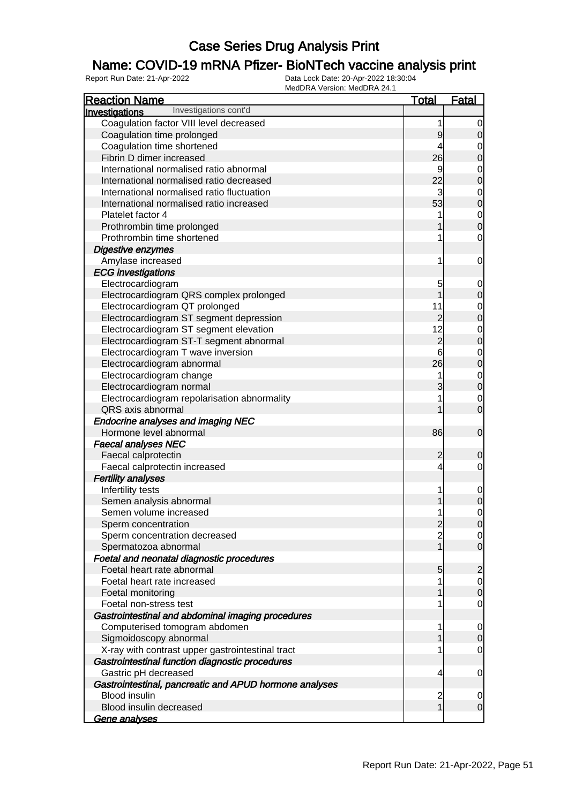### Name: COVID-19 mRNA Pfizer- BioNTech vaccine analysis print

| <b>Reaction Name</b>                                   | <u>Total</u>    | Fatal          |
|--------------------------------------------------------|-----------------|----------------|
| Investigations cont'd<br>Investigations                |                 |                |
| Coagulation factor VIII level decreased                | 1               | 0              |
| Coagulation time prolonged                             | $\overline{9}$  | $\overline{0}$ |
| Coagulation time shortened                             | 4               | 0              |
| Fibrin D dimer increased                               | 26              | $\mathbf 0$    |
| International normalised ratio abnormal                | 9               | 0              |
| International normalised ratio decreased               | 22              | $\mathbf 0$    |
| International normalised ratio fluctuation             | 3               | 0              |
| International normalised ratio increased               | 53              | $\mathbf 0$    |
| Platelet factor 4                                      |                 | $\mathbf 0$    |
| Prothrombin time prolonged                             |                 | $\mathbf 0$    |
| Prothrombin time shortened                             |                 | $\mathbf 0$    |
| Digestive enzymes                                      |                 |                |
| Amylase increased                                      | 1               | $\mathbf 0$    |
| <b>ECG</b> investigations                              |                 |                |
| Electrocardiogram                                      | 5               | 0              |
| Electrocardiogram QRS complex prolonged                |                 | $\mathbf 0$    |
| Electrocardiogram QT prolonged                         | 11              | $\mathbf 0$    |
| Electrocardiogram ST segment depression                | $\overline{2}$  | $\mathbf 0$    |
| Electrocardiogram ST segment elevation                 | 12              | 0              |
| Electrocardiogram ST-T segment abnormal                | $\overline{c}$  | $\mathbf 0$    |
| Electrocardiogram T wave inversion                     | 6               | $\mathbf 0$    |
| Electrocardiogram abnormal                             | 26              | $\mathbf 0$    |
| Electrocardiogram change                               | 1               | $\mathbf 0$    |
| Electrocardiogram normal                               | 3               | $\mathbf 0$    |
| Electrocardiogram repolarisation abnormality           |                 | $\mathbf 0$    |
| QRS axis abnormal                                      |                 | $\overline{0}$ |
| <b>Endocrine analyses and imaging NEC</b>              |                 |                |
| Hormone level abnormal                                 | 86              | $\mathbf 0$    |
| <b>Faecal analyses NEC</b>                             |                 |                |
| Faecal calprotectin                                    | $\overline{c}$  | $\mathbf 0$    |
| Faecal calprotectin increased                          | 4               | 0              |
| <b>Fertility analyses</b>                              |                 |                |
| Infertility tests                                      | 1               | 0              |
| Semen analysis abnormal                                |                 | $\mathbf 0$    |
| Semen volume increased                                 | 1               | 0              |
| Sperm concentration                                    | $\overline{c}$  | 0              |
| Sperm concentration decreased                          | $\overline{2}$  | $\overline{0}$ |
| Spermatozoa abnormal                                   |                 | $\overline{0}$ |
| Foetal and neonatal diagnostic procedures              |                 |                |
| Foetal heart rate abnormal                             | $5\overline{)}$ | $\overline{2}$ |
| Foetal heart rate increased                            |                 | $\overline{0}$ |
| Foetal monitoring                                      |                 | $\mathbf 0$    |
| Foetal non-stress test                                 |                 | $\mathbf 0$    |
| Gastrointestinal and abdominal imaging procedures      |                 |                |
| Computerised tomogram abdomen                          | 1               | $\overline{0}$ |
| Sigmoidoscopy abnormal                                 |                 | $\mathbf 0$    |
| X-ray with contrast upper gastrointestinal tract       |                 | $\mathbf 0$    |
| Gastrointestinal function diagnostic procedures        |                 |                |
| Gastric pH decreased                                   | 4               | $\mathbf 0$    |
| Gastrointestinal, pancreatic and APUD hormone analyses |                 |                |
| <b>Blood insulin</b>                                   | $\overline{c}$  | $\overline{0}$ |
| Blood insulin decreased                                |                 | $\overline{0}$ |
| <u>Gene analyses</u>                                   |                 |                |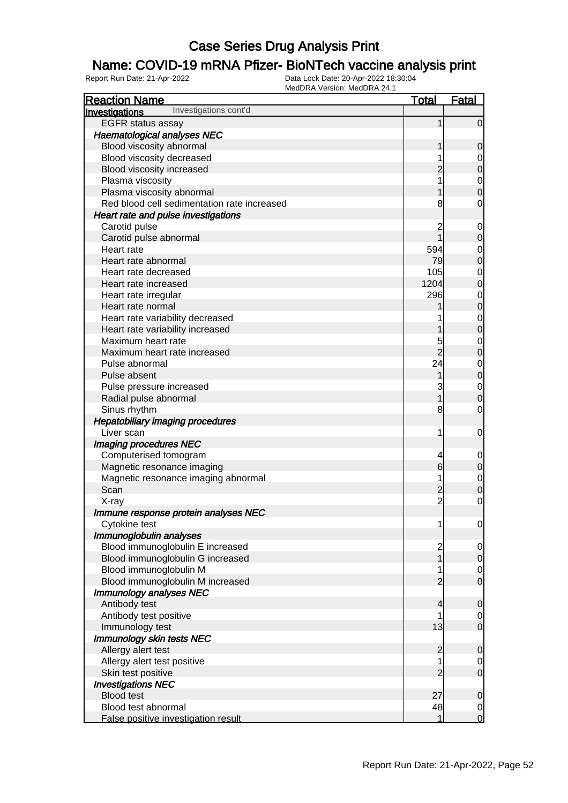### Name: COVID-19 mRNA Pfizer- BioNTech vaccine analysis print

| <b>Reaction Name</b>                         | <b>Total</b>    | <b>Fatal</b>                  |
|----------------------------------------------|-----------------|-------------------------------|
| Investigations cont'd<br>Investigations      |                 |                               |
| <b>EGFR status assay</b>                     | 1               | $\overline{0}$                |
| <b>Haematological analyses NEC</b>           |                 |                               |
| Blood viscosity abnormal                     |                 | 0                             |
| Blood viscosity decreased                    |                 |                               |
| Blood viscosity increased                    | 2               | $\mathbf 0$                   |
| Plasma viscosity                             |                 | 0                             |
| Plasma viscosity abnormal                    |                 | $\mathbf 0$                   |
| Red blood cell sedimentation rate increased  | 8               | 0                             |
| Heart rate and pulse investigations          |                 |                               |
| Carotid pulse                                | 2               | 0                             |
| Carotid pulse abnormal                       |                 | $\mathbf 0$                   |
| Heart rate                                   | 594             | 0                             |
| Heart rate abnormal                          | 79              | $\mathbf 0$                   |
| Heart rate decreased                         | 105             | 0                             |
| Heart rate increased                         | 1204            | $\mathbf 0$                   |
| Heart rate irregular                         | 296             | 0                             |
| Heart rate normal                            |                 | $\mathbf 0$                   |
| Heart rate variability decreased             |                 | 0                             |
| Heart rate variability increased             |                 | $\mathbf 0$                   |
| Maximum heart rate                           | 5               | 0                             |
| Maximum heart rate increased                 | $\overline{2}$  | $\mathbf 0$                   |
| Pulse abnormal                               | 24              | 0                             |
| Pulse absent                                 |                 | $\mathbf 0$                   |
| Pulse pressure increased                     | 3               | 0                             |
| Radial pulse abnormal                        |                 | $\mathbf 0$                   |
| Sinus rhythm                                 | 8               | $\mathbf 0$                   |
| <b>Hepatobiliary imaging procedures</b>      |                 |                               |
| Liver scan                                   | 1               | $\mathbf 0$                   |
| Imaging procedures NEC                       |                 |                               |
| Computerised tomogram                        | 4               | $\mathbf 0$                   |
| Magnetic resonance imaging                   | $6 \overline{}$ | $\pmb{0}$                     |
| Magnetic resonance imaging abnormal          |                 | $\mathbf 0$                   |
| Scan                                         | $\overline{c}$  | $\mathbf 0$                   |
| X-ray                                        | $\overline{c}$  | $\mathbf 0$                   |
| Immune response protein analyses NEC         |                 |                               |
| Cytokine test                                | 1               | $\overline{0}$                |
| Immunoglobulin analyses                      |                 |                               |
| Blood immunoglobulin E increased             |                 | $\overline{0}$                |
| Blood immunoglobulin G increased             | 2<br>1          | $\mathbf 0$                   |
| Blood immunoglobulin M                       |                 |                               |
| Blood immunoglobulin M increased             | $\overline{2}$  | $\overline{0}$<br>$\mathbf 0$ |
| <b>Immunology analyses NEC</b>               |                 |                               |
| Antibody test                                | 4               |                               |
| Antibody test positive                       |                 | $\mathbf 0$                   |
|                                              |                 | 0<br>$\mathbf 0$              |
| Immunology test<br>Immunology skin tests NEC | 13              |                               |
|                                              |                 |                               |
| Allergy alert test                           | $\overline{c}$  | $\mathbf 0$                   |
| Allergy alert test positive                  | 1               | $\overline{0}$                |
| Skin test positive                           | $\overline{2}$  | $\mathbf 0$                   |
| <b>Investigations NEC</b>                    |                 |                               |
| <b>Blood test</b>                            | 27              | $\mathbf 0$                   |
| Blood test abnormal                          | 48              | 0                             |
| False positive investigation result          | 1               | $\mathbf 0$                   |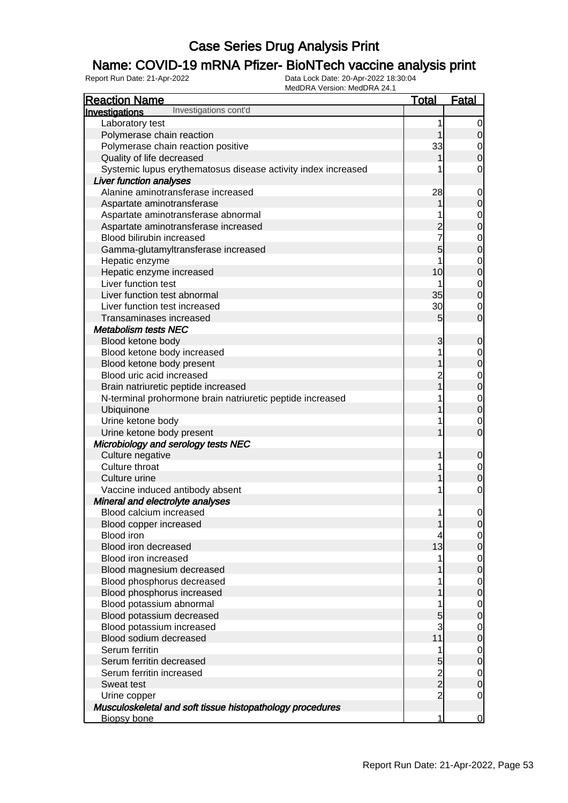### Name: COVID-19 mRNA Pfizer- BioNTech vaccine analysis print

| <b>Reaction Name</b>                                          | <u>Total</u>   | <b>Fatal</b>   |
|---------------------------------------------------------------|----------------|----------------|
| Investigations cont'd<br>Investigations                       |                |                |
| Laboratory test                                               | 1              | $\overline{0}$ |
| Polymerase chain reaction                                     |                | $\overline{0}$ |
| Polymerase chain reaction positive                            | 33             | 0              |
| Quality of life decreased                                     |                | $\mathbf 0$    |
| Systemic lupus erythematosus disease activity index increased |                | 0              |
| <b>Liver function analyses</b>                                |                |                |
| Alanine aminotransferase increased                            | 28             | $\mathbf 0$    |
| Aspartate aminotransferase                                    |                | $\mathbf 0$    |
| Aspartate aminotransferase abnormal                           |                | $\mathbf{0}$   |
| Aspartate aminotransferase increased                          | $\overline{c}$ | $\overline{0}$ |
| Blood bilirubin increased                                     | 7              | $\mathbf{0}$   |
| Gamma-glutamyltransferase increased                           | 5              | $\overline{0}$ |
| Hepatic enzyme                                                | 1              | $\mathbf{0}$   |
| Hepatic enzyme increased                                      | 10             | $\overline{0}$ |
| Liver function test                                           | 1              | $\mathbf 0$    |
| Liver function test abnormal                                  | 35             | $\mathbf 0$    |
| Liver function test increased                                 | 30             | 0              |
| Transaminases increased                                       | 5              | $\mathbf 0$    |
| <b>Metabolism tests NEC</b>                                   |                |                |
| Blood ketone body                                             | $\overline{3}$ | $\mathbf 0$    |
| Blood ketone body increased                                   | 1              | $\mathbf{0}$   |
| Blood ketone body present                                     |                | $\overline{0}$ |
| Blood uric acid increased                                     | $\overline{c}$ | $\mathbf{0}$   |
| Brain natriuretic peptide increased                           | $\overline{1}$ | $\overline{0}$ |
| N-terminal prohormone brain natriuretic peptide increased     |                | $\mathbf{0}$   |
| Ubiquinone                                                    |                | $\overline{0}$ |
| Urine ketone body                                             |                | $\mathbf 0$    |
| Urine ketone body present                                     |                | $\mathbf 0$    |
| Microbiology and serology tests NEC                           |                |                |
| Culture negative                                              | 1              | $\mathbf 0$    |
| Culture throat                                                |                | $\mathbf 0$    |
| Culture urine                                                 |                | $\mathbf 0$    |
| Vaccine induced antibody absent                               | 1              | 0              |
| Mineral and electrolyte analyses                              |                |                |
| Blood calcium increased                                       | 1              | $\mathbf 0$    |
| Blood copper increased                                        | 1              | 0              |
| <b>Blood iron</b>                                             | 4              | $\overline{0}$ |
| Blood iron decreased                                          | 13             | $\overline{0}$ |
| Blood iron increased                                          |                | $\mathbf{0}$   |
| Blood magnesium decreased                                     |                | $\overline{0}$ |
| Blood phosphorus decreased                                    |                | $\overline{0}$ |
| Blood phosphorus increased                                    |                | $\overline{0}$ |
| Blood potassium abnormal                                      |                | $\overline{0}$ |
| Blood potassium decreased                                     | 5              | $\overline{0}$ |
| Blood potassium increased                                     | 3              | $\overline{0}$ |
| Blood sodium decreased                                        | 11             | $\overline{0}$ |
| Serum ferritin                                                | 1              | $\overline{0}$ |
| Serum ferritin decreased                                      | 5              | $\overline{0}$ |
| Serum ferritin increased                                      | $\frac{2}{2}$  | $\overline{0}$ |
| Sweat test                                                    |                | $\mathbf 0$    |
| Urine copper                                                  | $\overline{2}$ | 0              |
| Musculoskeletal and soft tissue histopathology procedures     |                |                |
| <b>Biopsy bone</b>                                            | 1              | $\overline{0}$ |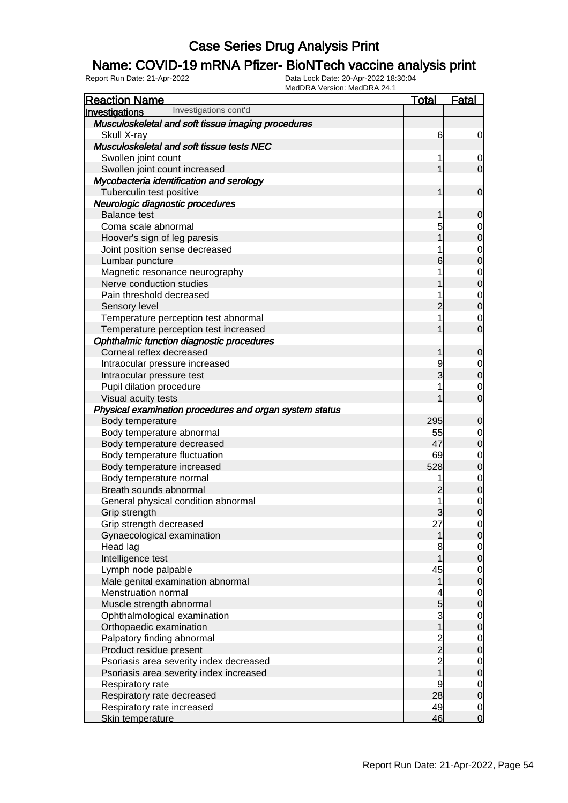### Name: COVID-19 mRNA Pfizer- BioNTech vaccine analysis print

| <b>Reaction Name</b>                                     | <u>Total</u>                                   | Fatal                                |
|----------------------------------------------------------|------------------------------------------------|--------------------------------------|
| Investigations cont'd<br><b>Investigations</b>           |                                                |                                      |
| Musculoskeletal and soft tissue imaging procedures       |                                                |                                      |
| Skull X-ray                                              | 6                                              | $\overline{0}$                       |
| Musculoskeletal and soft tissue tests NEC                |                                                |                                      |
| Swollen joint count                                      | 1                                              | $\overline{0}$                       |
| Swollen joint count increased                            | 1                                              | $\overline{O}$                       |
| Mycobacteria identification and serology                 |                                                |                                      |
| Tuberculin test positive                                 | 1                                              | $\boldsymbol{0}$                     |
| Neurologic diagnostic procedures                         |                                                |                                      |
| <b>Balance test</b>                                      | 1                                              | $\mathbf 0$                          |
| Coma scale abnormal                                      | 5                                              |                                      |
| Hoover's sign of leg paresis                             | $\overline{1}$                                 | $0\atop 0$                           |
| Joint position sense decreased                           | 1                                              | $\begin{matrix}0\\0\end{matrix}$     |
| Lumbar puncture                                          | 6                                              |                                      |
| Magnetic resonance neurography                           | 1                                              | $\begin{matrix}0\\0\end{matrix}$     |
| Nerve conduction studies                                 | 1                                              |                                      |
| Pain threshold decreased                                 | 1                                              | $\begin{matrix}0\\0\end{matrix}$     |
| Sensory level                                            | $\overline{2}$                                 |                                      |
| Temperature perception test abnormal                     | 1                                              | $\mathbf{0}$                         |
| Temperature perception test increased                    | 1                                              | $\overline{0}$                       |
| Ophthalmic function diagnostic procedures                |                                                |                                      |
| Corneal reflex decreased                                 | 1                                              | $\mathbf 0$                          |
| Intraocular pressure increased                           | 9                                              | $0$<br>0                             |
| Intraocular pressure test                                | 3                                              |                                      |
| Pupil dilation procedure                                 | 1                                              | $\begin{matrix}0\\0\end{matrix}$     |
| Visual acuity tests                                      | 1                                              |                                      |
| Physical examination procedures and organ system status  |                                                |                                      |
| Body temperature                                         | 295                                            | $\mathbf 0$                          |
| Body temperature abnormal                                | 55                                             | $\begin{matrix}0\\0\end{matrix}$     |
| Body temperature decreased                               | 47                                             |                                      |
| Body temperature fluctuation                             | 69                                             | $0$ 0                                |
| Body temperature increased                               | 528                                            |                                      |
| Body temperature normal                                  | 1                                              | $\begin{matrix} 0 \\ 0 \end{matrix}$ |
| Breath sounds abnormal                                   | $\overline{c}$                                 |                                      |
| General physical condition abnormal                      | 1                                              | $\begin{matrix}0\\0\end{matrix}$     |
| Grip strength                                            | $\overline{3}$                                 |                                      |
| Grip strength decreased                                  | 27                                             | $\Omega$                             |
| Gynaecological examination                               | 1                                              | $\overline{0}$                       |
| Head lag                                                 | 8<br>1                                         | $\begin{matrix} 0 \\ 0 \end{matrix}$ |
| Intelligence test                                        |                                                |                                      |
| Lymph node palpable                                      | 45                                             | $\begin{matrix} 0 \\ 0 \end{matrix}$ |
| Male genital examination abnormal<br>Menstruation normal | $\mathbf 1$                                    |                                      |
| Muscle strength abnormal                                 | 4<br>$\overline{5}$                            | $\begin{matrix} 0 \\ 0 \end{matrix}$ |
|                                                          |                                                |                                      |
| Ophthalmological examination<br>Orthopaedic examination  | $\begin{array}{c} 3 \\ 1 \end{array}$          | $\begin{matrix} 0 \\ 0 \end{matrix}$ |
| Palpatory finding abnormal                               |                                                |                                      |
| Product residue present                                  |                                                | $\begin{matrix} 0 \\ 0 \end{matrix}$ |
| Psoriasis area severity index decreased                  | $\begin{array}{c}\n 2 \\ 2 \\ 1\n \end{array}$ |                                      |
| Psoriasis area severity index increased                  |                                                | $\begin{matrix} 0 \\ 0 \end{matrix}$ |
| Respiratory rate                                         | 9                                              |                                      |
| Respiratory rate decreased                               | 28                                             | $\begin{matrix} 0 \\ 0 \end{matrix}$ |
| Respiratory rate increased                               | 49                                             |                                      |
| Skin temperature                                         | 46                                             | $\begin{matrix} 0 \\ 0 \end{matrix}$ |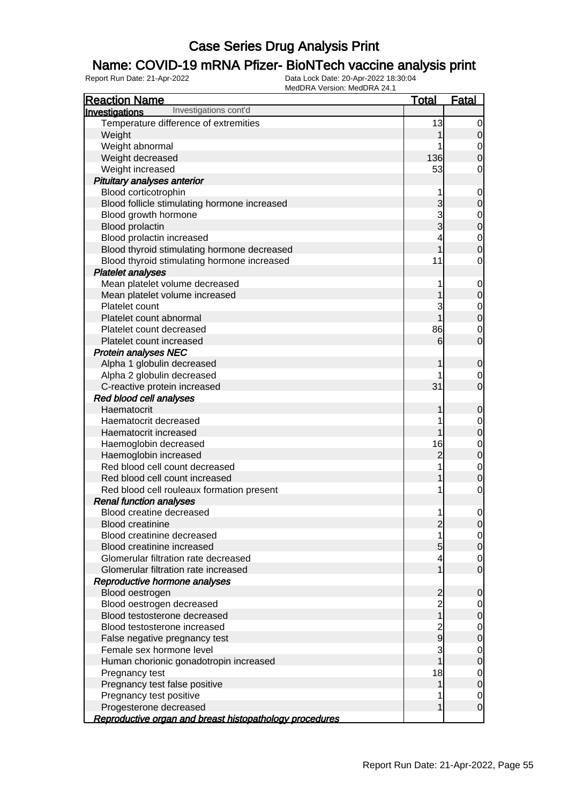#### Name: COVID-19 mRNA Pfizer- BioNTech vaccine analysis print

| <b>Reaction Name</b>                                    | <b>Total</b>            | <b>Fatal</b>     |
|---------------------------------------------------------|-------------------------|------------------|
| Investigations cont'd<br>Investigations                 |                         |                  |
| Temperature difference of extremities                   | 13                      | 0                |
| Weight                                                  |                         | $\mathbf 0$      |
| Weight abnormal                                         |                         | 0                |
| Weight decreased                                        | 136                     | $\mathbf 0$      |
| Weight increased                                        | 53                      | 0                |
| Pituitary analyses anterior                             |                         |                  |
| Blood corticotrophin                                    |                         | 0                |
| Blood follicle stimulating hormone increased            | 3                       | $\mathbf 0$      |
| Blood growth hormone                                    | 3                       | 0                |
| <b>Blood prolactin</b>                                  | 3                       | $\pmb{0}$        |
| Blood prolactin increased                               |                         | 0                |
| Blood thyroid stimulating hormone decreased             |                         | $\mathbf 0$      |
| Blood thyroid stimulating hormone increased             | 11                      | 0                |
| <b>Platelet analyses</b>                                |                         |                  |
| Mean platelet volume decreased                          |                         | 0                |
| Mean platelet volume increased                          |                         | $\boldsymbol{0}$ |
| Platelet count                                          |                         | 0                |
| Platelet count abnormal                                 |                         | $\boldsymbol{0}$ |
| Platelet count decreased                                | 86                      | 0                |
| Platelet count increased                                | 6                       | $\mathbf 0$      |
| <b>Protein analyses NEC</b>                             |                         |                  |
| Alpha 1 globulin decreased                              |                         | $\mathbf 0$      |
| Alpha 2 globulin decreased                              |                         | 0                |
| C-reactive protein increased                            | 31                      | $\overline{0}$   |
| Red blood cell analyses                                 |                         |                  |
| Haematocrit                                             |                         | $\mathbf 0$      |
| Haematocrit decreased                                   |                         | 0                |
| Haematocrit increased                                   |                         | $\mathbf 0$      |
| Haemoglobin decreased                                   | 16                      | $\mathbf 0$      |
| Haemoglobin increased                                   | $\overline{c}$          | $\boldsymbol{0}$ |
| Red blood cell count decreased                          |                         | 0                |
| Red blood cell count increased                          |                         | $\mathbf 0$      |
| Red blood cell rouleaux formation present               | 1                       | $\mathbf 0$      |
| <b>Renal function analyses</b>                          |                         |                  |
| Blood creatine decreased                                | 1                       | 0                |
| <b>Blood creatinine</b>                                 | $\overline{c}$          | $\mathbf 0$      |
| Blood creatinine decreased                              |                         | $\overline{0}$   |
| Blood creatinine increased                              | 5                       | $\mathbf 0$      |
| Glomerular filtration rate decreased                    | 4                       | 0                |
| Glomerular filtration rate increased                    | 1                       | $\overline{0}$   |
| Reproductive hormone analyses                           |                         |                  |
| Blood oestrogen                                         | $\overline{c}$          | $\mathbf 0$      |
| Blood oestrogen decreased                               | $\overline{c}$          | 0                |
| Blood testosterone decreased                            | $\overline{\mathbf{1}}$ | $\mathbf 0$      |
| Blood testosterone increased                            | 2<br>9                  | 0                |
| False negative pregnancy test                           |                         | $\boldsymbol{0}$ |
| Female sex hormone level                                | 3                       | $\mathbf 0$      |
| Human chorionic gonadotropin increased                  |                         | $\mathbf 0$      |
| Pregnancy test                                          | 18                      | $\mathbf 0$      |
| Pregnancy test false positive                           | 1                       | $\boldsymbol{0}$ |
| Pregnancy test positive                                 |                         | 0                |
| Progesterone decreased                                  |                         | $\mathbf 0$      |
| Reproductive organ and breast histopathology procedures |                         |                  |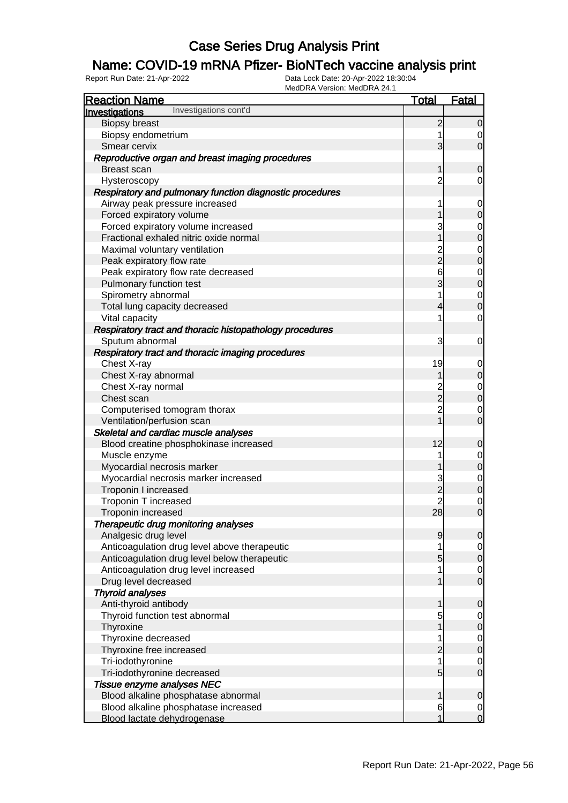### Name: COVID-19 mRNA Pfizer- BioNTech vaccine analysis print

| <b>Reaction Name</b>                                     | <b>Total</b>   | <b>Fatal</b>                         |
|----------------------------------------------------------|----------------|--------------------------------------|
| Investigations cont'd<br><b>Investigations</b>           |                |                                      |
| <b>Biopsy breast</b>                                     | 2              | $\overline{0}$                       |
| Biopsy endometrium                                       | 1              | $\overline{0}$                       |
| Smear cervix                                             | 3              | $\overline{0}$                       |
| Reproductive organ and breast imaging procedures         |                |                                      |
| <b>Breast scan</b>                                       | 1              | $\mathbf 0$                          |
| Hysteroscopy                                             | $\overline{2}$ | $\overline{0}$                       |
| Respiratory and pulmonary function diagnostic procedures |                |                                      |
| Airway peak pressure increased                           | 1              | $\mathbf 0$                          |
| Forced expiratory volume                                 | 1              | $\boldsymbol{0}$                     |
| Forced expiratory volume increased                       | 3              |                                      |
| Fractional exhaled nitric oxide normal                   | 1              | $\begin{matrix} 0 \\ 0 \end{matrix}$ |
| Maximal voluntary ventilation                            |                |                                      |
| Peak expiratory flow rate                                | $\frac{2}{2}$  | $\begin{matrix}0\\0\end{matrix}$     |
| Peak expiratory flow rate decreased                      | 6              |                                      |
| Pulmonary function test                                  | 3              | $0$ 0                                |
| Spirometry abnormal                                      | 1              | $\overline{0}$                       |
| Total lung capacity decreased                            | 4              | $\overline{0}$                       |
| Vital capacity                                           | 1              | $\mathbf 0$                          |
| Respiratory tract and thoracic histopathology procedures |                |                                      |
| Sputum abnormal                                          | 3              | $\mathbf 0$                          |
| Respiratory tract and thoracic imaging procedures        |                |                                      |
| Chest X-ray                                              | 19             | $\mathbf 0$                          |
| Chest X-ray abnormal                                     | 1              | $\boldsymbol{0}$                     |
| Chest X-ray normal                                       |                |                                      |
| Chest scan                                               | $\frac{2}{2}$  | $0$<br>0                             |
| Computerised tomogram thorax                             | $\overline{c}$ | $\mathbf 0$                          |
| Ventilation/perfusion scan                               | $\overline{1}$ | $\overline{0}$                       |
| Skeletal and cardiac muscle analyses                     |                |                                      |
| Blood creatine phosphokinase increased                   | 12             | $\mathbf 0$                          |
| Muscle enzyme                                            | 1              | $\overline{0}$                       |
| Myocardial necrosis marker                               | 1              | $\overline{0}$                       |
| Myocardial necrosis marker increased                     | 3              |                                      |
| Troponin I increased                                     | $\overline{2}$ | $\begin{matrix} 0 \\ 0 \end{matrix}$ |
| Troponin T increased                                     | $\overline{2}$ |                                      |
| Troponin increased                                       | 28             | $\begin{matrix} 0 \\ 0 \end{matrix}$ |
| Therapeutic drug monitoring analyses                     |                |                                      |
| Analgesic drug level                                     | 9              | $\overline{0}$                       |
| Anticoagulation drug level above therapeutic             |                | $\overline{0}$                       |
| Anticoagulation drug level below therapeutic             | 5              | $\mathbf 0$                          |
| Anticoagulation drug level increased                     |                | $\overline{0}$                       |
| Drug level decreased                                     | 1              | $\overline{0}$                       |
| <b>Thyroid analyses</b>                                  |                |                                      |
| Anti-thyroid antibody                                    | 1              | $\mathbf 0$                          |
| Thyroid function test abnormal                           | 5              | $\overline{0}$                       |
| Thyroxine                                                | 1              | $\mathbf 0$                          |
| Thyroxine decreased                                      | 1              | $\overline{0}$                       |
| Thyroxine free increased                                 | $\overline{c}$ | $\overline{0}$                       |
| Tri-iodothyronine                                        | 1              | $\overline{0}$                       |
| Tri-iodothyronine decreased                              | 5              | $\overline{O}$                       |
| Tissue enzyme analyses NEC                               |                |                                      |
| Blood alkaline phosphatase abnormal                      | 1              | $\mathbf 0$                          |
| Blood alkaline phosphatase increased                     | 6              | $\overline{0}$                       |
| Blood lactate dehydrogenase                              | 1              | $\overline{O}$                       |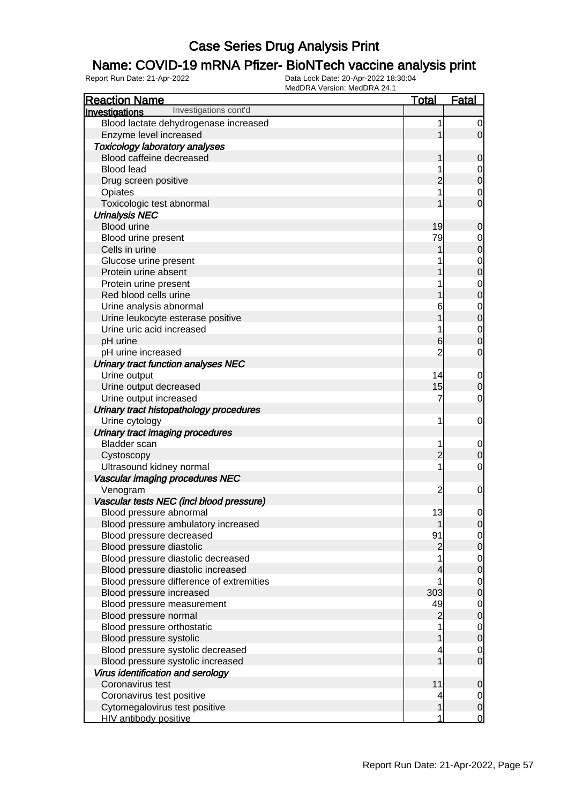### Name: COVID-19 mRNA Pfizer- BioNTech vaccine analysis print

| <b>Reaction Name</b>                                    | <b>Total</b>   | <b>Fatal</b>     |
|---------------------------------------------------------|----------------|------------------|
| Investigations cont'd<br><b>Investigations</b>          |                |                  |
| Blood lactate dehydrogenase increased                   | 1              | 0                |
| Enzyme level increased                                  |                | $\mathbf 0$      |
| <b>Toxicology laboratory analyses</b>                   |                |                  |
| Blood caffeine decreased                                |                | 0                |
| <b>Blood lead</b>                                       |                | 0                |
| Drug screen positive                                    | 2              | $\mathbf 0$      |
| Opiates                                                 |                | 0                |
| Toxicologic test abnormal                               |                | $\overline{0}$   |
| <b>Urinalysis NEC</b>                                   |                |                  |
| <b>Blood urine</b>                                      | 19             | $\mathbf 0$      |
| Blood urine present                                     | 79             | 0                |
| Cells in urine                                          |                | $\boldsymbol{0}$ |
| Glucose urine present                                   |                | $\mathbf 0$      |
| Protein urine absent                                    |                | $\mathbf 0$      |
| Protein urine present                                   |                | $\mathbf 0$      |
| Red blood cells urine                                   |                | $\mathbf 0$      |
| Urine analysis abnormal                                 | 6              | 0                |
| Urine leukocyte esterase positive                       |                | $\boldsymbol{0}$ |
| Urine uric acid increased                               |                | $\mathbf 0$      |
| pH urine                                                | 6              | $\mathbf 0$      |
| pH urine increased                                      | 2              | 0                |
| Urinary tract function analyses NEC                     |                |                  |
| Urine output                                            | 14             |                  |
|                                                         | 15             | $\mathbf 0$      |
| Urine output decreased                                  |                | $\boldsymbol{0}$ |
| Urine output increased                                  | 7              | 0                |
| Urinary tract histopathology procedures                 |                |                  |
| Urine cytology                                          | 1              | $\mathbf 0$      |
| Urinary tract imaging procedures<br><b>Bladder</b> scan |                |                  |
|                                                         | $\overline{2}$ | 0                |
| Cystoscopy                                              |                | $\boldsymbol{0}$ |
| Ultrasound kidney normal                                |                | 0                |
| Vascular imaging procedures NEC                         |                |                  |
| Venogram                                                | $\overline{c}$ | $\mathbf 0$      |
| Vascular tests NEC (incl blood pressure)                |                |                  |
| Blood pressure abnormal                                 | 13             | 0                |
| Blood pressure ambulatory increased                     |                | $\overline{0}$   |
| Blood pressure decreased                                | 91             | $\overline{0}$   |
| Blood pressure diastolic                                | 2              | $\boldsymbol{0}$ |
| Blood pressure diastolic decreased                      |                | $\mathbf 0$      |
| Blood pressure diastolic increased                      |                | $\boldsymbol{0}$ |
| Blood pressure difference of extremities                |                | $\mathbf 0$      |
| Blood pressure increased                                | 303            | $\mathbf 0$      |
| Blood pressure measurement                              | 49             | $\mathbf 0$      |
| Blood pressure normal                                   | 2              | $\boldsymbol{0}$ |
| Blood pressure orthostatic                              |                | $\overline{0}$   |
| Blood pressure systolic                                 |                | $\boldsymbol{0}$ |
| Blood pressure systolic decreased                       |                | 0                |
| Blood pressure systolic increased                       |                | $\overline{0}$   |
| Virus identification and serology                       |                |                  |
| Coronavirus test                                        | 11             | 0                |
| Coronavirus test positive                               |                | 0                |
| Cytomegalovirus test positive                           |                | $\mathbf 0$      |
| HIV antibody positive                                   |                | $\overline{0}$   |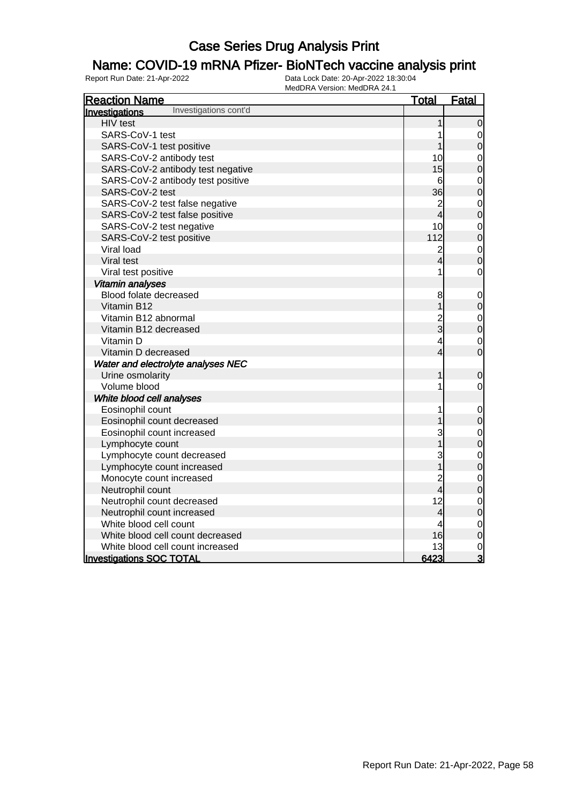### Name: COVID-19 mRNA Pfizer- BioNTech vaccine analysis print

| <b>Reaction Name</b>                    | <u>Total</u>   | <u>Fatal</u>                     |
|-----------------------------------------|----------------|----------------------------------|
| Investigations cont'd<br>Investigations |                |                                  |
| HIV test                                | 1              | $\overline{0}$                   |
| SARS-CoV-1 test                         |                | $\overline{O}$                   |
| SARS-CoV-1 test positive                | 1              | $\mathbf 0$                      |
| SARS-CoV-2 antibody test                | 10             | $\mathbf{0}$                     |
| SARS-CoV-2 antibody test negative       | 15             | $\overline{0}$                   |
| SARS-CoV-2 antibody test positive       | 6              | $\mathbf{0}$                     |
| SARS-CoV-2 test                         | 36             | $\overline{0}$                   |
| SARS-CoV-2 test false negative          | $\overline{c}$ | $\mathbf 0$                      |
| SARS-CoV-2 test false positive          | 4              | $\overline{0}$                   |
| SARS-CoV-2 test negative                | 10             |                                  |
| SARS-CoV-2 test positive                | 112            | $\begin{matrix}0\\0\end{matrix}$ |
| Viral load                              | $\overline{c}$ | $\overline{0}$                   |
| Viral test                              | 4              | $\overline{0}$                   |
| Viral test positive                     | 1              | $\overline{O}$                   |
| Vitamin analyses                        |                |                                  |
| Blood folate decreased                  | 8              | $\mathbf 0$                      |
| Vitamin B12                             |                | $\overline{O}$                   |
| Vitamin B12 abnormal                    |                | $\overline{0}$                   |
| Vitamin B12 decreased                   | 2<br>3         | $\overline{0}$                   |
| Vitamin D                               | 4              | $\mathbf 0$                      |
| Vitamin D decreased                     | 4              | $\overline{0}$                   |
| Water and electrolyte analyses NEC      |                |                                  |
| Urine osmolarity                        | 1              | $\overline{0}$                   |
| Volume blood                            | 1              | $\overline{0}$                   |
| White blood cell analyses               |                |                                  |
| Eosinophil count                        | 1              | $\mathbf 0$                      |
| Eosinophil count decreased              |                | $\overline{0}$                   |
| Eosinophil count increased              | 3              | $\overline{0}$                   |
| Lymphocyte count                        |                | $\mathbf 0$                      |
| Lymphocyte count decreased              | 3              |                                  |
| Lymphocyte count increased              |                | $\begin{matrix}0\\0\end{matrix}$ |
| Monocyte count increased                |                | $\mathbf{0}$                     |
| Neutrophil count                        | 2<br>4         | $\overline{0}$                   |
| Neutrophil count decreased              | 12             | $\mathbf{0}$                     |
| Neutrophil count increased              | 4              | $\overline{0}$                   |
| White blood cell count                  | 4              | $\mathbf{0}$                     |
| White blood cell count decreased        | 16             | $\overline{0}$                   |
| White blood cell count increased        | 13             | $\overline{0}$                   |
| <b>Investigations SOC TOTAL</b>         | 6423           | $\overline{3}$                   |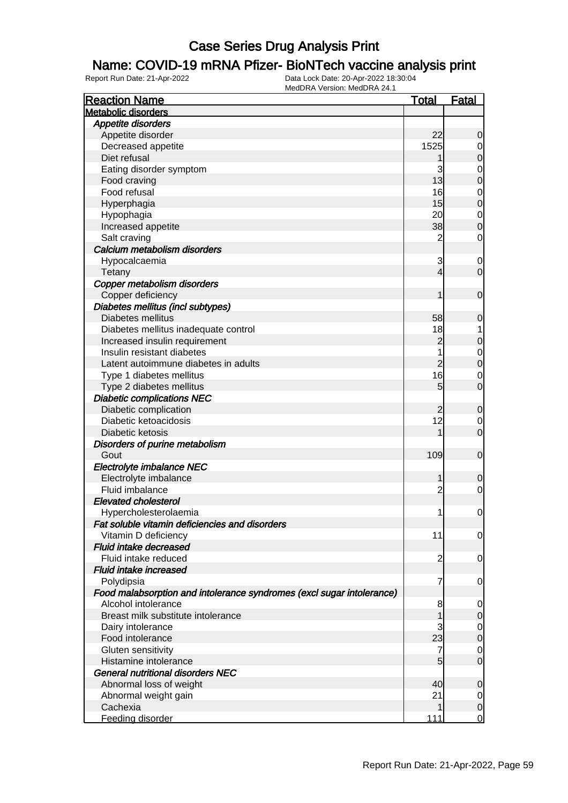### Name: COVID-19 mRNA Pfizer- BioNTech vaccine analysis print

| <b>Reaction Name</b>                                                  | <b>Total</b>   | <b>Fatal</b>     |
|-----------------------------------------------------------------------|----------------|------------------|
| <b>Metabolic disorders</b>                                            |                |                  |
| <b>Appetite disorders</b>                                             |                |                  |
| Appetite disorder                                                     | 22             | $\mathbf 0$      |
| Decreased appetite                                                    | 1525           | 0                |
| Diet refusal                                                          |                | $\mathbf 0$      |
| Eating disorder symptom                                               | 3              | $\mathbf 0$      |
| Food craving                                                          | 13             | $\mathbf 0$      |
| Food refusal                                                          | 16             | $\mathbf 0$      |
| Hyperphagia                                                           | 15             | $\mathbf 0$      |
| Hypophagia                                                            | 20             | $\mathbf 0$      |
| Increased appetite                                                    | 38             | $\boldsymbol{0}$ |
| Salt craving                                                          | $\overline{c}$ | $\mathbf 0$      |
| Calcium metabolism disorders                                          |                |                  |
| Hypocalcaemia                                                         | 3              | $\mathbf 0$      |
| Tetany                                                                | $\overline{4}$ | $\mathbf 0$      |
| Copper metabolism disorders                                           |                |                  |
| Copper deficiency                                                     | 1              | $\mathbf 0$      |
|                                                                       |                |                  |
| Diabetes mellitus (incl subtypes)                                     |                |                  |
| Diabetes mellitus                                                     | 58             | $\mathbf 0$      |
| Diabetes mellitus inadequate control                                  | 18             | 1                |
| Increased insulin requirement                                         | $\overline{c}$ | $\pmb{0}$        |
| Insulin resistant diabetes                                            |                | $\mathbf 0$      |
| Latent autoimmune diabetes in adults                                  | $\overline{c}$ | $\mathbf 0$      |
| Type 1 diabetes mellitus                                              | 16             | $\mathbf 0$      |
| Type 2 diabetes mellitus                                              | 5              | $\mathbf 0$      |
| <b>Diabetic complications NEC</b>                                     |                |                  |
| Diabetic complication                                                 | $\overline{c}$ | $\mathbf 0$      |
| Diabetic ketoacidosis                                                 | 12             | $\mathbf 0$      |
| Diabetic ketosis                                                      |                | $\mathbf 0$      |
| Disorders of purine metabolism                                        |                |                  |
| Gout                                                                  | 109            | $\mathbf 0$      |
| Electrolyte imbalance NEC                                             |                |                  |
| Electrolyte imbalance                                                 | 1              | $\mathbf 0$      |
| Fluid imbalance                                                       | $\overline{c}$ | $\mathbf 0$      |
| <b>Elevated cholesterol</b>                                           |                |                  |
| Hypercholesterolaemia                                                 | 1              | 0                |
| Fat soluble vitamin deficiencies and disorders                        |                |                  |
| Vitamin D deficiency                                                  | 11             | $\overline{0}$   |
| Fluid intake decreased                                                |                |                  |
| Fluid intake reduced                                                  | $\overline{c}$ | 0                |
| <b>Fluid intake increased</b>                                         |                |                  |
| Polydipsia                                                            | 7              | 0                |
| Food malabsorption and intolerance syndromes (excl sugar intolerance) |                |                  |
| Alcohol intolerance                                                   | 8              | $\mathbf 0$      |
| Breast milk substitute intolerance                                    |                | $\boldsymbol{0}$ |
| Dairy intolerance                                                     | 3              | $\overline{0}$   |
| Food intolerance                                                      | 23             | $\boldsymbol{0}$ |
| Gluten sensitivity                                                    | $\overline{7}$ | $\mathbf 0$      |
| Histamine intolerance                                                 | 5              | $\mathbf 0$      |
| <b>General nutritional disorders NEC</b>                              |                |                  |
| Abnormal loss of weight                                               | 40             | $\mathbf 0$      |
| Abnormal weight gain                                                  | 21             | $\overline{0}$   |
| Cachexia                                                              | 1              | $\mathbf 0$      |
| Feeding disorder                                                      | 111            | $\overline{0}$   |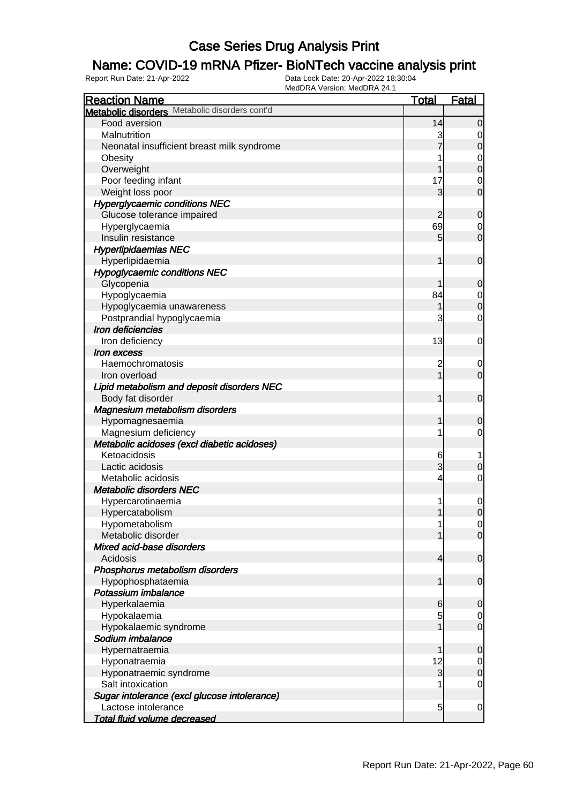### Name: COVID-19 mRNA Pfizer- BioNTech vaccine analysis print

| <b>Reaction Name</b>                           | <u>Total</u>   | <b>Fatal</b>   |
|------------------------------------------------|----------------|----------------|
| Metabolic disorders Metabolic disorders cont'd |                |                |
| Food aversion                                  | 14             | $\overline{0}$ |
| Malnutrition                                   |                | 0              |
| Neonatal insufficient breast milk syndrome     |                | $\mathbf 0$    |
| Obesity                                        |                | 0              |
| Overweight                                     |                | $\mathbf 0$    |
| Poor feeding infant                            | 17             | 0              |
| Weight loss poor                               | 3              | $\overline{0}$ |
| <b>Hyperglycaemic conditions NEC</b>           |                |                |
| Glucose tolerance impaired                     | $\overline{c}$ | $\mathbf 0$    |
| Hyperglycaemia                                 | 69             | 0              |
| Insulin resistance                             | 5              | $\overline{0}$ |
| <b>Hyperlipidaemias NEC</b>                    |                |                |
| Hyperlipidaemia                                | 1              | $\mathbf 0$    |
| <b>Hypoglycaemic conditions NEC</b>            |                |                |
| Glycopenia                                     |                | $\mathbf 0$    |
| Hypoglycaemia                                  | 84             | 0              |
| Hypoglycaemia unawareness                      |                | $\mathbf 0$    |
| Postprandial hypoglycaemia                     | 3              | 0              |
| Iron deficiencies                              |                |                |
| Iron deficiency                                | 13             | 0              |
| <i><b>Iron excess</b></i>                      |                |                |
| Haemochromatosis                               | $\overline{c}$ | 0              |
| Iron overload                                  |                | $\overline{0}$ |
| Lipid metabolism and deposit disorders NEC     |                |                |
| Body fat disorder                              |                | $\mathbf 0$    |
| Magnesium metabolism disorders                 |                |                |
| Hypomagnesaemia                                |                | $\mathbf 0$    |
| Magnesium deficiency                           |                | 0              |
| Metabolic acidoses (excl diabetic acidoses)    |                |                |
| Ketoacidosis                                   | 6              |                |
| Lactic acidosis                                | 3              | $\mathbf 0$    |
| Metabolic acidosis                             | 4              | 0              |
| <b>Metabolic disorders NEC</b>                 |                |                |
| Hypercarotinaemia                              |                | $\mathbf 0$    |
| Hypercatabolism                                | 1              | $\mathbf 0$    |
| Hypometabolism                                 |                | $\overline{0}$ |
| Metabolic disorder                             |                | $\overline{0}$ |
| Mixed acid-base disorders                      |                |                |
| Acidosis                                       | 4              | $\mathbf 0$    |
| Phosphorus metabolism disorders                |                |                |
| Hypophosphataemia                              | 1              | $\mathbf 0$    |
| Potassium imbalance                            |                |                |
| Hyperkalaemia                                  | 6              | $\mathbf 0$    |
| Hypokalaemia                                   | 5              | 0              |
| Hypokalaemic syndrome                          |                | $\overline{0}$ |
| Sodium imbalance                               |                |                |
| Hypernatraemia                                 |                | $\mathbf 0$    |
| Hyponatraemia                                  | 12             | 0              |
| Hyponatraemic syndrome                         | 3              | $\mathbf 0$    |
| Salt intoxication                              |                | 0              |
| Sugar intolerance (excl glucose intolerance)   |                |                |
| Lactose intolerance                            | 5              | $\mathbf 0$    |
| <u>Total fluid volume decreased</u>            |                |                |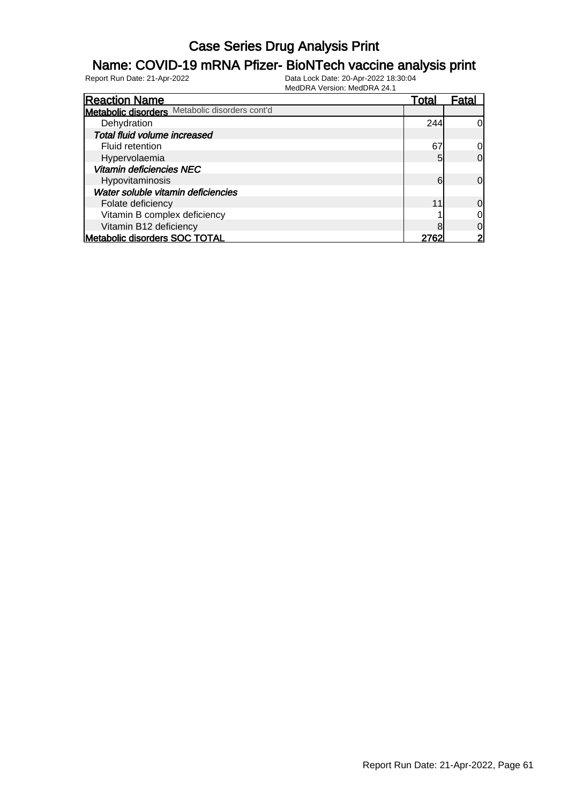#### Name: COVID-19 mRNA Pfizer- BioNTech vaccine analysis print

| <b>Reaction Name</b>                           | <u>Total</u> | Fatal          |
|------------------------------------------------|--------------|----------------|
| Metabolic disorders Metabolic disorders cont'd |              |                |
| Dehydration                                    | 244          | 0l             |
| Total fluid volume increased                   |              |                |
| <b>Fluid retention</b>                         | 67           | 0l             |
| Hypervolaemia                                  | 5            | $\overline{0}$ |
| Vitamin deficiencies NEC                       |              |                |
| Hypovitaminosis                                | 6            | $\Omega$       |
| Water soluble vitamin deficiencies             |              |                |
| Folate deficiency                              | 11           | $\overline{0}$ |
| Vitamin B complex deficiency                   |              | $\overline{0}$ |
| Vitamin B12 deficiency                         |              | $\overline{0}$ |
| <b>Metabolic disorders SOC TOTAL</b>           | 2762         | $\overline{2}$ |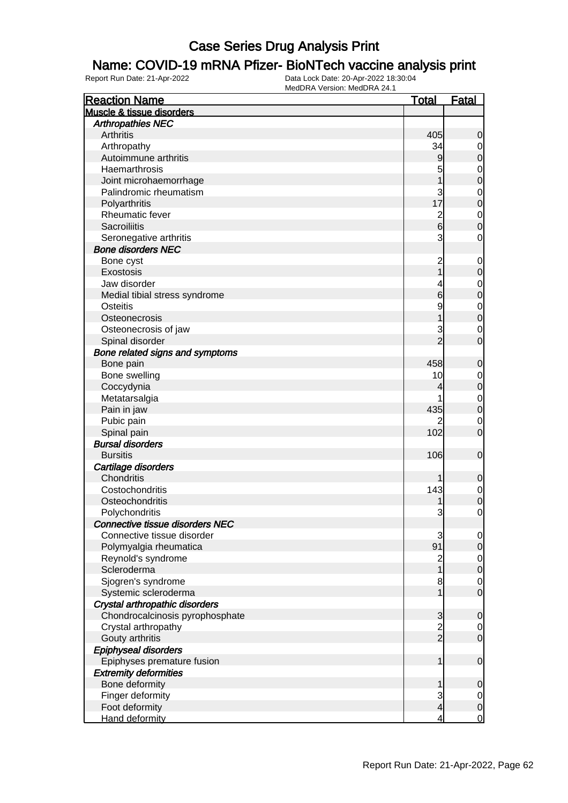#### Name: COVID-19 mRNA Pfizer- BioNTech vaccine analysis print

| <b>Reaction Name</b>            | <b>Total</b>                          | <b>Fatal</b>     |
|---------------------------------|---------------------------------------|------------------|
| Muscle & tissue disorders       |                                       |                  |
| <b>Arthropathies NEC</b>        |                                       |                  |
| <b>Arthritis</b>                | 405                                   | 0                |
| Arthropathy                     | 34                                    | $\overline{0}$   |
| Autoimmune arthritis            | 9                                     | $\boldsymbol{0}$ |
| Haemarthrosis                   | 5                                     | $\mathbf 0$      |
| Joint microhaemorrhage          |                                       | $\mathbf 0$      |
| Palindromic rheumatism          | 3                                     | $\mathbf 0$      |
| Polyarthritis                   | 17                                    | $\mathbf 0$      |
| <b>Rheumatic fever</b>          |                                       | $\mathbf 0$      |
| <b>Sacroiliitis</b>             | $\frac{2}{6}$                         | $\mathbf{0}$     |
| Seronegative arthritis          | 3                                     | 0                |
| <b>Bone disorders NEC</b>       |                                       |                  |
| Bone cyst                       | $\overline{c}$                        | $\mathbf 0$      |
| Exostosis                       |                                       | $\boldsymbol{0}$ |
| Jaw disorder                    |                                       | $\mathbf 0$      |
| Medial tibial stress syndrome   | 6                                     | $\mathbf 0$      |
| Osteitis                        | 9                                     | $\mathbf 0$      |
| Osteonecrosis                   |                                       | $\mathbf 0$      |
| Osteonecrosis of jaw            | 3                                     | $\mathbf 0$      |
| Spinal disorder                 | $\overline{2}$                        | $\overline{0}$   |
|                                 |                                       |                  |
| Bone related signs and symptoms | 458                                   |                  |
| Bone pain                       | 10                                    | $\mathbf 0$      |
| Bone swelling                   |                                       | $\mathbf 0$      |
| Coccydynia                      | 4                                     | $\boldsymbol{0}$ |
| Metatarsalgia                   |                                       | $\mathbf 0$      |
| Pain in jaw                     | 435                                   | $\boldsymbol{0}$ |
| Pubic pain                      | 2                                     | $\mathbf 0$      |
| Spinal pain                     | 102                                   | $\overline{0}$   |
| <b>Bursal disorders</b>         |                                       |                  |
| <b>Bursitis</b>                 | 106                                   | $\mathbf 0$      |
| Cartilage disorders             |                                       |                  |
| Chondritis                      |                                       | $\mathbf 0$      |
| Costochondritis                 | 143                                   | $\mathbf 0$      |
| Osteochondritis                 |                                       | $\mathbf 0$      |
| Polychondritis                  | 3                                     | $\mathbf 0$      |
| Connective tissue disorders NEC |                                       |                  |
| Connective tissue disorder      | 3                                     | $\overline{0}$   |
| Polymyalgia rheumatica          | 91                                    | $\mathbf 0$      |
| Reynold's syndrome              | $\begin{array}{c} 2 \\ 1 \end{array}$ | $\overline{0}$   |
| Scleroderma                     |                                       | $\boldsymbol{0}$ |
| Sjogren's syndrome              | 8                                     | $\mathbf 0$      |
| Systemic scleroderma            | 1                                     | $\mathbf 0$      |
| Crystal arthropathic disorders  |                                       |                  |
| Chondrocalcinosis pyrophosphate | 3                                     | $\mathbf 0$      |
| Crystal arthropathy             | $\frac{2}{2}$                         | $\overline{0}$   |
| Gouty arthritis                 |                                       | $\mathbf 0$      |
| Epiphyseal disorders            |                                       |                  |
| Epiphyses premature fusion      | 1                                     | $\mathbf 0$      |
| <b>Extremity deformities</b>    |                                       |                  |
| Bone deformity                  | 1                                     | 0                |
| Finger deformity                | 3                                     | $\overline{0}$   |
| Foot deformity                  | $\overline{\mathcal{L}}$              | $\mathbf 0$      |
| <b>Hand deformity</b>           | 4                                     | $\overline{0}$   |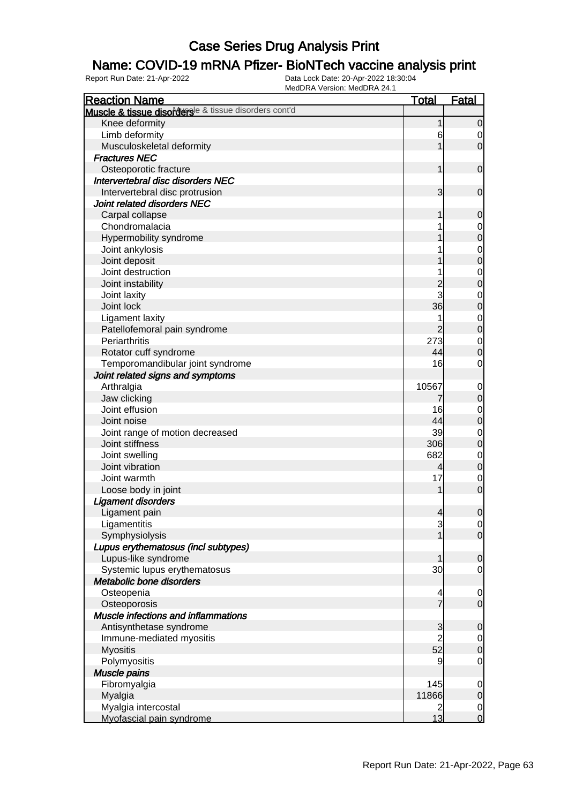### Name: COVID-19 mRNA Pfizer- BioNTech vaccine analysis print

| Muscle & tissue disordersle & tissue disorders cont'd<br>Knee deformity<br>1<br>$\overline{0}$<br>Limb deformity<br>6<br>0<br>$\overline{0}$<br>Musculoskeletal deformity<br><b>Fractures NEC</b><br>Osteoporotic fracture<br>1<br>$\mathbf 0$<br>Intervertebral disc disorders NEC<br>Intervertebral disc protrusion<br>3<br>$\mathbf 0$<br>Joint related disorders NEC<br>Carpal collapse<br>$\mathbf 0$<br>Chondromalacia<br>$\mathbf 0$<br>$\boldsymbol{0}$<br>Hypermobility syndrome<br>Joint ankylosis<br>$\mathbf 0$<br>$\mathbf 0$<br>Joint deposit<br>Joint destruction<br>$\mathbf 0$<br>$\boldsymbol{0}$<br>Joint instability<br>$\overline{c}$<br>3<br>Joint laxity<br>$\mathbf 0$<br>36<br>Joint lock<br>$\boldsymbol{0}$<br><b>Ligament laxity</b><br>$\mathbf 0$<br>$\overline{2}$<br>$\mathbf 0$<br>Patellofemoral pain syndrome<br>Periarthritis<br>273<br>$\mathbf 0$<br>$\mathbf 0$<br>Rotator cuff syndrome<br>44<br>16<br>Temporomandibular joint syndrome<br>0<br>Joint related signs and symptoms<br>10567<br>Arthralgia<br>$\mathbf 0$<br>$\boldsymbol{0}$<br>Jaw clicking<br>7<br>Joint effusion<br>16<br>$\mathbf 0$<br>$\boldsymbol{0}$<br>44<br>Joint noise<br>39<br>Joint range of motion decreased<br>$\mathbf 0$<br>306<br>$\boldsymbol{0}$<br>Joint stiffness<br>Joint swelling<br>682<br>$\mathbf 0$<br>$\boldsymbol{0}$<br>Joint vibration<br>4<br>17<br>Joint warmth<br>0<br>$\mathbf 0$<br>Loose body in joint<br>1<br><b>Ligament disorders</b><br>$\mathbf 0$<br>Ligament pain<br>$\overline{4}$<br>Ligamentitis<br>3<br>$\overline{0}$<br>$\overline{O}$<br>Symphysiolysis<br>Lupus erythematosus (incl subtypes)<br>Lupus-like syndrome<br>$\mathbf 0$<br>Systemic lupus erythematosus<br>30<br>$\mathbf 0$<br>Metabolic bone disorders<br>Osteopenia<br>$\mathbf 0$<br>4<br>$\overline{7}$<br>$\mathbf 0$<br>Osteoporosis<br>Muscle infections and inflammations<br>3<br>Antisynthetase syndrome<br>$\mathbf 0$<br>$\overline{c}$<br>Immune-mediated myositis<br>$\overline{0}$<br>52<br>$\mathbf 0$<br><b>Myositis</b><br>9<br>Polymyositis<br>$\mathbf 0$<br><b>Muscle pains</b><br>Fibromyalgia<br>145<br>$\mathbf 0$<br>11866<br>$\mathbf 0$<br>Myalgia<br>Myalgia intercostal<br>2<br>$\overline{0}$ | <b>Reaction Name</b>     | Total | <b>Fatal</b>   |
|----------------------------------------------------------------------------------------------------------------------------------------------------------------------------------------------------------------------------------------------------------------------------------------------------------------------------------------------------------------------------------------------------------------------------------------------------------------------------------------------------------------------------------------------------------------------------------------------------------------------------------------------------------------------------------------------------------------------------------------------------------------------------------------------------------------------------------------------------------------------------------------------------------------------------------------------------------------------------------------------------------------------------------------------------------------------------------------------------------------------------------------------------------------------------------------------------------------------------------------------------------------------------------------------------------------------------------------------------------------------------------------------------------------------------------------------------------------------------------------------------------------------------------------------------------------------------------------------------------------------------------------------------------------------------------------------------------------------------------------------------------------------------------------------------------------------------------------------------------------------------------------------------------------------------------------------------------------------------------------------------------------------------------------------------------------------------------------------------------------------------------------------------------------------------------------------------------------------------------------------------|--------------------------|-------|----------------|
|                                                                                                                                                                                                                                                                                                                                                                                                                                                                                                                                                                                                                                                                                                                                                                                                                                                                                                                                                                                                                                                                                                                                                                                                                                                                                                                                                                                                                                                                                                                                                                                                                                                                                                                                                                                                                                                                                                                                                                                                                                                                                                                                                                                                                                                    |                          |       |                |
|                                                                                                                                                                                                                                                                                                                                                                                                                                                                                                                                                                                                                                                                                                                                                                                                                                                                                                                                                                                                                                                                                                                                                                                                                                                                                                                                                                                                                                                                                                                                                                                                                                                                                                                                                                                                                                                                                                                                                                                                                                                                                                                                                                                                                                                    |                          |       |                |
|                                                                                                                                                                                                                                                                                                                                                                                                                                                                                                                                                                                                                                                                                                                                                                                                                                                                                                                                                                                                                                                                                                                                                                                                                                                                                                                                                                                                                                                                                                                                                                                                                                                                                                                                                                                                                                                                                                                                                                                                                                                                                                                                                                                                                                                    |                          |       |                |
|                                                                                                                                                                                                                                                                                                                                                                                                                                                                                                                                                                                                                                                                                                                                                                                                                                                                                                                                                                                                                                                                                                                                                                                                                                                                                                                                                                                                                                                                                                                                                                                                                                                                                                                                                                                                                                                                                                                                                                                                                                                                                                                                                                                                                                                    |                          |       |                |
|                                                                                                                                                                                                                                                                                                                                                                                                                                                                                                                                                                                                                                                                                                                                                                                                                                                                                                                                                                                                                                                                                                                                                                                                                                                                                                                                                                                                                                                                                                                                                                                                                                                                                                                                                                                                                                                                                                                                                                                                                                                                                                                                                                                                                                                    |                          |       |                |
|                                                                                                                                                                                                                                                                                                                                                                                                                                                                                                                                                                                                                                                                                                                                                                                                                                                                                                                                                                                                                                                                                                                                                                                                                                                                                                                                                                                                                                                                                                                                                                                                                                                                                                                                                                                                                                                                                                                                                                                                                                                                                                                                                                                                                                                    |                          |       |                |
|                                                                                                                                                                                                                                                                                                                                                                                                                                                                                                                                                                                                                                                                                                                                                                                                                                                                                                                                                                                                                                                                                                                                                                                                                                                                                                                                                                                                                                                                                                                                                                                                                                                                                                                                                                                                                                                                                                                                                                                                                                                                                                                                                                                                                                                    |                          |       |                |
|                                                                                                                                                                                                                                                                                                                                                                                                                                                                                                                                                                                                                                                                                                                                                                                                                                                                                                                                                                                                                                                                                                                                                                                                                                                                                                                                                                                                                                                                                                                                                                                                                                                                                                                                                                                                                                                                                                                                                                                                                                                                                                                                                                                                                                                    |                          |       |                |
|                                                                                                                                                                                                                                                                                                                                                                                                                                                                                                                                                                                                                                                                                                                                                                                                                                                                                                                                                                                                                                                                                                                                                                                                                                                                                                                                                                                                                                                                                                                                                                                                                                                                                                                                                                                                                                                                                                                                                                                                                                                                                                                                                                                                                                                    |                          |       |                |
|                                                                                                                                                                                                                                                                                                                                                                                                                                                                                                                                                                                                                                                                                                                                                                                                                                                                                                                                                                                                                                                                                                                                                                                                                                                                                                                                                                                                                                                                                                                                                                                                                                                                                                                                                                                                                                                                                                                                                                                                                                                                                                                                                                                                                                                    |                          |       |                |
|                                                                                                                                                                                                                                                                                                                                                                                                                                                                                                                                                                                                                                                                                                                                                                                                                                                                                                                                                                                                                                                                                                                                                                                                                                                                                                                                                                                                                                                                                                                                                                                                                                                                                                                                                                                                                                                                                                                                                                                                                                                                                                                                                                                                                                                    |                          |       |                |
|                                                                                                                                                                                                                                                                                                                                                                                                                                                                                                                                                                                                                                                                                                                                                                                                                                                                                                                                                                                                                                                                                                                                                                                                                                                                                                                                                                                                                                                                                                                                                                                                                                                                                                                                                                                                                                                                                                                                                                                                                                                                                                                                                                                                                                                    |                          |       |                |
|                                                                                                                                                                                                                                                                                                                                                                                                                                                                                                                                                                                                                                                                                                                                                                                                                                                                                                                                                                                                                                                                                                                                                                                                                                                                                                                                                                                                                                                                                                                                                                                                                                                                                                                                                                                                                                                                                                                                                                                                                                                                                                                                                                                                                                                    |                          |       |                |
|                                                                                                                                                                                                                                                                                                                                                                                                                                                                                                                                                                                                                                                                                                                                                                                                                                                                                                                                                                                                                                                                                                                                                                                                                                                                                                                                                                                                                                                                                                                                                                                                                                                                                                                                                                                                                                                                                                                                                                                                                                                                                                                                                                                                                                                    |                          |       |                |
|                                                                                                                                                                                                                                                                                                                                                                                                                                                                                                                                                                                                                                                                                                                                                                                                                                                                                                                                                                                                                                                                                                                                                                                                                                                                                                                                                                                                                                                                                                                                                                                                                                                                                                                                                                                                                                                                                                                                                                                                                                                                                                                                                                                                                                                    |                          |       |                |
|                                                                                                                                                                                                                                                                                                                                                                                                                                                                                                                                                                                                                                                                                                                                                                                                                                                                                                                                                                                                                                                                                                                                                                                                                                                                                                                                                                                                                                                                                                                                                                                                                                                                                                                                                                                                                                                                                                                                                                                                                                                                                                                                                                                                                                                    |                          |       |                |
|                                                                                                                                                                                                                                                                                                                                                                                                                                                                                                                                                                                                                                                                                                                                                                                                                                                                                                                                                                                                                                                                                                                                                                                                                                                                                                                                                                                                                                                                                                                                                                                                                                                                                                                                                                                                                                                                                                                                                                                                                                                                                                                                                                                                                                                    |                          |       |                |
|                                                                                                                                                                                                                                                                                                                                                                                                                                                                                                                                                                                                                                                                                                                                                                                                                                                                                                                                                                                                                                                                                                                                                                                                                                                                                                                                                                                                                                                                                                                                                                                                                                                                                                                                                                                                                                                                                                                                                                                                                                                                                                                                                                                                                                                    |                          |       |                |
|                                                                                                                                                                                                                                                                                                                                                                                                                                                                                                                                                                                                                                                                                                                                                                                                                                                                                                                                                                                                                                                                                                                                                                                                                                                                                                                                                                                                                                                                                                                                                                                                                                                                                                                                                                                                                                                                                                                                                                                                                                                                                                                                                                                                                                                    |                          |       |                |
|                                                                                                                                                                                                                                                                                                                                                                                                                                                                                                                                                                                                                                                                                                                                                                                                                                                                                                                                                                                                                                                                                                                                                                                                                                                                                                                                                                                                                                                                                                                                                                                                                                                                                                                                                                                                                                                                                                                                                                                                                                                                                                                                                                                                                                                    |                          |       |                |
|                                                                                                                                                                                                                                                                                                                                                                                                                                                                                                                                                                                                                                                                                                                                                                                                                                                                                                                                                                                                                                                                                                                                                                                                                                                                                                                                                                                                                                                                                                                                                                                                                                                                                                                                                                                                                                                                                                                                                                                                                                                                                                                                                                                                                                                    |                          |       |                |
|                                                                                                                                                                                                                                                                                                                                                                                                                                                                                                                                                                                                                                                                                                                                                                                                                                                                                                                                                                                                                                                                                                                                                                                                                                                                                                                                                                                                                                                                                                                                                                                                                                                                                                                                                                                                                                                                                                                                                                                                                                                                                                                                                                                                                                                    |                          |       |                |
|                                                                                                                                                                                                                                                                                                                                                                                                                                                                                                                                                                                                                                                                                                                                                                                                                                                                                                                                                                                                                                                                                                                                                                                                                                                                                                                                                                                                                                                                                                                                                                                                                                                                                                                                                                                                                                                                                                                                                                                                                                                                                                                                                                                                                                                    |                          |       |                |
|                                                                                                                                                                                                                                                                                                                                                                                                                                                                                                                                                                                                                                                                                                                                                                                                                                                                                                                                                                                                                                                                                                                                                                                                                                                                                                                                                                                                                                                                                                                                                                                                                                                                                                                                                                                                                                                                                                                                                                                                                                                                                                                                                                                                                                                    |                          |       |                |
|                                                                                                                                                                                                                                                                                                                                                                                                                                                                                                                                                                                                                                                                                                                                                                                                                                                                                                                                                                                                                                                                                                                                                                                                                                                                                                                                                                                                                                                                                                                                                                                                                                                                                                                                                                                                                                                                                                                                                                                                                                                                                                                                                                                                                                                    |                          |       |                |
|                                                                                                                                                                                                                                                                                                                                                                                                                                                                                                                                                                                                                                                                                                                                                                                                                                                                                                                                                                                                                                                                                                                                                                                                                                                                                                                                                                                                                                                                                                                                                                                                                                                                                                                                                                                                                                                                                                                                                                                                                                                                                                                                                                                                                                                    |                          |       |                |
|                                                                                                                                                                                                                                                                                                                                                                                                                                                                                                                                                                                                                                                                                                                                                                                                                                                                                                                                                                                                                                                                                                                                                                                                                                                                                                                                                                                                                                                                                                                                                                                                                                                                                                                                                                                                                                                                                                                                                                                                                                                                                                                                                                                                                                                    |                          |       |                |
|                                                                                                                                                                                                                                                                                                                                                                                                                                                                                                                                                                                                                                                                                                                                                                                                                                                                                                                                                                                                                                                                                                                                                                                                                                                                                                                                                                                                                                                                                                                                                                                                                                                                                                                                                                                                                                                                                                                                                                                                                                                                                                                                                                                                                                                    |                          |       |                |
|                                                                                                                                                                                                                                                                                                                                                                                                                                                                                                                                                                                                                                                                                                                                                                                                                                                                                                                                                                                                                                                                                                                                                                                                                                                                                                                                                                                                                                                                                                                                                                                                                                                                                                                                                                                                                                                                                                                                                                                                                                                                                                                                                                                                                                                    |                          |       |                |
|                                                                                                                                                                                                                                                                                                                                                                                                                                                                                                                                                                                                                                                                                                                                                                                                                                                                                                                                                                                                                                                                                                                                                                                                                                                                                                                                                                                                                                                                                                                                                                                                                                                                                                                                                                                                                                                                                                                                                                                                                                                                                                                                                                                                                                                    |                          |       |                |
|                                                                                                                                                                                                                                                                                                                                                                                                                                                                                                                                                                                                                                                                                                                                                                                                                                                                                                                                                                                                                                                                                                                                                                                                                                                                                                                                                                                                                                                                                                                                                                                                                                                                                                                                                                                                                                                                                                                                                                                                                                                                                                                                                                                                                                                    |                          |       |                |
|                                                                                                                                                                                                                                                                                                                                                                                                                                                                                                                                                                                                                                                                                                                                                                                                                                                                                                                                                                                                                                                                                                                                                                                                                                                                                                                                                                                                                                                                                                                                                                                                                                                                                                                                                                                                                                                                                                                                                                                                                                                                                                                                                                                                                                                    |                          |       |                |
|                                                                                                                                                                                                                                                                                                                                                                                                                                                                                                                                                                                                                                                                                                                                                                                                                                                                                                                                                                                                                                                                                                                                                                                                                                                                                                                                                                                                                                                                                                                                                                                                                                                                                                                                                                                                                                                                                                                                                                                                                                                                                                                                                                                                                                                    |                          |       |                |
|                                                                                                                                                                                                                                                                                                                                                                                                                                                                                                                                                                                                                                                                                                                                                                                                                                                                                                                                                                                                                                                                                                                                                                                                                                                                                                                                                                                                                                                                                                                                                                                                                                                                                                                                                                                                                                                                                                                                                                                                                                                                                                                                                                                                                                                    |                          |       |                |
|                                                                                                                                                                                                                                                                                                                                                                                                                                                                                                                                                                                                                                                                                                                                                                                                                                                                                                                                                                                                                                                                                                                                                                                                                                                                                                                                                                                                                                                                                                                                                                                                                                                                                                                                                                                                                                                                                                                                                                                                                                                                                                                                                                                                                                                    |                          |       |                |
|                                                                                                                                                                                                                                                                                                                                                                                                                                                                                                                                                                                                                                                                                                                                                                                                                                                                                                                                                                                                                                                                                                                                                                                                                                                                                                                                                                                                                                                                                                                                                                                                                                                                                                                                                                                                                                                                                                                                                                                                                                                                                                                                                                                                                                                    |                          |       |                |
|                                                                                                                                                                                                                                                                                                                                                                                                                                                                                                                                                                                                                                                                                                                                                                                                                                                                                                                                                                                                                                                                                                                                                                                                                                                                                                                                                                                                                                                                                                                                                                                                                                                                                                                                                                                                                                                                                                                                                                                                                                                                                                                                                                                                                                                    |                          |       |                |
|                                                                                                                                                                                                                                                                                                                                                                                                                                                                                                                                                                                                                                                                                                                                                                                                                                                                                                                                                                                                                                                                                                                                                                                                                                                                                                                                                                                                                                                                                                                                                                                                                                                                                                                                                                                                                                                                                                                                                                                                                                                                                                                                                                                                                                                    |                          |       |                |
|                                                                                                                                                                                                                                                                                                                                                                                                                                                                                                                                                                                                                                                                                                                                                                                                                                                                                                                                                                                                                                                                                                                                                                                                                                                                                                                                                                                                                                                                                                                                                                                                                                                                                                                                                                                                                                                                                                                                                                                                                                                                                                                                                                                                                                                    |                          |       |                |
|                                                                                                                                                                                                                                                                                                                                                                                                                                                                                                                                                                                                                                                                                                                                                                                                                                                                                                                                                                                                                                                                                                                                                                                                                                                                                                                                                                                                                                                                                                                                                                                                                                                                                                                                                                                                                                                                                                                                                                                                                                                                                                                                                                                                                                                    |                          |       |                |
|                                                                                                                                                                                                                                                                                                                                                                                                                                                                                                                                                                                                                                                                                                                                                                                                                                                                                                                                                                                                                                                                                                                                                                                                                                                                                                                                                                                                                                                                                                                                                                                                                                                                                                                                                                                                                                                                                                                                                                                                                                                                                                                                                                                                                                                    |                          |       |                |
|                                                                                                                                                                                                                                                                                                                                                                                                                                                                                                                                                                                                                                                                                                                                                                                                                                                                                                                                                                                                                                                                                                                                                                                                                                                                                                                                                                                                                                                                                                                                                                                                                                                                                                                                                                                                                                                                                                                                                                                                                                                                                                                                                                                                                                                    |                          |       |                |
|                                                                                                                                                                                                                                                                                                                                                                                                                                                                                                                                                                                                                                                                                                                                                                                                                                                                                                                                                                                                                                                                                                                                                                                                                                                                                                                                                                                                                                                                                                                                                                                                                                                                                                                                                                                                                                                                                                                                                                                                                                                                                                                                                                                                                                                    |                          |       |                |
|                                                                                                                                                                                                                                                                                                                                                                                                                                                                                                                                                                                                                                                                                                                                                                                                                                                                                                                                                                                                                                                                                                                                                                                                                                                                                                                                                                                                                                                                                                                                                                                                                                                                                                                                                                                                                                                                                                                                                                                                                                                                                                                                                                                                                                                    |                          |       |                |
|                                                                                                                                                                                                                                                                                                                                                                                                                                                                                                                                                                                                                                                                                                                                                                                                                                                                                                                                                                                                                                                                                                                                                                                                                                                                                                                                                                                                                                                                                                                                                                                                                                                                                                                                                                                                                                                                                                                                                                                                                                                                                                                                                                                                                                                    |                          |       |                |
|                                                                                                                                                                                                                                                                                                                                                                                                                                                                                                                                                                                                                                                                                                                                                                                                                                                                                                                                                                                                                                                                                                                                                                                                                                                                                                                                                                                                                                                                                                                                                                                                                                                                                                                                                                                                                                                                                                                                                                                                                                                                                                                                                                                                                                                    |                          |       |                |
|                                                                                                                                                                                                                                                                                                                                                                                                                                                                                                                                                                                                                                                                                                                                                                                                                                                                                                                                                                                                                                                                                                                                                                                                                                                                                                                                                                                                                                                                                                                                                                                                                                                                                                                                                                                                                                                                                                                                                                                                                                                                                                                                                                                                                                                    |                          |       |                |
|                                                                                                                                                                                                                                                                                                                                                                                                                                                                                                                                                                                                                                                                                                                                                                                                                                                                                                                                                                                                                                                                                                                                                                                                                                                                                                                                                                                                                                                                                                                                                                                                                                                                                                                                                                                                                                                                                                                                                                                                                                                                                                                                                                                                                                                    |                          |       |                |
|                                                                                                                                                                                                                                                                                                                                                                                                                                                                                                                                                                                                                                                                                                                                                                                                                                                                                                                                                                                                                                                                                                                                                                                                                                                                                                                                                                                                                                                                                                                                                                                                                                                                                                                                                                                                                                                                                                                                                                                                                                                                                                                                                                                                                                                    |                          |       |                |
|                                                                                                                                                                                                                                                                                                                                                                                                                                                                                                                                                                                                                                                                                                                                                                                                                                                                                                                                                                                                                                                                                                                                                                                                                                                                                                                                                                                                                                                                                                                                                                                                                                                                                                                                                                                                                                                                                                                                                                                                                                                                                                                                                                                                                                                    |                          |       |                |
|                                                                                                                                                                                                                                                                                                                                                                                                                                                                                                                                                                                                                                                                                                                                                                                                                                                                                                                                                                                                                                                                                                                                                                                                                                                                                                                                                                                                                                                                                                                                                                                                                                                                                                                                                                                                                                                                                                                                                                                                                                                                                                                                                                                                                                                    |                          |       |                |
|                                                                                                                                                                                                                                                                                                                                                                                                                                                                                                                                                                                                                                                                                                                                                                                                                                                                                                                                                                                                                                                                                                                                                                                                                                                                                                                                                                                                                                                                                                                                                                                                                                                                                                                                                                                                                                                                                                                                                                                                                                                                                                                                                                                                                                                    |                          |       |                |
|                                                                                                                                                                                                                                                                                                                                                                                                                                                                                                                                                                                                                                                                                                                                                                                                                                                                                                                                                                                                                                                                                                                                                                                                                                                                                                                                                                                                                                                                                                                                                                                                                                                                                                                                                                                                                                                                                                                                                                                                                                                                                                                                                                                                                                                    |                          |       |                |
|                                                                                                                                                                                                                                                                                                                                                                                                                                                                                                                                                                                                                                                                                                                                                                                                                                                                                                                                                                                                                                                                                                                                                                                                                                                                                                                                                                                                                                                                                                                                                                                                                                                                                                                                                                                                                                                                                                                                                                                                                                                                                                                                                                                                                                                    | Myofascial pain syndrome | 13    | $\overline{0}$ |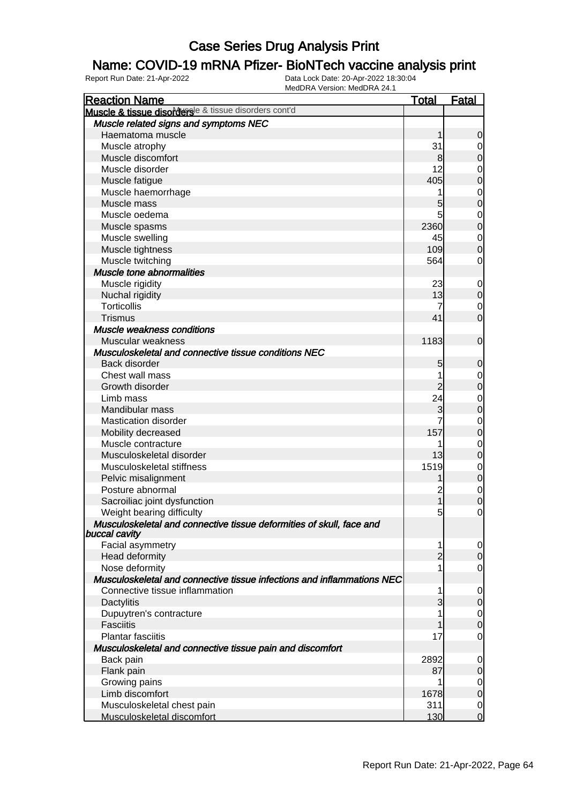### Name: COVID-19 mRNA Pfizer- BioNTech vaccine analysis print

| <b>Reaction Name</b>                                                                  | <u>Total</u>   | <u>Fatal</u>     |
|---------------------------------------------------------------------------------------|----------------|------------------|
| Muscle & tissue disordersle & tissue disorders cont'd                                 |                |                  |
| Muscle related signs and symptoms NEC                                                 |                |                  |
| Haematoma muscle                                                                      | 1              | 0                |
| Muscle atrophy                                                                        | 31             | 0                |
| Muscle discomfort                                                                     | 8              | 0                |
| Muscle disorder                                                                       | 12             | $\mathbf 0$      |
| Muscle fatigue                                                                        | 405            | $\mathbf 0$      |
| Muscle haemorrhage                                                                    | 1              | $\mathbf{0}$     |
| Muscle mass                                                                           | 5              | $\mathbf 0$      |
| Muscle oedema                                                                         | 5              | $\mathbf 0$      |
| Muscle spasms                                                                         | 2360           | $\mathbf 0$      |
| Muscle swelling                                                                       | 45             | $\mathbf 0$      |
| Muscle tightness                                                                      | 109            | $\mathbf 0$      |
| Muscle twitching                                                                      | 564            | 0                |
| Muscle tone abnormalities                                                             |                |                  |
| Muscle rigidity                                                                       | 23             | $\mathbf 0$      |
| Nuchal rigidity                                                                       | 13             | $\mathbf 0$      |
| <b>Torticollis</b>                                                                    | 7              | $\overline{0}$   |
| <b>Trismus</b>                                                                        | 41             | $\mathbf 0$      |
| Muscle weakness conditions                                                            |                |                  |
| Muscular weakness                                                                     | 1183           | $\mathbf 0$      |
| Musculoskeletal and connective tissue conditions NEC                                  |                |                  |
| Back disorder                                                                         | 5              | 0                |
| Chest wall mass                                                                       |                | $\mathbf 0$      |
| Growth disorder                                                                       |                | $\boldsymbol{0}$ |
| Limb mass                                                                             | 24             | $\mathbf 0$      |
| Mandibular mass                                                                       | 3              | $\mathbf 0$      |
| <b>Mastication disorder</b>                                                           |                | $\mathbf 0$      |
| Mobility decreased                                                                    | 157            | $\mathbf 0$      |
| Muscle contracture                                                                    | 1              | $\mathbf 0$      |
| Musculoskeletal disorder                                                              | 13             | $\mathbf 0$      |
| Musculoskeletal stiffness                                                             | 1519           | $\mathbf 0$      |
| Pelvic misalignment                                                                   |                | $\mathbf 0$      |
| Posture abnormal                                                                      | $\overline{c}$ | $\mathbf 0$      |
| Sacroiliac joint dysfunction                                                          | 1              | 0                |
| Weight bearing difficulty                                                             | 5              | $\mathbf 0$      |
| Musculoskeletal and connective tissue deformities of skull, face and<br>buccal cavity |                |                  |
| Facial asymmetry                                                                      | 1              | 0                |
| Head deformity                                                                        | $\overline{2}$ | $\Omega$         |
| Nose deformity                                                                        |                | 0                |
| Musculoskeletal and connective tissue infections and inflammations NEC                |                |                  |
| Connective tissue inflammation                                                        | 1              | 0                |
| Dactylitis                                                                            | 3              | $\mathbf 0$      |
| Dupuytren's contracture                                                               |                | 0                |
| <b>Fasciitis</b>                                                                      |                | $\Omega$         |
| <b>Plantar fasciitis</b>                                                              | 17             | 0                |
| Musculoskeletal and connective tissue pain and discomfort                             |                |                  |
| Back pain                                                                             | 2892           | 0                |
| Flank pain                                                                            | 87             | $\overline{0}$   |
| Growing pains                                                                         |                | 0                |
| Limb discomfort                                                                       | 1678           | 0                |
| Musculoskeletal chest pain                                                            | 311            | 0                |
| Musculoskeletal discomfort                                                            | 130            | $\overline{0}$   |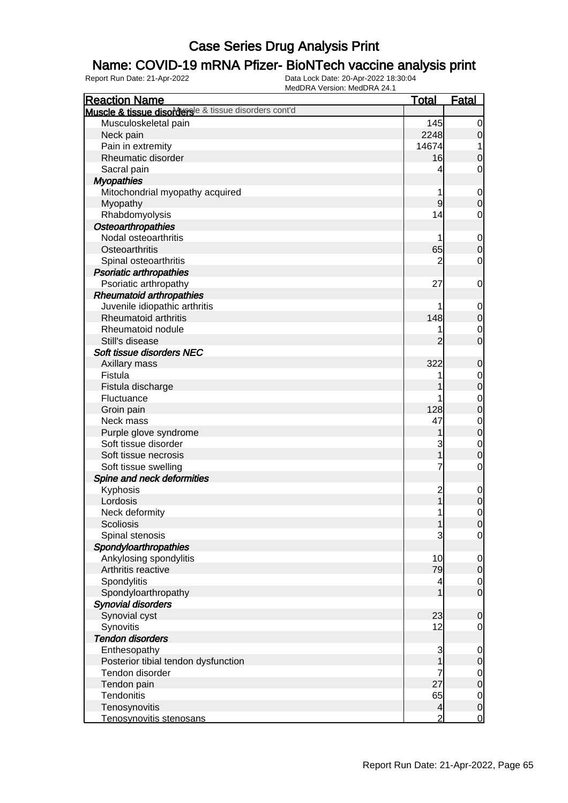### Name: COVID-19 mRNA Pfizer- BioNTech vaccine analysis print

| <b>Reaction Name</b>                                  | <b>Total</b>             | <b>Fatal</b>     |
|-------------------------------------------------------|--------------------------|------------------|
| Muscle & tissue disordersle & tissue disorders cont'd |                          |                  |
| Musculoskeletal pain                                  | 145                      | 0                |
| Neck pain                                             | 2248                     | $\mathbf 0$      |
| Pain in extremity                                     | 14674                    |                  |
| Rheumatic disorder                                    | 16                       | $\mathbf 0$      |
| Sacral pain                                           | 4                        | 0                |
| <b>Myopathies</b>                                     |                          |                  |
| Mitochondrial myopathy acquired                       |                          | $\mathbf 0$      |
| Myopathy                                              | 9                        | $\boldsymbol{0}$ |
| Rhabdomyolysis                                        | 14                       | 0                |
| <b>Osteoarthropathies</b>                             |                          |                  |
| Nodal osteoarthritis                                  |                          | $\mathbf 0$      |
| Osteoarthritis                                        | 65                       | $\boldsymbol{0}$ |
| Spinal osteoarthritis                                 | 2                        | $\mathbf 0$      |
| <b>Psoriatic arthropathies</b>                        |                          |                  |
| Psoriatic arthropathy                                 | 27                       | 0                |
| <b>Rheumatoid arthropathies</b>                       |                          |                  |
| Juvenile idiopathic arthritis                         |                          | 0                |
| Rheumatoid arthritis                                  | 148                      | $\boldsymbol{0}$ |
| Rheumatoid nodule                                     |                          | 0                |
| Still's disease                                       | $\overline{2}$           | $\overline{0}$   |
| <b>Soft tissue disorders NEC</b>                      |                          |                  |
| Axillary mass                                         | 322                      | $\mathbf 0$      |
| Fistula                                               |                          | 0                |
| Fistula discharge                                     |                          | $\boldsymbol{0}$ |
| Fluctuance                                            |                          | 0                |
| Groin pain                                            | 128                      | $\boldsymbol{0}$ |
| Neck mass                                             | 47                       | $\mathbf 0$      |
| Purple glove syndrome                                 |                          | $\boldsymbol{0}$ |
| Soft tissue disorder                                  | 3                        | $\mathbf 0$      |
| Soft tissue necrosis                                  |                          | $\mathbf 0$      |
| Soft tissue swelling                                  | 7                        | $\mathbf 0$      |
| Spine and neck deformities                            |                          |                  |
| Kyphosis                                              | $\overline{\mathbf{c}}$  | $\mathbf 0$      |
| Lordosis                                              | $\overline{1}$           | $\mathbf 0$      |
| Neck deformity                                        | 1                        | $\mathbf 0$      |
| Scoliosis                                             | 1                        | $\overline{0}$   |
| Spinal stenosis                                       | 3                        | $\overline{0}$   |
| Spondyloarthropathies                                 |                          |                  |
| Ankylosing spondylitis                                | 10                       | 0                |
| Arthritis reactive                                    | 79                       | $\mathbf 0$      |
| Spondylitis                                           | 4                        | $\overline{0}$   |
| Spondyloarthropathy                                   |                          | $\mathbf 0$      |
| <b>Synovial disorders</b>                             |                          |                  |
| Synovial cyst                                         | 23                       | $\mathbf 0$      |
| Synovitis                                             | 12                       | $\overline{0}$   |
| <b>Tendon disorders</b>                               |                          |                  |
| Enthesopathy                                          | 3                        | 0                |
| Posterior tibial tendon dysfunction                   |                          | $\boldsymbol{0}$ |
| Tendon disorder                                       | 7                        | $\overline{0}$   |
| Tendon pain                                           | 27                       | $\mathbf 0$      |
| Tendonitis                                            | 65                       | $\overline{0}$   |
| Tenosynovitis                                         | $\overline{\mathcal{A}}$ | $\pmb{0}$        |
| Tenosynovitis stenosans                               | $\overline{2}$           | $\overline{0}$   |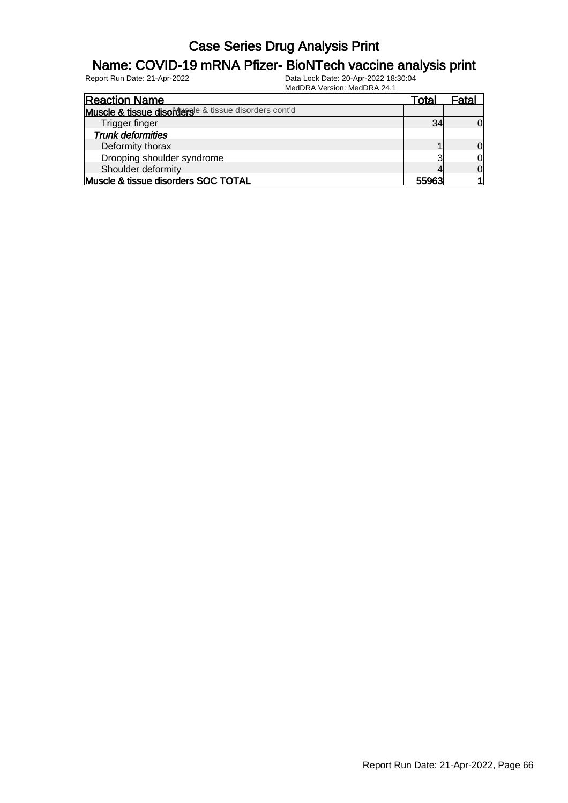#### Name: COVID-19 mRNA Pfizer- BioNTech vaccine analysis print

| <b>Reaction Name</b>                                  | Total | Fatal          |
|-------------------------------------------------------|-------|----------------|
| Muscle & tissue disordersle & tissue disorders cont'd |       |                |
| Trigger finger                                        | 34    | 0l             |
| <b>Trunk deformities</b>                              |       |                |
| Deformity thorax                                      |       | $\Omega$       |
| Drooping shoulder syndrome                            | ≏     | 0              |
| Shoulder deformity                                    |       | $\overline{0}$ |
| Muscle & tissue disorders SOC TOTAL                   | 55963 |                |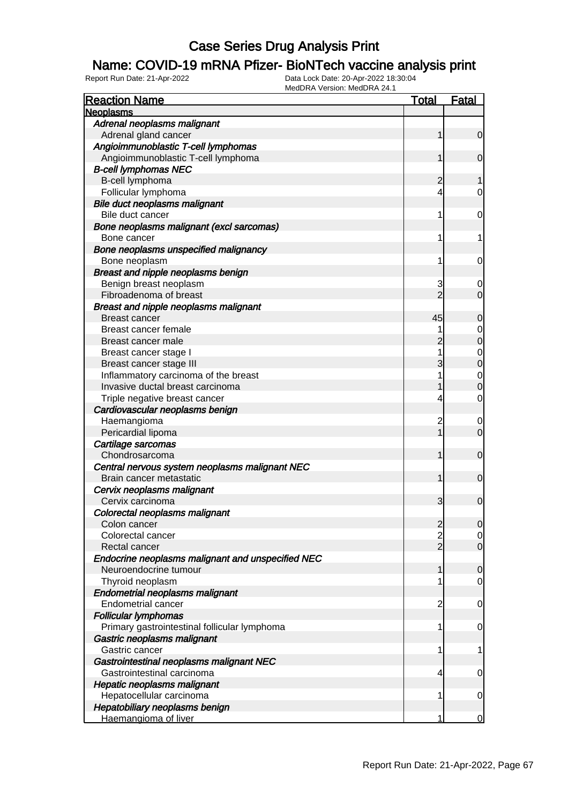### Name: COVID-19 mRNA Pfizer- BioNTech vaccine analysis print

| <b>Reaction Name</b>                                                   | <b>Total</b>   | <b>Fatal</b>                     |
|------------------------------------------------------------------------|----------------|----------------------------------|
| <b>Neoplasms</b>                                                       |                |                                  |
| Adrenal neoplasms malignant                                            |                |                                  |
| Adrenal gland cancer                                                   | 1              | $\overline{0}$                   |
| Angioimmunoblastic T-cell lymphomas                                    |                |                                  |
| Angioimmunoblastic T-cell lymphoma                                     | 1              | $\mathbf 0$                      |
| <b>B-cell lymphomas NEC</b>                                            |                |                                  |
| B-cell lymphoma                                                        | 2              | 1                                |
| Follicular lymphoma                                                    | 4              | 0                                |
| Bile duct neoplasms malignant                                          |                |                                  |
| Bile duct cancer                                                       | 1              | $\mathbf 0$                      |
| Bone neoplasms malignant (excl sarcomas)                               |                |                                  |
| Bone cancer                                                            | 1              | 1                                |
| Bone neoplasms unspecified malignancy                                  |                |                                  |
| Bone neoplasm                                                          | 1              | $\mathbf 0$                      |
| Breast and nipple neoplasms benign                                     |                |                                  |
| Benign breast neoplasm                                                 | 3              | $\mathbf 0$                      |
| Fibroadenoma of breast                                                 | $\overline{2}$ | $\mathbf 0$                      |
| <b>Breast and nipple neoplasms malignant</b>                           |                |                                  |
| Breast cancer                                                          | 45             | $\mathbf 0$                      |
| Breast cancer female                                                   |                | $\mathbf{0}$                     |
| Breast cancer male                                                     | 2              | $\overline{0}$                   |
| Breast cancer stage I                                                  | 1              |                                  |
| Breast cancer stage III                                                | 3              | $\begin{matrix}0\\0\end{matrix}$ |
| Inflammatory carcinoma of the breast                                   |                | $\mathbf{0}$                     |
| Invasive ductal breast carcinoma                                       |                | $\overline{0}$                   |
| Triple negative breast cancer                                          | 4              | $\mathbf 0$                      |
| Cardiovascular neoplasms benign                                        |                |                                  |
| Haemangioma                                                            | $\overline{c}$ | $\mathbf 0$                      |
| Pericardial lipoma                                                     |                | $\mathbf 0$                      |
| Cartilage sarcomas                                                     |                |                                  |
| Chondrosarcoma                                                         | 1              | $\mathbf 0$                      |
| Central nervous system neoplasms malignant NEC                         |                |                                  |
| Brain cancer metastatic                                                | 1              | $\mathbf 0$                      |
| Cervix neoplasms malignant                                             |                |                                  |
| Cervix carcinoma                                                       | 3              | $\mathbf 0$                      |
| Colorectal neoplasms malignant                                         |                |                                  |
| Colon cancer                                                           | $\overline{c}$ | $\overline{0}$                   |
| Colorectal cancer                                                      | $\overline{2}$ | $\overline{0}$                   |
| Rectal cancer                                                          | $\overline{2}$ | $\overline{0}$                   |
| Endocrine neoplasms malignant and unspecified NEC                      |                |                                  |
| Neuroendocrine tumour                                                  | 1              | $\mathbf 0$                      |
| Thyroid neoplasm                                                       |                | 0                                |
| Endometrial neoplasms malignant                                        |                |                                  |
| <b>Endometrial cancer</b>                                              | $\overline{c}$ | $\mathbf 0$                      |
| <b>Follicular lymphomas</b>                                            |                |                                  |
| Primary gastrointestinal follicular lymphoma                           | 1              | $\mathbf 0$                      |
| Gastric neoplasms malignant                                            |                |                                  |
| Gastric cancer                                                         | 1              | 1                                |
|                                                                        |                |                                  |
| Gastrointestinal neoplasms malignant NEC<br>Gastrointestinal carcinoma |                |                                  |
|                                                                        | 4              | $\mathbf 0$                      |
| Hepatic neoplasms malignant                                            | 1              |                                  |
| Hepatocellular carcinoma                                               |                | $\mathbf 0$                      |
| Hepatobiliary neoplasms benign<br>Haemangioma of liver                 | 1              | $\overline{0}$                   |
|                                                                        |                |                                  |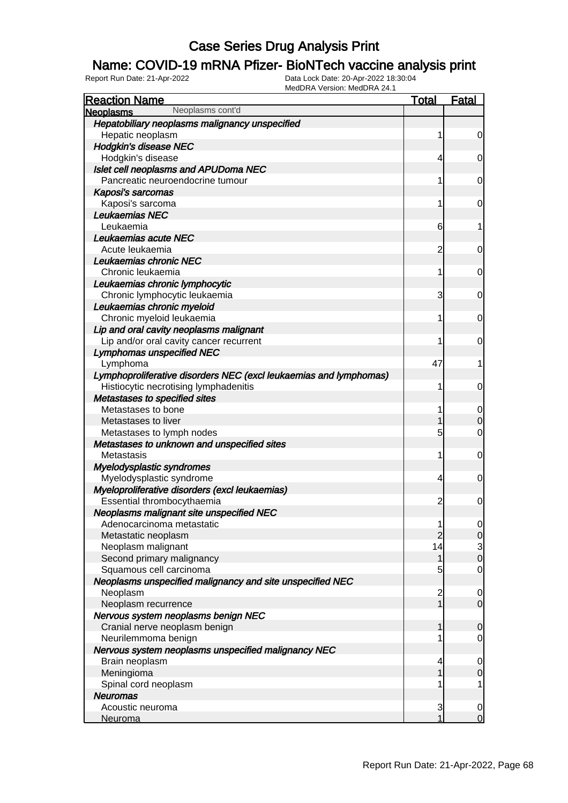### Name: COVID-19 mRNA Pfizer- BioNTech vaccine analysis print

| <b>Reaction Name</b>                                              | <b>Total</b>            | <b>Fatal</b>   |
|-------------------------------------------------------------------|-------------------------|----------------|
| Neoplasms cont'd<br><b>Neoplasms</b>                              |                         |                |
| Hepatobiliary neoplasms malignancy unspecified                    |                         |                |
| Hepatic neoplasm                                                  | 1                       | 0              |
| <b>Hodgkin's disease NEC</b>                                      |                         |                |
| Hodgkin's disease                                                 | 4                       | 0              |
| Islet cell neoplasms and APUDoma NEC                              |                         |                |
| Pancreatic neuroendocrine tumour                                  | 1                       | 0              |
| Kaposi's sarcomas                                                 |                         |                |
| Kaposi's sarcoma                                                  | 1                       | 0              |
| Leukaemias NEC                                                    |                         |                |
| Leukaemia                                                         | 6                       | 1              |
| Leukaemias acute NEC                                              |                         |                |
| Acute leukaemia                                                   | $\overline{c}$          | 0              |
| Leukaemias chronic NEC                                            |                         |                |
| Chronic leukaemia                                                 | 1                       | 0              |
| Leukaemias chronic lymphocytic                                    |                         |                |
| Chronic lymphocytic leukaemia                                     | 3                       | 0              |
| Leukaemias chronic myeloid                                        |                         |                |
| Chronic myeloid leukaemia                                         | 1                       | $\mathbf 0$    |
| Lip and oral cavity neoplasms malignant                           |                         |                |
| Lip and/or oral cavity cancer recurrent                           | 1                       | $\mathbf 0$    |
| <b>Lymphomas unspecified NEC</b>                                  |                         |                |
| Lymphoma                                                          | 47                      | 1              |
| Lymphoproliferative disorders NEC (excl leukaemias and lymphomas) |                         |                |
| Histiocytic necrotising lymphadenitis                             | 1                       | $\mathbf 0$    |
| Metastases to specified sites                                     |                         |                |
| Metastases to bone                                                | 1                       | $\mathbf 0$    |
| Metastases to liver                                               | 1                       | $\mathbf 0$    |
| Metastases to lymph nodes                                         | 5                       | $\mathbf 0$    |
| Metastases to unknown and unspecified sites                       |                         |                |
| Metastasis                                                        | 1                       | $\mathbf 0$    |
| Myelodysplastic syndromes                                         |                         |                |
| Myelodysplastic syndrome                                          | 4                       | 0              |
| Myeloproliferative disorders (excl leukaemias)                    |                         |                |
| Essential thrombocythaemia                                        | $\overline{c}$          | $\mathbf 0$    |
| Neoplasms malignant site unspecified NEC                          |                         |                |
| Adenocarcinoma metastatic                                         | 1                       | 0              |
| Metastatic neoplasm                                               | $\overline{2}$          | $\overline{0}$ |
| Neoplasm malignant                                                | 4                       | $\frac{3}{0}$  |
| Second primary malignancy                                         | $\mathbf{1}$            |                |
| Squamous cell carcinoma                                           | 5                       | $\mathbf 0$    |
| Neoplasms unspecified malignancy and site unspecified NEC         |                         |                |
| Neoplasm                                                          | $\overline{\mathbf{c}}$ | $\mathbf 0$    |
| Neoplasm recurrence                                               | 1                       | $\mathbf 0$    |
| Nervous system neoplasms benign NEC                               |                         |                |
| Cranial nerve neoplasm benign                                     | 1                       | $\mathbf 0$    |
| Neurilemmoma benign                                               | 1                       | $\overline{0}$ |
| Nervous system neoplasms unspecified malignancy NEC               |                         |                |
| Brain neoplasm                                                    | 4                       | $\mathbf 0$    |
| Meningioma                                                        | 1                       | $\mathbf 0$    |
| Spinal cord neoplasm                                              | 1                       | 1              |
| <b>Neuromas</b>                                                   |                         |                |
| Acoustic neuroma                                                  | 3                       | $\mathbf 0$    |
| <b>Neuroma</b>                                                    | 1                       | $\overline{0}$ |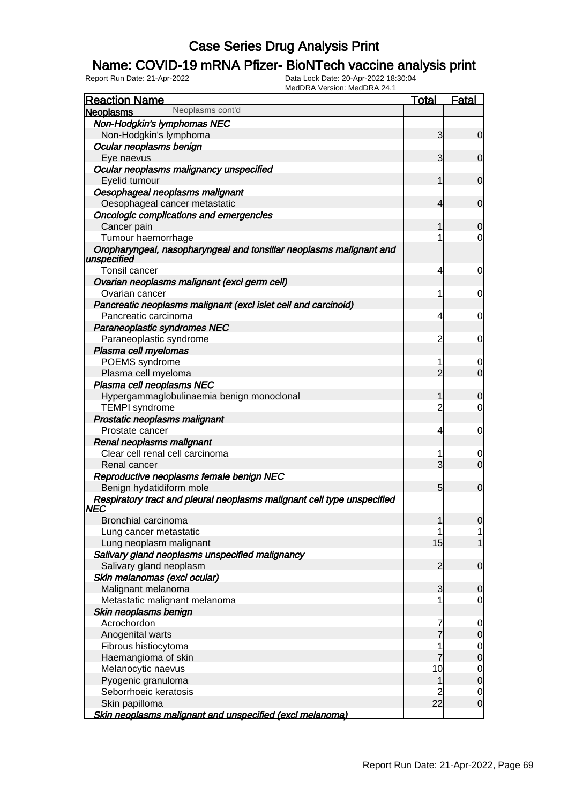### Name: COVID-19 mRNA Pfizer- BioNTech vaccine analysis print

| <b>Reaction Name</b>                                                               | <b>Total</b>        | <b>Fatal</b>                  |
|------------------------------------------------------------------------------------|---------------------|-------------------------------|
| Neoplasms cont'd<br><b>Neoplasms</b>                                               |                     |                               |
| Non-Hodgkin's lymphomas NEC                                                        |                     |                               |
| Non-Hodgkin's lymphoma                                                             | 3                   | 0                             |
| Ocular neoplasms benign                                                            |                     |                               |
| Eye naevus                                                                         | $\mathbf{3}$        | $\mathbf 0$                   |
| Ocular neoplasms malignancy unspecified                                            |                     |                               |
| Eyelid tumour                                                                      | 1                   | $\mathbf 0$                   |
| Oesophageal neoplasms malignant                                                    |                     |                               |
| Oesophageal cancer metastatic                                                      | $\overline{4}$      | $\mathbf 0$                   |
| Oncologic complications and emergencies                                            |                     |                               |
| Cancer pain                                                                        | 1                   | 0                             |
| Tumour haemorrhage                                                                 | 1                   | 0                             |
| Oropharyngeal, nasopharyngeal and tonsillar neoplasms malignant and<br>unspecified |                     |                               |
| Tonsil cancer                                                                      | 4                   | 0                             |
| Ovarian neoplasms malignant (excl germ cell)                                       |                     |                               |
| Ovarian cancer                                                                     | 1                   | 0                             |
| Pancreatic neoplasms malignant (excl islet cell and carcinoid)                     |                     |                               |
| Pancreatic carcinoma                                                               | 4                   | 0                             |
| Paraneoplastic syndromes NEC                                                       |                     |                               |
| Paraneoplastic syndrome                                                            | $\overline{c}$      | 0                             |
| Plasma cell myelomas                                                               |                     |                               |
| POEMS syndrome                                                                     | 1                   | 0                             |
| Plasma cell myeloma                                                                | $\overline{2}$      | $\overline{0}$                |
| Plasma cell neoplasms NEC                                                          |                     |                               |
| Hypergammaglobulinaemia benign monoclonal                                          | 1                   | 0                             |
| <b>TEMPI</b> syndrome                                                              | $\overline{2}$      | 0                             |
| Prostatic neoplasms malignant                                                      |                     |                               |
| Prostate cancer                                                                    | 4                   | 0                             |
| Renal neoplasms malignant                                                          |                     |                               |
| Clear cell renal cell carcinoma                                                    | 1                   | 0                             |
| Renal cancer                                                                       | 3                   | $\overline{0}$                |
| Reproductive neoplasms female benign NEC                                           |                     |                               |
| Benign hydatidiform mole                                                           | $5\overline{)}$     | $\mathbf 0$                   |
| Respiratory tract and pleural neoplasms malignant cell type unspecified<br>NEC     |                     |                               |
| Bronchial carcinoma                                                                |                     |                               |
| Lung cancer metastatic                                                             |                     |                               |
| Lung neoplasm malignant                                                            | 15                  |                               |
| Salivary gland neoplasms unspecified malignancy                                    |                     |                               |
| Salivary gland neoplasm                                                            | $\overline{2}$      | $\overline{0}$                |
| Skin melanomas (excl ocular)                                                       |                     |                               |
| Malignant melanoma                                                                 | 3                   | $\mathbf 0$                   |
| Metastatic malignant melanoma                                                      |                     | 0                             |
| Skin neoplasms benign                                                              |                     |                               |
| Acrochordon                                                                        | 7<br>$\overline{7}$ | $\mathbf 0$                   |
| Anogenital warts                                                                   |                     | 0                             |
| Fibrous histiocytoma                                                               | 1<br>7              | $\overline{0}$<br>$\mathbf 0$ |
| Haemangioma of skin<br>Melanocytic naevus                                          | 10                  |                               |
| Pyogenic granuloma                                                                 | 1                   | $0\atop 0$                    |
| Seborrhoeic keratosis                                                              |                     | $\mathbf 0$                   |
| Skin papilloma                                                                     | 22                  | $\mathbf 0$                   |
| Skin neoplasms malignant and unspecified (excl melanoma)                           |                     |                               |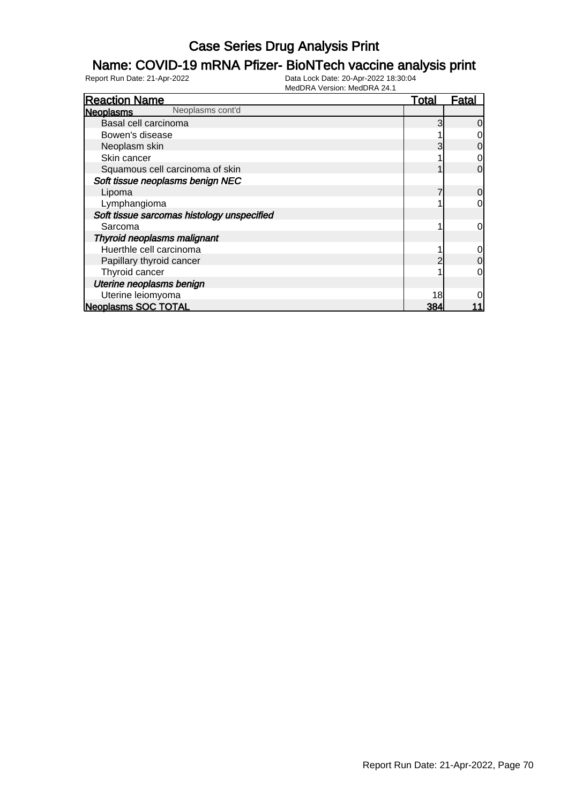### Name: COVID-19 mRNA Pfizer- BioNTech vaccine analysis print

| <b>Reaction Name</b>                       | Total | Fatal    |
|--------------------------------------------|-------|----------|
| Neoplasms cont'd<br><b>Neoplasms</b>       |       |          |
| Basal cell carcinoma                       | 3     | 0        |
| Bowen's disease                            |       | 0        |
| Neoplasm skin                              |       | 0        |
| Skin cancer                                |       | 0        |
| Squamous cell carcinoma of skin            |       | 0        |
| Soft tissue neoplasms benign NEC           |       |          |
| Lipoma                                     |       | 0        |
| Lymphangioma                               |       | 0        |
| Soft tissue sarcomas histology unspecified |       |          |
| Sarcoma                                    |       | $\Omega$ |
| Thyroid neoplasms malignant                |       |          |
| Huerthle cell carcinoma                    |       | 0        |
| Papillary thyroid cancer                   |       |          |
| Thyroid cancer                             |       | 0        |
| Uterine neoplasms benign                   |       |          |
| Uterine leiomyoma                          | 18    |          |
| <b>Neoplasms SOC TOTAL</b>                 | 384   |          |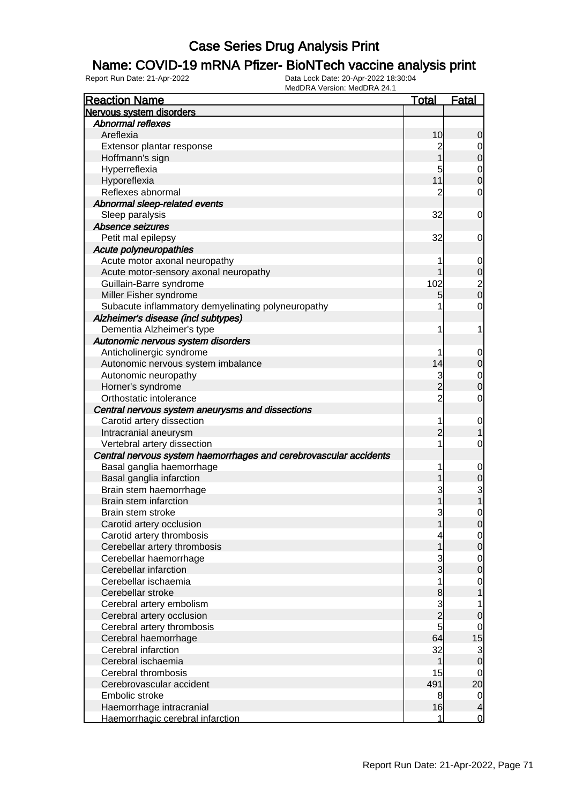#### Name: COVID-19 mRNA Pfizer- BioNTech vaccine analysis print

| <b>Reaction Name</b>                                                                           | <u>Total</u>        | <b>Fatal</b>             |
|------------------------------------------------------------------------------------------------|---------------------|--------------------------|
| Nervous system disorders                                                                       |                     |                          |
| <b>Abnormal reflexes</b>                                                                       |                     |                          |
| Areflexia                                                                                      | 10                  | 0                        |
| Extensor plantar response                                                                      | $\overline{c}$      | 0                        |
| Hoffmann's sign                                                                                |                     | 0                        |
| Hyperreflexia                                                                                  | 5                   | 0                        |
| Hyporeflexia                                                                                   | 11                  | 0                        |
| Reflexes abnormal                                                                              | $\overline{2}$      | 0                        |
| Abnormal sleep-related events                                                                  |                     |                          |
| Sleep paralysis                                                                                | 32                  | 0                        |
| Absence seizures                                                                               |                     |                          |
| Petit mal epilepsy                                                                             | 32                  | 0                        |
| Acute polyneuropathies                                                                         |                     |                          |
| Acute motor axonal neuropathy                                                                  | 1                   | $\mathbf 0$              |
| Acute motor-sensory axonal neuropathy                                                          |                     | 0                        |
| Guillain-Barre syndrome                                                                        | 102                 | $\overline{\mathbf{c}}$  |
| Miller Fisher syndrome                                                                         | 5                   | 0                        |
| Subacute inflammatory demyelinating polyneuropathy                                             | 1                   | 0                        |
| Alzheimer's disease (incl subtypes)                                                            |                     |                          |
| Dementia Alzheimer's type                                                                      | 1                   | 1                        |
| Autonomic nervous system disorders                                                             |                     |                          |
| Anticholinergic syndrome                                                                       | 1                   | 0                        |
| Autonomic nervous system imbalance                                                             | 14                  | 0                        |
| Autonomic neuropathy                                                                           | 3                   | $\mathbf 0$              |
| Horner's syndrome                                                                              | $\overline{2}$      | 0                        |
| Orthostatic intolerance                                                                        | $\overline{2}$      | 0                        |
| Central nervous system aneurysms and dissections                                               |                     |                          |
| Carotid artery dissection                                                                      | 1                   | $\mathbf 0$              |
| Intracranial aneurysm                                                                          | 2                   |                          |
| Vertebral artery dissection                                                                    | 1                   | 0                        |
|                                                                                                |                     |                          |
| Central nervous system haemorrhages and cerebrovascular accidents<br>Basal ganglia haemorrhage | 1                   |                          |
| Basal ganglia infarction                                                                       |                     | $\mathbf 0$<br>0         |
| Brain stem haemorrhage                                                                         | 3                   | 3                        |
| Brain stem infarction                                                                          |                     |                          |
| Brain stem stroke                                                                              | 3                   |                          |
|                                                                                                |                     | 0                        |
| Carotid artery occlusion<br>Carotid artery thrombosis                                          |                     | $\overline{0}$           |
|                                                                                                | 4                   | $\overline{0}$           |
| Cerebellar artery thrombosis                                                                   |                     | 0                        |
| Cerebellar haemorrhage<br>Cerebellar infarction                                                | 3<br>3              | $\mathbf 0$              |
|                                                                                                |                     | $\mathbf 0$              |
| Cerebellar ischaemia                                                                           | 1                   | 0                        |
| Cerebellar stroke                                                                              | 8                   |                          |
| Cerebral artery embolism                                                                       | 3<br>$\overline{2}$ | 1                        |
| Cerebral artery occlusion                                                                      |                     | 0                        |
| Cerebral artery thrombosis                                                                     | 5                   | 0                        |
| Cerebral haemorrhage                                                                           | 64                  | 15                       |
| Cerebral infarction                                                                            | 32                  | 3                        |
| Cerebral ischaemia                                                                             | 1                   | 0                        |
| Cerebral thrombosis                                                                            | 15                  | 0                        |
| Cerebrovascular accident                                                                       | 491                 | 20                       |
| Embolic stroke                                                                                 | 8                   | $\overline{0}$           |
| Haemorrhage intracranial                                                                       | 16                  | $\overline{\mathcal{L}}$ |
| Haemorrhagic cerebral infarction                                                               | 1                   | $\overline{0}$           |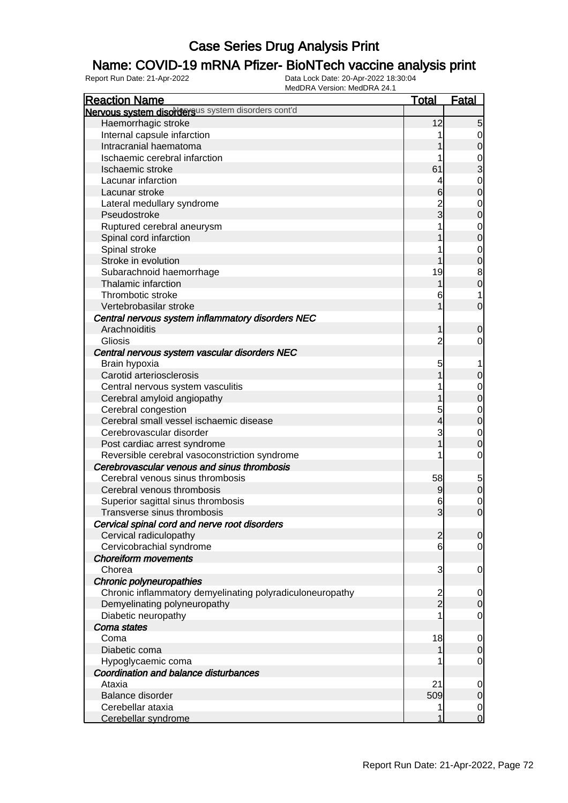### Name: COVID-19 mRNA Pfizer- BioNTech vaccine analysis print

| <b>Reaction Name</b>                                      | <u>Total</u>   | <b>Fatal</b>   |
|-----------------------------------------------------------|----------------|----------------|
| Nervous system disordersus system disorders cont'd        |                |                |
| Haemorrhagic stroke                                       | 12             | 5              |
| Internal capsule infarction                               |                | 0              |
| Intracranial haematoma                                    |                | $\overline{0}$ |
| Ischaemic cerebral infarction                             |                | 0              |
| Ischaemic stroke                                          | 61             | 3              |
| Lacunar infarction                                        |                | 0              |
| Lacunar stroke                                            | 6              | $\mathbf 0$    |
| Lateral medullary syndrome                                |                | 0              |
| Pseudostroke                                              | 2<br>3         | $\mathbf 0$    |
| Ruptured cerebral aneurysm                                |                | 0              |
| Spinal cord infarction                                    |                | $\mathbf 0$    |
| Spinal stroke                                             |                | 0              |
| Stroke in evolution                                       |                | $\mathbf 0$    |
| Subarachnoid haemorrhage                                  | 19             | 8              |
| Thalamic infarction                                       |                | $\mathbf 0$    |
| Thrombotic stroke                                         |                |                |
|                                                           | 6              |                |
| Vertebrobasilar stroke                                    |                | 0              |
| Central nervous system inflammatory disorders NEC         |                |                |
| Arachnoiditis                                             |                | 0              |
| Gliosis                                                   | 2              | 0              |
| Central nervous system vascular disorders NEC             |                |                |
| Brain hypoxia                                             | 5              |                |
| Carotid arteriosclerosis                                  |                | 0              |
| Central nervous system vasculitis                         |                | 0              |
| Cerebral amyloid angiopathy                               |                | $\mathbf 0$    |
| Cerebral congestion                                       | 5              | 0              |
| Cerebral small vessel ischaemic disease                   |                | $\mathbf 0$    |
| Cerebrovascular disorder                                  | 3              | $\mathbf 0$    |
| Post cardiac arrest syndrome                              |                | 0              |
| Reversible cerebral vasoconstriction syndrome             |                | 0              |
| Cerebrovascular venous and sinus thrombosis               |                |                |
| Cerebral venous sinus thrombosis                          | 58             | 5              |
| Cerebral venous thrombosis                                | 9              | $\mathbf 0$    |
| Superior sagittal sinus thrombosis                        | 6              | 0              |
| Transverse sinus thrombosis                               | $\overline{3}$ | $\mathbf 0$    |
| Cervical spinal cord and nerve root disorders             |                |                |
| Cervical radiculopathy                                    | $\overline{c}$ | $\overline{0}$ |
| Cervicobrachial syndrome                                  | 6              | $\overline{0}$ |
| <b>Choreiform movements</b>                               |                |                |
| Chorea                                                    | 3              | 0              |
| Chronic polyneuropathies                                  |                |                |
| Chronic inflammatory demyelinating polyradiculoneuropathy |                | 0              |
| Demyelinating polyneuropathy                              | $\frac{2}{2}$  | $\overline{0}$ |
| Diabetic neuropathy                                       |                | 0              |
| Coma states                                               |                |                |
| Coma                                                      | 18             | $\mathbf 0$    |
| Diabetic coma                                             |                | $\overline{0}$ |
| Hypoglycaemic coma                                        |                | 0              |
| Coordination and balance disturbances                     |                |                |
| Ataxia                                                    | 21             | 0              |
| Balance disorder                                          | 509            | $\overline{0}$ |
| Cerebellar ataxia                                         |                | 0              |
| Cerebellar syndrome                                       | 1              | 0              |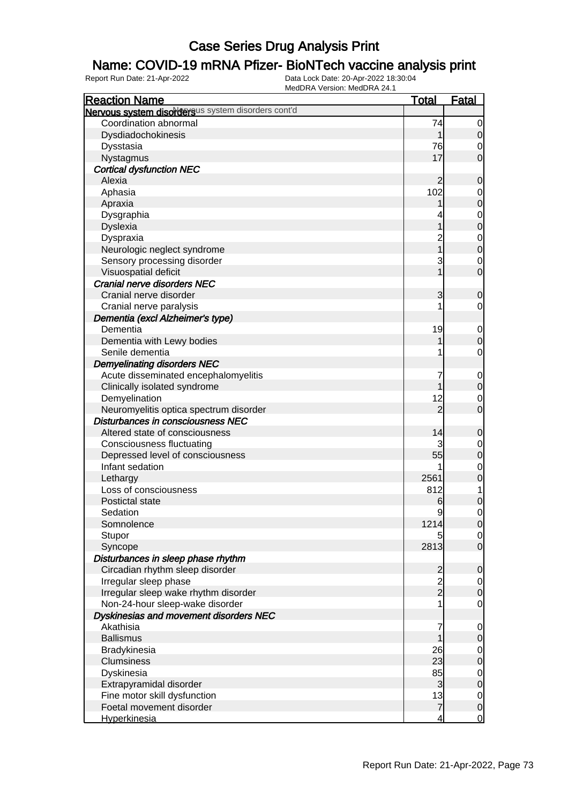### Name: COVID-19 mRNA Pfizer- BioNTech vaccine analysis print

| <b>Reaction Name</b>                               | <b>Total</b>                               | Fatal                    |
|----------------------------------------------------|--------------------------------------------|--------------------------|
| Nervous system disordersus system disorders cont'd |                                            |                          |
| Coordination abnormal                              | 74                                         | $\overline{0}$           |
| Dysdiadochokinesis                                 | 1                                          | $\mathbf 0$              |
| Dysstasia                                          | 76                                         | $\mathbf 0$              |
| Nystagmus                                          | 17                                         | $\mathbf 0$              |
| <b>Cortical dysfunction NEC</b>                    |                                            |                          |
| Alexia                                             | $\overline{c}$                             | $\mathbf 0$              |
| Aphasia                                            | 102                                        | $\mathbf 0$              |
| Apraxia                                            |                                            | $\mathbf 0$              |
| Dysgraphia                                         |                                            | $\mathbf 0$              |
| <b>Dyslexia</b>                                    |                                            | $\mathbf 0$              |
| Dyspraxia                                          | $\overline{c}$                             | $\mathbf 0$              |
| Neurologic neglect syndrome                        | 1                                          | $\mathbf 0$              |
| Sensory processing disorder                        | 3                                          | $\mathbf 0$              |
| Visuospatial deficit                               |                                            | $\mathbf 0$              |
| Cranial nerve disorders NEC                        |                                            |                          |
| Cranial nerve disorder                             | 3                                          | $\mathbf 0$              |
| Cranial nerve paralysis                            |                                            | 0                        |
| Dementia (excl Alzheimer's type)                   |                                            |                          |
| Dementia                                           | 19                                         |                          |
|                                                    |                                            | $\mathbf 0$              |
| Dementia with Lewy bodies<br>Senile dementia       |                                            | $\pmb{0}$<br>$\mathbf 0$ |
|                                                    |                                            |                          |
| <b>Demyelinating disorders NEC</b>                 |                                            |                          |
| Acute disseminated encephalomyelitis               | 7                                          | $\mathbf 0$              |
| Clinically isolated syndrome                       |                                            | $\pmb{0}$                |
| Demyelination                                      | 12                                         | $\mathbf 0$              |
| Neuromyelitis optica spectrum disorder             | $\overline{2}$                             | $\mathbf 0$              |
| Disturbances in consciousness NEC                  |                                            |                          |
| Altered state of consciousness                     | 14                                         | $\mathbf 0$              |
| <b>Consciousness fluctuating</b>                   | 3                                          | $\mathbf 0$              |
| Depressed level of consciousness                   | 55                                         | $\mathbf 0$              |
| Infant sedation                                    |                                            | $\mathbf 0$              |
| Lethargy                                           | 2561                                       | $\mathbf 0$              |
| Loss of consciousness                              | 812                                        | 1                        |
| Postictal state                                    | 6                                          | 0                        |
| Sedation                                           | 9                                          | $\mathbf 0$              |
| Somnolence                                         | 1214                                       | 0                        |
| Stupor                                             |                                            | $\overline{0}$           |
| Syncope                                            | 2813                                       | $\overline{0}$           |
| Disturbances in sleep phase rhythm                 |                                            |                          |
| Circadian rhythm sleep disorder                    | $\begin{array}{c} 2 \\ 2 \\ 2 \end{array}$ | $\mathbf 0$              |
| Irregular sleep phase                              |                                            | $\overline{0}$           |
| Irregular sleep wake rhythm disorder               |                                            | $\mathbf 0$              |
| Non-24-hour sleep-wake disorder                    |                                            | $\mathbf 0$              |
| Dyskinesias and movement disorders NEC             |                                            |                          |
| Akathisia                                          | 7                                          | $\mathbf 0$              |
| <b>Ballismus</b>                                   | 1                                          | $\mathbf 0$              |
| Bradykinesia                                       | 26                                         | $\overline{0}$           |
| Clumsiness                                         | 23                                         | $\mathbf 0$              |
| Dyskinesia                                         | 85                                         | $\mathbf 0$              |
| Extrapyramidal disorder                            | $\mathbf{3}$                               | $\pmb{0}$                |
| Fine motor skill dysfunction                       | 13                                         | $\mathbf 0$              |
| Foetal movement disorder                           | $\overline{7}$                             | $\mathbf 0$              |
| Hyperkinesia                                       | $\overline{4}$                             | <u>0</u>                 |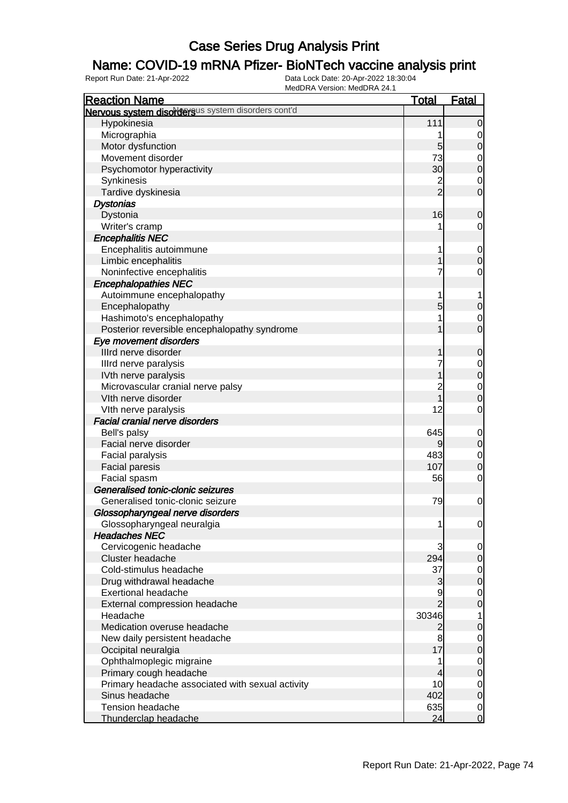### Name: COVID-19 mRNA Pfizer- BioNTech vaccine analysis print

| <b>Reaction Name</b>                               | <b>Total</b>   | <b>Fatal</b>     |
|----------------------------------------------------|----------------|------------------|
| Nervous system disordersus system disorders cont'd |                |                  |
| Hypokinesia                                        | 111            | $\mathbf 0$      |
| Micrographia                                       |                | 0                |
| Motor dysfunction                                  | 5              | $\boldsymbol{0}$ |
| Movement disorder                                  | 73             | $\mathbf 0$      |
| Psychomotor hyperactivity                          | 30             | $\boldsymbol{0}$ |
| Synkinesis                                         | $\overline{c}$ | 0                |
| Tardive dyskinesia                                 | $\overline{2}$ | $\overline{0}$   |
| <b>Dystonias</b>                                   |                |                  |
| Dystonia                                           | 16             | $\mathbf 0$      |
| Writer's cramp                                     |                | $\mathbf 0$      |
| <b>Encephalitis NEC</b>                            |                |                  |
| Encephalitis autoimmune                            |                | $\mathbf 0$      |
| Limbic encephalitis                                |                | $\boldsymbol{0}$ |
| Noninfective encephalitis                          | 7              | 0                |
| <b>Encephalopathies NEC</b>                        |                |                  |
| Autoimmune encephalopathy                          | 1              | 1                |
| Encephalopathy                                     | 5              | $\boldsymbol{0}$ |
| Hashimoto's encephalopathy                         |                | 0                |
| Posterior reversible encephalopathy syndrome       |                | $\overline{0}$   |
| Eye movement disorders                             |                |                  |
| Illrd nerve disorder                               |                | $\mathbf 0$      |
| Illrd nerve paralysis                              |                | $\mathbf 0$      |
| IVth nerve paralysis                               |                | $\pmb{0}$        |
| Microvascular cranial nerve palsy                  | 2              | $\mathbf 0$      |
| VIth nerve disorder                                |                | $\boldsymbol{0}$ |
| VIth nerve paralysis                               | 12             | 0                |
| <b>Facial cranial nerve disorders</b>              |                |                  |
| Bell's palsy                                       | 645            | $\mathbf 0$      |
| Facial nerve disorder                              | 9              | $\mathbf 0$      |
| Facial paralysis                                   | 483            | $\mathbf 0$      |
| <b>Facial paresis</b>                              | 107            | $\boldsymbol{0}$ |
| Facial spasm                                       | 56             | 0                |
| Generalised tonic-clonic seizures                  |                |                  |
| Generalised tonic-clonic seizure                   | 79             | 0                |
| Glossopharyngeal nerve disorders                   |                |                  |
| Glossopharyngeal neuralgia                         | 1              | $\overline{0}$   |
| <b>Headaches NEC</b>                               |                |                  |
| Cervicogenic headache                              | 3              | $\overline{0}$   |
| Cluster headache                                   | 294            | $\mathbf 0$      |
| Cold-stimulus headache                             | 37             | $\overline{0}$   |
| Drug withdrawal headache                           | 3              | $\mathbf 0$      |
| <b>Exertional headache</b>                         | 9              | $\overline{0}$   |
| External compression headache                      | $\overline{2}$ | $\boldsymbol{0}$ |
| Headache                                           | 30346          | 1                |
| Medication overuse headache                        | 2              | $\boldsymbol{0}$ |
| New daily persistent headache                      | 8              | $\overline{0}$   |
| Occipital neuralgia                                | 17             | $\mathbf 0$      |
| Ophthalmoplegic migraine                           |                | $\overline{0}$   |
| Primary cough headache                             | 4              | $\mathbf 0$      |
| Primary headache associated with sexual activity   | 10             | $\overline{0}$   |
| Sinus headache                                     | 402            | $\mathbf 0$      |
| Tension headache                                   | 635            | $\overline{0}$   |
| Thunderclap headache                               | 24             | $\overline{0}$   |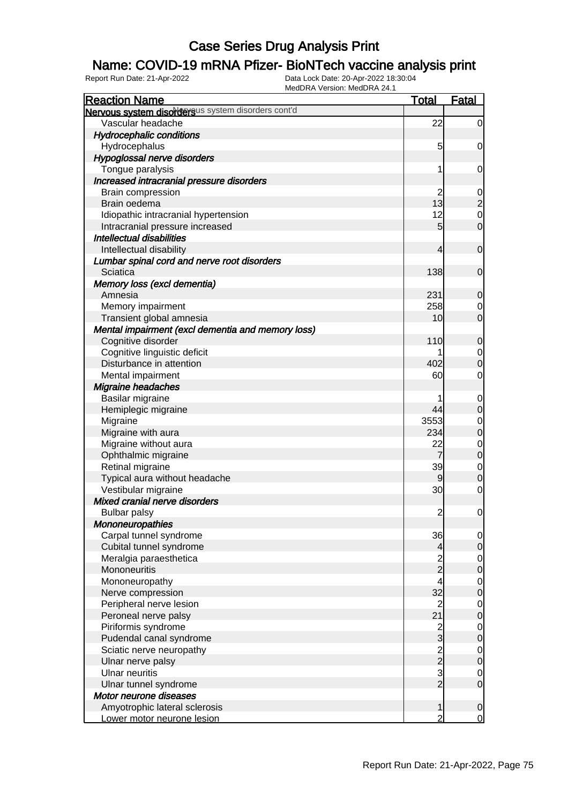### Name: COVID-19 mRNA Pfizer- BioNTech vaccine analysis print

| <b>Reaction Name</b>                               | <u>Total</u>   | <b>Fatal</b>     |
|----------------------------------------------------|----------------|------------------|
| Nervous system disordersus system disorders cont'd |                |                  |
| Vascular headache                                  | 22             | $\overline{0}$   |
| <b>Hydrocephalic conditions</b>                    |                |                  |
| Hydrocephalus                                      | 5              | $\mathbf 0$      |
| Hypoglossal nerve disorders                        |                |                  |
| Tongue paralysis                                   | 1              | $\mathbf 0$      |
| Increased intracranial pressure disorders          |                |                  |
| Brain compression                                  | $\overline{c}$ | $\overline{0}$   |
| Brain oedema                                       | 13             | $\overline{c}$   |
| Idiopathic intracranial hypertension               | 12             | $\mathbf 0$      |
| Intracranial pressure increased                    | 5              | $\mathbf 0$      |
| <b>Intellectual disabilities</b>                   |                |                  |
| Intellectual disability                            | 4              | $\mathbf 0$      |
| Lumbar spinal cord and nerve root disorders        |                |                  |
| Sciatica                                           | 138            | $\mathbf 0$      |
| Memory loss (excl dementia)                        |                |                  |
| Amnesia                                            | 231            | $\mathbf 0$      |
| Memory impairment                                  | 258            | $\mathbf 0$      |
| Transient global amnesia                           | 10             | $\overline{0}$   |
| Mental impairment (excl dementia and memory loss)  |                |                  |
| Cognitive disorder                                 | 110            | $\mathbf 0$      |
| Cognitive linguistic deficit                       |                | $\mathbf 0$      |
| Disturbance in attention                           | 402            | $\overline{0}$   |
| Mental impairment                                  | 60             | $\mathbf 0$      |
| Migraine headaches                                 |                |                  |
| Basilar migraine                                   |                | $\mathbf 0$      |
| Hemiplegic migraine                                | 44             | $\mathbf 0$      |
| Migraine                                           | 3553           | $\mathbf 0$      |
| Migraine with aura                                 | 234            | $\mathbf 0$      |
| Migraine without aura                              | 22             | $\mathbf 0$      |
| Ophthalmic migraine                                | $\overline{7}$ | $\overline{0}$   |
| Retinal migraine                                   | 39             | $\mathbf 0$      |
| Typical aura without headache                      | $\overline{9}$ | $\overline{0}$   |
| Vestibular migraine                                | 30             | $\mathbf 0$      |
| Mixed cranial nerve disorders                      |                |                  |
| <b>Bulbar palsy</b>                                | $\overline{c}$ | $\mathbf 0$      |
| <b>Mononeuropathies</b>                            |                |                  |
| Carpal tunnel syndrome                             | 36             | $\overline{0}$   |
| Cubital tunnel syndrome                            | 4              | $\overline{O}$   |
| Meralgia paraesthetica                             | $\frac{2}{2}$  | $\overline{0}$   |
| Mononeuritis                                       |                | $\overline{0}$   |
| Mononeuropathy                                     | 4              | $\mathbf 0$      |
| Nerve compression                                  | 32             | $\overline{0}$   |
| Peripheral nerve lesion                            | $\overline{c}$ | $\mathbf 0$      |
| Peroneal nerve palsy                               | 21             | $\mathbf 0$      |
| Piriformis syndrome                                | $\frac{2}{3}$  | $\mathbf 0$      |
| Pudendal canal syndrome                            |                | $\mathbf 0$      |
| Sciatic nerve neuropathy                           | $\frac{2}{2}$  | $\mathbf 0$      |
| Ulnar nerve palsy                                  |                | $\mathbf 0$      |
| <b>Ulnar neuritis</b>                              | 3              | $\overline{0}$   |
| Ulnar tunnel syndrome                              | $\overline{2}$ | $\overline{O}$   |
| Motor neurone diseases                             |                |                  |
| Amyotrophic lateral sclerosis                      | 1              | $\boldsymbol{0}$ |
| Lower motor neurone lesion                         | 2              | $\mathbf 0$      |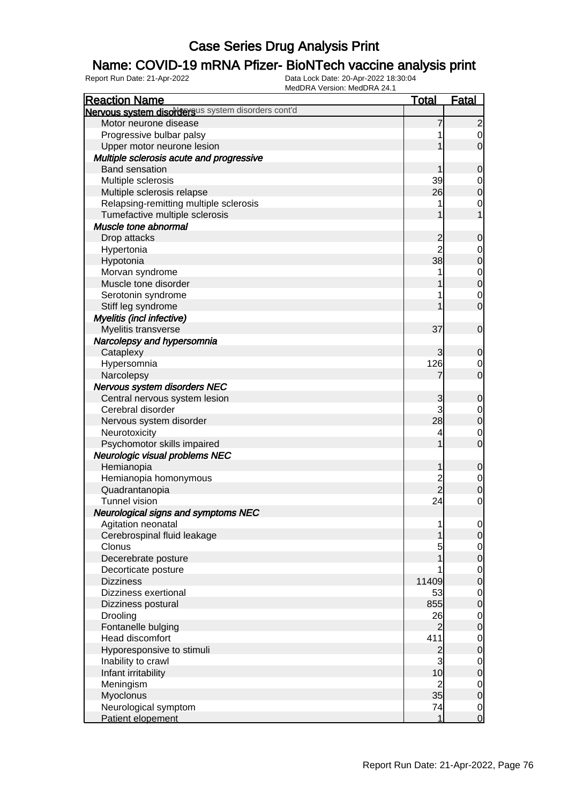### Name: COVID-19 mRNA Pfizer- BioNTech vaccine analysis print

| <b>Reaction Name</b>                               | <b>Total</b>   | <b>Fatal</b>   |
|----------------------------------------------------|----------------|----------------|
| Nervous system disordersus system disorders cont'd |                |                |
| Motor neurone disease                              |                | $\overline{2}$ |
| Progressive bulbar palsy                           |                | 0              |
| Upper motor neurone lesion                         |                | $\overline{0}$ |
| Multiple sclerosis acute and progressive           |                |                |
| <b>Band sensation</b>                              |                | 0              |
| Multiple sclerosis                                 | 39             | 0              |
| Multiple sclerosis relapse                         | 26             | $\overline{0}$ |
| Relapsing-remitting multiple sclerosis             |                | 0              |
| Tumefactive multiple sclerosis                     |                |                |
| Muscle tone abnormal                               |                |                |
| Drop attacks                                       | $\overline{c}$ | 0              |
| Hypertonia                                         |                | 0              |
| Hypotonia                                          | 38             | $\mathbf 0$    |
| Morvan syndrome                                    |                | $\mathbf 0$    |
| Muscle tone disorder                               |                | $\mathbf 0$    |
| Serotonin syndrome                                 |                | 0              |
| Stiff leg syndrome                                 |                | $\overline{0}$ |
| Myelitis (incl infective)                          |                |                |
| Myelitis transverse                                | 37             | $\mathbf 0$    |
|                                                    |                |                |
| Narcolepsy and hypersomnia                         |                |                |
| Cataplexy                                          | 3              | 0              |
| Hypersomnia                                        | 126            | 0              |
| Narcolepsy                                         |                | $\overline{0}$ |
| Nervous system disorders NEC                       |                |                |
| Central nervous system lesion                      | 3              | 0              |
| Cerebral disorder                                  | 3              | 0              |
| Nervous system disorder                            | 28             | $\mathbf 0$    |
| Neurotoxicity                                      | 4              | 0              |
| Psychomotor skills impaired                        |                | $\overline{0}$ |
| Neurologic visual problems NEC                     |                |                |
| Hemianopia                                         | 1              | 0              |
| Hemianopia homonymous                              |                | 0              |
| Quadrantanopia                                     | $\overline{2}$ | $\mathbf 0$    |
| <b>Tunnel vision</b>                               | 24             | $\mathbf 0$    |
| <b>Neurological signs and symptoms NEC</b>         |                |                |
| Agitation neonatal                                 |                | $\overline{0}$ |
| Cerebrospinal fluid leakage                        |                | $\overline{0}$ |
| Clonus                                             |                | $\overline{0}$ |
| Decerebrate posture                                |                | $\pmb{0}$      |
| Decorticate posture                                |                | $\mathbf 0$    |
| <b>Dizziness</b>                                   | 11409          | $\mathbf 0$    |
| Dizziness exertional                               | 53             | $\overline{0}$ |
| Dizziness postural                                 | 855            | $\mathbf 0$    |
| Drooling                                           | 26             | $\overline{0}$ |
| Fontanelle bulging                                 | $\overline{2}$ | $\mathbf 0$    |
| Head discomfort                                    | 411            | $\overline{0}$ |
| Hyporesponsive to stimuli                          | $\overline{c}$ | $\mathbf 0$    |
| Inability to crawl                                 | 3              | $\overline{0}$ |
| Infant irritability                                | 10             | $\mathbf 0$    |
| Meningism                                          | $\overline{2}$ | $\overline{0}$ |
| Myoclonus                                          | 35             | $\mathbf 0$    |
| Neurological symptom                               | 74             | $\overline{0}$ |
| Patient elopement                                  | 1              | $\overline{0}$ |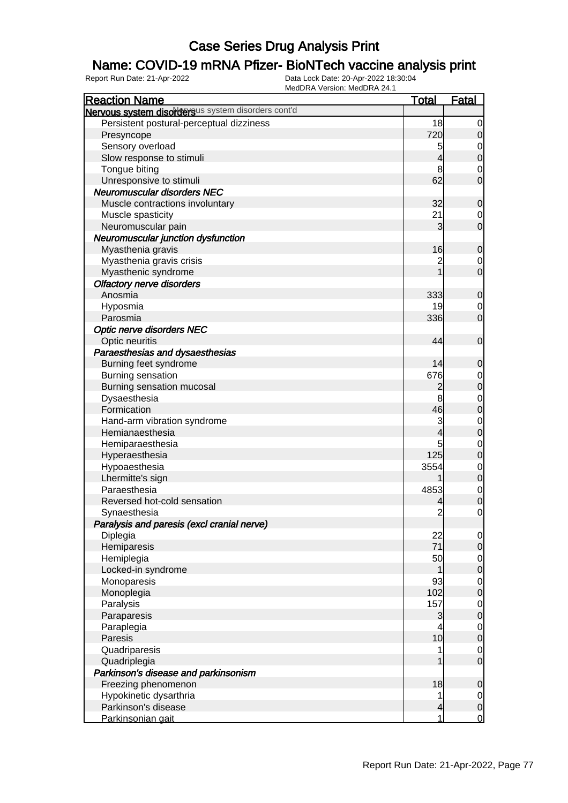### Name: COVID-19 mRNA Pfizer- BioNTech vaccine analysis print

| <b>Reaction Name</b>                               | <b>Total</b> | <b>Fatal</b>     |
|----------------------------------------------------|--------------|------------------|
| Nervous system disordersus system disorders cont'd |              |                  |
| Persistent postural-perceptual dizziness           | 18           | 0                |
| Presyncope                                         | 720          | 0                |
| Sensory overload                                   | 5            | $\mathbf 0$      |
| Slow response to stimuli                           | 4            | $\mathbf{0}$     |
| Tongue biting                                      | 8            | 0                |
| Unresponsive to stimuli                            | 62           | $\overline{0}$   |
| Neuromuscular disorders NEC                        |              |                  |
| Muscle contractions involuntary                    | 32           | $\mathbf 0$      |
| Muscle spasticity                                  | 21           | 0                |
| Neuromuscular pain                                 | 3            | $\mathbf 0$      |
| Neuromuscular junction dysfunction                 |              |                  |
| Myasthenia gravis                                  | 16           | $\mathbf 0$      |
| Myasthenia gravis crisis                           |              | $\mathbf 0$      |
| Myasthenic syndrome                                |              | $\overline{0}$   |
| <b>Olfactory nerve disorders</b>                   |              |                  |
| Anosmia                                            | 333          | 0                |
| Hyposmia                                           | 19           | 0                |
| Parosmia                                           | 336          | $\overline{0}$   |
|                                                    |              |                  |
| Optic nerve disorders NEC                          | 44           |                  |
| Optic neuritis                                     |              | $\mathbf 0$      |
| Paraesthesias and dysaesthesias                    |              |                  |
| Burning feet syndrome                              | 14           | 0                |
| Burning sensation                                  | 676          | $\mathbf 0$      |
| Burning sensation mucosal                          | 2            | $\mathbf 0$      |
| Dysaesthesia                                       | 8            | $\mathbf 0$      |
| Formication                                        | 46           | $\mathbf 0$      |
| Hand-arm vibration syndrome                        | 3            | $\mathbf 0$      |
| Hemianaesthesia                                    | 4            | $\mathbf 0$      |
| Hemiparaesthesia                                   | 5            | $\mathbf 0$      |
| Hyperaesthesia                                     | 125          | $\mathbf 0$      |
| Hypoaesthesia                                      | 3554         | $\mathbf 0$      |
| Lhermitte's sign                                   |              | $\boldsymbol{0}$ |
| Paraesthesia                                       | 4853         | $\mathbf 0$      |
| Reversed hot-cold sensation                        |              | $\mathbf{0}$     |
| Synaesthesia                                       | 2            | 0                |
| Paralysis and paresis (excl cranial nerve)         |              |                  |
| Diplegia                                           | 22           | $\overline{0}$   |
| Hemiparesis                                        | 71           | $\mathbf 0$      |
| Hemiplegia                                         | 50           | $\overline{0}$   |
| Locked-in syndrome                                 | 1            | $\mathbf 0$      |
| Monoparesis                                        | 93           | $\mathbf 0$      |
| Monoplegia                                         | 102          | $\mathbf 0$      |
| Paralysis                                          | 157          | $\mathbf 0$      |
| Paraparesis                                        | 3            | $\mathbf 0$      |
| Paraplegia                                         | 4            | $\overline{0}$   |
| Paresis                                            | 10           | $\mathbf 0$      |
| Quadriparesis                                      | 1            | $\mathbf 0$      |
| Quadriplegia                                       |              | $\mathbf 0$      |
| Parkinson's disease and parkinsonism               |              |                  |
| Freezing phenomenon                                | 18           | $\mathbf 0$      |
| Hypokinetic dysarthria                             | 1            | $\overline{0}$   |
| Parkinson's disease                                | 4            | $\mathbf 0$      |
| Parkinsonian gait                                  | 1            | $\overline{0}$   |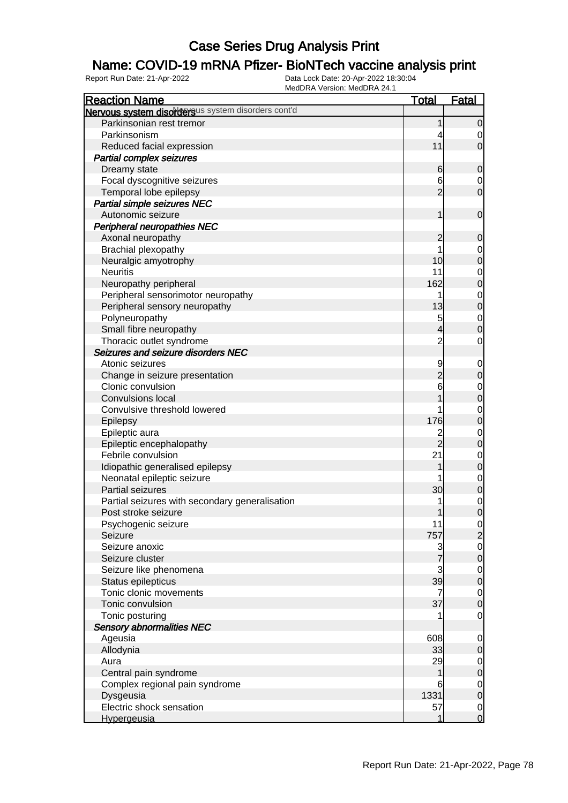### Name: COVID-19 mRNA Pfizer- BioNTech vaccine analysis print

| <b>Reaction Name</b>                                | <b>Total</b>   | Fatal                         |
|-----------------------------------------------------|----------------|-------------------------------|
| Nervous system disordersus system disorders cont'd  |                |                               |
| Parkinsonian rest tremor                            |                | $\overline{0}$                |
| Parkinsonism                                        | 4              | $\mathbf 0$                   |
| Reduced facial expression                           | 11             | $\mathbf 0$                   |
| Partial complex seizures                            |                |                               |
| Dreamy state                                        | 6              | $\mathbf 0$                   |
| Focal dyscognitive seizures                         | 6              | $\mathbf 0$                   |
| Temporal lobe epilepsy                              | $\overline{2}$ | $\overline{0}$                |
| Partial simple seizures NEC                         |                |                               |
| Autonomic seizure                                   | 1              | $\mathbf 0$                   |
| <b>Peripheral neuropathies NEC</b>                  |                |                               |
| Axonal neuropathy                                   | $\overline{c}$ | $\mathbf 0$                   |
| <b>Brachial plexopathy</b>                          |                | $\mathbf 0$                   |
| Neuralgic amyotrophy                                | 10             | $\overline{0}$                |
| <b>Neuritis</b>                                     | 11             | $\mathbf 0$                   |
| Neuropathy peripheral                               | 162            | $\overline{0}$                |
| Peripheral sensorimotor neuropathy                  |                | $\mathbf 0$                   |
| Peripheral sensory neuropathy                       | 13             | $\overline{0}$                |
| Polyneuropathy                                      | 5              | $\mathbf 0$                   |
| Small fibre neuropathy                              |                | $\overline{0}$                |
| Thoracic outlet syndrome                            | $\overline{c}$ | $\mathbf 0$                   |
| Seizures and seizure disorders NEC                  |                |                               |
| Atonic seizures                                     | 9              |                               |
|                                                     |                | $\mathbf 0$<br>$\mathbf 0$    |
| Change in seizure presentation<br>Clonic convulsion |                |                               |
| <b>Convulsions local</b>                            | 6              | $\mathbf 0$<br>$\overline{0}$ |
| Convulsive threshold lowered                        |                |                               |
|                                                     | 176            | $\mathbf 0$<br>$\overline{0}$ |
| Epilepsy                                            |                |                               |
| Epileptic aura                                      | $\overline{2}$ | $\mathbf 0$<br>$\overline{0}$ |
| Epileptic encephalopathy                            |                |                               |
| Febrile convulsion                                  | 21             | $\mathbf 0$<br>$\overline{0}$ |
| Idiopathic generalised epilepsy                     |                |                               |
| Neonatal epileptic seizure                          |                | $\mathbf 0$                   |
| Partial seizures                                    | 30             | $\overline{0}$                |
| Partial seizures with secondary generalisation      |                | $\mathbf 0$                   |
| Post stroke seizure                                 | 1              | $\overline{0}$                |
| Psychogenic seizure                                 | 11             | $\mathbf 0$                   |
| Seizure                                             | 757            | $\overline{c}$                |
| Seizure anoxic                                      | 3              | $\overline{0}$                |
| Seizure cluster                                     | 7              | $\overline{0}$                |
| Seizure like phenomena                              | 3              | $\overline{0}$                |
| Status epilepticus                                  | 39             | $\mathbf 0$                   |
| Tonic clonic movements                              | 7              | $\overline{0}$                |
| Tonic convulsion                                    | 37             | $\overline{0}$                |
| Tonic posturing                                     |                | $\mathbf 0$                   |
| <b>Sensory abnormalities NEC</b>                    |                |                               |
| Ageusia                                             | 608            | $\mathbf 0$                   |
| Allodynia                                           | 33             | $\mathbf 0$                   |
| Aura                                                | 29             | $\overline{O}$                |
| Central pain syndrome                               | 1              | $\mathbf 0$                   |
| Complex regional pain syndrome                      | 6              | $\overline{0}$                |
| Dysgeusia                                           | 1331           | $\mathbf 0$                   |
| Electric shock sensation                            | 57             | $\mathbf 0$                   |
| <b>Hypergeusia</b>                                  | 1              | $\overline{0}$                |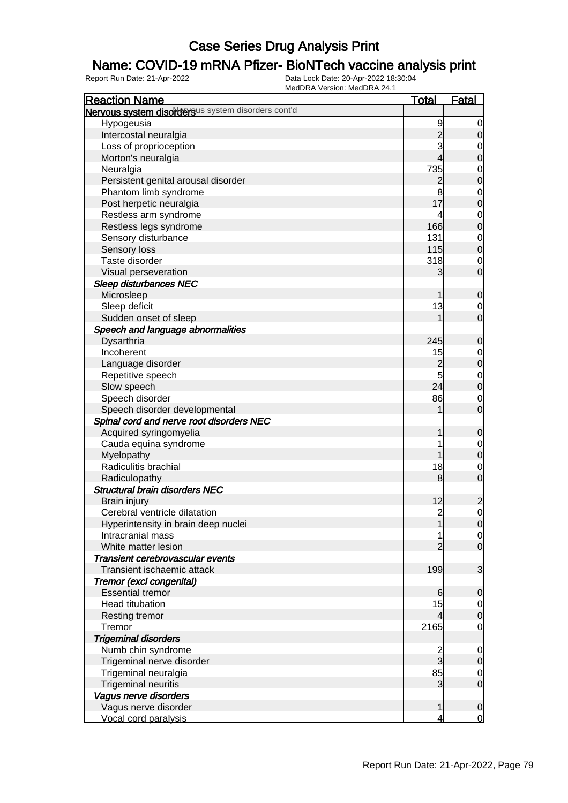### Name: COVID-19 mRNA Pfizer- BioNTech vaccine analysis print

| <b>Reaction Name</b>                                | <b>Total</b>        | <b>Fatal</b>                     |
|-----------------------------------------------------|---------------------|----------------------------------|
| Nervous system disordersus system disorders cont'd  |                     |                                  |
| Hypogeusia                                          | 9                   | $\overline{0}$                   |
| Intercostal neuralgia                               | $\overline{c}$      | $\mathbf 0$                      |
| Loss of proprioception                              | 3                   | $\mathbf 0$                      |
| Morton's neuralgia                                  | 4                   | $\mathbf 0$                      |
| Neuralgia                                           | 735                 | $\mathbf 0$                      |
| Persistent genital arousal disorder                 | $\overline{c}$      | $\mathbf 0$                      |
| Phantom limb syndrome                               | 8                   | $\mathbf 0$                      |
| Post herpetic neuralgia                             | 17                  | $\mathbf 0$                      |
| Restless arm syndrome                               | 4                   | $\mathbf 0$                      |
| Restless legs syndrome                              | 166                 | $\mathbf 0$                      |
| Sensory disturbance                                 | 131                 | $\mathbf 0$                      |
| Sensory loss                                        | 115                 | $\mathbf 0$                      |
| Taste disorder                                      | 318                 | $\mathbf 0$                      |
| Visual perseveration                                | 3                   | $\mathbf 0$                      |
| <b>Sleep disturbances NEC</b>                       |                     |                                  |
| Microsleep                                          |                     | $\mathbf 0$                      |
| Sleep deficit                                       | 13                  | $\mathbf 0$                      |
| Sudden onset of sleep                               |                     | $\mathbf 0$                      |
| Speech and language abnormalities                   |                     |                                  |
| Dysarthria                                          | 245                 | $\mathbf 0$                      |
| Incoherent                                          | 15                  | $\mathbf 0$                      |
| Language disorder                                   | $\overline{c}$      | $\mathbf 0$                      |
| Repetitive speech                                   | 5                   | $\mathbf 0$                      |
| Slow speech                                         | 24                  | $\mathbf 0$                      |
| Speech disorder                                     | 86                  | $\mathbf 0$                      |
| Speech disorder developmental                       |                     | $\mathbf 0$                      |
| Spinal cord and nerve root disorders NEC            |                     |                                  |
| Acquired syringomyelia                              |                     | $\mathbf 0$                      |
| Cauda equina syndrome                               |                     | $\mathbf 0$                      |
| Myelopathy                                          |                     | $\mathbf 0$                      |
| Radiculitis brachial                                | 18                  | $\mathbf 0$                      |
| Radiculopathy                                       | 8                   | $\mathbf 0$                      |
| <b>Structural brain disorders NEC</b>               |                     |                                  |
| Brain injury                                        | 12                  | $\overline{c}$                   |
| Cerebral ventricle dilatation                       | $\overline{2}$      | 0                                |
| Hyperintensity in brain deep nuclei                 | 1                   |                                  |
| Intracranial mass                                   |                     | $\overline{0}$<br>$\overline{0}$ |
| White matter lesion                                 | $\overline{2}$      | $\overline{0}$                   |
| Transient cerebrovascular events                    |                     |                                  |
| Transient ischaemic attack                          | 199                 | 3                                |
|                                                     |                     |                                  |
| Tremor (excl congenital)<br><b>Essential tremor</b> |                     | $\mathbf 0$                      |
| Head titubation                                     | 6<br>15             |                                  |
|                                                     | $\overline{4}$      | $\overline{0}$                   |
| <b>Resting tremor</b><br>Tremor                     |                     | $\boldsymbol{0}$                 |
|                                                     | 2165                | $\mathbf 0$                      |
| <b>Trigeminal disorders</b>                         |                     |                                  |
| Numb chin syndrome                                  | $\overline{c}$<br>3 | $\mathbf 0$                      |
| Trigeminal nerve disorder                           |                     | $\mathbf 0$                      |
| Trigeminal neuralgia                                | 85                  | $\mathbf 0$                      |
| <b>Trigeminal neuritis</b>                          | 3                   | $\mathbf 0$                      |
| Vagus nerve disorders                               |                     |                                  |
| Vagus nerve disorder                                | 1                   | $\mathbf 0$                      |
| Vocal cord paralysis                                | 4                   | $\mathbf 0$                      |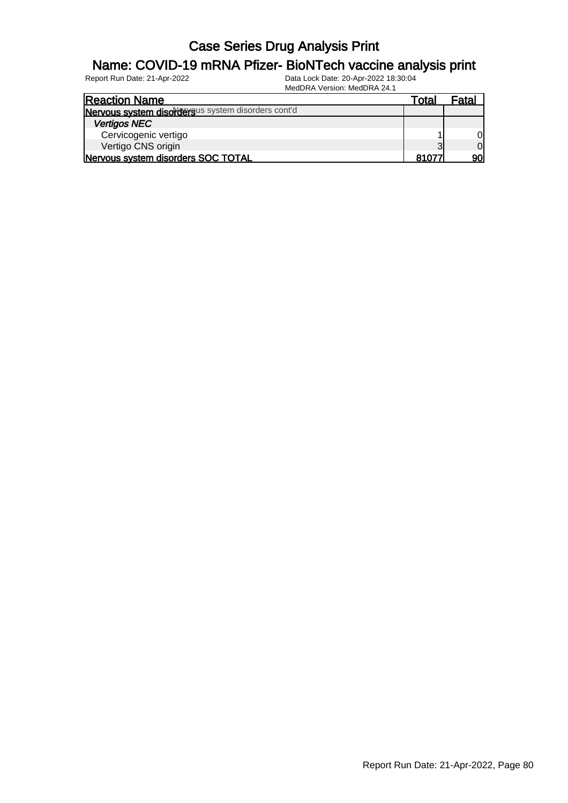#### Name: COVID-19 mRNA Pfizer- BioNTech vaccine analysis print

| <b>Reaction Name</b>                               | Total | Fatai      |
|----------------------------------------------------|-------|------------|
| Nervous system disordersus system disorders cont'd |       |            |
| <b>Vertigos NEC</b>                                |       |            |
| Cervicogenic vertigo                               |       | Οl         |
| Vertigo CNS origin                                 |       | Οl         |
| Nervous system disorders SOC TOTAL                 |       | <b>90l</b> |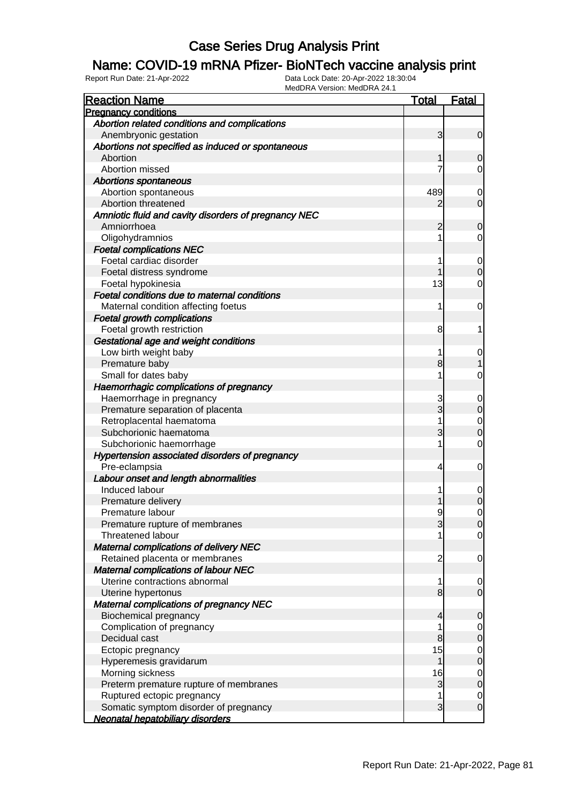### Name: COVID-19 mRNA Pfizer- BioNTech vaccine analysis print

| <b>Reaction Name</b>                                 | <b>Total</b>   | Fatal            |
|------------------------------------------------------|----------------|------------------|
| <b>Pregnancy conditions</b>                          |                |                  |
| Abortion related conditions and complications        |                |                  |
| Anembryonic gestation                                | 3              | $\overline{0}$   |
| Abortions not specified as induced or spontaneous    |                |                  |
| Abortion                                             |                | 0                |
| Abortion missed                                      |                | $\overline{0}$   |
| <b>Abortions spontaneous</b>                         |                |                  |
| Abortion spontaneous                                 | 489            | $\mathbf 0$      |
| Abortion threatened                                  | 2              | $\overline{0}$   |
| Amniotic fluid and cavity disorders of pregnancy NEC |                |                  |
| Amniorrhoea                                          | $\overline{c}$ | $\mathbf 0$      |
| Oligohydramnios                                      |                | $\overline{0}$   |
| <b>Foetal complications NEC</b>                      |                |                  |
| Foetal cardiac disorder                              | 1              | $\mathbf 0$      |
| Foetal distress syndrome                             | 1              | $\boldsymbol{0}$ |
| Foetal hypokinesia                                   | 13             | $\overline{0}$   |
| Foetal conditions due to maternal conditions         |                |                  |
| Maternal condition affecting foetus                  | 1              | 0                |
| <b>Foetal growth complications</b>                   |                |                  |
| Foetal growth restriction                            | 8              | 1                |
| Gestational age and weight conditions                |                |                  |
|                                                      |                |                  |
| Low birth weight baby                                | 1              | $\mathbf 0$      |
| Premature baby                                       | 8              |                  |
| Small for dates baby                                 | 1              | 0                |
| Haemorrhagic complications of pregnancy              |                |                  |
| Haemorrhage in pregnancy                             | 3              | $\mathbf 0$      |
| Premature separation of placenta                     | 3              | $\boldsymbol{0}$ |
| Retroplacental haematoma                             | 1              | $\mathbf 0$      |
| Subchorionic haematoma                               | 3              | $\mathbf 0$      |
| Subchorionic haemorrhage                             | 1              | $\mathbf 0$      |
| Hypertension associated disorders of pregnancy       |                |                  |
| Pre-eclampsia                                        | 4              | $\mathbf 0$      |
| Labour onset and length abnormalities                |                |                  |
| Induced labour                                       | 1              | $\mathbf 0$      |
| Premature delivery                                   |                | $\mathbf 0$      |
| Premature labour                                     | 9              | $\mathbf 0$      |
| Premature rupture of membranes                       | 3              | 0                |
| Threatened labour                                    |                | $\overline{0}$   |
| <b>Maternal complications of delivery NEC</b>        |                |                  |
| Retained placenta or membranes                       | $\overline{c}$ | $\overline{0}$   |
| <b>Maternal complications of labour NEC</b>          |                |                  |
| Uterine contractions abnormal                        | 1              | $\overline{0}$   |
| Uterine hypertonus                                   | 8              | $\overline{0}$   |
| Maternal complications of pregnancy NEC              |                |                  |
| Biochemical pregnancy                                | 4              | $\mathbf 0$      |
| Complication of pregnancy                            | 1              | $\overline{0}$   |
| Decidual cast                                        | 8              | $\boldsymbol{0}$ |
| Ectopic pregnancy                                    | 15             | $\overline{0}$   |
| Hyperemesis gravidarum                               | 1              | $\mathbf 0$      |
| Morning sickness                                     | 16             | $\overline{0}$   |
| Preterm premature rupture of membranes               | 3              | $\overline{0}$   |
| Ruptured ectopic pregnancy                           |                | $\overline{0}$   |
| Somatic symptom disorder of pregnancy                | 3              | $\mathbf 0$      |
| Neonatal hepatobiliary disorders                     |                |                  |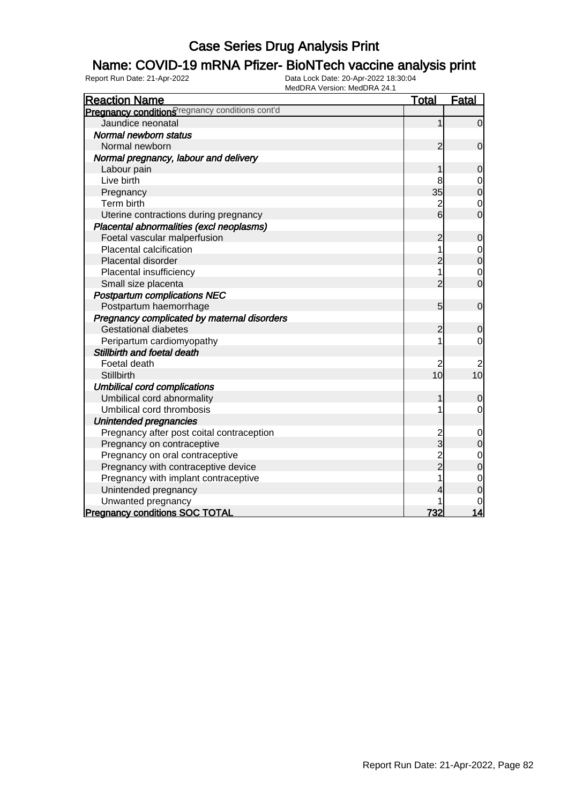### Name: COVID-19 mRNA Pfizer- BioNTech vaccine analysis print

| <b>Reaction Name</b>                            | <u>Total</u>   | <b>Fatal</b>   |
|-------------------------------------------------|----------------|----------------|
| Pregnancy condition Fregnancy conditions cont'd |                |                |
| Jaundice neonatal                               | 1              | $\overline{0}$ |
| Normal newborn status                           |                |                |
| Normal newborn                                  | $\overline{2}$ | $\mathbf 0$    |
| Normal pregnancy, labour and delivery           |                |                |
| Labour pain                                     |                | 0              |
| Live birth                                      | 8              | 0              |
| Pregnancy                                       | 35             | $\mathbf 0$    |
| Term birth                                      | $\overline{c}$ | 0              |
| Uterine contractions during pregnancy           | 6              | $\overline{0}$ |
| Placental abnormalities (excl neoplasms)        |                |                |
| Foetal vascular malperfusion                    | $\overline{2}$ | $\mathbf 0$    |
| Placental calcification                         |                | 0              |
| Placental disorder                              | $\overline{2}$ | $\mathbf 0$    |
| Placental insufficiency                         |                | $\mathbf 0$    |
| Small size placenta                             | $\overline{2}$ | $\overline{0}$ |
| <b>Postpartum complications NEC</b>             |                |                |
| Postpartum haemorrhage                          | 5              | $\mathbf 0$    |
| Pregnancy complicated by maternal disorders     |                |                |
| <b>Gestational diabetes</b>                     | $\overline{2}$ | $\mathbf 0$    |
| Peripartum cardiomyopathy                       |                | 0              |
| Stillbirth and foetal death                     |                |                |
| Foetal death                                    | 2              | 2              |
| Stillbirth                                      | 10             | 10             |
| <b>Umbilical cord complications</b>             |                |                |
| Umbilical cord abnormality                      | 1              | 0              |
| Umbilical cord thrombosis                       |                | 0              |
| Unintended pregnancies                          |                |                |
| Pregnancy after post coital contraception       |                | $\mathbf 0$    |
| Pregnancy on contraceptive                      | 3              | $\mathbf 0$    |
| Pregnancy on oral contraceptive                 | $\frac{2}{2}$  | $\mathbf 0$    |
| Pregnancy with contraceptive device             |                | 0              |
| Pregnancy with implant contraceptive            |                | $\mathbf 0$    |
| Unintended pregnancy                            |                | 0              |
| Unwanted pregnancy                              |                |                |
| <b>Pregnancy conditions SOC TOTAL</b>           | 732            |                |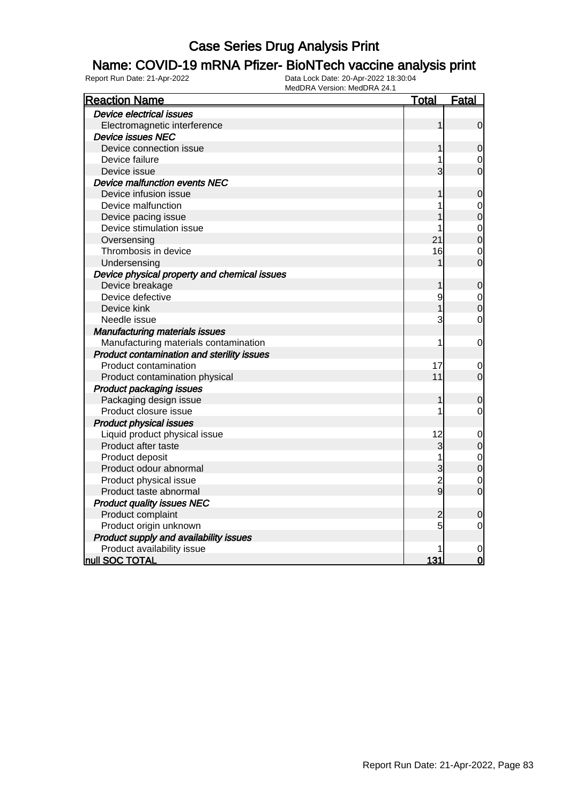### Name: COVID-19 mRNA Pfizer- BioNTech vaccine analysis print

| <b>Reaction Name</b>                         | <u>Total</u>   | <b>Fatal</b>     |
|----------------------------------------------|----------------|------------------|
| <b>Device electrical issues</b>              |                |                  |
| Electromagnetic interference                 | 1              | $\boldsymbol{0}$ |
| <b>Device issues NEC</b>                     |                |                  |
| Device connection issue                      | 1              | $\mathbf 0$      |
| Device failure                               |                | $\mathbf 0$      |
| Device issue                                 | 3              | $\overline{0}$   |
| <b>Device malfunction events NEC</b>         |                |                  |
| Device infusion issue                        | 1              | $\mathbf 0$      |
| Device malfunction                           | 1              | $\mathbf 0$      |
| Device pacing issue                          |                | $\overline{0}$   |
| Device stimulation issue                     | 1              | $\mathbf{0}$     |
| Oversensing                                  | 21             | $\overline{0}$   |
| Thrombosis in device                         | 16             | $\overline{0}$   |
| Undersensing                                 | 1              | $\overline{0}$   |
| Device physical property and chemical issues |                |                  |
| Device breakage                              | 1              | $\mathbf 0$      |
| Device defective                             | 9              | $\mathbf 0$      |
| Device kink                                  |                | $\mathbf 0$      |
| Needle issue                                 | 3              | $\overline{0}$   |
| <b>Manufacturing materials issues</b>        |                |                  |
| Manufacturing materials contamination        | 1              | $\mathbf 0$      |
| Product contamination and sterility issues   |                |                  |
| Product contamination                        | 17             | $\mathbf 0$      |
| Product contamination physical               | 11             | $\overline{0}$   |
| <b>Product packaging issues</b>              |                |                  |
| Packaging design issue                       | 1              | $\mathbf 0$      |
| Product closure issue                        | 1              | $\mathbf 0$      |
| <b>Product physical issues</b>               |                |                  |
| Liquid product physical issue                | 12             | $\mathbf 0$      |
| Product after taste                          | $\overline{3}$ | $\mathbf 0$      |
| Product deposit                              |                | $\mathbf 0$      |
| Product odour abnormal                       | 3              | $\overline{0}$   |
| Product physical issue                       | $\frac{2}{9}$  | $\mathbf 0$      |
| Product taste abnormal                       |                | $\overline{0}$   |
| <b>Product quality issues NEC</b>            |                |                  |
| Product complaint                            | $\overline{c}$ | $\mathbf 0$      |
| Product origin unknown                       | 5              | $\mathbf 0$      |
| Product supply and availability issues       |                |                  |
| Product availability issue                   |                | $\mathbf 0$      |
| null SOC TOTAL                               | 131            | $\overline{0}$   |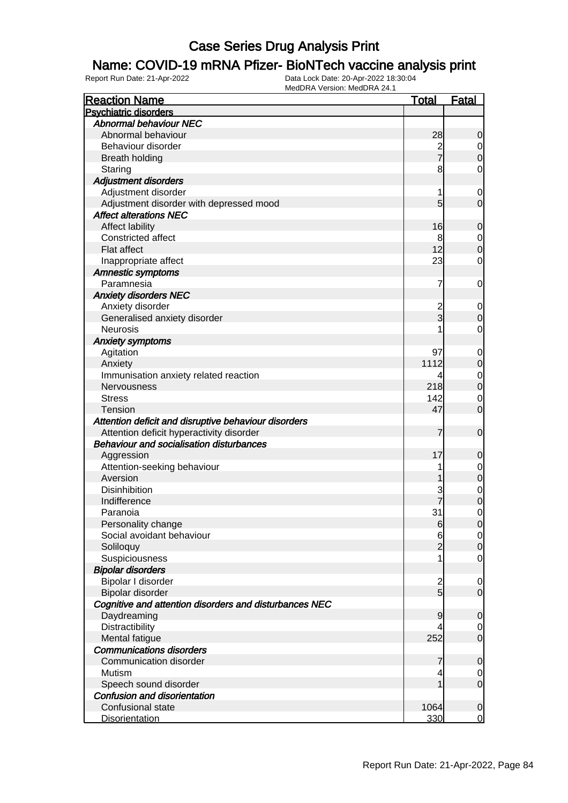### Name: COVID-19 mRNA Pfizer- BioNTech vaccine analysis print

| <b>Reaction Name</b>                                   | <b>Total</b>   | <b>Fatal</b>   |
|--------------------------------------------------------|----------------|----------------|
| <b>Psychiatric disorders</b>                           |                |                |
| <b>Abnormal behaviour NEC</b>                          |                |                |
| Abnormal behaviour                                     | 28             | $\mathbf 0$    |
| Behaviour disorder                                     |                | 0              |
| <b>Breath holding</b>                                  | 2<br>7         | $\mathbf 0$    |
| Staring                                                | 8              | $\mathbf 0$    |
| <b>Adjustment disorders</b>                            |                |                |
| Adjustment disorder                                    | 1              | $\mathbf 0$    |
| Adjustment disorder with depressed mood                | 5              | $\mathbf 0$    |
| <b>Affect alterations NEC</b>                          |                |                |
| <b>Affect lability</b>                                 | 16             | $\mathbf 0$    |
| <b>Constricted affect</b>                              | 8              | $\overline{0}$ |
| Flat affect                                            | 12             | $\mathbf 0$    |
| Inappropriate affect                                   | 23             | $\mathbf 0$    |
| <b>Amnestic symptoms</b>                               |                |                |
| Paramnesia                                             | 7              | $\mathbf 0$    |
| <b>Anxiety disorders NEC</b>                           |                |                |
| Anxiety disorder                                       |                | 0              |
| Generalised anxiety disorder                           | 2<br>3         | $\mathbf 0$    |
| <b>Neurosis</b>                                        |                | $\mathbf 0$    |
| <b>Anxiety symptoms</b>                                |                |                |
| Agitation                                              | 97             | $\mathbf 0$    |
| Anxiety                                                | 1112           | $\mathbf 0$    |
|                                                        | 4              |                |
| Immunisation anxiety related reaction                  | 218            | $\mathbf 0$    |
| Nervousness                                            |                | $\mathbf 0$    |
| <b>Stress</b>                                          | 142<br>47      | 0              |
| <b>Tension</b>                                         |                | $\mathbf 0$    |
| Attention deficit and disruptive behaviour disorders   |                |                |
| Attention deficit hyperactivity disorder               | 7              | $\mathbf 0$    |
| <b>Behaviour and socialisation disturbances</b>        |                |                |
| Aggression                                             | 17             | 0              |
| Attention-seeking behaviour                            |                | $\mathbf 0$    |
| Aversion                                               |                | $\mathbf 0$    |
| <b>Disinhibition</b>                                   | 3              | $\mathbf 0$    |
| Indifference                                           |                | $\mathbf 0$    |
| Paranoia                                               | 31             | $\mathbf 0$    |
| Personality change                                     | 6              | $\overline{0}$ |
| Social avoidant behaviour                              | 6              | $\overline{0}$ |
| Soliloquy                                              | $\overline{2}$ | $\mathbf 0$    |
| Suspiciousness                                         |                | $\overline{0}$ |
| <b>Bipolar disorders</b>                               |                |                |
| Bipolar I disorder                                     | $\frac{2}{5}$  | 0              |
| Bipolar disorder                                       |                | $\mathbf 0$    |
| Cognitive and attention disorders and disturbances NEC |                |                |
| Daydreaming                                            | 9              | $\mathbf 0$    |
| Distractibility                                        |                | 0              |
| Mental fatigue                                         | 252            | $\mathbf 0$    |
| <b>Communications disorders</b>                        |                |                |
| Communication disorder                                 | 7              | $\mathbf 0$    |
| Mutism                                                 | 4              | 0              |
| Speech sound disorder                                  |                | $\mathbf 0$    |
| Confusion and disorientation                           |                |                |
| Confusional state                                      | 1064           | $\mathbf 0$    |
| <b>Disorientation</b>                                  | 330            | $\mathbf 0$    |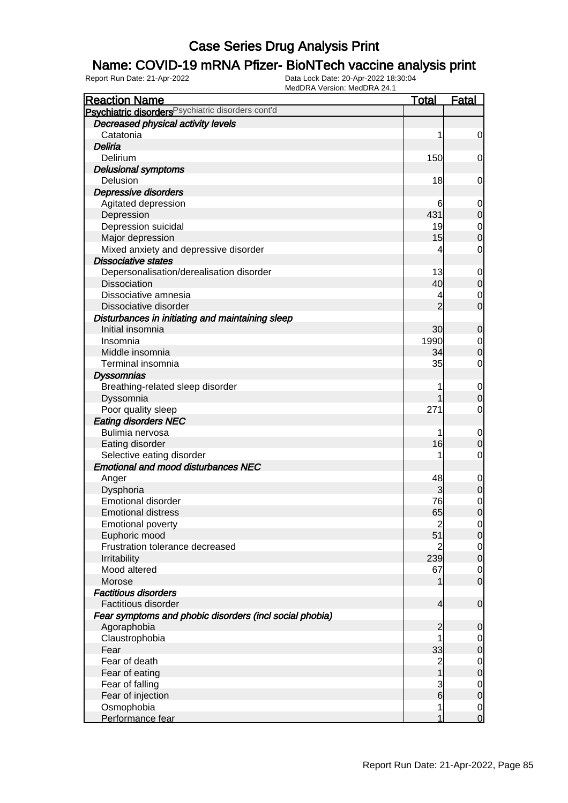### Name: COVID-19 mRNA Pfizer- BioNTech vaccine analysis print

| <b>Reaction Name</b>                                    | <b>Total</b>            | <b>Fatal</b>     |
|---------------------------------------------------------|-------------------------|------------------|
| Psychiatric disorders Psychiatric disorders cont'd      |                         |                  |
| Decreased physical activity levels                      |                         |                  |
| Catatonia                                               | 1                       | 0                |
| Deliria                                                 |                         |                  |
| Delirium                                                | 150                     | 0                |
| <b>Delusional symptoms</b>                              |                         |                  |
| Delusion                                                | 18                      | 0                |
| Depressive disorders                                    |                         |                  |
| Agitated depression                                     | 6                       | 0                |
| Depression                                              | 431                     | $\mathbf 0$      |
| Depression suicidal                                     | 19                      | $\overline{0}$   |
| Major depression                                        | 15                      | $\boldsymbol{0}$ |
| Mixed anxiety and depressive disorder                   | 4                       | 0                |
| <b>Dissociative states</b>                              |                         |                  |
| Depersonalisation/derealisation disorder                | 13                      | 0                |
| <b>Dissociation</b>                                     | 40                      | $\mathbf 0$      |
| Dissociative amnesia                                    |                         | 0                |
| Dissociative disorder                                   | $\overline{2}$          | $\mathbf 0$      |
| Disturbances in initiating and maintaining sleep        |                         |                  |
| Initial insomnia                                        | 30                      | $\mathbf 0$      |
| Insomnia                                                | 1990                    | 0                |
| Middle insomnia                                         | 34                      | $\boldsymbol{0}$ |
| Terminal insomnia                                       | 35                      | 0                |
| <b>Dyssomnias</b>                                       |                         |                  |
| Breathing-related sleep disorder                        |                         | 0                |
| Dyssomnia                                               |                         | $\mathbf 0$      |
| Poor quality sleep                                      | 271                     | 0                |
| <b>Eating disorders NEC</b>                             |                         |                  |
| Bulimia nervosa                                         |                         | 0                |
| Eating disorder                                         | 16                      | $\mathbf 0$      |
| Selective eating disorder                               |                         | 0                |
| <b>Emotional and mood disturbances NEC</b>              |                         |                  |
| Anger                                                   | 48                      | $\mathbf 0$      |
| Dysphoria                                               | 3                       | $\mathbf 0$      |
| <b>Emotional disorder</b>                               | 76                      | $\mathbf 0$      |
| <b>Emotional distress</b>                               | 65                      | $\mathbf 0$      |
| <b>Emotional poverty</b>                                | $\overline{\mathbf{c}}$ | $\overline{0}$   |
| Euphoric mood                                           | 51                      | $\mathbf 0$      |
| Frustration tolerance decreased                         | 2                       | $\overline{0}$   |
| Irritability                                            | 239                     | $\mathbf 0$      |
| Mood altered                                            | 67                      | $\mathbf 0$      |
| Morose                                                  |                         | $\overline{0}$   |
| <b>Factitious disorders</b>                             |                         |                  |
| <b>Factitious disorder</b>                              | 4                       | $\mathbf 0$      |
| Fear symptoms and phobic disorders (incl social phobia) |                         |                  |
| Agoraphobia                                             | $\overline{c}$          | $\mathbf 0$      |
| Claustrophobia                                          |                         | 0                |
| Fear                                                    | 33                      | $\mathbf 0$      |
| Fear of death                                           | $\overline{\mathbf{c}}$ | $\overline{0}$   |
| Fear of eating                                          | $\overline{1}$          | $\mathbf 0$      |
| Fear of falling                                         | 3                       | $\overline{0}$   |
| Fear of injection                                       | $\overline{6}$          | $\mathbf 0$      |
| Osmophobia                                              | 1                       | $\overline{0}$   |
| Performance fear                                        | 1                       | $\mathbf 0$      |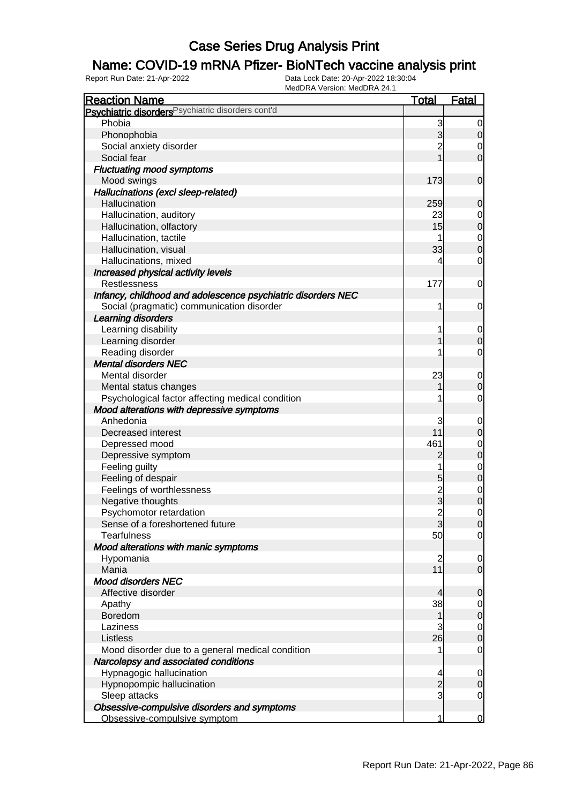### Name: COVID-19 mRNA Pfizer- BioNTech vaccine analysis print

| <b>Reaction Name</b>                                         | <b>Total</b>   | <b>Fatal</b>   |
|--------------------------------------------------------------|----------------|----------------|
| Psychiatric disorders Psychiatric disorders cont'd           |                |                |
| Phobia                                                       | 3              | $\mathbf 0$    |
| Phonophobia                                                  | 3              | $\mathbf 0$    |
| Social anxiety disorder                                      | $\overline{2}$ | 0              |
| Social fear                                                  |                | $\overline{0}$ |
| <b>Fluctuating mood symptoms</b>                             |                |                |
| Mood swings                                                  | 173            | $\mathbf 0$    |
| Hallucinations (excl sleep-related)                          |                |                |
| Hallucination                                                | 259            | $\mathbf 0$    |
| Hallucination, auditory                                      | 23             | 0              |
| Hallucination, olfactory                                     | 15             | $\pmb{0}$      |
| Hallucination, tactile                                       |                | $\overline{0}$ |
| Hallucination, visual                                        | 33             | $\mathbf 0$    |
| Hallucinations, mixed                                        | 4              | $\mathbf 0$    |
| Increased physical activity levels                           |                |                |
| <b>Restlessness</b>                                          | 177            | 0              |
| Infancy, childhood and adolescence psychiatric disorders NEC |                |                |
| Social (pragmatic) communication disorder                    | 1              | 0              |
| Learning disorders                                           |                |                |
| Learning disability                                          |                | $\mathbf 0$    |
| Learning disorder                                            |                | $\mathbf 0$    |
| Reading disorder                                             |                | $\mathbf 0$    |
| <b>Mental disorders NEC</b>                                  |                |                |
| Mental disorder                                              | 23             | $\mathbf 0$    |
| Mental status changes                                        |                | $\mathbf 0$    |
| Psychological factor affecting medical condition             |                | $\mathbf 0$    |
| Mood alterations with depressive symptoms                    |                |                |
| Anhedonia                                                    | 3              | $\mathbf 0$    |
| Decreased interest                                           | 11             | $\mathbf 0$    |
| Depressed mood                                               | 461            | $\mathbf 0$    |
| Depressive symptom                                           | $\overline{c}$ | $\pmb{0}$      |
| Feeling guilty                                               |                | $\mathbf 0$    |
| Feeling of despair                                           | 5              | $\pmb{0}$      |
| Feelings of worthlessness                                    | $\overline{c}$ | $\mathbf 0$    |
| Negative thoughts                                            | 3              | $\mathbf 0$    |
| Psychomotor retardation                                      | $\overline{2}$ | $\mathbf 0$    |
| Sense of a foreshortened future                              | 3              | $\overline{0}$ |
| <b>Tearfulness</b>                                           | 50             | $\overline{0}$ |
| Mood alterations with manic symptoms                         |                |                |
| Hypomania                                                    | $\overline{2}$ | 0              |
| Mania                                                        | 11             | $\mathbf 0$    |
| <b>Mood disorders NEC</b>                                    |                |                |
| Affective disorder                                           | 4              | $\mathbf 0$    |
| Apathy                                                       | 38             | 0              |
| Boredom                                                      | 1              | $\mathbf 0$    |
| Laziness                                                     | 3              | $\overline{0}$ |
| Listless                                                     | 26             | $\mathbf 0$    |
| Mood disorder due to a general medical condition             |                | $\mathbf 0$    |
| Narcolepsy and associated conditions                         |                |                |
| Hypnagogic hallucination                                     | 4              | $\mathbf 0$    |
| Hypnopompic hallucination                                    | $\overline{c}$ | $\mathbf 0$    |
| Sleep attacks                                                | 3              | $\mathbf 0$    |
| Obsessive-compulsive disorders and symptoms                  |                |                |
| Obsessive-compulsive symptom                                 | 1              | $\overline{0}$ |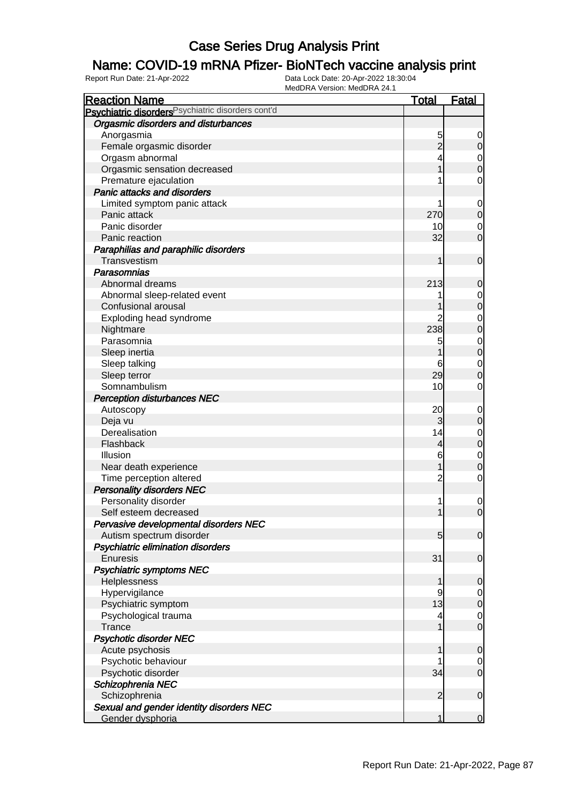### Name: COVID-19 mRNA Pfizer- BioNTech vaccine analysis print

| <b>Reaction Name</b>                                          | <b>Total</b>    | <b>Fatal</b>   |
|---------------------------------------------------------------|-----------------|----------------|
| Psychiatric disorders <sup>Psychiatric disorders cont'd</sup> |                 |                |
| Orgasmic disorders and disturbances                           |                 |                |
| Anorgasmia                                                    | 5               | 0              |
| Female orgasmic disorder                                      | $\overline{c}$  | $\mathbf 0$    |
| Orgasm abnormal                                               |                 | 0              |
| Orgasmic sensation decreased                                  |                 | $\mathbf 0$    |
| Premature ejaculation                                         |                 | $\mathbf 0$    |
| <b>Panic attacks and disorders</b>                            |                 |                |
| Limited symptom panic attack                                  |                 | $\mathbf 0$    |
| Panic attack                                                  | 270             | $\mathbf 0$    |
| Panic disorder                                                | 10              | 0              |
| Panic reaction                                                | 32              | $\mathbf 0$    |
| Paraphilias and paraphilic disorders                          |                 |                |
| Transvestism                                                  | 1               | $\mathbf 0$    |
| Parasomnias                                                   |                 |                |
| Abnormal dreams                                               | 213             | 0              |
| Abnormal sleep-related event                                  |                 | 0              |
| Confusional arousal                                           |                 | $\mathbf 0$    |
| Exploding head syndrome                                       |                 | $\mathbf 0$    |
| Nightmare                                                     | 238             | $\mathbf 0$    |
| Parasomnia                                                    | 5               | $\mathbf 0$    |
| Sleep inertia                                                 |                 | $\mathbf 0$    |
| Sleep talking                                                 |                 | $\mathbf 0$    |
| Sleep terror                                                  | 29              | $\mathbf 0$    |
| Somnambulism                                                  | 10              | 0              |
| <b>Perception disturbances NEC</b>                            |                 |                |
| Autoscopy                                                     | 20              | $\mathbf 0$    |
| Deja vu                                                       | 3               | $\mathbf 0$    |
| Derealisation                                                 | 14              | $\mathbf 0$    |
| Flashback                                                     | 4               | $\pmb{0}$      |
| Illusion                                                      | 6               | $\mathbf 0$    |
| Near death experience                                         |                 | $\mathbf 0$    |
| Time perception altered                                       | $\overline{c}$  | $\mathbf 0$    |
| <b>Personality disorders NEC</b>                              |                 |                |
| Personality disorder                                          |                 | $\mathbf 0$    |
| Self esteem decreased                                         |                 | $\mathbf 0$    |
| Pervasive developmental disorders NEC                         |                 |                |
| Autism spectrum disorder                                      | $5\overline{)}$ | $\overline{0}$ |
| Psychiatric elimination disorders                             |                 |                |
| Enuresis                                                      | 31              | $\mathbf 0$    |
| <b>Psychiatric symptoms NEC</b>                               |                 |                |
| Helplessness                                                  | 1               | $\mathbf 0$    |
| Hypervigilance                                                | 9               | 0              |
| Psychiatric symptom                                           | 13              | $\mathbf 0$    |
| Psychological trauma                                          | 4               | $\overline{0}$ |
| <b>Trance</b>                                                 |                 | $\mathbf 0$    |
| <b>Psychotic disorder NEC</b>                                 |                 |                |
| Acute psychosis                                               | 1               | $\mathbf 0$    |
| Psychotic behaviour                                           |                 | 0              |
| Psychotic disorder                                            | 34              | $\mathbf 0$    |
| Schizophrenia NEC                                             |                 |                |
| Schizophrenia                                                 | $\overline{2}$  | $\mathbf 0$    |
| Sexual and gender identity disorders NEC                      |                 |                |
| Gender dysphoria                                              | 1               | $\mathbf 0$    |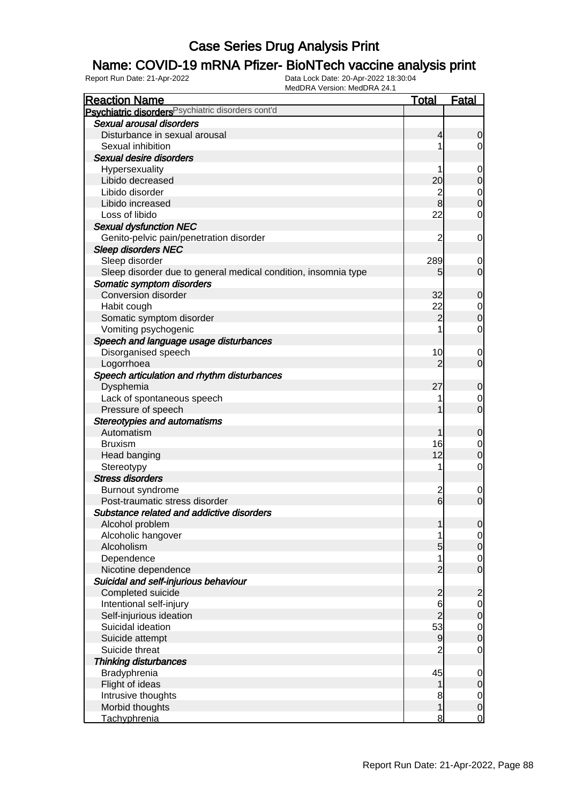### Name: COVID-19 mRNA Pfizer- BioNTech vaccine analysis print

| <b>Reaction Name</b>                                           | <b>Total</b>    | <b>Fatal</b>     |
|----------------------------------------------------------------|-----------------|------------------|
| Psychiatric disorders <sup>Psychiatric disorders cont'd</sup>  |                 |                  |
| Sexual arousal disorders                                       |                 |                  |
| Disturbance in sexual arousal                                  | 4               | $\mathbf 0$      |
| Sexual inhibition                                              |                 |                  |
| Sexual desire disorders                                        |                 | 0                |
|                                                                |                 |                  |
| Hypersexuality                                                 |                 | 0                |
| Libido decreased                                               | 20              | $\mathbf 0$      |
| Libido disorder                                                | $\overline{c}$  | $\mathbf 0$      |
| Libido increased                                               | 8               | $\mathbf 0$      |
| Loss of libido                                                 | 22              | 0                |
| <b>Sexual dysfunction NEC</b>                                  |                 |                  |
| Genito-pelvic pain/penetration disorder                        | $\overline{c}$  | 0                |
| <b>Sleep disorders NEC</b>                                     |                 |                  |
| Sleep disorder                                                 | 289             | 0                |
| Sleep disorder due to general medical condition, insomnia type | 5               | $\overline{0}$   |
| Somatic symptom disorders                                      |                 |                  |
| Conversion disorder                                            | 32              | $\mathbf 0$      |
| Habit cough                                                    | 22              | $\mathbf 0$      |
| Somatic symptom disorder                                       | $\overline{2}$  | $\mathbf 0$      |
| Vomiting psychogenic                                           |                 | 0                |
| Speech and language usage disturbances                         |                 |                  |
| Disorganised speech                                            | 10              | $\mathbf 0$      |
| Logorrhoea                                                     | $\overline{2}$  | $\overline{0}$   |
| Speech articulation and rhythm disturbances                    |                 |                  |
| Dysphemia                                                      | 27              | $\mathbf 0$      |
| Lack of spontaneous speech                                     |                 | 0                |
| Pressure of speech                                             |                 | $\overline{0}$   |
| <b>Stereotypies and automatisms</b>                            |                 |                  |
| Automatism                                                     |                 | $\mathbf 0$      |
| <b>Bruxism</b>                                                 | 16              | 0                |
| Head banging                                                   | 12              | $\boldsymbol{0}$ |
| Stereotypy                                                     | 1               | 0                |
| <b>Stress disorders</b>                                        |                 |                  |
| Burnout syndrome                                               | $\overline{c}$  | $\mathbf 0$      |
| Post-traumatic stress disorder                                 | $6\overline{6}$ | $\mathbf 0$      |
| Substance related and addictive disorders                      |                 |                  |
| Alcohol problem                                                |                 | $\overline{0}$   |
| Alcoholic hangover                                             |                 | $\overline{0}$   |
| Alcoholism                                                     | 5               | $\mathbf 0$      |
| Dependence                                                     |                 | $\overline{0}$   |
| Nicotine dependence                                            | $\overline{2}$  | $\overline{0}$   |
| Suicidal and self-injurious behaviour                          |                 |                  |
| Completed suicide                                              | $\overline{c}$  | $\overline{2}$   |
| Intentional self-injury                                        | 6               | $\overline{0}$   |
| Self-injurious ideation                                        | $\overline{2}$  | $\mathbf 0$      |
| Suicidal ideation                                              | 53              | $\overline{0}$   |
| Suicide attempt                                                | 9               | $\mathbf 0$      |
| Suicide threat                                                 |                 | 0                |
| <b>Thinking disturbances</b>                                   |                 |                  |
| Bradyphrenia                                                   | 45              | $\mathbf 0$      |
| Flight of ideas                                                | 1               | $\mathbf 0$      |
| Intrusive thoughts                                             | 8               | $\overline{0}$   |
| Morbid thoughts                                                | 1               | $\mathbf 0$      |
| <b>Tachyphrenia</b>                                            | 8               | $\overline{0}$   |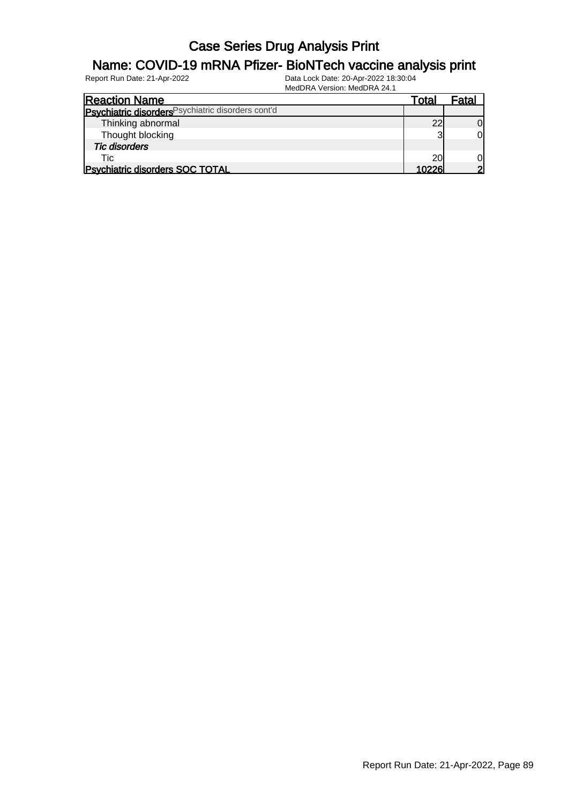### Name: COVID-19 mRNA Pfizer- BioNTech vaccine analysis print

| <b>Reaction Name</b>                               | Total | Fatal          |
|----------------------------------------------------|-------|----------------|
| Psychiatric disorders Psychiatric disorders cont'd |       |                |
| Thinking abnormal                                  | 22    | 0l             |
| Thought blocking                                   | ว     | 0              |
| <b>Tic disorders</b>                               |       |                |
| <b>Tic</b>                                         | 20    | 01             |
| <b>Psychiatric disorders SOC TOTAL</b>             | 10226 | $\overline{2}$ |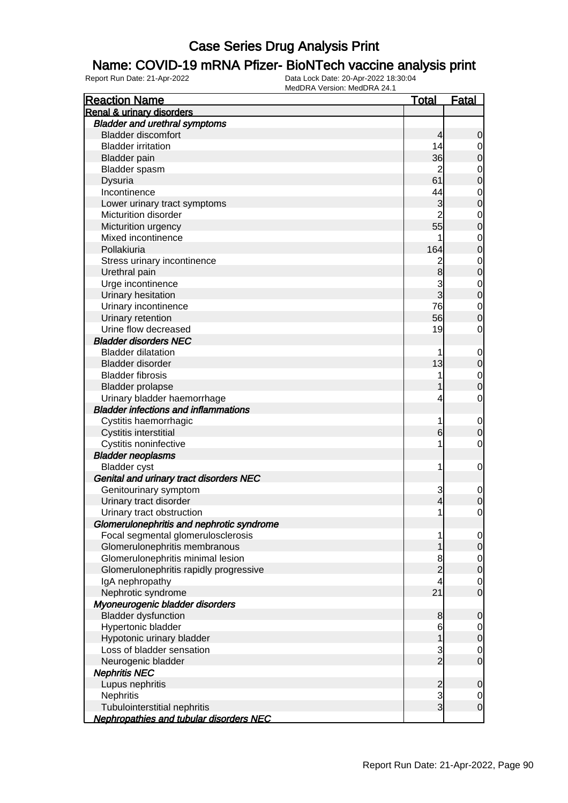### Name: COVID-19 mRNA Pfizer- BioNTech vaccine analysis print

| <b>Reaction Name</b>                           | <u>Total</u>   | <b>Fatal</b>     |
|------------------------------------------------|----------------|------------------|
| <b>Renal &amp; urinary disorders</b>           |                |                  |
| <b>Bladder and urethral symptoms</b>           |                |                  |
| <b>Bladder discomfort</b>                      | 4              | 0                |
| <b>Bladder irritation</b>                      | 14             | 0                |
| <b>Bladder</b> pain                            | 36             | $\mathbf 0$      |
| Bladder spasm                                  | $\overline{c}$ | $\mathbf 0$      |
| Dysuria                                        | 61             | 0                |
| Incontinence                                   | 44             | $\mathbf 0$      |
| Lower urinary tract symptoms                   | 3              | 0                |
| Micturition disorder                           | $\overline{2}$ | $\mathbf 0$      |
| Micturition urgency                            | 55             | 0                |
| Mixed incontinence                             |                | $\mathbf 0$      |
| Pollakiuria                                    | 164            | 0                |
| Stress urinary incontinence                    | $\overline{c}$ | $\mathbf 0$      |
| Urethral pain                                  | 8              | $\mathbf 0$      |
| Urge incontinence                              | 3              | $\mathbf 0$      |
| Urinary hesitation                             | $\overline{3}$ | $\mathbf 0$      |
| Urinary incontinence                           | 76             | $\mathbf 0$      |
| Urinary retention                              | 56             | 0                |
| Urine flow decreased                           | 19             | 0                |
| <b>Bladder disorders NEC</b>                   |                |                  |
| <b>Bladder dilatation</b>                      | 1              | $\mathbf 0$      |
| <b>Bladder disorder</b>                        | 13             | 0                |
| <b>Bladder fibrosis</b>                        | 1              | $\mathbf 0$      |
| <b>Bladder prolapse</b>                        |                | 0                |
| Urinary bladder haemorrhage                    | 4              | 0                |
| <b>Bladder infections and inflammations</b>    |                |                  |
| Cystitis haemorrhagic                          | 1              | $\mathbf 0$      |
| <b>Cystitis interstitial</b>                   | 6              | 0                |
| Cystitis noninfective                          | 1              | 0                |
| <b>Bladder neoplasms</b>                       |                |                  |
| <b>Bladder</b> cyst                            | 1              | $\mathbf 0$      |
| Genital and urinary tract disorders NEC        |                |                  |
| Genitourinary symptom                          | 3              | 0                |
| Urinary tract disorder                         | 4              | 0                |
| Urinary tract obstruction                      | 1              | $\mathbf 0$      |
| Glomerulonephritis and nephrotic syndrome      |                |                  |
| Focal segmental glomerulosclerosis             | 1              | $\overline{0}$   |
| Glomerulonephritis membranous                  |                | $\mathbf 0$      |
| Glomerulonephritis minimal lesion              | 8              | $\overline{0}$   |
| Glomerulonephritis rapidly progressive         | $\overline{c}$ | $\boldsymbol{0}$ |
| IgA nephropathy                                | 4              | $\mathbf 0$      |
| Nephrotic syndrome                             | 21             | $\mathbf 0$      |
| Myoneurogenic bladder disorders                |                |                  |
| <b>Bladder dysfunction</b>                     | 8              | 0                |
| Hypertonic bladder                             | 6              | $\overline{0}$   |
| Hypotonic urinary bladder                      | 1              | 0                |
| Loss of bladder sensation                      | $\frac{3}{2}$  | $\mathbf 0$      |
| Neurogenic bladder                             |                | $\mathbf 0$      |
| <b>Nephritis NEC</b>                           |                |                  |
| Lupus nephritis                                | $\frac{2}{3}$  | 0                |
| <b>Nephritis</b>                               |                | $\overline{0}$   |
| Tubulointerstitial nephritis                   | $\overline{3}$ | $\boldsymbol{0}$ |
| <b>Nephropathies and tubular disorders NEC</b> |                |                  |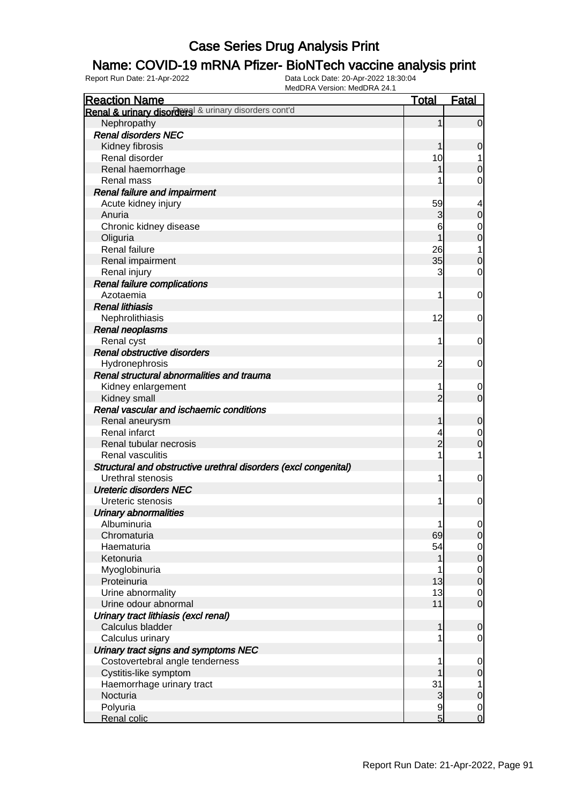### Name: COVID-19 mRNA Pfizer- BioNTech vaccine analysis print

| <b>Reaction Name</b>                                            | <b>Total</b>    | <b>Fatal</b>     |
|-----------------------------------------------------------------|-----------------|------------------|
| Renal & urinary disorders & urinary disorders cont'd            |                 |                  |
| Nephropathy                                                     | 1               | $\mathbf 0$      |
| <b>Renal disorders NEC</b>                                      |                 |                  |
| Kidney fibrosis                                                 | 1               | $\mathbf 0$      |
| Renal disorder                                                  | 10              |                  |
| Renal haemorrhage                                               |                 | $\mathbf 0$      |
| Renal mass                                                      |                 | $\mathbf 0$      |
| <b>Renal failure and impairment</b>                             |                 |                  |
| Acute kidney injury                                             | 59              | 4                |
| Anuria                                                          | 3               | $\mathbf 0$      |
| Chronic kidney disease                                          | 6               | $\mathbf 0$      |
| Oliguria                                                        |                 | $\mathbf 0$      |
| Renal failure                                                   | 26              | 1                |
| Renal impairment                                                | 35              | $\mathbf 0$      |
| Renal injury                                                    | 3               | $\mathbf 0$      |
| <b>Renal failure complications</b>                              |                 |                  |
| Azotaemia                                                       | 1               | 0                |
| <b>Renal lithiasis</b>                                          |                 |                  |
| Nephrolithiasis                                                 | 12              | 0                |
| Renal neoplasms                                                 |                 |                  |
| Renal cyst                                                      | 1               | 0                |
| Renal obstructive disorders                                     |                 |                  |
| Hydronephrosis                                                  | $\overline{c}$  | 0                |
| Renal structural abnormalities and trauma                       |                 |                  |
| Kidney enlargement                                              |                 | $\mathbf 0$      |
| Kidney small                                                    | $\overline{2}$  | $\mathbf 0$      |
| Renal vascular and ischaemic conditions                         |                 |                  |
| Renal aneurysm                                                  | 1               | $\mathbf 0$      |
| Renal infarct                                                   | 4               | $\mathbf 0$      |
| Renal tubular necrosis                                          | $\overline{c}$  | $\mathbf 0$      |
| Renal vasculitis                                                | 1               | 1                |
| Structural and obstructive urethral disorders (excl congenital) |                 |                  |
| Urethral stenosis                                               | 1               | $\mathbf 0$      |
| <b>Ureteric disorders NEC</b>                                   |                 |                  |
| Ureteric stenosis                                               | 1               | 0                |
| <b>Urinary abnormalities</b>                                    |                 |                  |
| Albuminuria                                                     | 1               | $\overline{0}$   |
| Chromaturia                                                     | 69              | $\mathbf 0$      |
| Haematuria                                                      | 54              | $\mathbf 0$      |
| Ketonuria                                                       | 1               | $\mathbf 0$      |
| Myoglobinuria                                                   | 1               | $\mathbf 0$      |
| Proteinuria                                                     | 13              | $\boldsymbol{0}$ |
| Urine abnormality                                               | 13              | $\mathbf 0$      |
| Urine odour abnormal                                            | 11              | $\mathbf 0$      |
| Urinary tract lithiasis (excl renal)                            |                 |                  |
| Calculus bladder                                                | 1               | $\mathbf 0$      |
| Calculus urinary                                                |                 | $\mathbf 0$      |
| Urinary tract signs and symptoms NEC                            |                 |                  |
| Costovertebral angle tenderness                                 | 1               | $\mathbf 0$      |
| Cystitis-like symptom                                           |                 | $\pmb{0}$        |
| Haemorrhage urinary tract                                       | 31              | 1                |
| Nocturia                                                        | $\mathbf{3}$    | $\boldsymbol{0}$ |
| Polyuria                                                        | 9               | $\mathbf 0$      |
| Renal colic                                                     | $5\overline{)}$ | $\overline{0}$   |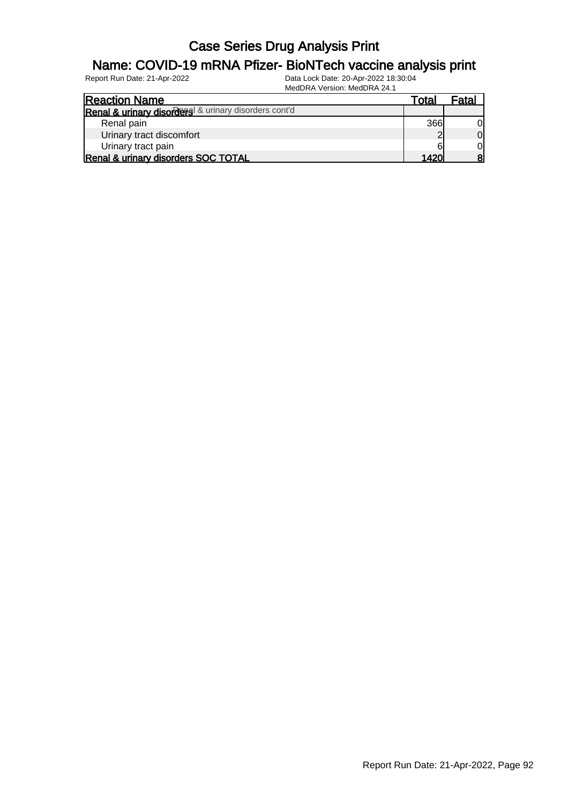### Name: COVID-19 mRNA Pfizer- BioNTech vaccine analysis print

| <b>Reaction Name</b>                                 | Total      | <sup>⊏</sup> ataı |
|------------------------------------------------------|------------|-------------------|
| Renal & urinary disorders & urinary disorders cont'd |            |                   |
| Renal pain                                           | <b>366</b> | 0                 |
| Urinary tract discomfort                             |            | $\overline{0}$    |
| Urinary tract pain                                   |            | $\overline{0}$    |
| Renal & urinary disorders SOC TOTAL                  | 14201      | 8                 |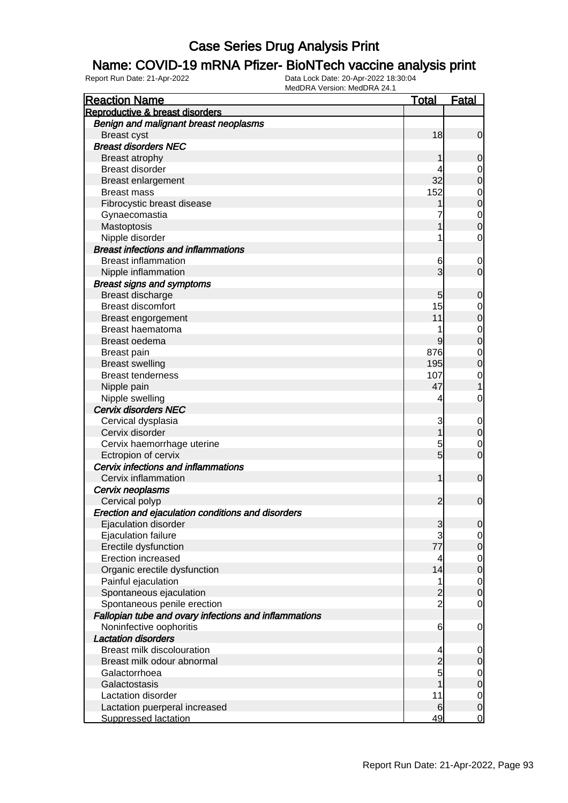### Name: COVID-19 mRNA Pfizer- BioNTech vaccine analysis print

| <b>Reaction Name</b>                                  | <b>Total</b>   | <b>Fatal</b>   |
|-------------------------------------------------------|----------------|----------------|
| Reproductive & breast disorders                       |                |                |
| Benign and malignant breast neoplasms                 |                |                |
| <b>Breast cyst</b>                                    | 18             | $\mathbf 0$    |
| <b>Breast disorders NEC</b>                           |                |                |
| Breast atrophy                                        |                | 0              |
| <b>Breast disorder</b>                                |                | $\mathbf 0$    |
| Breast enlargement                                    | 32             | $\mathbf 0$    |
| <b>Breast mass</b>                                    | 152            | $\mathbf 0$    |
| Fibrocystic breast disease                            |                | $\mathbf 0$    |
| Gynaecomastia                                         |                | $\mathbf 0$    |
| Mastoptosis                                           |                | $\mathbf 0$    |
| Nipple disorder                                       |                | $\mathbf 0$    |
| <b>Breast infections and inflammations</b>            |                |                |
| <b>Breast inflammation</b>                            | 6              | 0              |
| Nipple inflammation                                   | 3              | $\mathbf 0$    |
| <b>Breast signs and symptoms</b>                      |                |                |
| Breast discharge                                      | 5              | $\mathbf 0$    |
| <b>Breast discomfort</b>                              | 15             | $\mathbf 0$    |
| Breast engorgement                                    | 11             | $\mathbf 0$    |
| Breast haematoma                                      |                | $\mathbf 0$    |
| Breast oedema                                         | 9              | $\mathbf 0$    |
| <b>Breast pain</b>                                    | 876            | $\mathbf 0$    |
| <b>Breast swelling</b>                                | 195            | $\mathbf 0$    |
| <b>Breast tenderness</b>                              | 107            | $\mathbf 0$    |
| Nipple pain                                           | 47             |                |
| Nipple swelling                                       | 4              | 0              |
| <b>Cervix disorders NEC</b>                           |                |                |
| Cervical dysplasia                                    | 3              | 0              |
| Cervix disorder                                       | 1              | $\mathbf 0$    |
| Cervix haemorrhage uterine                            | 5              | $\mathbf 0$    |
| Ectropion of cervix                                   | 5              | $\overline{0}$ |
| Cervix infections and inflammations                   |                |                |
| Cervix inflammation                                   | 1              | $\mathbf 0$    |
| Cervix neoplasms                                      |                |                |
| Cervical polyp                                        | $\overline{2}$ | $\mathbf 0$    |
| Erection and ejaculation conditions and disorders     |                |                |
| Ejaculation disorder                                  | 3              | $\overline{0}$ |
| Ejaculation failure                                   | 3              | $\overline{0}$ |
| Erectile dysfunction                                  | 77             | $\mathbf 0$    |
| Erection increased                                    | 4              | $\overline{0}$ |
| Organic erectile dysfunction                          | 14             | $\pmb{0}$      |
| Painful ejaculation                                   | 1              | $\overline{0}$ |
| Spontaneous ejaculation                               | $\overline{c}$ | $\mathbf 0$    |
| Spontaneous penile erection                           | $\overline{c}$ | $\mathbf 0$    |
| Fallopian tube and ovary infections and inflammations |                |                |
| Noninfective oophoritis                               | 6              | $\mathbf 0$    |
| <b>Lactation disorders</b>                            |                |                |
| <b>Breast milk discolouration</b>                     | 4              | $\mathbf 0$    |
| Breast milk odour abnormal                            | $\overline{c}$ | $\mathbf 0$    |
| Galactorrhoea                                         | 5              | $\overline{0}$ |
| Galactostasis                                         |                | $\mathbf 0$    |
| Lactation disorder                                    | 11             | $\overline{0}$ |
| Lactation puerperal increased                         | 6              | $\mathbf 0$    |
| <b>Suppressed lactation</b>                           | 49             | $\overline{0}$ |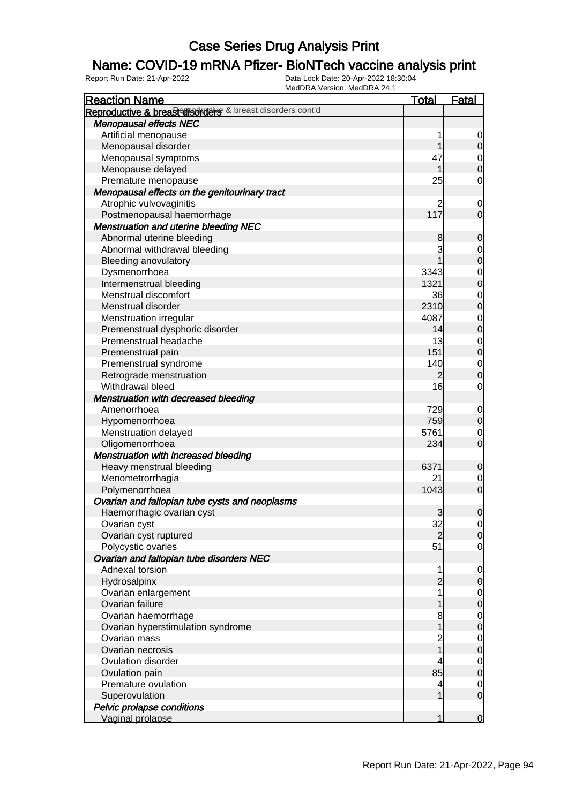### Name: COVID-19 mRNA Pfizer- BioNTech vaccine analysis print

| <b>Reaction Name</b>                                      | <b>Total</b>   | <u>Fatal</u>                         |
|-----------------------------------------------------------|----------------|--------------------------------------|
| Reproductive & breast disorders & breast disorders cont'd |                |                                      |
| <b>Menopausal effects NEC</b>                             |                |                                      |
| Artificial menopause                                      | 1              | $\overline{0}$                       |
| Menopausal disorder                                       |                | $\overline{0}$                       |
| Menopausal symptoms                                       | 47             |                                      |
| Menopause delayed                                         |                | $\begin{matrix} 0 \\ 0 \end{matrix}$ |
| Premature menopause                                       | 25             | 0                                    |
| Menopausal effects on the genitourinary tract             |                |                                      |
| Atrophic vulvovaginitis                                   | $\overline{c}$ | $\overline{0}$                       |
| Postmenopausal haemorrhage                                | 117            | $\overline{0}$                       |
| <b>Menstruation and uterine bleeding NEC</b>              |                |                                      |
| Abnormal uterine bleeding                                 | 8              | $\mathbf 0$                          |
| Abnormal withdrawal bleeding                              | 3              |                                      |
| <b>Bleeding anovulatory</b>                               |                | $0$ 0                                |
| Dysmenorrhoea                                             | 3343           |                                      |
| Intermenstrual bleeding                                   | 1321           | $\begin{matrix} 0 \\ 0 \end{matrix}$ |
| Menstrual discomfort                                      | 36             |                                      |
| Menstrual disorder                                        | 2310           | $\begin{matrix} 0 \\ 0 \end{matrix}$ |
| Menstruation irregular                                    | 4087           |                                      |
| Premenstrual dysphoric disorder                           | 14             | $\begin{matrix} 0 \\ 0 \end{matrix}$ |
| Premenstrual headache                                     | 13             |                                      |
| Premenstrual pain                                         | 151            | $\begin{matrix} 0 \\ 0 \end{matrix}$ |
| Premenstrual syndrome                                     | 140            | $\overline{0}$                       |
| Retrograde menstruation                                   | 2              | $\overline{0}$                       |
| Withdrawal bleed                                          | 16             | $\overline{0}$                       |
| <b>Menstruation with decreased bleeding</b>               |                |                                      |
| Amenorrhoea                                               | 729            | $\overline{0}$                       |
| Hypomenorrhoea                                            | 759            | $\overline{0}$                       |
| Menstruation delayed                                      | 5761           | $\mathbf 0$                          |
| Oligomenorrhoea                                           | 234            | $\overline{0}$                       |
| <b>Menstruation with increased bleeding</b>               |                |                                      |
| Heavy menstrual bleeding                                  | 6371           | $\mathbf 0$                          |
| Menometrorrhagia                                          | 21             | $\mathbf 0$                          |
| Polymenorrhoea                                            | 1043           | $\overline{O}$                       |
| Ovarian and fallopian tube cysts and neoplasms            |                |                                      |
| Haemorrhagic ovarian cyst                                 | 3              | $\overline{0}$                       |
| Ovarian cyst                                              | 32             | $\overline{0}$                       |
| Ovarian cyst ruptured                                     | $\overline{2}$ | 0                                    |
| Polycystic ovaries                                        | 51             | $\overline{0}$                       |
| Ovarian and fallopian tube disorders NEC                  |                |                                      |
| Adnexal torsion                                           | 1              | $\overline{0}$                       |
| Hydrosalpinx                                              | $\overline{2}$ | $\mathbf 0$                          |
| Ovarian enlargement                                       |                | $\mathbf 0$                          |
| Ovarian failure                                           |                | $\overline{0}$                       |
| Ovarian haemorrhage                                       | 8              | $\overline{0}$                       |
| Ovarian hyperstimulation syndrome                         |                | $\overline{0}$                       |
| Ovarian mass                                              |                | $\mathbf 0$                          |
| Ovarian necrosis                                          |                | $\overline{0}$                       |
| Ovulation disorder                                        |                | $\mathbf 0$                          |
| Ovulation pain                                            | 85             | $\overline{0}$                       |
| Premature ovulation                                       | 4              | $\mathbf 0$                          |
| Superovulation                                            | 1              | $\overline{O}$                       |
| Pelvic prolapse conditions                                |                |                                      |
| Vaginal prolapse                                          | 1              | $\mathbf 0$                          |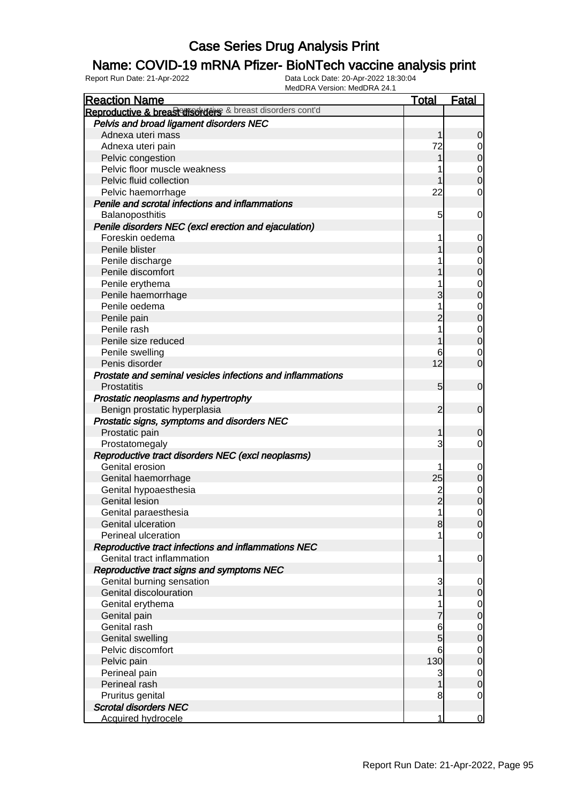### Name: COVID-19 mRNA Pfizer- BioNTech vaccine analysis print

| <b>Reaction Name</b>                                       | <b>Total</b>    | <b>Fatal</b>     |
|------------------------------------------------------------|-----------------|------------------|
| Reproductive & breasterisorders & breast disorders cont'd  |                 |                  |
| Pelvis and broad ligament disorders NEC                    |                 |                  |
| Adnexa uteri mass                                          | 1               | $\mathbf 0$      |
| Adnexa uteri pain                                          | 72              | 0                |
| Pelvic congestion                                          | 1               | $\mathbf 0$      |
| Pelvic floor muscle weakness                               |                 | $\overline{0}$   |
| Pelvic fluid collection                                    | 1               | $\overline{0}$   |
| Pelvic haemorrhage                                         | 22              | $\mathbf 0$      |
| Penile and scrotal infections and inflammations            |                 |                  |
| Balanoposthitis                                            | 5               | 0                |
| Penile disorders NEC (excl erection and ejaculation)       |                 |                  |
| Foreskin oedema                                            | 1               | $\mathbf 0$      |
| Penile blister                                             |                 | $\mathbf 0$      |
| Penile discharge                                           |                 | $\mathbf 0$      |
| Penile discomfort                                          |                 | $\mathbf 0$      |
| Penile erythema                                            | 1               | $\mathbf{0}$     |
| Penile haemorrhage                                         | 3               | $\mathbf 0$      |
| Penile oedema                                              | 1               | $\mathbf{0}$     |
| Penile pain                                                | $\overline{2}$  | $\mathbf 0$      |
| Penile rash                                                | 1               | $\mathbf{0}$     |
| Penile size reduced                                        |                 | $\overline{0}$   |
| Penile swelling                                            | 6               | $\mathbf 0$      |
| Penis disorder                                             | 12              | $\overline{0}$   |
| Prostate and seminal vesicles infections and inflammations |                 |                  |
| Prostatitis                                                | $5\overline{)}$ | $\mathbf 0$      |
| Prostatic neoplasms and hypertrophy                        |                 |                  |
| Benign prostatic hyperplasia                               | $\overline{2}$  | $\mathbf 0$      |
| Prostatic signs, symptoms and disorders NEC                |                 |                  |
| Prostatic pain                                             | 1               | 0                |
| Prostatomegaly                                             | 3               | 0                |
| Reproductive tract disorders NEC (excl neoplasms)          |                 |                  |
| Genital erosion                                            | 1               | $\mathbf 0$      |
| Genital haemorrhage                                        | 25              | $\boldsymbol{0}$ |
| Genital hypoaesthesia                                      | $\overline{c}$  | $0\atop 0$       |
| <b>Genital lesion</b>                                      | $\overline{2}$  |                  |
| Genital paraesthesia                                       | $\mathbf{1}$    | $\mathbf 0$      |
| Genital ulceration                                         | 8               | 0                |
| Perineal ulceration                                        | 1               | $\overline{0}$   |
| Reproductive tract infections and inflammations NEC        |                 |                  |
| Genital tract inflammation                                 | 1               | $\mathbf 0$      |
| Reproductive tract signs and symptoms NEC                  |                 |                  |
| Genital burning sensation                                  | 3               | 0                |
| Genital discolouration                                     | 1               | $\mathbf 0$      |
| Genital erythema                                           |                 | $\mathbf 0$      |
| Genital pain                                               |                 | $\overline{0}$   |
| Genital rash                                               | 6               | $\mathbf 0$      |
| <b>Genital swelling</b>                                    | $\overline{5}$  | $\overline{0}$   |
| Pelvic discomfort                                          | 6               | $\mathbf 0$      |
| Pelvic pain                                                | 130             | $\overline{0}$   |
| Perineal pain                                              | 3               | $\mathbf 0$      |
| Perineal rash                                              | 1               | $\overline{0}$   |
| Pruritus genital                                           | 8               | $\overline{0}$   |
| <b>Scrotal disorders NEC</b>                               |                 |                  |
| Acquired hydrocele                                         | 1               | $\mathbf 0$      |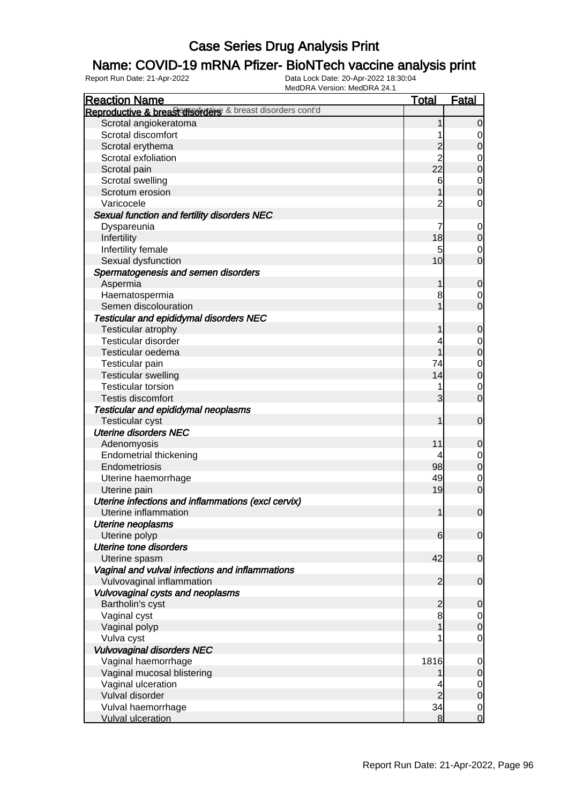### Name: COVID-19 mRNA Pfizer- BioNTech vaccine analysis print

| <b>Reaction Name</b>                                               | <b>Total</b>   | <b>Fatal</b>        |
|--------------------------------------------------------------------|----------------|---------------------|
| Reproductive & breast disordars & breast disorders cont'd          |                |                     |
| Scrotal angiokeratoma                                              |                | $\overline{0}$      |
| Scrotal discomfort                                                 |                | 0                   |
| Scrotal erythema                                                   |                | 0                   |
| Scrotal exfoliation                                                |                | 0                   |
| Scrotal pain                                                       | 22             | $\mathbf 0$         |
| Scrotal swelling                                                   | 6              | $\mathbf 0$         |
| Scrotum erosion                                                    |                | $\overline{0}$      |
| Varicocele                                                         |                | 0                   |
| Sexual function and fertility disorders NEC                        |                |                     |
| Dyspareunia                                                        |                | $\mathbf 0$         |
| Infertility                                                        | 18             | $\overline{0}$      |
| Infertility female                                                 | 5              | 0                   |
| Sexual dysfunction                                                 | 10             | $\overline{0}$      |
| Spermatogenesis and semen disorders                                |                |                     |
| Aspermia                                                           | 1              | 0                   |
| Haematospermia                                                     | 8              | 0                   |
| Semen discolouration                                               |                | $\overline{0}$      |
| <b>Testicular and epididymal disorders NEC</b>                     |                |                     |
| Testicular atrophy                                                 |                | 0                   |
| <b>Testicular disorder</b>                                         |                | 0                   |
| Testicular oedema                                                  |                | $\overline{0}$      |
| Testicular pain                                                    | 74             | $\mathbf 0$         |
| <b>Testicular swelling</b>                                         | 14             | $\overline{0}$      |
| <b>Testicular torsion</b>                                          |                | 0                   |
| <b>Testis discomfort</b>                                           | 3              | $\overline{0}$      |
|                                                                    |                |                     |
| Testicular and epididymal neoplasms<br><b>Testicular cyst</b>      |                | $\mathbf 0$         |
| <b>Uterine disorders NEC</b>                                       |                |                     |
|                                                                    | 11             |                     |
| Adenomyosis<br><b>Endometrial thickening</b>                       | 4              | 0                   |
| Endometriosis                                                      | 98             | 0<br>$\overline{0}$ |
|                                                                    | 49             |                     |
| Uterine haemorrhage                                                | 19             | 0<br>$\mathbf 0$    |
| Uterine pain<br>Uterine infections and inflammations (excl cervix) |                |                     |
| Uterine inflammation                                               | 1              | $\mathbf 0$         |
|                                                                    |                |                     |
| <b>Uterine neoplasms</b>                                           | 6              | $\overline{0}$      |
| Uterine polyp<br><b>Uterine tone disorders</b>                     |                |                     |
|                                                                    | 42             | $\mathbf 0$         |
| Uterine spasm                                                      |                |                     |
| Vaginal and vulval infections and inflammations                    | $\overline{2}$ |                     |
| Vulvovaginal inflammation                                          |                | $\mathbf 0$         |
| Vulvovaginal cysts and neoplasms                                   |                |                     |
| Bartholin's cyst                                                   | $\overline{c}$ | $\mathbf 0$         |
| Vaginal cyst                                                       | 8              | $\overline{0}$      |
| Vaginal polyp                                                      |                | $\overline{0}$      |
| Vulva cyst                                                         |                | 0                   |
| <b>Vulvovaginal disorders NEC</b>                                  |                |                     |
| Vaginal haemorrhage                                                | 1816           | $\mathbf 0$         |
| Vaginal mucosal blistering                                         |                | $\mathbf 0$         |
| Vaginal ulceration                                                 |                | $\overline{0}$      |
| Vulval disorder                                                    |                | $\mathbf 0$         |
| Vulval haemorrhage                                                 | 34             | $\overline{0}$      |
| <b>Vulval ulceration</b>                                           | 8              | $\overline{0}$      |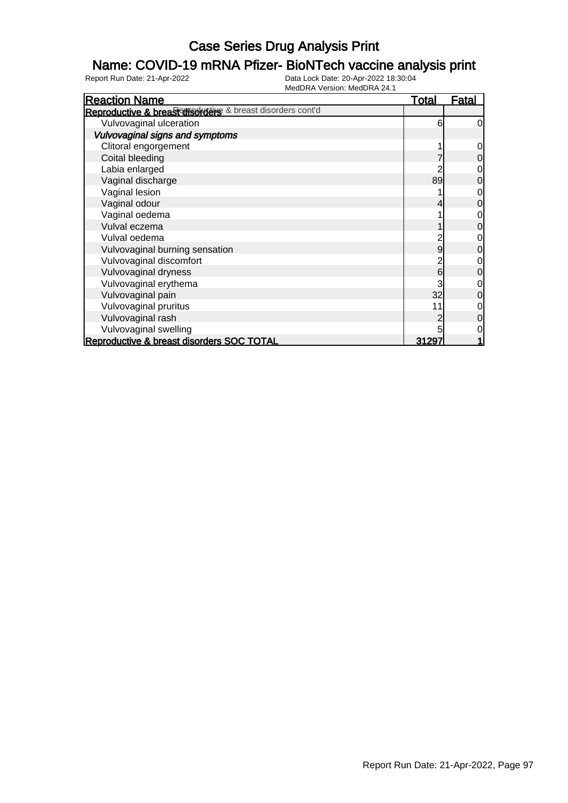### Name: COVID-19 mRNA Pfizer- BioNTech vaccine analysis print

| <b>Reaction Name</b>                                      | <b>Total</b> | <u>Fatal</u>   |
|-----------------------------------------------------------|--------------|----------------|
| Reproductive & breasters orders & breast disorders cont'd |              |                |
| Vulvovaginal ulceration                                   | 6            | $\overline{0}$ |
| Vulvovaginal signs and symptoms                           |              |                |
| Clitoral engorgement                                      |              | 0              |
| Coital bleeding                                           |              | $\mathbf 0$    |
| Labia enlarged                                            |              | $\overline{0}$ |
| Vaginal discharge                                         | 89           | $\mathbf 0$    |
| Vaginal lesion                                            |              | 0              |
| Vaginal odour                                             |              | $\mathbf 0$    |
| Vaginal oedema                                            |              | 0              |
| Vulval eczema                                             |              | $\mathbf 0$    |
| Vulval oedema                                             |              | 0              |
| Vulvovaginal burning sensation                            | 9            | $\overline{0}$ |
| Vulvovaginal discomfort                                   |              | 0              |
| Vulvovaginal dryness                                      | 6            | $\mathbf 0$    |
| Vulvovaginal erythema                                     |              | 0              |
| Vulvovaginal pain                                         | 32           | $\mathbf 0$    |
| Vulvovaginal pruritus                                     | 11           | 0              |
| Vulvovaginal rash                                         |              | $\overline{0}$ |
| Vulvovaginal swelling                                     | 5            | 0              |
| Reproductive & breast disorders SOC TOTAL                 | 31297        |                |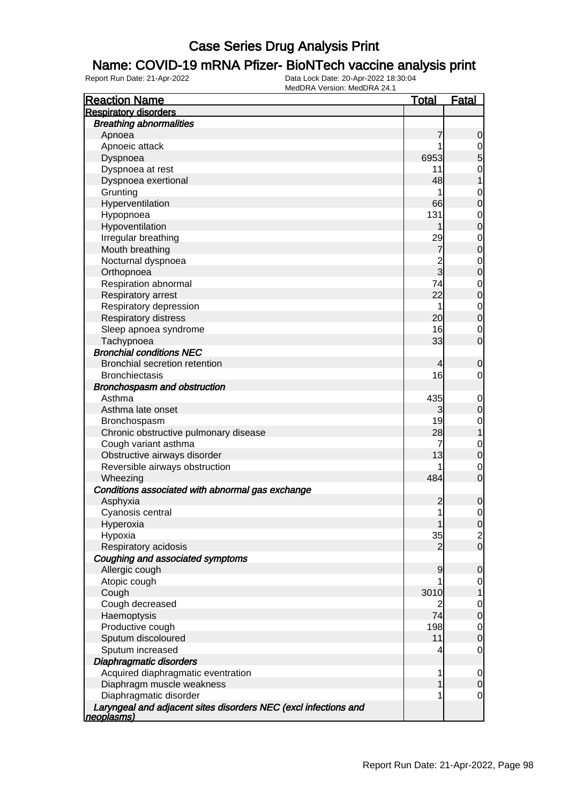### Name: COVID-19 mRNA Pfizer- BioNTech vaccine analysis print

| <b>Reaction Name</b>                                                          | <b>Total</b>   | <b>Fatal</b>   |
|-------------------------------------------------------------------------------|----------------|----------------|
| <b>Respiratory disorders</b>                                                  |                |                |
| <b>Breathing abnormalities</b>                                                |                |                |
| Apnoea                                                                        | 7              | 0              |
| Apnoeic attack                                                                |                | $\mathbf 0$    |
| Dyspnoea                                                                      | 6953           | 5              |
| Dyspnoea at rest                                                              | 11             | $\mathbf 0$    |
| Dyspnoea exertional                                                           | 48             |                |
| Grunting                                                                      | 1              | $\mathbf 0$    |
| Hyperventilation                                                              | 66             | 0              |
| Hypopnoea                                                                     | 131            | $\mathbf 0$    |
| Hypoventilation                                                               |                | 0              |
| Irregular breathing                                                           | 29             | $\mathbf 0$    |
| Mouth breathing                                                               | 7              | $\mathbf 0$    |
| Nocturnal dyspnoea                                                            | $\overline{c}$ | $\mathbf 0$    |
| Orthopnoea                                                                    | $\overline{3}$ | $\mathbf 0$    |
| Respiration abnormal                                                          | 74             | $\mathbf 0$    |
| Respiratory arrest                                                            | 22             | $\mathbf 0$    |
| Respiratory depression                                                        | 1              | $\mathbf 0$    |
| <b>Respiratory distress</b>                                                   | 20             | $\mathbf 0$    |
| Sleep apnoea syndrome                                                         | 16             | $\mathbf 0$    |
| Tachypnoea                                                                    | 33             | $\mathbf 0$    |
| <b>Bronchial conditions NEC</b>                                               |                |                |
| <b>Bronchial secretion retention</b>                                          | 4              | $\overline{0}$ |
| <b>Bronchiectasis</b>                                                         | 16             | 0              |
| Bronchospasm and obstruction                                                  |                |                |
| Asthma                                                                        | 435            | $\mathbf 0$    |
| Asthma late onset                                                             | 3              | $\mathbf 0$    |
| Bronchospasm                                                                  | 19             | $\mathbf 0$    |
| Chronic obstructive pulmonary disease                                         | 28             | 1              |
| Cough variant asthma                                                          | 7              | $\mathbf 0$    |
| Obstructive airways disorder                                                  | 13             | $\mathbf 0$    |
| Reversible airways obstruction                                                |                | 0              |
| Wheezing                                                                      | 484            | $\mathbf 0$    |
| Conditions associated with abnormal gas exchange                              |                |                |
| Asphyxia                                                                      | 2              | $\mathbf 0$    |
| Cyanosis central                                                              | 1              | $\mathbf 0$    |
| Hyperoxia                                                                     |                | $\overline{0}$ |
| Hypoxia                                                                       | 35             | $\overline{2}$ |
| Respiratory acidosis                                                          | 2              | $\overline{0}$ |
| Coughing and associated symptoms                                              |                |                |
| Allergic cough                                                                | 9              | 0              |
| Atopic cough                                                                  |                | 0              |
| Cough                                                                         | 3010           |                |
| Cough decreased                                                               | 2              | 0              |
| Haemoptysis                                                                   | 74             | $\mathbf 0$    |
| Productive cough                                                              | 198            | 0              |
| Sputum discoloured                                                            | 11             | 0              |
|                                                                               | 4              | 0              |
| Sputum increased                                                              |                |                |
| Diaphragmatic disorders                                                       |                |                |
| Acquired diaphragmatic eventration                                            | 1              | 0              |
| Diaphragm muscle weakness                                                     | 1              | 0              |
| Diaphragmatic disorder                                                        |                | 0              |
| Laryngeal and adjacent sites disorders NEC (excl infections and<br>neoplasms) |                |                |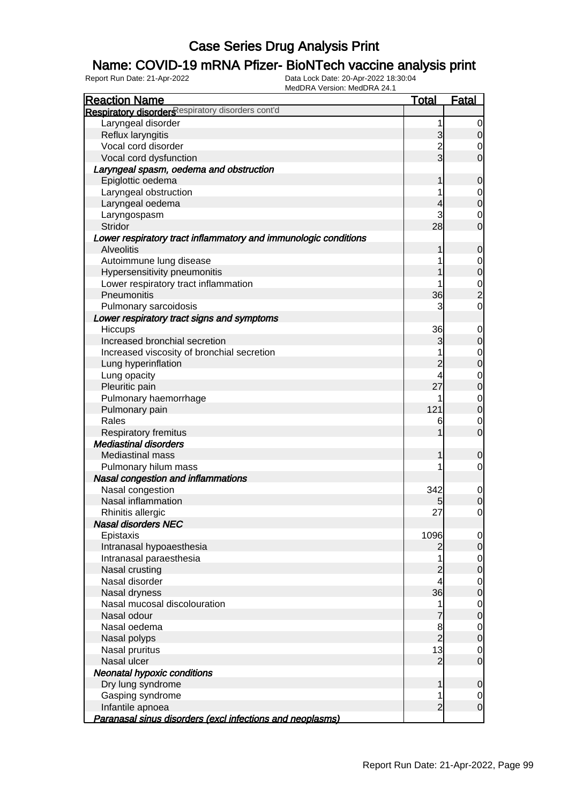### Name: COVID-19 mRNA Pfizer- BioNTech vaccine analysis print

| <b>Reaction Name</b>                                                                 | <b>Total</b>   | <b>Fatal</b>                  |
|--------------------------------------------------------------------------------------|----------------|-------------------------------|
| Respiratory disorders espiratory disorders cont'd                                    |                |                               |
|                                                                                      |                |                               |
| Laryngeal disorder                                                                   | 1              | 0                             |
| Reflux laryngitis                                                                    | 3              | $\overline{0}$                |
| Vocal cord disorder                                                                  | 3              | 0                             |
| Vocal cord dysfunction                                                               |                | $\overline{0}$                |
| Laryngeal spasm, oedema and obstruction                                              |                |                               |
| Epiglottic oedema                                                                    |                | 0                             |
| Laryngeal obstruction                                                                |                | 0                             |
| Laryngeal oedema                                                                     |                | $\mathbf 0$                   |
| Laryngospasm                                                                         | 3              | 0                             |
| Stridor                                                                              | 28             | $\overline{0}$                |
| Lower respiratory tract inflammatory and immunologic conditions<br><b>Alveolitis</b> |                |                               |
| Autoimmune lung disease                                                              |                | 0                             |
|                                                                                      |                | 0<br>$\mathbf 0$              |
| Hypersensitivity pneumonitis                                                         |                |                               |
| Lower respiratory tract inflammation<br>Pneumonitis                                  |                | $\mathbf 0$<br>$\overline{2}$ |
|                                                                                      | 36             |                               |
| Pulmonary sarcoidosis                                                                | 3              | 0                             |
| Lower respiratory tract signs and symptoms                                           |                |                               |
| Hiccups                                                                              | 36             | $\mathbf 0$                   |
| Increased bronchial secretion                                                        | 3              | $\mathbf 0$                   |
| Increased viscosity of bronchial secretion                                           |                | 0                             |
| Lung hyperinflation                                                                  |                | $\mathbf 0$                   |
| Lung opacity                                                                         | 4              | 0                             |
| Pleuritic pain                                                                       | 27             | $\mathbf 0$                   |
| Pulmonary haemorrhage                                                                |                | 0                             |
| Pulmonary pain                                                                       | 121            | $\mathbf 0$                   |
| Rales                                                                                | 6              | 0                             |
| <b>Respiratory fremitus</b>                                                          |                | $\overline{0}$                |
| <b>Mediastinal disorders</b>                                                         |                |                               |
| <b>Mediastinal mass</b>                                                              |                | 0                             |
| Pulmonary hilum mass                                                                 |                | 0                             |
| Nasal congestion and inflammations                                                   |                |                               |
| Nasal congestion                                                                     | 342            | $\mathbf 0$                   |
| Nasal inflammation                                                                   | 5              | $\mathbf 0$                   |
| Rhinitis allergic                                                                    | 27             | 0                             |
| <b>Nasal disorders NEC</b>                                                           |                |                               |
| Epistaxis                                                                            | 1096           | $\overline{0}$                |
| Intranasal hypoaesthesia                                                             |                | $\mathbf 0$                   |
| Intranasal paraesthesia                                                              |                | $\overline{0}$                |
| Nasal crusting                                                                       |                | $\mathbf 0$                   |
| Nasal disorder                                                                       | 4              | $\mathbf 0$                   |
| Nasal dryness                                                                        | 36             | $\mathbf 0$                   |
| Nasal mucosal discolouration                                                         |                | $\mathbf 0$                   |
| Nasal odour                                                                          |                | $\mathbf 0$                   |
| Nasal oedema                                                                         | 8              | $\overline{0}$                |
| Nasal polyps                                                                         | $\overline{2}$ | $\mathbf 0$                   |
| Nasal pruritus                                                                       | 13             | $\mathbf 0$                   |
| Nasal ulcer                                                                          | $\overline{2}$ | $\overline{0}$                |
| <b>Neonatal hypoxic conditions</b>                                                   |                |                               |
| Dry lung syndrome                                                                    |                | 0                             |
| Gasping syndrome                                                                     |                | 0                             |
| Infantile apnoea                                                                     | $\overline{2}$ | $\overline{0}$                |
| Paranasal sinus disorders (excl infections and neoplasms)                            |                |                               |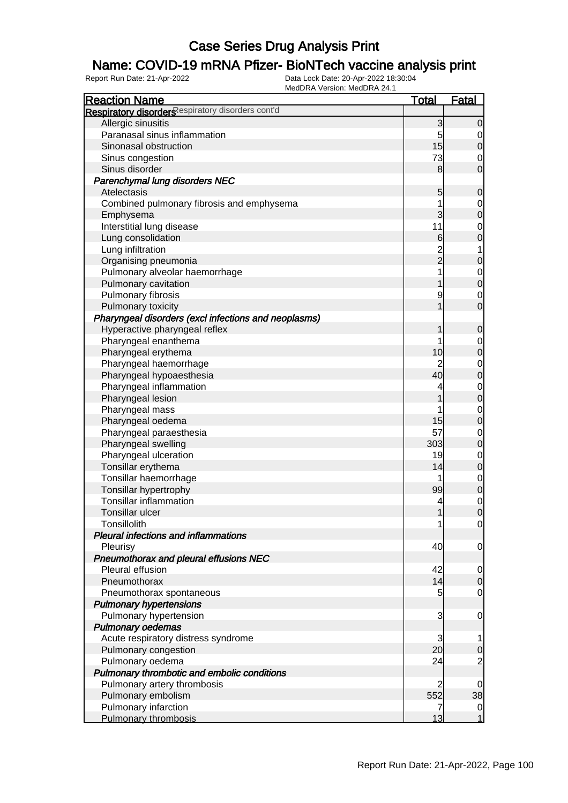### Name: COVID-19 mRNA Pfizer- BioNTech vaccine analysis print

| <b>Reaction Name</b>                                 | <u>Total</u>    | <b>Fatal</b>                         |
|------------------------------------------------------|-----------------|--------------------------------------|
| Respiratory disorders espiratory disorders cont'd    |                 |                                      |
| Allergic sinusitis                                   | 3               | $\overline{0}$                       |
| Paranasal sinus inflammation                         | 5               |                                      |
| Sinonasal obstruction                                | 15              | $\begin{matrix} 0 \\ 0 \end{matrix}$ |
| Sinus congestion                                     | 73              | $\overline{0}$                       |
| Sinus disorder                                       | 8               | $\overline{0}$                       |
| Parenchymal lung disorders NEC                       |                 |                                      |
| Atelectasis                                          | 5               | $\mathbf 0$                          |
| Combined pulmonary fibrosis and emphysema            | 1               |                                      |
| Emphysema                                            | 3               | $0$ 0                                |
| Interstitial lung disease                            | 11              |                                      |
| Lung consolidation                                   | $6\phantom{.}6$ | $0\0$                                |
| Lung infiltration                                    |                 | $\overline{1}$                       |
| Organising pneumonia                                 | $\frac{2}{2}$   | $\mathbf 0$                          |
| Pulmonary alveolar haemorrhage                       | $\overline{1}$  |                                      |
| Pulmonary cavitation                                 | 1               | $\begin{matrix} 0 \\ 0 \end{matrix}$ |
| Pulmonary fibrosis                                   | 9               |                                      |
| Pulmonary toxicity                                   | $\overline{1}$  | $\begin{matrix}0\\0\end{matrix}$     |
| Pharyngeal disorders (excl infections and neoplasms) |                 |                                      |
| Hyperactive pharyngeal reflex                        | 1               | $\pmb{0}$                            |
| Pharyngeal enanthema                                 | 1               |                                      |
| Pharyngeal erythema                                  | 10              | $\begin{matrix}0\\0\end{matrix}$     |
| Pharyngeal haemorrhage                               | $\overline{2}$  |                                      |
| Pharyngeal hypoaesthesia                             | 40              | $\begin{matrix}0\\0\end{matrix}$     |
| Pharyngeal inflammation                              | 4               |                                      |
| Pharyngeal lesion                                    | 1               | $\begin{matrix} 0 \\ 0 \end{matrix}$ |
| Pharyngeal mass                                      | 1               |                                      |
| Pharyngeal oedema                                    | 15              | $\begin{matrix} 0 \\ 0 \end{matrix}$ |
| Pharyngeal paraesthesia                              | 57              |                                      |
| Pharyngeal swelling                                  | 303             | $\begin{matrix} 0 \\ 0 \end{matrix}$ |
| Pharyngeal ulceration                                | 19              |                                      |
| Tonsillar erythema                                   | 14              | $\begin{matrix} 0 \\ 0 \end{matrix}$ |
| Tonsillar haemorrhage                                | 1               |                                      |
| Tonsillar hypertrophy                                | 99              | $\begin{matrix}0\\0\end{matrix}$     |
| <b>Tonsillar inflammation</b>                        | 4               |                                      |
| Tonsillar ulcer                                      | $\mathbf{1}$    | $\begin{matrix}0\\0\end{matrix}$     |
| Tonsillolith                                         | 1               | 0                                    |
| <b>Pleural infections and inflammations</b>          |                 |                                      |
| Pleurisy                                             | 40              | $\overline{0}$                       |
| Pneumothorax and pleural effusions NEC               |                 |                                      |
| Pleural effusion                                     | 42              | $\overline{0}$                       |
| Pneumothorax                                         | 14              | $\overline{0}$                       |
| Pneumothorax spontaneous                             | 5               | $\mathbf 0$                          |
| <b>Pulmonary hypertensions</b>                       |                 |                                      |
| Pulmonary hypertension                               | 3               | $\mathbf 0$                          |
| <b>Pulmonary oedemas</b>                             |                 |                                      |
| Acute respiratory distress syndrome                  | 3               | 1                                    |
| Pulmonary congestion                                 | 20              | $\mathbf 0$                          |
| Pulmonary oedema                                     | 24              | $\overline{c}$                       |
| Pulmonary thrombotic and embolic conditions          |                 |                                      |
| Pulmonary artery thrombosis                          | 2               | 0                                    |
| Pulmonary embolism                                   | 552             | 38                                   |
| Pulmonary infarction                                 | 7               |                                      |
| Pulmonary thrombosis                                 | 13              | $\overline{0}$<br>1                  |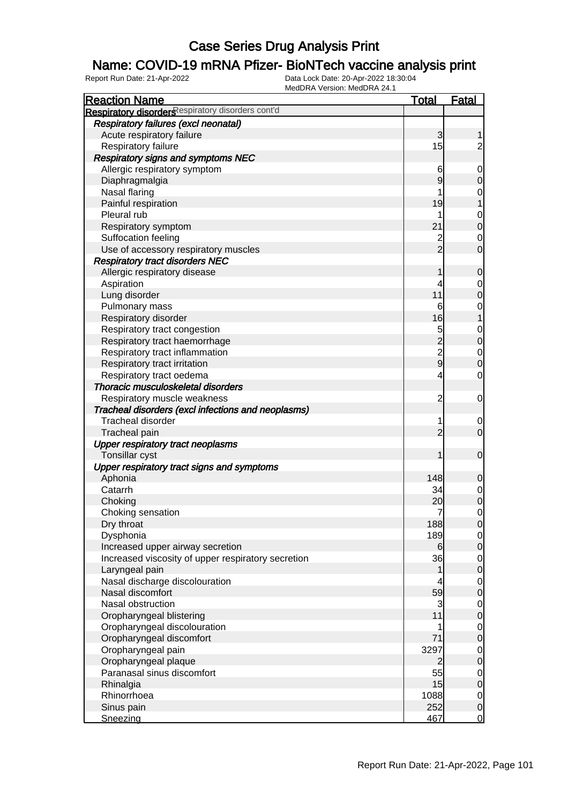### Name: COVID-19 mRNA Pfizer- BioNTech vaccine analysis print

| <b>Reaction Name</b>                               | <b>Total</b>                               | <b>Fatal</b>                         |
|----------------------------------------------------|--------------------------------------------|--------------------------------------|
| Respiratory disorders espiratory disorders cont'd  |                                            |                                      |
| Respiratory failures (excl neonatal)               |                                            |                                      |
| Acute respiratory failure                          | 3                                          | 1                                    |
| Respiratory failure                                | 15                                         | $\overline{2}$                       |
| <b>Respiratory signs and symptoms NEC</b>          |                                            |                                      |
| Allergic respiratory symptom                       | 6                                          | $\boldsymbol{0}$                     |
| Diaphragmalgia                                     | 9                                          | $\mathbf 0$                          |
| Nasal flaring                                      |                                            |                                      |
| Painful respiration                                | 19                                         | $\begin{matrix} 0 \\ 1 \end{matrix}$ |
| Pleural rub                                        |                                            |                                      |
| Respiratory symptom                                | 21                                         | $\begin{matrix} 0 \\ 0 \end{matrix}$ |
| Suffocation feeling                                | $\overline{c}$                             |                                      |
| Use of accessory respiratory muscles               | $\overline{2}$                             | $\begin{matrix} 0 \\ 0 \end{matrix}$ |
| <b>Respiratory tract disorders NEC</b>             |                                            |                                      |
| Allergic respiratory disease                       | 1                                          | $\mathbf 0$                          |
| Aspiration                                         | 4                                          |                                      |
| Lung disorder                                      | 11                                         | $\begin{matrix} 0 \\ 0 \end{matrix}$ |
| Pulmonary mass                                     | 6                                          |                                      |
| Respiratory disorder                               | 16                                         | $\begin{matrix}0\\1\end{matrix}$     |
| Respiratory tract congestion                       | 5                                          |                                      |
| Respiratory tract haemorrhage                      |                                            | $0$ 0                                |
| Respiratory tract inflammation                     | $\begin{array}{c} 2 \\ 2 \\ 9 \end{array}$ |                                      |
| Respiratory tract irritation                       |                                            | $\begin{matrix} 0 \\ 0 \end{matrix}$ |
| Respiratory tract oedema                           | 4                                          | $\mathbf 0$                          |
| Thoracic musculoskeletal disorders                 |                                            |                                      |
| Respiratory muscle weakness                        | $\overline{c}$                             | $\mathbf 0$                          |
| Tracheal disorders (excl infections and neoplasms) |                                            |                                      |
| <b>Tracheal disorder</b>                           | 1                                          | $\overline{0}$                       |
| Tracheal pain                                      | $\overline{2}$                             | $\overline{0}$                       |
| <b>Upper respiratory tract neoplasms</b>           |                                            |                                      |
| Tonsillar cyst                                     | 1                                          | $\boldsymbol{0}$                     |
| Upper respiratory tract signs and symptoms         |                                            |                                      |
| Aphonia                                            | 148                                        | $\mathbf 0$                          |
| Catarrh                                            | 34                                         |                                      |
| Choking                                            | 20                                         | $\begin{matrix} 0 \\ 0 \end{matrix}$ |
| Choking sensation                                  | 7                                          | $\mathbf 0$                          |
| Dry throat                                         | 188                                        | 0                                    |
| Dysphonia                                          | 189                                        | $\overline{0}$                       |
| Increased upper airway secretion                   | 6                                          | $\overline{0}$                       |
| Increased viscosity of upper respiratory secretion | 36                                         | $\overline{0}$                       |
| Laryngeal pain                                     | 1                                          | $\overline{0}$                       |
| Nasal discharge discolouration                     | 4                                          | $\overline{0}$                       |
| Nasal discomfort                                   | 59                                         | $\pmb{0}$                            |
| Nasal obstruction                                  | $\mathbf{3}$                               | $\overline{0}$                       |
| Oropharyngeal blistering                           | 11                                         | $\pmb{0}$                            |
| Oropharyngeal discolouration                       | 1                                          | $\overline{0}$                       |
| Oropharyngeal discomfort                           | 71                                         | $\pmb{0}$                            |
| Oropharyngeal pain                                 | 3297                                       | $\overline{0}$                       |
| Oropharyngeal plaque                               | $\overline{2}$                             | $\pmb{0}$                            |
| Paranasal sinus discomfort                         | 55                                         | $\overline{0}$                       |
| Rhinalgia                                          | 15                                         | $\mathbf 0$                          |
| Rhinorrhoea                                        | 1088                                       | $\overline{0}$                       |
| Sinus pain                                         | 252                                        | $\mathbf 0$                          |
| Sneezing                                           | 467                                        | $\overline{0}$                       |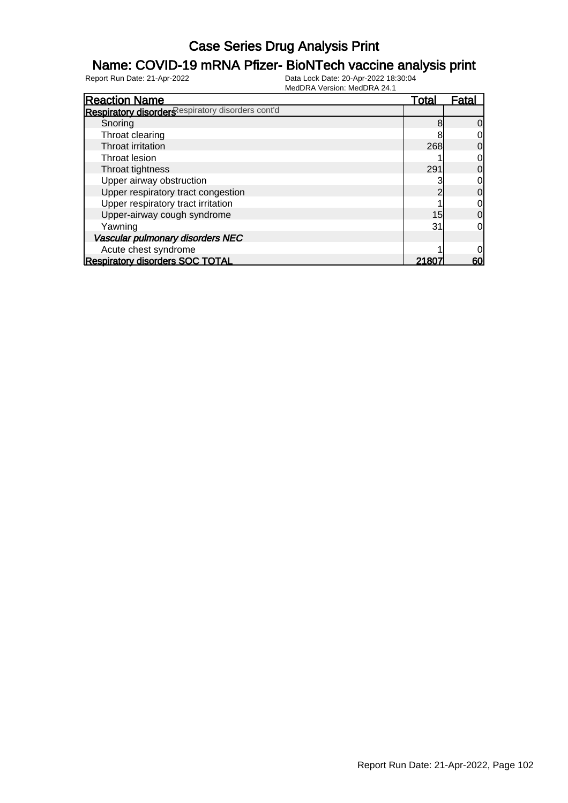### Name: COVID-19 mRNA Pfizer- BioNTech vaccine analysis print

| <b>Reaction Name</b>                              | Total | Fatal |
|---------------------------------------------------|-------|-------|
| Respiratory disorders espiratory disorders cont'd |       |       |
| Snoring                                           | 8     | 0     |
| Throat clearing                                   |       | 0     |
| Throat irritation                                 | 268   | 0     |
| Throat lesion                                     |       | 0     |
| Throat tightness                                  | 291   | 0     |
| Upper airway obstruction                          |       | 0     |
| Upper respiratory tract congestion                |       | 0     |
| Upper respiratory tract irritation                |       | 0     |
| Upper-airway cough syndrome                       | 15    | 0     |
| Yawning                                           | 31    | 0     |
| Vascular pulmonary disorders NEC                  |       |       |
| Acute chest syndrome                              |       | 0     |
| <b>Respiratory disorders SOC TOTAL</b>            | 21807 | 60    |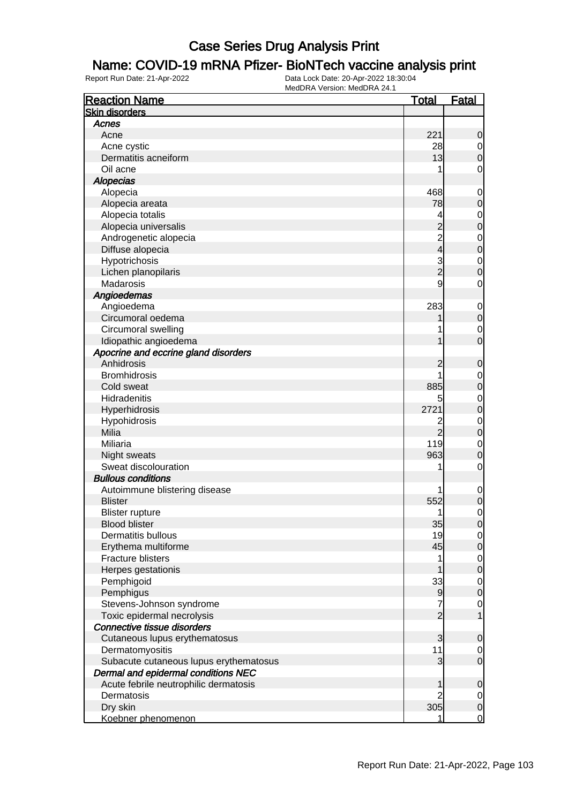### Name: COVID-19 mRNA Pfizer- BioNTech vaccine analysis print

| <b>Reaction Name</b>                   | <u>Total</u>   | <b>Fatal</b>   |
|----------------------------------------|----------------|----------------|
| <b>Skin disorders</b>                  |                |                |
| Acnes                                  |                |                |
| Acne                                   | 221            | 0              |
| Acne cystic                            | 28             | $\mathbf 0$    |
| Dermatitis acneiform                   | 13             | 0              |
| Oil acne                               |                | 0              |
| <b>Alopecias</b>                       |                |                |
| Alopecia                               | 468            | $\mathbf 0$    |
| Alopecia areata                        | 78             | 0              |
| Alopecia totalis                       | 4              | $\mathbf 0$    |
| Alopecia universalis                   | $\overline{c}$ | 0              |
| Androgenetic alopecia                  | $\overline{c}$ | $\mathbf 0$    |
| Diffuse alopecia                       | 4              | 0              |
| Hypotrichosis                          | 3              | $\mathbf 0$    |
| Lichen planopilaris                    | $\overline{2}$ | 0              |
| Madarosis                              | 9              | 0              |
| Angioedemas                            |                |                |
| Angioedema                             | 283            | $\mathbf 0$    |
| Circumoral oedema                      |                | 0              |
| Circumoral swelling                    |                | $\mathbf 0$    |
| Idiopathic angioedema                  |                | 0              |
| Apocrine and eccrine gland disorders   |                |                |
| Anhidrosis                             |                | 0              |
| <b>Bromhidrosis</b>                    |                | 0              |
| Cold sweat                             | 885            | 0              |
| Hidradenitis                           | 5              | 0              |
| Hyperhidrosis                          | 2721           | 0              |
| Hypohidrosis                           | 2              | $\mathbf 0$    |
| Milia                                  | $\overline{2}$ | 0              |
| Miliaria                               | 119            | 0              |
| Night sweats                           | 963            | 0              |
| Sweat discolouration                   | 1              | 0              |
| <b>Bullous conditions</b>              |                |                |
| Autoimmune blistering disease          |                | $\mathbf 0$    |
| <b>Blister</b>                         | 552            | 0              |
| <b>Blister rupture</b>                 | 1              | 0              |
| <b>Blood blister</b>                   | 35             | $\Omega$       |
| <b>Dermatitis bullous</b>              | 19             | $\overline{0}$ |
| Erythema multiforme                    | 45             | 0              |
| <b>Fracture blisters</b>               |                | $\mathbf 0$    |
| Herpes gestationis                     |                | $\mathbf 0$    |
| Pemphigoid                             | 33             | $\mathbf 0$    |
| Pemphigus                              | 9              | $\mathbf 0$    |
| Stevens-Johnson syndrome               | 7              | $\mathbf 0$    |
| Toxic epidermal necrolysis             | 2              |                |
| Connective tissue disorders            |                |                |
| Cutaneous lupus erythematosus          | 3              | 0              |
| Dermatomyositis                        | 11             | $\mathbf 0$    |
| Subacute cutaneous lupus erythematosus | 3              | $\mathbf 0$    |
| Dermal and epidermal conditions NEC    |                |                |
| Acute febrile neutrophilic dermatosis  |                | $\mathbf 0$    |
| Dermatosis                             | 2              | $\overline{0}$ |
| Dry skin                               | 305            | $\mathbf 0$    |
| Koebner phenomenon                     |                | $\mathbf 0$    |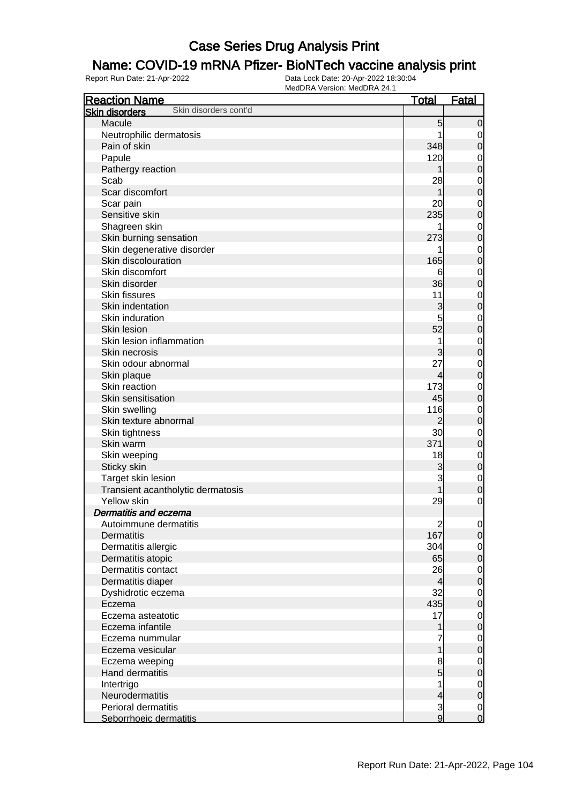### Name: COVID-19 mRNA Pfizer- BioNTech vaccine analysis print

| <b>Reaction Name</b>                             | <b>Total</b>             | <b>Fatal</b>                     |
|--------------------------------------------------|--------------------------|----------------------------------|
| Skin disorders cont'd<br><b>Skin disorders</b>   |                          |                                  |
| Macule                                           | 5                        | $\mathbf 0$                      |
| Neutrophilic dermatosis                          |                          | $\mathbf 0$                      |
| Pain of skin                                     | 348                      | $\overline{0}$                   |
| Papule                                           | 120                      | $\mathbf 0$                      |
| Pathergy reaction                                |                          | $\mathbf{0}$                     |
| Scab                                             | 28                       | $\mathbf 0$                      |
| Scar discomfort                                  |                          | $\mathbf{0}$                     |
| Scar pain                                        | 20                       | $\mathbf{0}$                     |
| Sensitive skin                                   | 235                      | $\mathbf{0}$                     |
| Shagreen skin                                    |                          | $\mathbf{0}$                     |
| Skin burning sensation                           | 273                      | $\mathbf{0}$                     |
| Skin degenerative disorder                       |                          | $\mathbf{0}$                     |
| Skin discolouration                              | 165                      | $\mathbf{0}$                     |
| Skin discomfort                                  | 6                        | $\mathbf{0}$                     |
| Skin disorder                                    | 36                       | $\mathbf{0}$                     |
| <b>Skin fissures</b>                             | 11                       | $\mathbf{0}$                     |
| Skin indentation                                 | 3                        | $\mathbf{0}$                     |
| Skin induration                                  | 5                        | $\mathbf{0}$                     |
| Skin lesion                                      | 52                       | $\mathbf{0}$                     |
| Skin lesion inflammation                         |                          | $\mathbf{0}$                     |
| Skin necrosis                                    | 3                        | $\mathbf{0}$                     |
| Skin odour abnormal                              | 27                       |                                  |
| Skin plaque                                      | 4                        | $\mathbf{0}$<br>$\mathbf{0}$     |
| Skin reaction                                    | 173                      |                                  |
| Skin sensitisation                               | 45                       | $\mathbf{0}$<br>$\overline{0}$   |
| Skin swelling                                    | 116                      |                                  |
| Skin texture abnormal                            | $\overline{c}$           | $\mathbf 0$<br>$\overline{0}$    |
|                                                  | 30 <sup>2</sup>          |                                  |
| Skin tightness<br>Skin warm                      | 371                      | $\mathbf 0$<br>$\overline{0}$    |
| Skin weeping                                     | 18                       |                                  |
| Sticky skin                                      | 3                        | $\mathbf{0}$<br>$\mathbf{0}$     |
|                                                  | 3                        |                                  |
| Target skin lesion                               |                          | $\mathbf 0$<br>$\overline{0}$    |
| Transient acantholytic dermatosis<br>Yellow skin |                          |                                  |
| <b>Dermatitis and eczema</b>                     | 29                       | $\mathbf 0$                      |
| Autoimmune dermatitis                            |                          |                                  |
| <b>Dermatitis</b>                                | $\overline{c}$<br>167    | $\overline{0}$<br>$\overline{O}$ |
| Dermatitis allergic                              | 304                      |                                  |
|                                                  | 65                       | $\overline{0}$                   |
| Dermatitis atopic<br>Dermatitis contact          |                          | $\mathbf 0$                      |
|                                                  | 26                       | $\mathbf 0$                      |
| Dermatitis diaper                                | $\overline{4}$<br>32     | $\mathbf 0$                      |
| Dyshidrotic eczema                               |                          | $\mathbf 0$                      |
| Eczema                                           | 435                      | $\mathbf 0$                      |
| Eczema asteatotic                                | 17                       | $\mathbf 0$                      |
| Eczema infantile                                 |                          | $\mathbf 0$                      |
| Eczema nummular                                  | 7                        | $\mathbf 0$                      |
| Eczema vesicular                                 | 1                        | $\mathbf 0$                      |
| Eczema weeping                                   | 8                        | $\mathbf 0$                      |
| Hand dermatitis                                  | $\overline{5}$           | $\mathbf 0$                      |
| Intertrigo                                       | 1                        | $\mathbf 0$                      |
| Neurodermatitis                                  | $\overline{\mathcal{L}}$ | $\mathbf 0$                      |
| Perioral dermatitis                              | $\mathbf{3}$             | $\overline{0}$                   |
| Seborrhoeic dermatitis                           | 9                        | $\overline{0}$                   |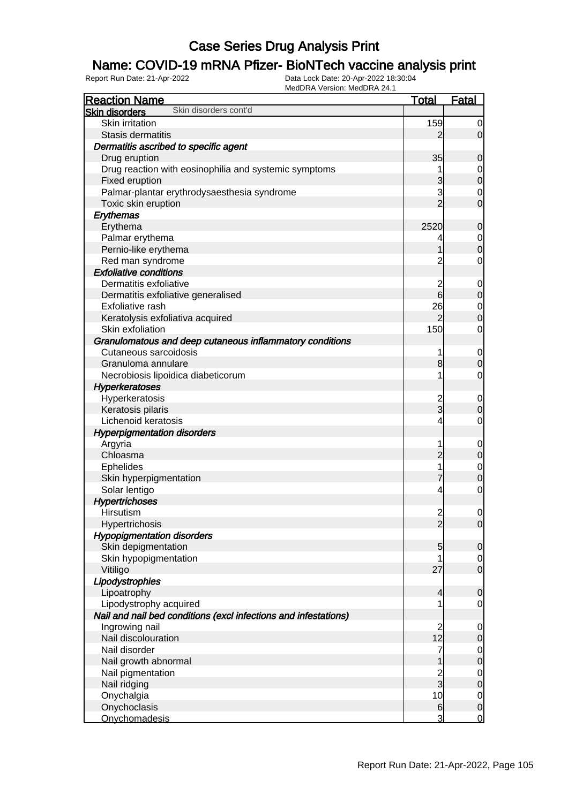### Name: COVID-19 mRNA Pfizer- BioNTech vaccine analysis print

| <b>Reaction Name</b>                                            | <u>Total</u>                           | <b>Fatal</b>                         |
|-----------------------------------------------------------------|----------------------------------------|--------------------------------------|
| Skin disorders cont'd<br><b>Skin disorders</b>                  |                                        |                                      |
| Skin irritation                                                 | 159                                    | $\overline{0}$                       |
| Stasis dermatitis                                               | 2                                      | $\overline{0}$                       |
| Dermatitis ascribed to specific agent                           |                                        |                                      |
| Drug eruption                                                   | 35                                     | $\mathbf 0$                          |
| Drug reaction with eosinophilia and systemic symptoms           | 1                                      | $\overline{0}$                       |
| Fixed eruption                                                  | 3                                      | $\overline{0}$                       |
| Palmar-plantar erythrodysaesthesia syndrome                     | 3                                      | $\mathbf 0$                          |
| Toxic skin eruption                                             | $\overline{2}$                         | $\overline{0}$                       |
| Erythemas                                                       |                                        |                                      |
| Erythema                                                        | 2520                                   | $\mathbf 0$                          |
| Palmar erythema                                                 | 4                                      | $\overline{0}$                       |
| Pernio-like erythema                                            |                                        | $\overline{0}$                       |
| Red man syndrome                                                | 2                                      | $\mathbf 0$                          |
| <b>Exfoliative conditions</b>                                   |                                        |                                      |
| Dermatitis exfoliative                                          | $\overline{c}$                         | $\overline{0}$                       |
| Dermatitis exfoliative generalised                              | $\overline{6}$                         | $\overline{O}$                       |
| Exfoliative rash                                                | 26                                     | $\overline{0}$                       |
| Keratolysis exfoliativa acquired                                | $\overline{2}$                         | $\overline{0}$                       |
| Skin exfoliation                                                | 150                                    | $\overline{0}$                       |
| Granulomatous and deep cutaneous inflammatory conditions        |                                        |                                      |
| Cutaneous sarcoidosis                                           | 1                                      | $\overline{0}$                       |
| Granuloma annulare                                              | 8                                      | $\overline{0}$                       |
| Necrobiosis lipoidica diabeticorum                              |                                        | $\mathbf 0$                          |
| <b>Hyperkeratoses</b>                                           |                                        |                                      |
| Hyperkeratosis                                                  |                                        | $\overline{0}$                       |
| Keratosis pilaris                                               | $\frac{2}{3}$                          | $\overline{0}$                       |
| Lichenoid keratosis                                             | 4                                      | $\overline{0}$                       |
| <b>Hyperpigmentation disorders</b>                              |                                        |                                      |
| Argyria                                                         | 1                                      | $\mathbf 0$                          |
| Chloasma                                                        | $\overline{2}$                         | $\overline{O}$                       |
| <b>Ephelides</b>                                                | 1                                      | $\mathbf 0$                          |
| Skin hyperpigmentation                                          |                                        | $\overline{0}$                       |
| Solar lentigo                                                   | 4                                      | $\mathbf 0$                          |
| <b>Hypertrichoses</b>                                           |                                        |                                      |
| Hirsutism                                                       | $\overline{2}$                         | $\overline{0}$                       |
| Hypertrichosis                                                  | $\overline{c}$                         | 0                                    |
| <b>Hypopigmentation disorders</b>                               |                                        |                                      |
| Skin depigmentation                                             | 5                                      | $\overline{0}$                       |
| Skin hypopigmentation                                           |                                        | $\overline{0}$                       |
| Vitiligo                                                        | 27                                     | $\overline{0}$                       |
| Lipodystrophies                                                 |                                        |                                      |
| Lipoatrophy                                                     | 4                                      | $\mathbf 0$                          |
| Lipodystrophy acquired                                          |                                        | $\overline{0}$                       |
| Nail and nail bed conditions (excl infections and infestations) |                                        |                                      |
| Ingrowing nail                                                  |                                        | $\overline{0}$                       |
| Nail discolouration                                             | $\begin{array}{c} 2 \\ 12 \end{array}$ | $\overline{O}$                       |
| Nail disorder                                                   | 7                                      |                                      |
| Nail growth abnormal                                            | 1                                      | $\begin{matrix} 0 \\ 0 \end{matrix}$ |
| Nail pigmentation                                               |                                        |                                      |
| Nail ridging                                                    | $\frac{2}{3}$                          | $\begin{matrix} 0 \\ 0 \end{matrix}$ |
| Onychalgia                                                      | 10                                     | $\mathbf 0$                          |
| Onychoclasis                                                    | $6\phantom{a}$                         | $\overline{0}$                       |
| <b>Onychomadesis</b>                                            | 3                                      | $\overline{0}$                       |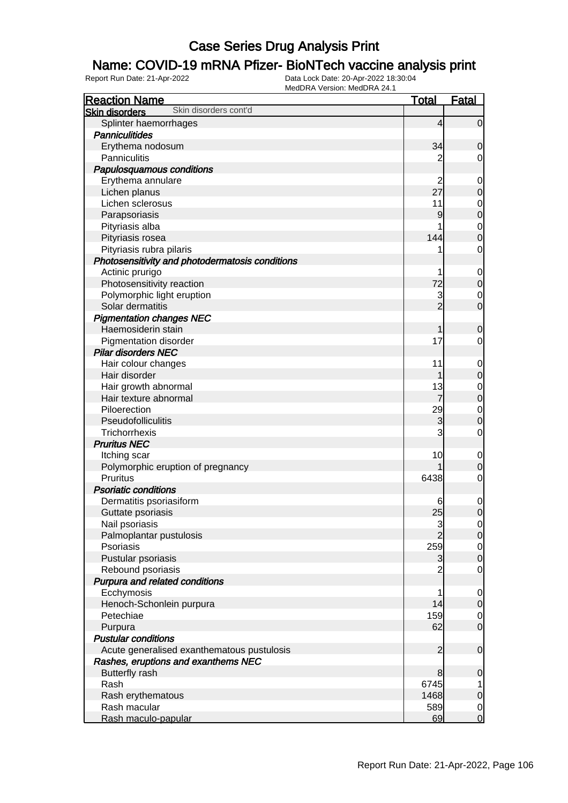### Name: COVID-19 mRNA Pfizer- BioNTech vaccine analysis print

| <b>Reaction Name</b>                            | <b>Total</b>   | <b>Fatal</b>                         |
|-------------------------------------------------|----------------|--------------------------------------|
| Skin disorders cont'd<br><b>Skin disorders</b>  |                |                                      |
| Splinter haemorrhages                           | 4              | $\overline{0}$                       |
| Panniculitides                                  |                |                                      |
| Erythema nodosum                                | 34             | 0                                    |
| Panniculitis                                    | 2              | $\overline{0}$                       |
| Papulosquamous conditions                       |                |                                      |
| Erythema annulare                               | 2              | $\mathbf 0$                          |
| Lichen planus                                   | 27             | $\pmb{0}$                            |
| Lichen sclerosus                                | 11             |                                      |
| Parapsoriasis                                   | 9              | $0\atop 0$                           |
| Pityriasis alba                                 |                |                                      |
| Pityriasis rosea                                | 144            | $\begin{matrix} 0 \\ 0 \end{matrix}$ |
| Pityriasis rubra pilaris                        |                | $\mathbf 0$                          |
| Photosensitivity and photodermatosis conditions |                |                                      |
| Actinic prurigo                                 | 1              | $\mathbf{0}$                         |
| Photosensitivity reaction                       | 72             | $\pmb{0}$                            |
| Polymorphic light eruption                      | 3              |                                      |
| Solar dermatitis                                | $\overline{2}$ | $\begin{matrix} 0 \\ 0 \end{matrix}$ |
| <b>Pigmentation changes NEC</b>                 |                |                                      |
| Haemosiderin stain                              | 1              | $\mathbf 0$                          |
| <b>Pigmentation disorder</b>                    | 17             | $\overline{0}$                       |
| <b>Pilar disorders NEC</b>                      |                |                                      |
|                                                 |                |                                      |
| Hair colour changes<br>Hair disorder            | 11<br>1        | $\overline{0}$                       |
|                                                 |                | $\boldsymbol{0}$                     |
| Hair growth abnormal                            | 13             | $\begin{matrix}0\\0\end{matrix}$     |
| Hair texture abnormal                           |                |                                      |
| Piloerection                                    | 29             | $\begin{matrix} 0 \\ 0 \end{matrix}$ |
| Pseudofolliculitis                              | 3              |                                      |
| Trichorrhexis                                   | 3              | $\mathbf 0$                          |
| <b>Pruritus NEC</b>                             |                |                                      |
| Itching scar                                    | 10             | $\mathbf 0$                          |
| Polymorphic eruption of pregnancy               |                | $\mathbf 0$                          |
| Pruritus                                        | 6438           | $\mathbf 0$                          |
| <b>Psoriatic conditions</b>                     |                |                                      |
| Dermatitis psoriasiform                         | 6              | $\mathbf{0}$                         |
| Guttate psoriasis                               | 25             | $\overline{0}$                       |
| Nail psoriasis                                  | $\mathbf{3}$   | $\overline{0}$                       |
| Palmoplantar pustulosis                         |                | 0                                    |
| Psoriasis                                       | 259            | $\overline{0}$                       |
| Pustular psoriasis                              | 3              | $\mathbf 0$                          |
| Rebound psoriasis                               |                | $\overline{0}$                       |
| Purpura and related conditions                  |                |                                      |
| Ecchymosis                                      | 1              | $\overline{0}$                       |
| Henoch-Schonlein purpura                        | 14             | $\overline{0}$                       |
| Petechiae                                       | 159            | $\overline{0}$                       |
| Purpura                                         | 62             | $\overline{O}$                       |
| <b>Pustular conditions</b>                      |                |                                      |
| Acute generalised exanthematous pustulosis      | $\overline{2}$ | $\boldsymbol{0}$                     |
| Rashes, eruptions and exanthems NEC             |                |                                      |
| <b>Butterfly rash</b>                           | 8              | $\mathbf 0$                          |
| Rash                                            | 6745           | $\mathbf{1}$                         |
| Rash erythematous                               | 1468           | $\mathbf 0$                          |
| Rash macular                                    | 589            | $\overline{0}$                       |
| Rash maculo-papular                             | 69             | $\mathbf 0$                          |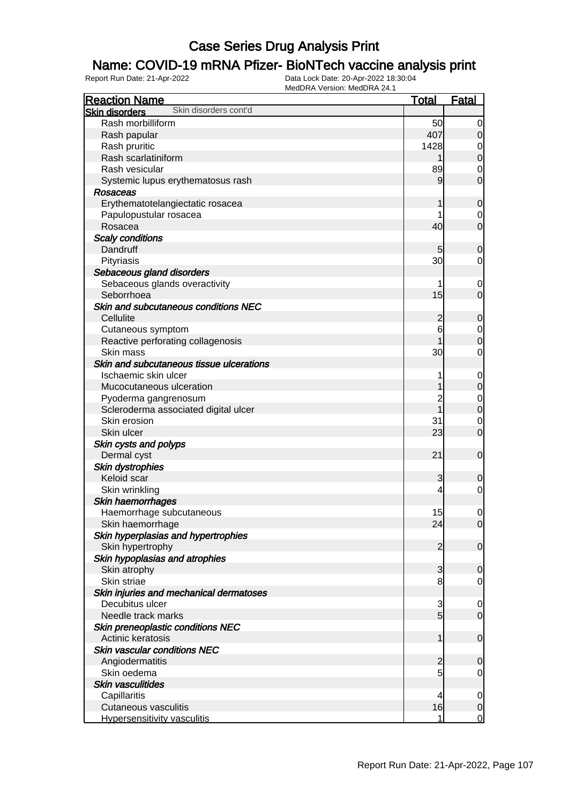### Name: COVID-19 mRNA Pfizer- BioNTech vaccine analysis print

| <b>Reaction Name</b>                                   | <b>Total</b>   | <b>Fatal</b>                    |
|--------------------------------------------------------|----------------|---------------------------------|
| Skin disorders cont'd<br><b>Skin disorders</b>         |                |                                 |
| Rash morbilliform                                      | 50             | 0                               |
| Rash papular                                           | 407            | $\mathbf 0$                     |
| Rash pruritic                                          | 1428           | 0                               |
| Rash scarlatiniform                                    |                | $\boldsymbol{0}$                |
| Rash vesicular                                         | 89             | 0                               |
| Systemic lupus erythematosus rash                      | 9              | $\mathbf 0$                     |
| Rosaceas                                               |                |                                 |
| Erythematotelangiectatic rosacea                       |                | $\mathbf 0$                     |
| Papulopustular rosacea                                 |                | $\mathbf 0$                     |
| Rosacea                                                | 40             | $\mathbf 0$                     |
| <b>Scaly conditions</b>                                |                |                                 |
| Dandruff                                               | 5              | $\mathbf 0$                     |
| Pityriasis                                             | 30             | $\mathbf 0$                     |
| Sebaceous gland disorders                              |                |                                 |
| Sebaceous glands overactivity                          |                | $\mathbf 0$                     |
| Seborrhoea                                             | 15             | $\mathbf 0$                     |
| Skin and subcutaneous conditions NEC                   |                |                                 |
| Cellulite                                              |                | $\mathbf 0$                     |
|                                                        | $\overline{c}$ |                                 |
| Cutaneous symptom                                      | 6              | $\mathbf 0$<br>$\boldsymbol{0}$ |
| Reactive perforating collagenosis<br>Skin mass         | 30             | $\mathbf 0$                     |
| Skin and subcutaneous tissue ulcerations               |                |                                 |
| Ischaemic skin ulcer                                   |                |                                 |
|                                                        |                | $\mathbf 0$                     |
| Mucocutaneous ulceration                               |                | $\pmb{0}$                       |
| Pyoderma gangrenosum                                   | $\overline{c}$ | $\mathbf 0$                     |
| Scleroderma associated digital ulcer                   |                | $\pmb{0}$                       |
| Skin erosion                                           | 31             | $\mathbf 0$                     |
| Skin ulcer                                             | 23             | $\mathbf 0$                     |
| Skin cysts and polyps                                  |                |                                 |
| Dermal cyst                                            | 21             | $\mathbf 0$                     |
| Skin dystrophies                                       |                |                                 |
| Keloid scar                                            | 3              | $\mathbf 0$                     |
| Skin wrinkling                                         | 4              | $\mathbf 0$                     |
| Skin haemorrhages                                      |                |                                 |
| Haemorrhage subcutaneous                               | 15             | 0                               |
| Skin haemorrhage                                       | 24             | $\mathbf 0$                     |
| Skin hyperplasias and hypertrophies                    |                |                                 |
| Skin hypertrophy                                       | $\overline{2}$ | $\mathbf 0$                     |
| Skin hypoplasias and atrophies                         |                |                                 |
| Skin atrophy                                           | $\overline{3}$ | $\mathbf 0$                     |
| Skin striae                                            | 8              | 0                               |
| Skin injuries and mechanical dermatoses                |                |                                 |
| Decubitus ulcer                                        | 3              | 0                               |
| Needle track marks                                     | $\overline{5}$ | $\overline{0}$                  |
| Skin preneoplastic conditions NEC<br>Actinic keratosis | 1              | $\mathbf 0$                     |
| <b>Skin vascular conditions NEC</b>                    |                |                                 |
| Angiodermatitis                                        | $\overline{c}$ | $\mathbf 0$                     |
| Skin oedema                                            | 5              | 0                               |
| <b>Skin vasculitides</b>                               |                |                                 |
| Capillaritis                                           | 4              | 0                               |
| Cutaneous vasculitis                                   | 16             | $\mathbf 0$                     |
| <b>Hypersensitivity vasculitis</b>                     | 1              | $\overline{0}$                  |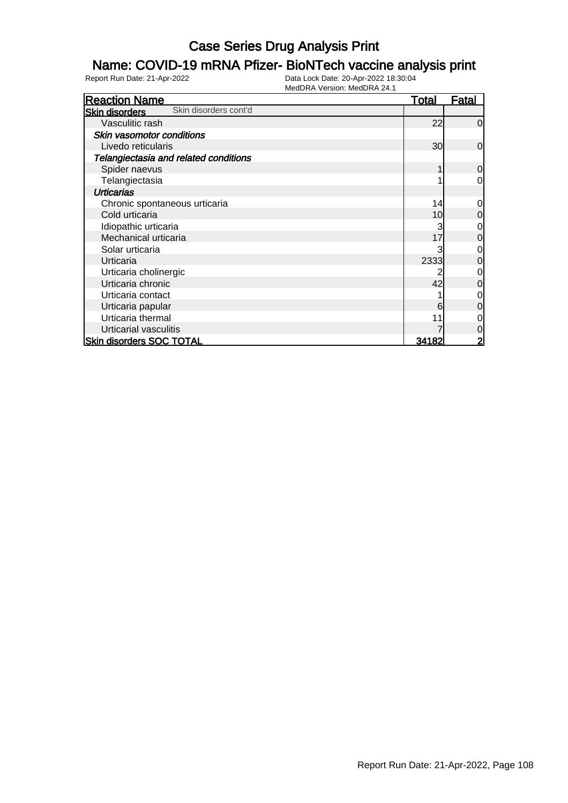### Name: COVID-19 mRNA Pfizer- BioNTech vaccine analysis print

| <b>Reaction Name</b>                           | <u>Total</u> | <b>Fatal</b>   |
|------------------------------------------------|--------------|----------------|
| Skin disorders cont'd<br><b>Skin disorders</b> |              |                |
| Vasculitic rash                                | 22           | $\overline{0}$ |
| Skin vasomotor conditions                      |              |                |
| Livedo reticularis                             | 30           | $\overline{0}$ |
| Telangiectasia and related conditions          |              |                |
| Spider naevus                                  |              | $\overline{0}$ |
| Telangiectasia                                 |              | $\overline{0}$ |
| <b>Urticarias</b>                              |              |                |
| Chronic spontaneous urticaria                  | 14           | $\overline{0}$ |
| Cold urticaria                                 | 10           | $\overline{0}$ |
| Idiopathic urticaria                           |              | $\overline{0}$ |
| Mechanical urticaria                           | 17           | $\overline{0}$ |
| Solar urticaria                                |              | $\overline{0}$ |
| Urticaria                                      | 2333         | $\overline{0}$ |
| Urticaria cholinergic                          |              | $\overline{O}$ |
| Urticaria chronic                              | 42           | $\overline{0}$ |
| Urticaria contact                              |              | $\overline{0}$ |
| Urticaria papular                              | 6            | $\overline{O}$ |
| Urticaria thermal                              |              | $\overline{0}$ |
| Urticarial vasculitis                          |              | $\overline{0}$ |
| <b>Skin disorders SOC TOTAL</b>                | 34182        | $\overline{2}$ |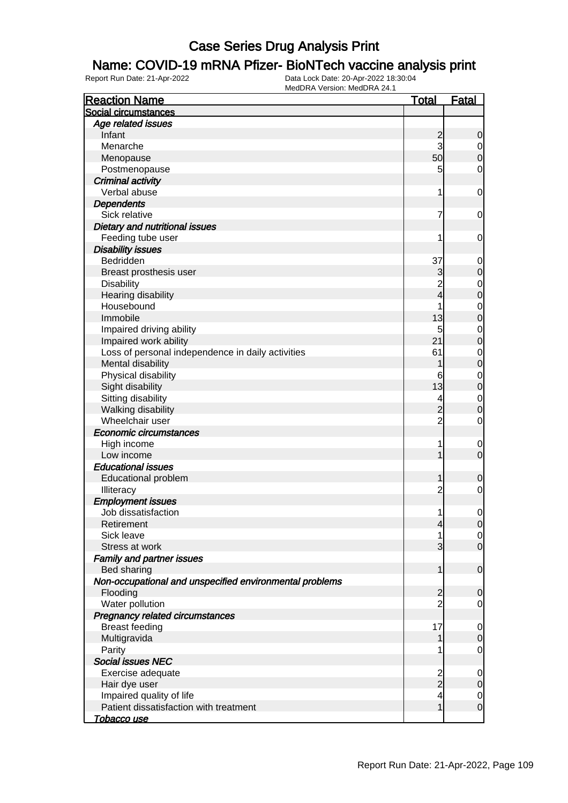### Name: COVID-19 mRNA Pfizer- BioNTech vaccine analysis print

| <b>Reaction Name</b>                                    | <u>Total</u>            | <b>Fatal</b>   |
|---------------------------------------------------------|-------------------------|----------------|
| Social circumstances                                    |                         |                |
| Age related issues                                      |                         |                |
| Infant                                                  | $\overline{\mathbf{c}}$ | $\mathbf 0$    |
| Menarche                                                | 3                       | $\overline{0}$ |
| Menopause                                               | 50                      | $\mathbf 0$    |
| Postmenopause                                           | 5                       | $\mathbf 0$    |
| <b>Criminal activity</b>                                |                         |                |
| Verbal abuse                                            | 1                       | $\mathbf 0$    |
| <b>Dependents</b>                                       |                         |                |
| Sick relative                                           | 7                       | $\mathbf 0$    |
| Dietary and nutritional issues                          |                         |                |
| Feeding tube user                                       | 1                       | $\mathbf 0$    |
| <b>Disability issues</b>                                |                         |                |
| Bedridden                                               | 37                      | $\mathbf 0$    |
| Breast prosthesis user                                  | 3                       | 0              |
| <b>Disability</b>                                       | $\overline{2}$          | $\mathbf 0$    |
| Hearing disability                                      | $\overline{4}$          | $\mathbf 0$    |
| Housebound                                              | 1                       | $\mathbf 0$    |
| Immobile                                                | 13                      | $\mathbf 0$    |
| Impaired driving ability                                | 5                       | $\mathbf 0$    |
| Impaired work ability                                   | 21                      | $\mathbf 0$    |
| Loss of personal independence in daily activities       | 61                      | $\mathbf 0$    |
| Mental disability                                       |                         | $\mathbf 0$    |
| Physical disability                                     | 6                       | $\mathbf 0$    |
| Sight disability                                        | 13                      | $\mathbf 0$    |
| Sitting disability                                      | 4                       | $\mathbf 0$    |
| Walking disability                                      | $\overline{2}$          | 0              |
| Wheelchair user                                         | $\overline{2}$          | $\mathbf 0$    |
| <b>Economic circumstances</b>                           |                         |                |
| High income                                             | 1                       | $\mathbf 0$    |
| Low income                                              | 1                       | $\mathbf 0$    |
| <b>Educational issues</b>                               |                         |                |
| <b>Educational problem</b>                              | 1                       | $\mathbf 0$    |
| Illiteracy                                              | $\overline{c}$          | 0              |
| <b>Employment issues</b>                                |                         |                |
| Job dissatisfaction                                     | 1                       | $\mathbf 0$    |
| Retirement                                              | 4                       | $\overline{0}$ |
| Sick leave                                              | 1                       | $\overline{0}$ |
| Stress at work                                          | 3                       | $\overline{0}$ |
| <b>Family and partner issues</b>                        |                         |                |
| Bed sharing                                             | 1                       | $\mathbf 0$    |
| Non-occupational and unspecified environmental problems |                         |                |
| Flooding                                                | $\overline{c}$          | $\mathbf 0$    |
| Water pollution                                         | $\overline{2}$          | $\overline{0}$ |
| Pregnancy related circumstances                         |                         |                |
| <b>Breast feeding</b>                                   | 17                      | $\mathbf 0$    |
| Multigravida                                            | 1                       | $\mathbf 0$    |
| Parity                                                  | 1                       | $\mathbf 0$    |
| <b>Social issues NEC</b>                                |                         |                |
| Exercise adequate                                       | $\frac{2}{2}$           | $\mathbf 0$    |
| Hair dye user                                           |                         | $\mathbf 0$    |
| Impaired quality of life                                | $\overline{\mathbf{4}}$ | $\overline{0}$ |
| Patient dissatisfaction with treatment                  | $\overline{1}$          | $\mathbf 0$    |
| <u>Tobacco use</u>                                      |                         |                |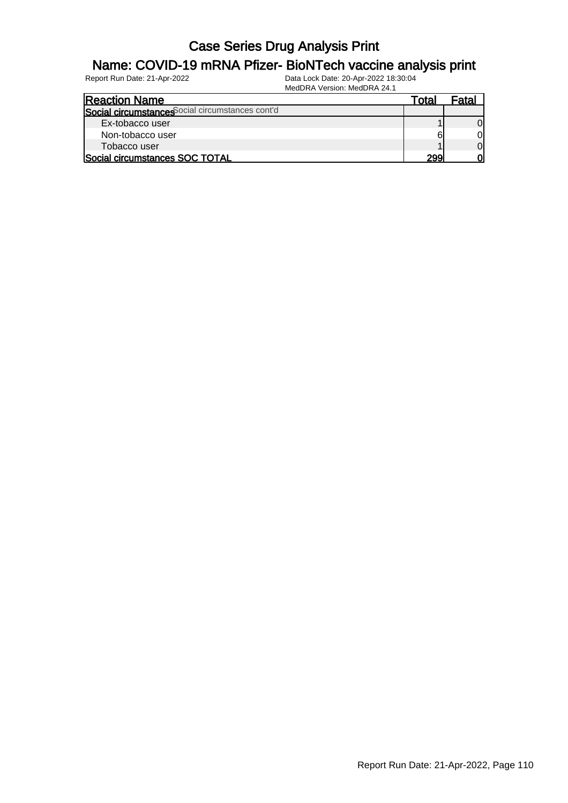#### Name: COVID-19 mRNA Pfizer- BioNTech vaccine analysis print

| <b>Reaction Name</b>                             | Total      | Fatal          |
|--------------------------------------------------|------------|----------------|
| Social circumstances Social circumstances cont'd |            |                |
| Ex-tobacco user                                  |            | 0l             |
| Non-tobacco user                                 |            | 01             |
| Tobacco user                                     |            | $\overline{0}$ |
| Social circumstances SOC TOTAL                   | <b>299</b> | Ol             |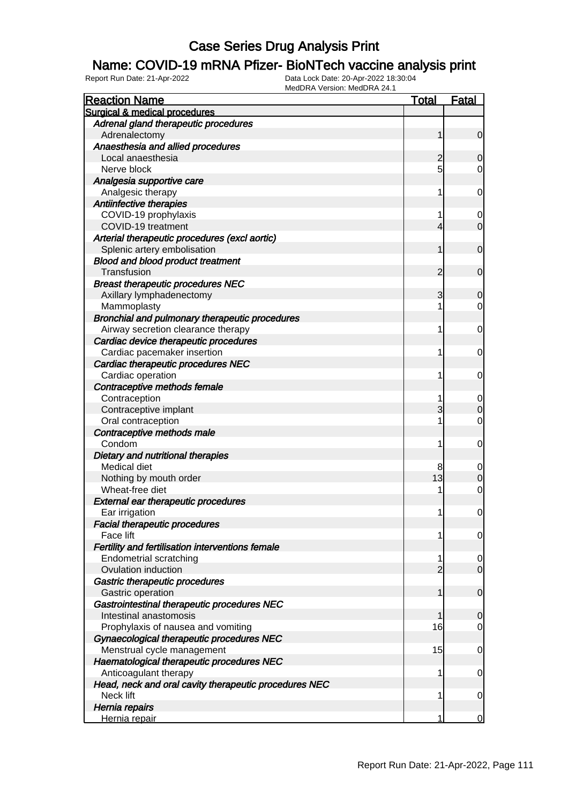### Name: COVID-19 mRNA Pfizer- BioNTech vaccine analysis print

| <b>Reaction Name</b>                                   | <b>Total</b>   | <b>Fatal</b>   |
|--------------------------------------------------------|----------------|----------------|
| Surgical & medical procedures                          |                |                |
| Adrenal gland therapeutic procedures                   |                |                |
| Adrenalectomy                                          | 1              | $\mathbf 0$    |
| Anaesthesia and allied procedures                      |                |                |
| Local anaesthesia                                      | $\overline{c}$ | 0              |
| Nerve block                                            | 5              | 0              |
| Analgesia supportive care                              |                |                |
| Analgesic therapy                                      | 1              | 0              |
| Antiinfective therapies                                |                |                |
| COVID-19 prophylaxis                                   | 1              | 0              |
| COVID-19 treatment                                     | 4              | $\mathbf 0$    |
| Arterial therapeutic procedures (excl aortic)          |                |                |
| Splenic artery embolisation                            | 1              | $\mathbf 0$    |
| <b>Blood and blood product treatment</b>               |                |                |
| Transfusion                                            | $\overline{2}$ | $\mathbf 0$    |
| <b>Breast therapeutic procedures NEC</b>               |                |                |
| Axillary lymphadenectomy                               | 3              | 0              |
| Mammoplasty                                            | 1              | 0              |
| Bronchial and pulmonary therapeutic procedures         |                |                |
| Airway secretion clearance therapy                     | 1              | 0              |
| Cardiac device therapeutic procedures                  |                |                |
| Cardiac pacemaker insertion                            | 1              | 0              |
| Cardiac therapeutic procedures NEC                     |                |                |
| Cardiac operation                                      | 1              | 0              |
| Contraceptive methods female                           |                |                |
| Contraception                                          |                | 0              |
| Contraceptive implant                                  | 3              | $\overline{0}$ |
| Oral contraception                                     | 1              | $\mathbf 0$    |
| Contraceptive methods male                             |                |                |
| Condom                                                 | 1              | 0              |
| Dietary and nutritional therapies                      |                |                |
| Medical diet                                           | 8              | 0              |
| Nothing by mouth order<br>Wheat-free diet              | 13             | 0              |
|                                                        |                | $\mathbf 0$    |
| <b>External ear therapeutic procedures</b>             | 1              |                |
| Ear irrigation<br><b>Facial therapeutic procedures</b> |                | $\mathbf 0$    |
| Face lift                                              | 1              | 0              |
| Fertility and fertilisation interventions female       |                |                |
| <b>Endometrial scratching</b>                          | 1              | 0              |
| Ovulation induction                                    | $\overline{2}$ | $\mathbf 0$    |
| <b>Gastric therapeutic procedures</b>                  |                |                |
| Gastric operation                                      | 1              | $\mathbf 0$    |
| Gastrointestinal therapeutic procedures NEC            |                |                |
| Intestinal anastomosis                                 | 1              | $\mathbf 0$    |
| Prophylaxis of nausea and vomiting                     | 16             | $\overline{0}$ |
| Gynaecological therapeutic procedures NEC              |                |                |
| Menstrual cycle management                             | 15             | 0              |
| Haematological therapeutic procedures NEC              |                |                |
| Anticoagulant therapy                                  | 1              | $\mathbf 0$    |
| Head, neck and oral cavity therapeutic procedures NEC  |                |                |
| Neck lift                                              | 1              | 0              |
| Hernia repairs                                         |                |                |
| Hernia repair                                          | 1              | $\Omega$       |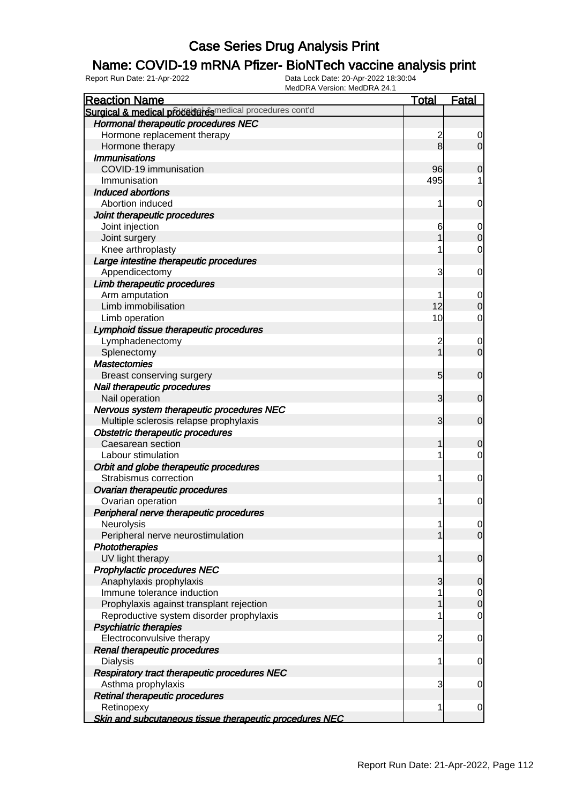### Name: COVID-19 mRNA Pfizer- BioNTech vaccine analysis print

| <b>Reaction Name</b>                                    | <b>Total</b>    | <b>Fatal</b>   |
|---------------------------------------------------------|-----------------|----------------|
| Surgical & medical proceed a redical procedures cont'd  |                 |                |
| Hormonal therapeutic procedures NEC                     |                 |                |
| Hormone replacement therapy                             | $\overline{2}$  | 0              |
| Hormone therapy                                         | 8               | $\overline{0}$ |
| <b>Immunisations</b>                                    |                 |                |
| COVID-19 immunisation                                   | 96              | $\mathbf 0$    |
| Immunisation                                            | 495             |                |
| <b>Induced abortions</b>                                |                 |                |
| Abortion induced                                        | 1               | 0              |
| Joint therapeutic procedures                            |                 |                |
| Joint injection                                         | 6               | $\mathbf 0$    |
| Joint surgery                                           |                 | $\overline{0}$ |
| Knee arthroplasty                                       |                 | 0              |
| Large intestine therapeutic procedures                  |                 |                |
| Appendicectomy                                          | 3               | 0              |
| Limb therapeutic procedures                             |                 |                |
| Arm amputation                                          |                 | $\mathbf 0$    |
| Limb immobilisation                                     | 12              | $\overline{0}$ |
| Limb operation                                          | 10              | 0              |
| Lymphoid tissue therapeutic procedures                  |                 |                |
| Lymphadenectomy                                         | $\overline{2}$  | 0              |
| Splenectomy                                             | 1               | $\overline{0}$ |
| <b>Mastectomies</b>                                     |                 |                |
| Breast conserving surgery                               | $5\overline{)}$ | $\mathbf 0$    |
| Nail therapeutic procedures                             |                 |                |
| Nail operation                                          | 3               | $\mathbf 0$    |
| Nervous system therapeutic procedures NEC               |                 |                |
| Multiple sclerosis relapse prophylaxis                  | $\overline{3}$  | $\mathbf 0$    |
| <b>Obstetric therapeutic procedures</b>                 |                 |                |
| Caesarean section                                       | 1               | $\mathbf 0$    |
| Labour stimulation                                      | 1               | 0              |
| Orbit and globe therapeutic procedures                  |                 |                |
| Strabismus correction                                   | 1               | $\mathbf 0$    |
| Ovarian therapeutic procedures                          |                 |                |
| Ovarian operation                                       | 1               | 0              |
| Peripheral nerve therapeutic procedures                 |                 |                |
| Neurolysis                                              | 1               | $\overline{0}$ |
| Peripheral nerve neurostimulation                       |                 | $\overline{0}$ |
| Phototherapies                                          |                 |                |
| UV light therapy                                        | 1               | $\mathbf 0$    |
| <b>Prophylactic procedures NEC</b>                      |                 |                |
| Anaphylaxis prophylaxis                                 | 3               | $\mathbf 0$    |
| Immune tolerance induction                              | 1               | $\mathbf 0$    |
| Prophylaxis against transplant rejection                |                 | $\overline{0}$ |
| Reproductive system disorder prophylaxis                | 1               | 0              |
| <b>Psychiatric therapies</b>                            |                 |                |
| Electroconvulsive therapy                               | $\overline{2}$  | $\mathbf 0$    |
| Renal therapeutic procedures                            |                 |                |
| <b>Dialysis</b>                                         | 1               | $\mathbf 0$    |
| Respiratory tract therapeutic procedures NEC            |                 |                |
| Asthma prophylaxis                                      | 3               | $\mathbf 0$    |
| Retinal therapeutic procedures                          |                 |                |
| Retinopexy                                              | 1               | $\mathbf 0$    |
| Skin and subcutaneous tissue therapeutic procedures NEC |                 |                |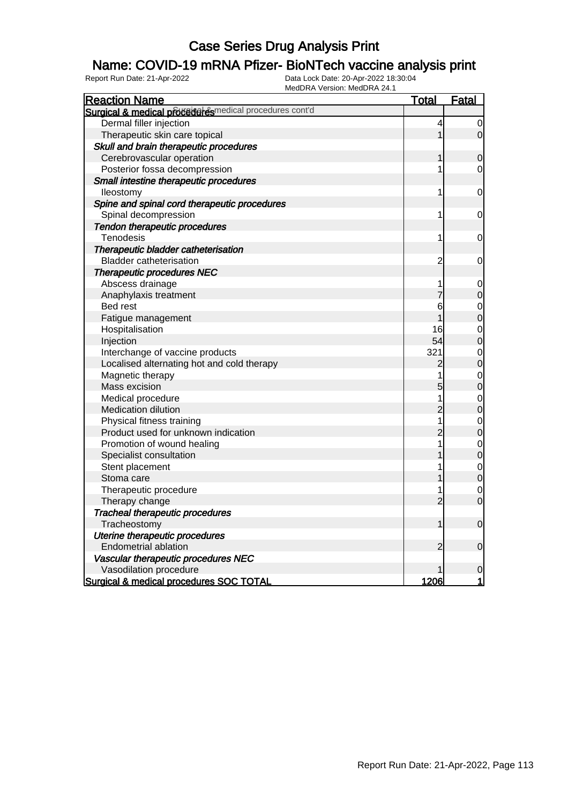### Name: COVID-19 mRNA Pfizer- BioNTech vaccine analysis print

| <b>INCULIVA VEISION, INCULIVA 24.1</b><br><b>Reaction Name</b> | <b>Total</b>   | Fatal            |
|----------------------------------------------------------------|----------------|------------------|
| Surgical & medical proceed esmedical procedures cont'd         |                |                  |
| Dermal filler injection                                        | 4              | 0                |
| Therapeutic skin care topical                                  |                | $\overline{0}$   |
| Skull and brain therapeutic procedures                         |                |                  |
| Cerebrovascular operation                                      |                | 0                |
| Posterior fossa decompression                                  | 1              | 0                |
| Small intestine therapeutic procedures                         |                |                  |
| lleostomy                                                      | 1              | $\mathbf 0$      |
| Spine and spinal cord therapeutic procedures                   |                |                  |
| Spinal decompression                                           | 1              | $\mathbf 0$      |
| Tendon therapeutic procedures                                  |                |                  |
| <b>Tenodesis</b>                                               | 1              | $\mathbf 0$      |
| Therapeutic bladder catheterisation                            |                |                  |
| <b>Bladder catheterisation</b>                                 | $\overline{c}$ | $\mathbf 0$      |
| Therapeutic procedures NEC                                     |                |                  |
| Abscess drainage                                               | 1              | $\mathbf 0$      |
| Anaphylaxis treatment                                          | 7              | $\pmb{0}$        |
| Bed rest                                                       | 6              | $\mathbf 0$      |
| Fatigue management                                             |                | $\overline{0}$   |
| Hospitalisation                                                | 16             | $\mathbf 0$      |
| Injection                                                      | 54             | $\overline{0}$   |
| Interchange of vaccine products                                | 321            | $\mathbf{0}$     |
| Localised alternating hot and cold therapy                     | $\overline{c}$ | $\overline{0}$   |
| Magnetic therapy                                               | 1              | $\mathbf 0$      |
| Mass excision                                                  | 5              | $\overline{0}$   |
| Medical procedure                                              | 1              | $\mathbf{0}$     |
| <b>Medication dilution</b>                                     | $\overline{2}$ | $\overline{0}$   |
| Physical fitness training                                      | 1              | $\mathbf 0$      |
| Product used for unknown indication                            | $\overline{2}$ | $\overline{0}$   |
| Promotion of wound healing                                     | 1              | $\mathbf{0}$     |
| Specialist consultation                                        |                | $\overline{0}$   |
| Stent placement                                                | 1              | $\mathbf{O}$     |
| Stoma care                                                     |                | $\overline{0}$   |
| Therapeutic procedure                                          | 1              | $\mathbf 0$      |
| Therapy change                                                 | $\overline{2}$ | $\mathbf 0$      |
| <b>Tracheal therapeutic procedures</b>                         |                |                  |
| Tracheostomy                                                   | 1              | $\mathbf 0$      |
| Uterine therapeutic procedures                                 |                |                  |
| <b>Endometrial ablation</b>                                    | $\overline{c}$ | $\mathbf 0$      |
| Vascular therapeutic procedures NEC                            |                |                  |
| Vasodilation procedure                                         |                | $\boldsymbol{0}$ |
| Surgical & medical procedures SOC TOTAL                        | 1206           | 1                |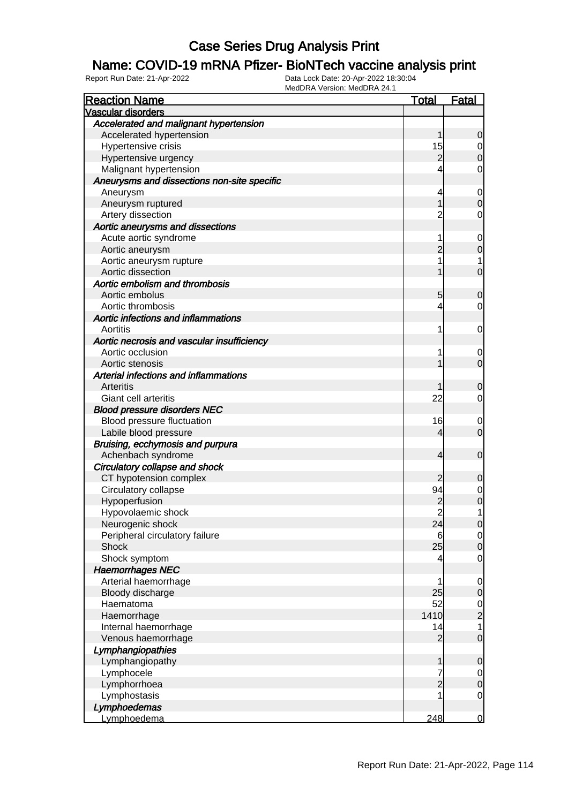### Name: COVID-19 mRNA Pfizer- BioNTech vaccine analysis print

| <b>Reaction Name</b>                        | <b>Total</b>   | <b>Fatal</b>   |
|---------------------------------------------|----------------|----------------|
| <b>Vascular disorders</b>                   |                |                |
| Accelerated and malignant hypertension      |                |                |
| Accelerated hypertension                    | 1              | $\mathbf 0$    |
| Hypertensive crisis                         | 15             | $\overline{0}$ |
| Hypertensive urgency                        | $\overline{c}$ | $\overline{0}$ |
| Malignant hypertension                      | 4              | $\mathbf 0$    |
| Aneurysms and dissections non-site specific |                |                |
| Aneurysm                                    | 4              | $\mathbf{0}$   |
| Aneurysm ruptured                           | 1              | $\mathbf 0$    |
| Artery dissection                           | $\overline{c}$ | 0              |
| Aortic aneurysms and dissections            |                |                |
| Acute aortic syndrome                       | 1              | $\mathbf{0}$   |
| Aortic aneurysm                             | $\overline{2}$ | $\mathbf 0$    |
| Aortic aneurysm rupture                     | 1              | 1              |
| Aortic dissection                           |                | $\mathbf 0$    |
| Aortic embolism and thrombosis              |                |                |
| Aortic embolus                              | 5              | $\mathbf 0$    |
| Aortic thrombosis                           | 4              | $\mathbf 0$    |
| Aortic infections and inflammations         |                |                |
| Aortitis                                    | 1              | $\mathbf 0$    |
| Aortic necrosis and vascular insufficiency  |                |                |
| Aortic occlusion                            | 1              | $\mathbf 0$    |
| Aortic stenosis                             |                | $\overline{0}$ |
| Arterial infections and inflammations       |                |                |
| Arteritis                                   |                | $\mathbf 0$    |
| Giant cell arteritis                        | 22             | $\overline{0}$ |
| <b>Blood pressure disorders NEC</b>         |                |                |
| Blood pressure fluctuation                  | 16             | 0              |
| Labile blood pressure                       | 4              | $\mathbf 0$    |
| Bruising, ecchymosis and purpura            |                |                |
| Achenbach syndrome                          | 4              | $\mathbf 0$    |
| Circulatory collapse and shock              |                |                |
| CT hypotension complex                      | 2              | $\mathbf 0$    |
| Circulatory collapse                        | 94             | $\overline{0}$ |
| Hypoperfusion                               |                | $\overline{0}$ |
| Hypovolaemic shock                          | $\frac{2}{2}$  | 1              |
| Neurogenic shock                            | 24             | 0              |
| Peripheral circulatory failure              | 6              | $\overline{0}$ |
| <b>Shock</b>                                | 25             | $\mathbf 0$    |
| Shock symptom                               | 4              | $\overline{0}$ |
| <b>Haemorrhages NEC</b>                     |                |                |
| Arterial haemorrhage                        | 1              | $\mathbf 0$    |
| Bloody discharge                            | 25             | $\pmb{0}$      |
| Haematoma                                   | 52             |                |
| Haemorrhage                                 | 1410           | $\frac{0}{2}$  |
| Internal haemorrhage                        | 14             | $\overline{1}$ |
| Venous haemorrhage                          | $\overline{2}$ | $\overline{0}$ |
| Lymphangiopathies                           |                |                |
| Lymphangiopathy                             | 1              | $\mathbf 0$    |
| Lymphocele                                  | 7              | $\overline{0}$ |
| Lymphorrhoea                                | $\overline{c}$ | $\pmb{0}$      |
| Lymphostasis                                |                | $\overline{0}$ |
| Lymphoedemas                                |                |                |
| Lymphoedema                                 | 248            | $\mathbf 0$    |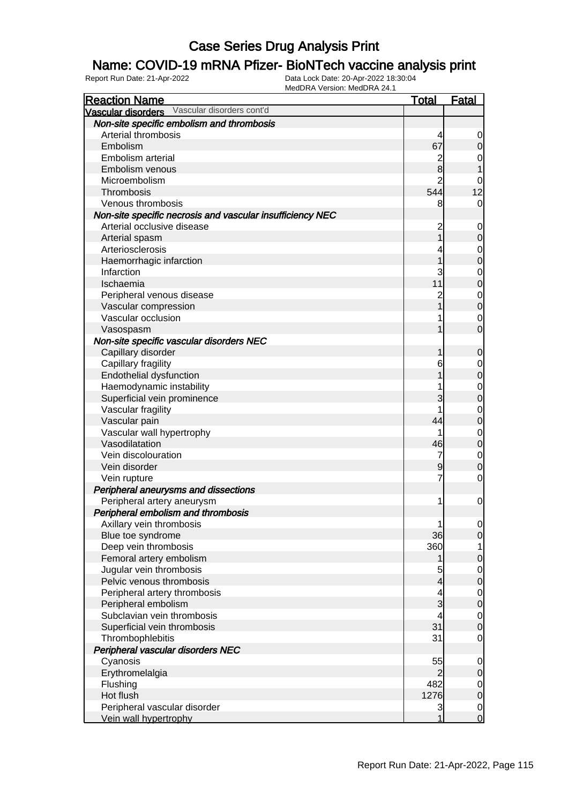### Name: COVID-19 mRNA Pfizer- BioNTech vaccine analysis print

| <b>Reaction Name</b>                                      | <b>Total</b>            | <b>Fatal</b>     |
|-----------------------------------------------------------|-------------------------|------------------|
| Vascular disorders Vascular disorders cont'd              |                         |                  |
| Non-site specific embolism and thrombosis                 |                         |                  |
| Arterial thrombosis                                       | 4                       | 0                |
| Embolism                                                  | 67                      | $\mathbf 0$      |
| Embolism arterial                                         | $\overline{c}$          | 0                |
| Embolism venous                                           | 8                       |                  |
| Microembolism                                             | $\overline{2}$          | 0                |
| Thrombosis                                                | 544                     | 12               |
| Venous thrombosis                                         | 8                       | 0                |
| Non-site specific necrosis and vascular insufficiency NEC |                         |                  |
| Arterial occlusive disease                                | $\overline{c}$          | $\mathbf 0$      |
| Arterial spasm                                            | 1                       | $\pmb{0}$        |
| Arteriosclerosis                                          |                         | $\mathbf 0$      |
| Haemorrhagic infarction                                   |                         | $\mathbf 0$      |
| Infarction                                                | 3                       | $\mathbf 0$      |
| Ischaemia                                                 | 11                      |                  |
|                                                           |                         | $\mathbf 0$      |
| Peripheral venous disease                                 | $\overline{c}$          | $\mathbf 0$      |
| Vascular compression                                      |                         | $\mathbf 0$      |
| Vascular occlusion                                        |                         | $\mathbf 0$      |
| Vasospasm                                                 |                         | $\mathbf 0$      |
| Non-site specific vascular disorders NEC                  |                         |                  |
| Capillary disorder                                        |                         | $\mathbf 0$      |
| Capillary fragility                                       | 6                       | $\mathbf 0$      |
| Endothelial dysfunction                                   |                         | $\pmb{0}$        |
| Haemodynamic instability                                  |                         | $\mathbf 0$      |
| Superficial vein prominence                               | 3                       | $\mathbf 0$      |
| Vascular fragility                                        |                         | $\mathbf 0$      |
| Vascular pain                                             | 44                      | $\mathbf 0$      |
| Vascular wall hypertrophy                                 |                         | $\mathbf 0$      |
| Vasodilatation                                            | 46                      | $\mathbf 0$      |
| Vein discolouration                                       | 7                       | $\mathbf 0$      |
| Vein disorder                                             | 9                       | $\mathbf 0$      |
| Vein rupture                                              |                         | $\mathbf 0$      |
| Peripheral aneurysms and dissections                      |                         |                  |
| Peripheral artery aneurysm                                | 1                       | $\mathbf 0$      |
| Peripheral embolism and thrombosis                        |                         |                  |
| Axillary vein thrombosis                                  | 1                       | $\overline{0}$   |
| Blue toe syndrome                                         | 36                      | $\overline{0}$   |
| Deep vein thrombosis                                      | 360                     | 1                |
| Femoral artery embolism                                   |                         | $\mathbf 0$      |
| Jugular vein thrombosis                                   | 5                       | $\overline{0}$   |
| Pelvic venous thrombosis                                  | $\overline{\mathbf{r}}$ | $\pmb{0}$        |
| Peripheral artery thrombosis                              | 4                       | $\overline{0}$   |
| Peripheral embolism                                       | 3                       | $\mathbf 0$      |
| Subclavian vein thrombosis                                | 4                       | $\overline{0}$   |
| Superficial vein thrombosis                               | 31                      | $\boldsymbol{0}$ |
| Thrombophlebitis                                          | 31                      | $\mathbf 0$      |
| Peripheral vascular disorders NEC                         |                         |                  |
|                                                           |                         |                  |
| Cyanosis                                                  | 55                      | $\mathbf 0$      |
| Erythromelalgia                                           | $\overline{2}$          | $\mathbf 0$      |
| Flushing                                                  | 482                     | $\overline{0}$   |
| Hot flush                                                 | 1276                    | $\mathbf 0$      |
| Peripheral vascular disorder                              | 3                       | $\overline{0}$   |
| Vein wall hypertrophy                                     | 1                       | $\overline{0}$   |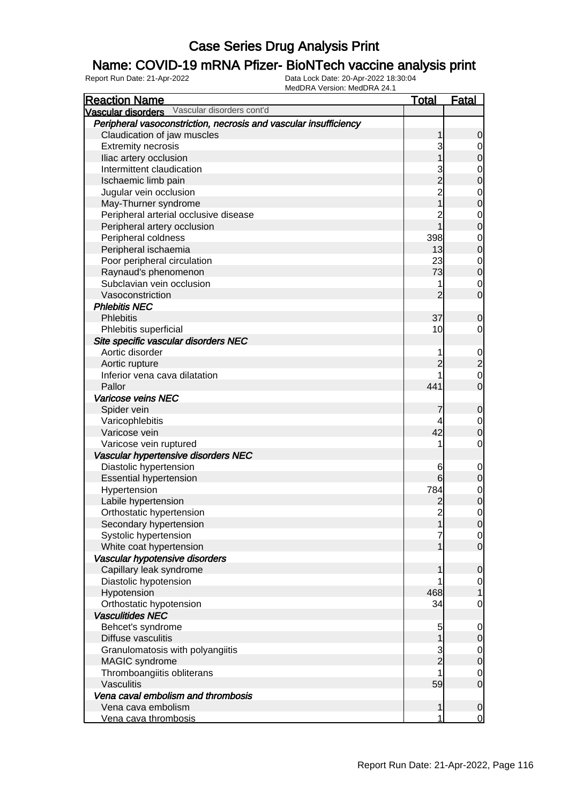### Name: COVID-19 mRNA Pfizer- BioNTech vaccine analysis print

| <b>Reaction Name</b>                                             | <b>Total</b>   | <b>Fatal</b>        |
|------------------------------------------------------------------|----------------|---------------------|
| Vascular disorders Vascular disorders cont'd                     |                |                     |
| Peripheral vasoconstriction, necrosis and vascular insufficiency |                |                     |
| Claudication of jaw muscles                                      | 1              | $\overline{0}$      |
| <b>Extremity necrosis</b>                                        | 3              | $\overline{0}$      |
| Iliac artery occlusion                                           |                | $\mathbf 0$         |
| Intermittent claudication                                        |                | $\mathbf 0$         |
| Ischaemic limb pain                                              | $\overline{2}$ | $\overline{0}$      |
| Jugular vein occlusion                                           | $\overline{2}$ | $\boldsymbol{0}$    |
| May-Thurner syndrome                                             |                | $\overline{0}$      |
| Peripheral arterial occlusive disease                            |                | $\mathbf 0$         |
| Peripheral artery occlusion                                      |                | $\mathbf 0$         |
| Peripheral coldness                                              | 398            | $\mathbf 0$         |
| Peripheral ischaemia                                             | 13             | $\mathbf 0$         |
| Poor peripheral circulation                                      | 23             | $\mathbf 0$         |
| Raynaud's phenomenon                                             | 73             | $\mathbf 0$         |
| Subclavian vein occlusion                                        |                | $\mathbf 0$         |
| Vasoconstriction                                                 | $\overline{2}$ | $\overline{O}$      |
| <b>Phlebitis NEC</b>                                             |                |                     |
| <b>Phlebitis</b>                                                 | 37             | $\mathbf 0$         |
| Phlebitis superficial                                            | 10             | $\overline{0}$      |
| Site specific vascular disorders NEC                             |                |                     |
| Aortic disorder                                                  |                | $\overline{0}$      |
| Aortic rupture                                                   | $\overline{2}$ | $\overline{c}$      |
| Inferior vena cava dilatation                                    |                | $\mathbf 0$         |
| Pallor                                                           | 441            | $\overline{0}$      |
| Varicose veins NEC                                               |                |                     |
| Spider vein                                                      | 7              | $\mathbf 0$         |
| Varicophlebitis                                                  |                | $\overline{0}$      |
| Varicose vein                                                    | 42             | $\mathbf 0$         |
| Varicose vein ruptured                                           |                | $\mathbf 0$         |
| Vascular hypertensive disorders NEC                              |                |                     |
| Diastolic hypertension                                           | 6              | $\mathbf 0$         |
| <b>Essential hypertension</b>                                    | 6              | $\overline{O}$      |
| Hypertension                                                     | 784            | $\overline{0}$      |
| Labile hypertension                                              |                | $\overline{0}$      |
| Orthostatic hypertension                                         | $\overline{2}$ | $\mathsf{O}\xspace$ |
| Secondary hypertension                                           | 1              | 0                   |
| Systolic hypertension                                            |                | $\overline{0}$      |
| White coat hypertension                                          |                | $\overline{0}$      |
| Vascular hypotensive disorders                                   |                |                     |
| Capillary leak syndrome                                          | 1              | $\mathbf 0$         |
| Diastolic hypotension                                            |                | $\overline{0}$      |
| Hypotension                                                      | 468            | $\mathbf{1}$        |
| Orthostatic hypotension                                          | 34             | $\mathbf 0$         |
| <b>Vasculitides NEC</b>                                          |                |                     |
| Behcet's syndrome                                                | 5              | $\overline{0}$      |
| Diffuse vasculitis                                               | 1              | $\mathsf{O}$        |
| Granulomatosis with polyangiitis                                 | 3              | $\overline{0}$      |
| MAGIC syndrome                                                   | $\overline{2}$ | $\overline{0}$      |
| Thromboangiitis obliterans                                       |                | $\overline{0}$      |
| Vasculitis                                                       | 59             | $\overline{0}$      |
| Vena caval embolism and thrombosis                               |                |                     |
| Vena cava embolism                                               | 1              | $\mathbf 0$         |
| Vena cava thrombosis                                             | 1              | $\overline{0}$      |